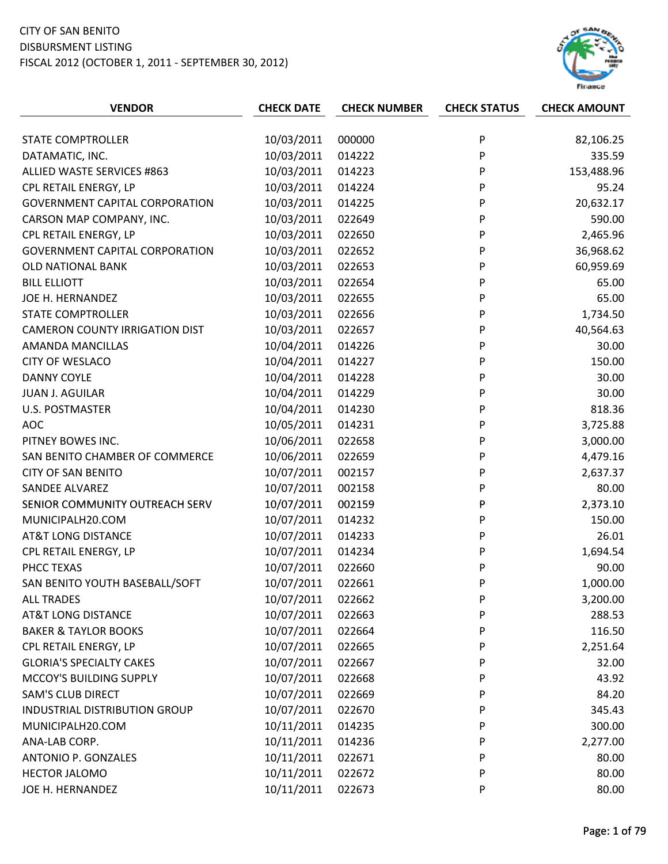## CITY OF SAN BENITO DISBURSMENT LISTING

FISCAL 2012 (OCTOBER 1, 2011 ‐ SEPTEMBER 30, 2012)



| <b>VENDOR</b>                         | <b>CHECK DATE</b> | <b>CHECK NUMBER</b> | <b>CHECK STATUS</b> | <b>CHECK AMOUNT</b> |
|---------------------------------------|-------------------|---------------------|---------------------|---------------------|
|                                       |                   |                     |                     |                     |
| STATE COMPTROLLER                     | 10/03/2011        | 000000              | P                   | 82,106.25           |
| DATAMATIC, INC.                       | 10/03/2011        | 014222              | P                   | 335.59              |
| ALLIED WASTE SERVICES #863            | 10/03/2011        | 014223              | P                   | 153,488.96          |
| CPL RETAIL ENERGY, LP                 | 10/03/2011        | 014224              | P                   | 95.24               |
| <b>GOVERNMENT CAPITAL CORPORATION</b> | 10/03/2011        | 014225              | P                   | 20,632.17           |
| CARSON MAP COMPANY, INC.              | 10/03/2011        | 022649              | P                   | 590.00              |
| CPL RETAIL ENERGY, LP                 | 10/03/2011        | 022650              | P                   | 2,465.96            |
| <b>GOVERNMENT CAPITAL CORPORATION</b> | 10/03/2011        | 022652              | P                   | 36,968.62           |
| <b>OLD NATIONAL BANK</b>              | 10/03/2011        | 022653              | P                   | 60,959.69           |
| <b>BILL ELLIOTT</b>                   | 10/03/2011        | 022654              | P                   | 65.00               |
| JOE H. HERNANDEZ                      | 10/03/2011        | 022655              | P                   | 65.00               |
| <b>STATE COMPTROLLER</b>              | 10/03/2011        | 022656              | P                   | 1,734.50            |
| <b>CAMERON COUNTY IRRIGATION DIST</b> | 10/03/2011        | 022657              | P                   | 40,564.63           |
| AMANDA MANCILLAS                      | 10/04/2011        | 014226              | P                   | 30.00               |
| <b>CITY OF WESLACO</b>                | 10/04/2011        | 014227              | P                   | 150.00              |
| <b>DANNY COYLE</b>                    | 10/04/2011        | 014228              | P                   | 30.00               |
| <b>JUAN J. AGUILAR</b>                | 10/04/2011        | 014229              | P                   | 30.00               |
| <b>U.S. POSTMASTER</b>                | 10/04/2011        | 014230              | P                   | 818.36              |
| <b>AOC</b>                            | 10/05/2011        | 014231              | P                   | 3,725.88            |
| PITNEY BOWES INC.                     | 10/06/2011        | 022658              | P                   | 3,000.00            |
| SAN BENITO CHAMBER OF COMMERCE        | 10/06/2011        | 022659              | P                   | 4,479.16            |
| <b>CITY OF SAN BENITO</b>             | 10/07/2011        | 002157              | P                   | 2,637.37            |
| <b>SANDEE ALVAREZ</b>                 | 10/07/2011        | 002158              | P                   | 80.00               |
| SENIOR COMMUNITY OUTREACH SERV        | 10/07/2011        | 002159              | P                   | 2,373.10            |
| MUNICIPALH20.COM                      | 10/07/2011        | 014232              | P                   | 150.00              |
| <b>AT&amp;T LONG DISTANCE</b>         | 10/07/2011        | 014233              | P                   | 26.01               |
| CPL RETAIL ENERGY, LP                 | 10/07/2011        | 014234              | P                   | 1,694.54            |
| PHCC TEXAS                            | 10/07/2011        | 022660              | P                   | 90.00               |
| SAN BENITO YOUTH BASEBALL/SOFT        | 10/07/2011        | 022661              | P                   | 1,000.00            |
| <b>ALL TRADES</b>                     | 10/07/2011        | 022662              | P                   | 3,200.00            |
| <b>AT&amp;T LONG DISTANCE</b>         | 10/07/2011        | 022663              | P                   | 288.53              |
| <b>BAKER &amp; TAYLOR BOOKS</b>       | 10/07/2011        | 022664              | P                   | 116.50              |
| CPL RETAIL ENERGY, LP                 | 10/07/2011        | 022665              | P                   | 2,251.64            |
| <b>GLORIA'S SPECIALTY CAKES</b>       | 10/07/2011        | 022667              | P                   | 32.00               |
| MCCOY'S BUILDING SUPPLY               | 10/07/2011        | 022668              | P                   | 43.92               |
| <b>SAM'S CLUB DIRECT</b>              | 10/07/2011        | 022669              | P                   | 84.20               |
| <b>INDUSTRIAL DISTRIBUTION GROUP</b>  | 10/07/2011        | 022670              | P                   | 345.43              |
| MUNICIPALH20.COM                      | 10/11/2011        | 014235              | P                   | 300.00              |
| ANA-LAB CORP.                         | 10/11/2011        | 014236              | P                   | 2,277.00            |
| <b>ANTONIO P. GONZALES</b>            | 10/11/2011        | 022671              | P                   | 80.00               |
| HECTOR JALOMO                         | 10/11/2011        | 022672              | P                   | 80.00               |
| JOE H. HERNANDEZ                      | 10/11/2011        | 022673              | P                   | 80.00               |
|                                       |                   |                     |                     |                     |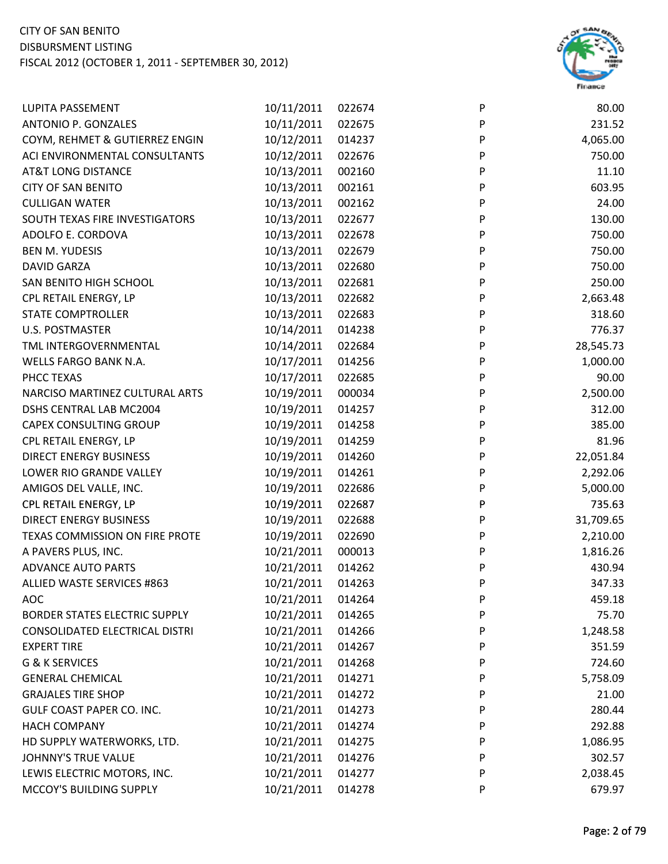

| LUPITA PASSEMENT                 | 10/11/2011 | 022674 | P | 80.00     |
|----------------------------------|------------|--------|---|-----------|
| ANTONIO P. GONZALES              | 10/11/2011 | 022675 | P | 231.52    |
| COYM, REHMET & GUTIERREZ ENGIN   | 10/12/2011 | 014237 | P | 4,065.00  |
| ACI ENVIRONMENTAL CONSULTANTS    | 10/12/2011 | 022676 | P | 750.00    |
| AT&T LONG DISTANCE               | 10/13/2011 | 002160 | P | 11.10     |
| <b>CITY OF SAN BENITO</b>        | 10/13/2011 | 002161 | P | 603.95    |
| <b>CULLIGAN WATER</b>            | 10/13/2011 | 002162 | P | 24.00     |
| SOUTH TEXAS FIRE INVESTIGATORS   | 10/13/2011 | 022677 | P | 130.00    |
| ADOLFO E. CORDOVA                | 10/13/2011 | 022678 | P | 750.00    |
| <b>BEN M. YUDESIS</b>            | 10/13/2011 | 022679 | P | 750.00    |
| DAVID GARZA                      | 10/13/2011 | 022680 | P | 750.00    |
| SAN BENITO HIGH SCHOOL           | 10/13/2011 | 022681 | P | 250.00    |
| CPL RETAIL ENERGY, LP            | 10/13/2011 | 022682 | P | 2,663.48  |
| <b>STATE COMPTROLLER</b>         | 10/13/2011 | 022683 | P | 318.60    |
| <b>U.S. POSTMASTER</b>           | 10/14/2011 | 014238 | P | 776.37    |
| TML INTERGOVERNMENTAL            | 10/14/2011 | 022684 | P | 28,545.73 |
| WELLS FARGO BANK N.A.            | 10/17/2011 | 014256 | P | 1,000.00  |
| PHCC TEXAS                       | 10/17/2011 | 022685 | P | 90.00     |
| NARCISO MARTINEZ CULTURAL ARTS   | 10/19/2011 | 000034 | P | 2,500.00  |
| DSHS CENTRAL LAB MC2004          | 10/19/2011 | 014257 | P | 312.00    |
| <b>CAPEX CONSULTING GROUP</b>    | 10/19/2011 | 014258 | P | 385.00    |
| CPL RETAIL ENERGY, LP            | 10/19/2011 | 014259 | P | 81.96     |
| <b>DIRECT ENERGY BUSINESS</b>    | 10/19/2011 | 014260 | P | 22,051.84 |
| LOWER RIO GRANDE VALLEY          | 10/19/2011 | 014261 | P | 2,292.06  |
| AMIGOS DEL VALLE, INC.           | 10/19/2011 | 022686 | P | 5,000.00  |
| CPL RETAIL ENERGY, LP            | 10/19/2011 | 022687 | P | 735.63    |
| <b>DIRECT ENERGY BUSINESS</b>    | 10/19/2011 | 022688 | P | 31,709.65 |
| TEXAS COMMISSION ON FIRE PROTE   | 10/19/2011 | 022690 | P | 2,210.00  |
| A PAVERS PLUS, INC.              | 10/21/2011 | 000013 | P | 1,816.26  |
| ADVANCE AUTO PARTS               | 10/21/2011 | 014262 | P | 430.94    |
| ALLIED WASTE SERVICES #863       | 10/21/2011 | 014263 | P | 347.33    |
| <b>AOC</b>                       | 10/21/2011 | 014264 | P | 459.18    |
| BORDER STATES ELECTRIC SUPPLY    | 10/21/2011 | 014265 | P | 75.70     |
| CONSOLIDATED ELECTRICAL DISTRI   | 10/21/2011 | 014266 | P | 1,248.58  |
| <b>EXPERT TIRE</b>               | 10/21/2011 | 014267 | P | 351.59    |
| <b>G &amp; K SERVICES</b>        | 10/21/2011 | 014268 | P | 724.60    |
| <b>GENERAL CHEMICAL</b>          | 10/21/2011 | 014271 | P | 5,758.09  |
| <b>GRAJALES TIRE SHOP</b>        | 10/21/2011 | 014272 | P | 21.00     |
| <b>GULF COAST PAPER CO. INC.</b> | 10/21/2011 | 014273 | P | 280.44    |
| <b>HACH COMPANY</b>              | 10/21/2011 | 014274 | P | 292.88    |
| HD SUPPLY WATERWORKS, LTD.       | 10/21/2011 | 014275 | P | 1,086.95  |
| JOHNNY'S TRUE VALUE              | 10/21/2011 | 014276 | P | 302.57    |
| LEWIS ELECTRIC MOTORS, INC.      | 10/21/2011 | 014277 | P | 2,038.45  |
| MCCOY'S BUILDING SUPPLY          | 10/21/2011 | 014278 | P | 679.97    |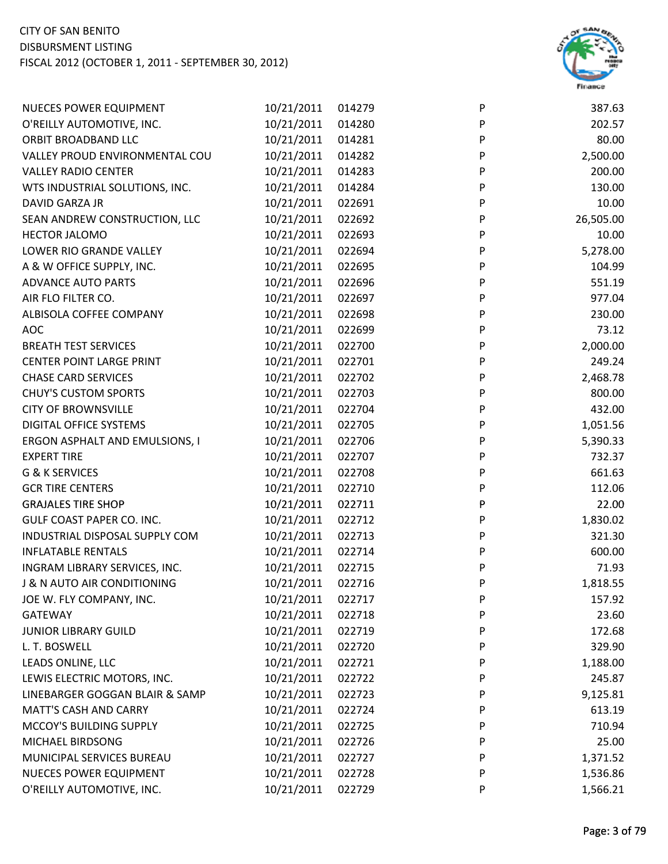

| <b>NUECES POWER EQUIPMENT</b>          | 10/21/2011 | 014279 | P | 387.63    |
|----------------------------------------|------------|--------|---|-----------|
| O'REILLY AUTOMOTIVE, INC.              | 10/21/2011 | 014280 | P | 202.57    |
| ORBIT BROADBAND LLC                    | 10/21/2011 | 014281 | P | 80.00     |
| VALLEY PROUD ENVIRONMENTAL COU         | 10/21/2011 | 014282 | P | 2,500.00  |
| <b>VALLEY RADIO CENTER</b>             | 10/21/2011 | 014283 | P | 200.00    |
| WTS INDUSTRIAL SOLUTIONS, INC.         | 10/21/2011 | 014284 | P | 130.00    |
| DAVID GARZA JR                         | 10/21/2011 | 022691 | P | 10.00     |
| SEAN ANDREW CONSTRUCTION, LLC          | 10/21/2011 | 022692 | P | 26,505.00 |
| <b>HECTOR JALOMO</b>                   | 10/21/2011 | 022693 | P | 10.00     |
| LOWER RIO GRANDE VALLEY                | 10/21/2011 | 022694 | P | 5,278.00  |
| A & W OFFICE SUPPLY, INC.              | 10/21/2011 | 022695 | P | 104.99    |
| <b>ADVANCE AUTO PARTS</b>              | 10/21/2011 | 022696 | P | 551.19    |
| AIR FLO FILTER CO.                     | 10/21/2011 | 022697 | P | 977.04    |
| ALBISOLA COFFEE COMPANY                | 10/21/2011 | 022698 | P | 230.00    |
| <b>AOC</b>                             | 10/21/2011 | 022699 | P | 73.12     |
| <b>BREATH TEST SERVICES</b>            | 10/21/2011 | 022700 | P | 2,000.00  |
| <b>CENTER POINT LARGE PRINT</b>        | 10/21/2011 | 022701 | P | 249.24    |
| <b>CHASE CARD SERVICES</b>             | 10/21/2011 | 022702 | P | 2,468.78  |
| <b>CHUY'S CUSTOM SPORTS</b>            | 10/21/2011 | 022703 | P | 800.00    |
| <b>CITY OF BROWNSVILLE</b>             | 10/21/2011 | 022704 | P | 432.00    |
| DIGITAL OFFICE SYSTEMS                 | 10/21/2011 | 022705 | P | 1,051.56  |
| ERGON ASPHALT AND EMULSIONS, I         | 10/21/2011 | 022706 | P | 5,390.33  |
| <b>EXPERT TIRE</b>                     | 10/21/2011 | 022707 | P | 732.37    |
| G & K SERVICES                         | 10/21/2011 | 022708 | P | 661.63    |
| <b>GCR TIRE CENTERS</b>                | 10/21/2011 | 022710 | P | 112.06    |
| <b>GRAJALES TIRE SHOP</b>              | 10/21/2011 | 022711 | P | 22.00     |
| GULF COAST PAPER CO. INC.              | 10/21/2011 | 022712 | P | 1,830.02  |
| INDUSTRIAL DISPOSAL SUPPLY COM         | 10/21/2011 | 022713 | P | 321.30    |
| <b>INFLATABLE RENTALS</b>              | 10/21/2011 | 022714 | P | 600.00    |
| INGRAM LIBRARY SERVICES, INC.          | 10/21/2011 | 022715 | P | 71.93     |
| <b>J &amp; N AUTO AIR CONDITIONING</b> | 10/21/2011 | 022716 | P | 1,818.55  |
| JOE W. FLY COMPANY, INC.               | 10/21/2011 | 022717 | P | 157.92    |
| <b>GATEWAY</b>                         | 10/21/2011 | 022718 | P | 23.60     |
| <b>JUNIOR LIBRARY GUILD</b>            | 10/21/2011 | 022719 | P | 172.68    |
| L. T. BOSWELL                          | 10/21/2011 | 022720 | P | 329.90    |
| LEADS ONLINE, LLC                      | 10/21/2011 | 022721 | P | 1,188.00  |
| LEWIS ELECTRIC MOTORS, INC.            | 10/21/2011 | 022722 | P | 245.87    |
| LINEBARGER GOGGAN BLAIR & SAMP         | 10/21/2011 | 022723 | P | 9,125.81  |
| <b>MATT'S CASH AND CARRY</b>           | 10/21/2011 | 022724 | P | 613.19    |
| MCCOY'S BUILDING SUPPLY                | 10/21/2011 | 022725 | P | 710.94    |
| MICHAEL BIRDSONG                       | 10/21/2011 | 022726 | P | 25.00     |
| MUNICIPAL SERVICES BUREAU              | 10/21/2011 | 022727 | P | 1,371.52  |
| <b>NUECES POWER EQUIPMENT</b>          | 10/21/2011 | 022728 | P | 1,536.86  |
| O'REILLY AUTOMOTIVE, INC.              | 10/21/2011 | 022729 | P | 1,566.21  |
|                                        |            |        |   |           |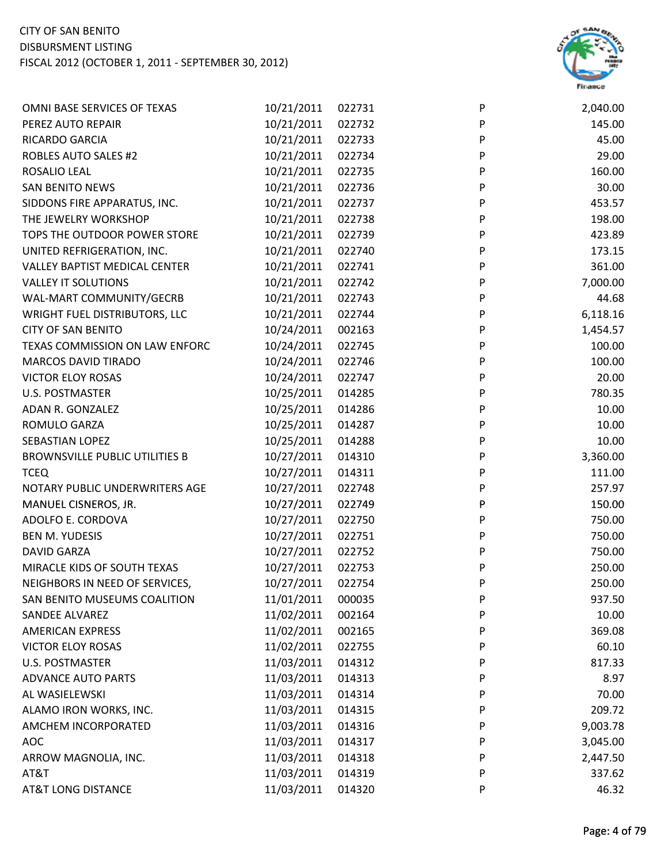

| OMNI BASE SERVICES OF TEXAS           | 10/21/2011 | 022731 | P            | 2,040.00 |
|---------------------------------------|------------|--------|--------------|----------|
| PEREZ AUTO REPAIR                     | 10/21/2011 | 022732 | P            | 145.00   |
| <b>RICARDO GARCIA</b>                 | 10/21/2011 | 022733 | P            | 45.00    |
| <b>ROBLES AUTO SALES #2</b>           | 10/21/2011 | 022734 | P            | 29.00    |
| ROSALIO LEAL                          | 10/21/2011 | 022735 | P            | 160.00   |
| <b>SAN BENITO NEWS</b>                | 10/21/2011 | 022736 | $\mathsf{P}$ | 30.00    |
| SIDDONS FIRE APPARATUS, INC.          | 10/21/2011 | 022737 | ${\sf P}$    | 453.57   |
| THE JEWELRY WORKSHOP                  | 10/21/2011 | 022738 | P            | 198.00   |
| TOPS THE OUTDOOR POWER STORE          | 10/21/2011 | 022739 | P            | 423.89   |
| UNITED REFRIGERATION, INC.            | 10/21/2011 | 022740 | P            | 173.15   |
| VALLEY BAPTIST MEDICAL CENTER         | 10/21/2011 | 022741 | $\mathsf{P}$ | 361.00   |
| <b>VALLEY IT SOLUTIONS</b>            | 10/21/2011 | 022742 | ${\sf P}$    | 7,000.00 |
| WAL-MART COMMUNITY/GECRB              | 10/21/2011 | 022743 | ${\sf P}$    | 44.68    |
| WRIGHT FUEL DISTRIBUTORS, LLC         | 10/21/2011 | 022744 | $\sf P$      | 6,118.16 |
| <b>CITY OF SAN BENITO</b>             | 10/24/2011 | 002163 | P            | 1,454.57 |
| TEXAS COMMISSION ON LAW ENFORC        | 10/24/2011 | 022745 | P            | 100.00   |
| <b>MARCOS DAVID TIRADO</b>            | 10/24/2011 | 022746 | P            | 100.00   |
| <b>VICTOR ELOY ROSAS</b>              | 10/24/2011 | 022747 | P            | 20.00    |
| <b>U.S. POSTMASTER</b>                | 10/25/2011 | 014285 | P            | 780.35   |
| ADAN R. GONZALEZ                      | 10/25/2011 | 014286 | $\sf P$      | 10.00    |
| ROMULO GARZA                          | 10/25/2011 | 014287 | P            | 10.00    |
| SEBASTIAN LOPEZ                       | 10/25/2011 | 014288 | P            | 10.00    |
| <b>BROWNSVILLE PUBLIC UTILITIES B</b> | 10/27/2011 | 014310 | P            | 3,360.00 |
| <b>TCEQ</b>                           | 10/27/2011 | 014311 | P            | 111.00   |
| NOTARY PUBLIC UNDERWRITERS AGE        | 10/27/2011 | 022748 | $\mathsf{P}$ | 257.97   |
| MANUEL CISNEROS, JR.                  | 10/27/2011 | 022749 | P            | 150.00   |
| ADOLFO E. CORDOVA                     | 10/27/2011 | 022750 | P            | 750.00   |
| <b>BEN M. YUDESIS</b>                 | 10/27/2011 | 022751 | P            | 750.00   |
| <b>DAVID GARZA</b>                    | 10/27/2011 | 022752 | P            | 750.00   |
| MIRACLE KIDS OF SOUTH TEXAS           | 10/27/2011 | 022753 | P            | 250.00   |
| NEIGHBORS IN NEED OF SERVICES,        | 10/27/2011 | 022754 | P            | 250.00   |
| SAN BENITO MUSEUMS COALITION          | 11/01/2011 | 000035 | P            | 937.50   |
| <b>SANDEE ALVAREZ</b>                 | 11/02/2011 | 002164 | P            | 10.00    |
| <b>AMERICAN EXPRESS</b>               | 11/02/2011 | 002165 | P            | 369.08   |
| <b>VICTOR ELOY ROSAS</b>              | 11/02/2011 | 022755 | P            | 60.10    |
| U.S. POSTMASTER                       | 11/03/2011 | 014312 | P            | 817.33   |
| <b>ADVANCE AUTO PARTS</b>             | 11/03/2011 | 014313 | P            | 8.97     |
| AL WASIELEWSKI                        | 11/03/2011 | 014314 | P            | 70.00    |
| ALAMO IRON WORKS, INC.                | 11/03/2011 | 014315 | P            | 209.72   |
| AMCHEM INCORPORATED                   | 11/03/2011 | 014316 | P            | 9,003.78 |
| <b>AOC</b>                            | 11/03/2011 | 014317 | P            | 3,045.00 |
| ARROW MAGNOLIA, INC.                  | 11/03/2011 | 014318 | P            | 2,447.50 |
| AT&T                                  | 11/03/2011 | 014319 | P            | 337.62   |
| <b>AT&amp;T LONG DISTANCE</b>         | 11/03/2011 | 014320 | P            | 46.32    |
|                                       |            |        |              |          |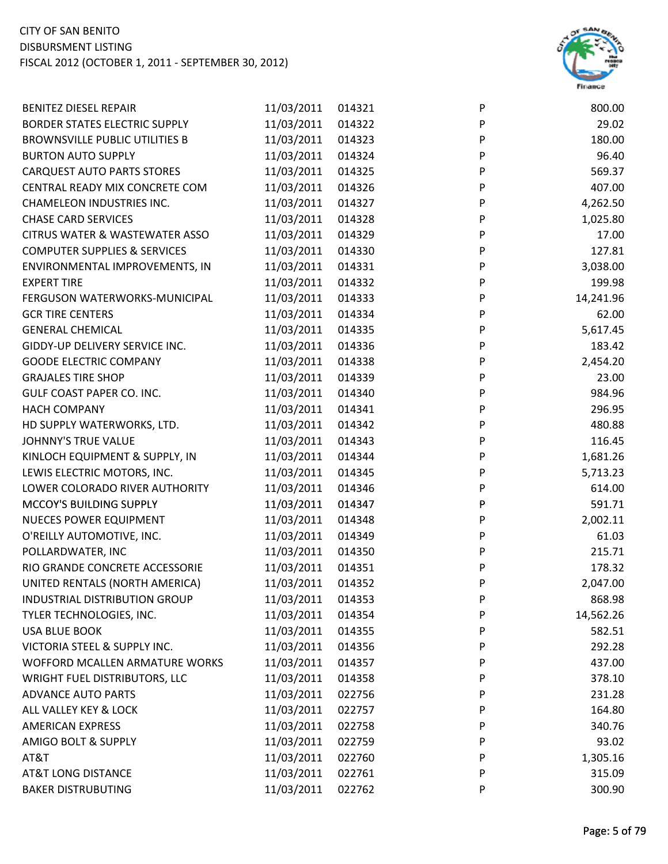

| <b>BENITEZ DIESEL REPAIR</b>              | 11/03/2011 | 014321 | $\mathsf{P}$ | 800.00    |
|-------------------------------------------|------------|--------|--------------|-----------|
| BORDER STATES ELECTRIC SUPPLY             | 11/03/2011 | 014322 | ${\sf P}$    | 29.02     |
| <b>BROWNSVILLE PUBLIC UTILITIES B</b>     | 11/03/2011 | 014323 | P            | 180.00    |
| <b>BURTON AUTO SUPPLY</b>                 | 11/03/2011 | 014324 | P            | 96.40     |
| <b>CARQUEST AUTO PARTS STORES</b>         | 11/03/2011 | 014325 | P            | 569.37    |
| CENTRAL READY MIX CONCRETE COM            | 11/03/2011 | 014326 | $\mathsf{P}$ | 407.00    |
| <b>CHAMELEON INDUSTRIES INC.</b>          | 11/03/2011 | 014327 | P            | 4,262.50  |
| <b>CHASE CARD SERVICES</b>                | 11/03/2011 | 014328 | P            | 1,025.80  |
| <b>CITRUS WATER &amp; WASTEWATER ASSO</b> | 11/03/2011 | 014329 | P            | 17.00     |
| <b>COMPUTER SUPPLIES &amp; SERVICES</b>   | 11/03/2011 | 014330 | P            | 127.81    |
| ENVIRONMENTAL IMPROVEMENTS, IN            | 11/03/2011 | 014331 | $\sf P$      | 3,038.00  |
| <b>EXPERT TIRE</b>                        | 11/03/2011 | 014332 | P            | 199.98    |
| FERGUSON WATERWORKS-MUNICIPAL             | 11/03/2011 | 014333 | P            | 14,241.96 |
| <b>GCR TIRE CENTERS</b>                   | 11/03/2011 | 014334 | P            | 62.00     |
| <b>GENERAL CHEMICAL</b>                   | 11/03/2011 | 014335 | $\sf P$      | 5,617.45  |
| GIDDY-UP DELIVERY SERVICE INC.            | 11/03/2011 | 014336 | $\mathsf{P}$ | 183.42    |
| <b>GOODE ELECTRIC COMPANY</b>             | 11/03/2011 | 014338 | P            | 2,454.20  |
| <b>GRAJALES TIRE SHOP</b>                 | 11/03/2011 | 014339 | P            | 23.00     |
| <b>GULF COAST PAPER CO. INC.</b>          | 11/03/2011 | 014340 | P            | 984.96    |
| <b>HACH COMPANY</b>                       | 11/03/2011 | 014341 | ${\sf P}$    | 296.95    |
| HD SUPPLY WATERWORKS, LTD.                | 11/03/2011 | 014342 | P            | 480.88    |
| <b>JOHNNY'S TRUE VALUE</b>                | 11/03/2011 | 014343 | P            | 116.45    |
| KINLOCH EQUIPMENT & SUPPLY, IN            | 11/03/2011 | 014344 | P            | 1,681.26  |
| LEWIS ELECTRIC MOTORS, INC.               | 11/03/2011 | 014345 | P            | 5,713.23  |
| LOWER COLORADO RIVER AUTHORITY            | 11/03/2011 | 014346 | $\mathsf{P}$ | 614.00    |
| MCCOY'S BUILDING SUPPLY                   | 11/03/2011 | 014347 | P            | 591.71    |
| <b>NUECES POWER EQUIPMENT</b>             | 11/03/2011 | 014348 | ${\sf P}$    | 2,002.11  |
| O'REILLY AUTOMOTIVE, INC.                 | 11/03/2011 | 014349 | P            | 61.03     |
| POLLARDWATER, INC                         | 11/03/2011 | 014350 | P            | 215.71    |
| RIO GRANDE CONCRETE ACCESSORIE            | 11/03/2011 | 014351 | P            | 178.32    |
| UNITED RENTALS (NORTH AMERICA)            | 11/03/2011 | 014352 | P            | 2,047.00  |
| INDUSTRIAL DISTRIBUTION GROUP             | 11/03/2011 | 014353 | P            | 868.98    |
| TYLER TECHNOLOGIES, INC.                  | 11/03/2011 | 014354 | P            | 14,562.26 |
| <b>USA BLUE BOOK</b>                      | 11/03/2011 | 014355 | P            | 582.51    |
| VICTORIA STEEL & SUPPLY INC.              | 11/03/2011 | 014356 | P            | 292.28    |
| WOFFORD MCALLEN ARMATURE WORKS            | 11/03/2011 | 014357 | P            | 437.00    |
| WRIGHT FUEL DISTRIBUTORS, LLC             | 11/03/2011 | 014358 | P            | 378.10    |
| <b>ADVANCE AUTO PARTS</b>                 | 11/03/2011 | 022756 | P            | 231.28    |
| ALL VALLEY KEY & LOCK                     | 11/03/2011 | 022757 | P            | 164.80    |
| <b>AMERICAN EXPRESS</b>                   | 11/03/2011 | 022758 | P            | 340.76    |
| AMIGO BOLT & SUPPLY                       | 11/03/2011 | 022759 | P            | 93.02     |
| AT&T                                      | 11/03/2011 | 022760 | P            | 1,305.16  |
| <b>AT&amp;T LONG DISTANCE</b>             | 11/03/2011 | 022761 | P            | 315.09    |
| <b>BAKER DISTRUBUTING</b>                 | 11/03/2011 | 022762 | P            | 300.90    |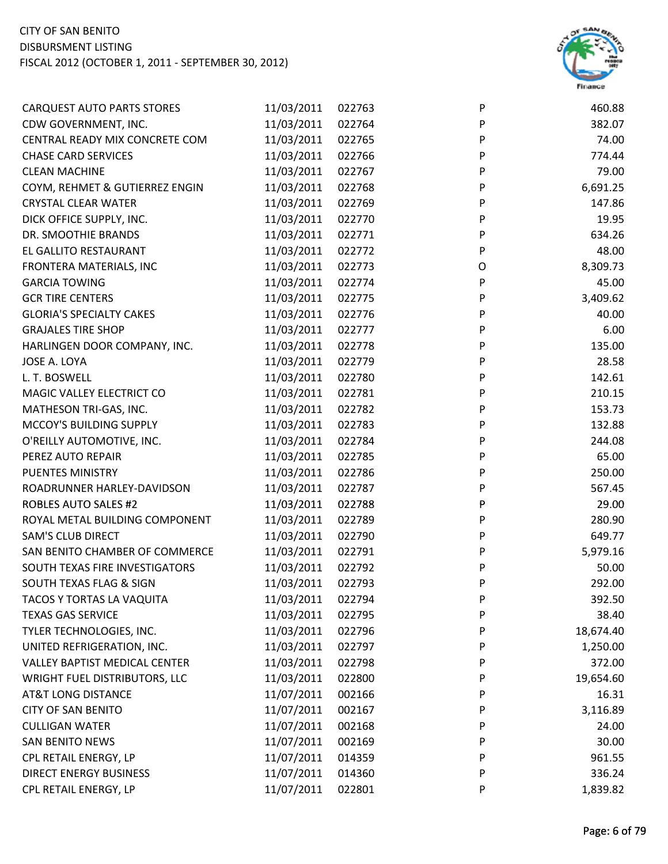

| <b>CARQUEST AUTO PARTS STORES</b> | 11/03/2011 | 022763 | P         | 460.88    |
|-----------------------------------|------------|--------|-----------|-----------|
| CDW GOVERNMENT, INC.              | 11/03/2011 | 022764 | P         | 382.07    |
| CENTRAL READY MIX CONCRETE COM    | 11/03/2011 | 022765 | P         | 74.00     |
| <b>CHASE CARD SERVICES</b>        | 11/03/2011 | 022766 | P         | 774.44    |
| <b>CLEAN MACHINE</b>              | 11/03/2011 | 022767 | P         | 79.00     |
| COYM, REHMET & GUTIERREZ ENGIN    | 11/03/2011 | 022768 | ${\sf P}$ | 6,691.25  |
| <b>CRYSTAL CLEAR WATER</b>        | 11/03/2011 | 022769 | ${\sf P}$ | 147.86    |
| DICK OFFICE SUPPLY, INC.          | 11/03/2011 | 022770 | P         | 19.95     |
| DR. SMOOTHIE BRANDS               | 11/03/2011 | 022771 | P         | 634.26    |
| EL GALLITO RESTAURANT             | 11/03/2011 | 022772 | P         | 48.00     |
| FRONTERA MATERIALS, INC           | 11/03/2011 | 022773 | O         | 8,309.73  |
| <b>GARCIA TOWING</b>              | 11/03/2011 | 022774 | ${\sf P}$ | 45.00     |
| <b>GCR TIRE CENTERS</b>           | 11/03/2011 | 022775 | P         | 3,409.62  |
| <b>GLORIA'S SPECIALTY CAKES</b>   | 11/03/2011 | 022776 | P         | 40.00     |
| <b>GRAJALES TIRE SHOP</b>         | 11/03/2011 | 022777 | P         | 6.00      |
| HARLINGEN DOOR COMPANY, INC.      | 11/03/2011 | 022778 | P         | 135.00    |
| JOSE A. LOYA                      | 11/03/2011 | 022779 | P         | 28.58     |
| L. T. BOSWELL                     | 11/03/2011 | 022780 | P         | 142.61    |
| MAGIC VALLEY ELECTRICT CO         | 11/03/2011 | 022781 | P         | 210.15    |
| MATHESON TRI-GAS, INC.            | 11/03/2011 | 022782 | P         | 153.73    |
| MCCOY'S BUILDING SUPPLY           | 11/03/2011 | 022783 | P         | 132.88    |
| O'REILLY AUTOMOTIVE, INC.         | 11/03/2011 | 022784 | P         | 244.08    |
| PEREZ AUTO REPAIR                 | 11/03/2011 | 022785 | P         | 65.00     |
| PUENTES MINISTRY                  | 11/03/2011 | 022786 | P         | 250.00    |
| ROADRUNNER HARLEY-DAVIDSON        | 11/03/2011 | 022787 | P         | 567.45    |
| <b>ROBLES AUTO SALES #2</b>       | 11/03/2011 | 022788 | P         | 29.00     |
| ROYAL METAL BUILDING COMPONENT    | 11/03/2011 | 022789 | P         | 280.90    |
| <b>SAM'S CLUB DIRECT</b>          | 11/03/2011 | 022790 | P         | 649.77    |
| SAN BENITO CHAMBER OF COMMERCE    | 11/03/2011 | 022791 | P         | 5,979.16  |
| SOUTH TEXAS FIRE INVESTIGATORS    | 11/03/2011 | 022792 | P         | 50.00     |
| SOUTH TEXAS FLAG & SIGN           | 11/03/2011 | 022793 | P         | 292.00    |
| TACOS Y TORTAS LA VAQUITA         | 11/03/2011 | 022794 | P         | 392.50    |
| <b>TEXAS GAS SERVICE</b>          | 11/03/2011 | 022795 | P         | 38.40     |
| TYLER TECHNOLOGIES, INC.          | 11/03/2011 | 022796 | P         | 18,674.40 |
| UNITED REFRIGERATION, INC.        | 11/03/2011 | 022797 | P         | 1,250.00  |
| VALLEY BAPTIST MEDICAL CENTER     | 11/03/2011 | 022798 | P         | 372.00    |
| WRIGHT FUEL DISTRIBUTORS, LLC     | 11/03/2011 | 022800 | P         | 19,654.60 |
| <b>AT&amp;T LONG DISTANCE</b>     | 11/07/2011 | 002166 | P         | 16.31     |
| <b>CITY OF SAN BENITO</b>         | 11/07/2011 | 002167 | P         | 3,116.89  |
| <b>CULLIGAN WATER</b>             | 11/07/2011 | 002168 | P         | 24.00     |
| <b>SAN BENITO NEWS</b>            | 11/07/2011 | 002169 | P         | 30.00     |
| CPL RETAIL ENERGY, LP             | 11/07/2011 | 014359 | P         | 961.55    |
| <b>DIRECT ENERGY BUSINESS</b>     | 11/07/2011 | 014360 | P         | 336.24    |
| CPL RETAIL ENERGY, LP             | 11/07/2011 | 022801 | P         | 1,839.82  |
|                                   |            |        |           |           |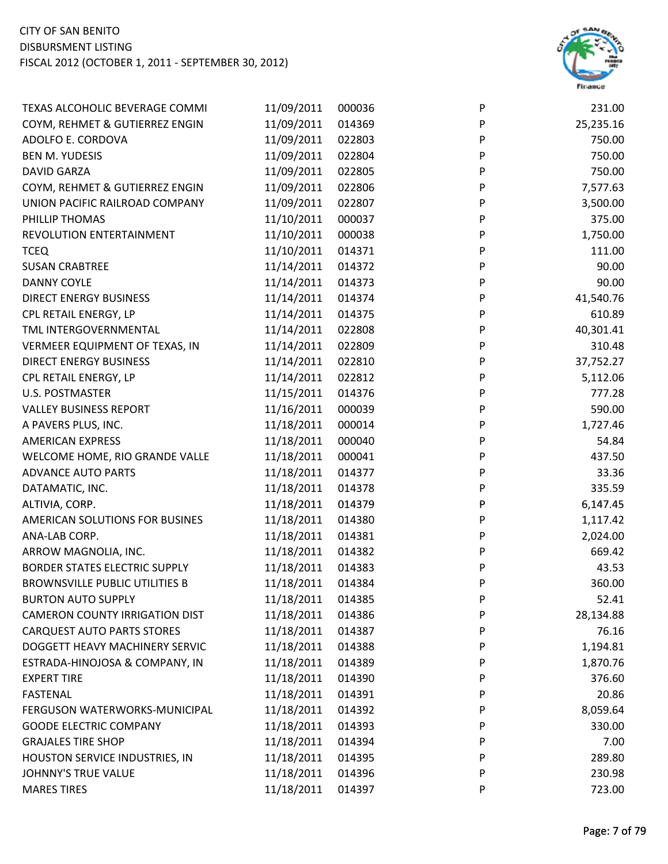

| TEXAS ALCOHOLIC BEVERAGE COMMI        | 11/09/2011 | 000036 | P | 231.00    |
|---------------------------------------|------------|--------|---|-----------|
| COYM, REHMET & GUTIERREZ ENGIN        | 11/09/2011 | 014369 | P | 25,235.16 |
| ADOLFO E. CORDOVA                     | 11/09/2011 | 022803 | P | 750.00    |
| <b>BEN M. YUDESIS</b>                 | 11/09/2011 | 022804 | P | 750.00    |
| <b>DAVID GARZA</b>                    | 11/09/2011 | 022805 | P | 750.00    |
| COYM, REHMET & GUTIERREZ ENGIN        | 11/09/2011 | 022806 | P | 7,577.63  |
| UNION PACIFIC RAILROAD COMPANY        | 11/09/2011 | 022807 | P | 3,500.00  |
| PHILLIP THOMAS                        | 11/10/2011 | 000037 | P | 375.00    |
| REVOLUTION ENTERTAINMENT              | 11/10/2011 | 000038 | P | 1,750.00  |
| <b>TCEQ</b>                           | 11/10/2011 | 014371 | P | 111.00    |
| <b>SUSAN CRABTREE</b>                 | 11/14/2011 | 014372 | P | 90.00     |
| <b>DANNY COYLE</b>                    | 11/14/2011 | 014373 | P | 90.00     |
| <b>DIRECT ENERGY BUSINESS</b>         | 11/14/2011 | 014374 | P | 41,540.76 |
| CPL RETAIL ENERGY, LP                 | 11/14/2011 | 014375 | P | 610.89    |
| TML INTERGOVERNMENTAL                 | 11/14/2011 | 022808 | P | 40,301.41 |
| VERMEER EQUIPMENT OF TEXAS, IN        | 11/14/2011 | 022809 | P | 310.48    |
| <b>DIRECT ENERGY BUSINESS</b>         | 11/14/2011 | 022810 | P | 37,752.27 |
| CPL RETAIL ENERGY, LP                 | 11/14/2011 | 022812 | P | 5,112.06  |
| <b>U.S. POSTMASTER</b>                | 11/15/2011 | 014376 | P | 777.28    |
| <b>VALLEY BUSINESS REPORT</b>         | 11/16/2011 | 000039 | P | 590.00    |
| A PAVERS PLUS, INC.                   | 11/18/2011 | 000014 | P | 1,727.46  |
| <b>AMERICAN EXPRESS</b>               | 11/18/2011 | 000040 | P | 54.84     |
| WELCOME HOME, RIO GRANDE VALLE        | 11/18/2011 | 000041 | P | 437.50    |
| <b>ADVANCE AUTO PARTS</b>             | 11/18/2011 | 014377 | P | 33.36     |
| DATAMATIC, INC.                       | 11/18/2011 | 014378 | P | 335.59    |
| ALTIVIA, CORP.                        | 11/18/2011 | 014379 | P | 6,147.45  |
| AMERICAN SOLUTIONS FOR BUSINES        | 11/18/2011 | 014380 | P | 1,117.42  |
| ANA-LAB CORP.                         | 11/18/2011 | 014381 | P | 2,024.00  |
| ARROW MAGNOLIA, INC.                  | 11/18/2011 | 014382 | P | 669.42    |
| <b>BORDER STATES ELECTRIC SUPPLY</b>  | 11/18/2011 | 014383 | P | 43.53     |
| <b>BROWNSVILLE PUBLIC UTILITIES B</b> | 11/18/2011 | 014384 | P | 360.00    |
| <b>BURTON AUTO SUPPLY</b>             | 11/18/2011 | 014385 | P | 52.41     |
| <b>CAMERON COUNTY IRRIGATION DIST</b> | 11/18/2011 | 014386 | P | 28,134.88 |
| <b>CARQUEST AUTO PARTS STORES</b>     | 11/18/2011 | 014387 | P | 76.16     |
| DOGGETT HEAVY MACHINERY SERVIC        | 11/18/2011 | 014388 | P | 1,194.81  |
| ESTRADA-HINOJOSA & COMPANY, IN        | 11/18/2011 | 014389 | P | 1,870.76  |
| <b>EXPERT TIRE</b>                    | 11/18/2011 | 014390 | P | 376.60    |
| <b>FASTENAL</b>                       | 11/18/2011 | 014391 | P | 20.86     |
| FERGUSON WATERWORKS-MUNICIPAL         | 11/18/2011 | 014392 | P | 8,059.64  |
| <b>GOODE ELECTRIC COMPANY</b>         | 11/18/2011 | 014393 | P | 330.00    |
| <b>GRAJALES TIRE SHOP</b>             | 11/18/2011 | 014394 | P | 7.00      |
| HOUSTON SERVICE INDUSTRIES, IN        | 11/18/2011 | 014395 | P | 289.80    |
| JOHNNY'S TRUE VALUE                   | 11/18/2011 | 014396 | P | 230.98    |
| <b>MARES TIRES</b>                    | 11/18/2011 | 014397 | P | 723.00    |
|                                       |            |        |   |           |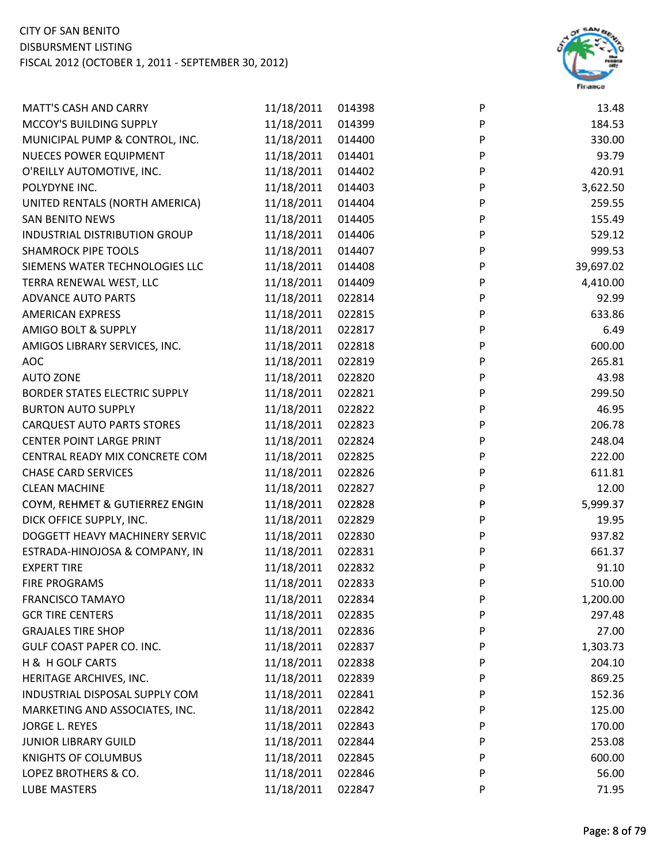

| <b>MATT'S CASH AND CARRY</b>         | 11/18/2011 | 014398 | P | 13.48     |
|--------------------------------------|------------|--------|---|-----------|
| MCCOY'S BUILDING SUPPLY              | 11/18/2011 | 014399 | P | 184.53    |
| MUNICIPAL PUMP & CONTROL, INC.       | 11/18/2011 | 014400 | P | 330.00    |
| <b>NUECES POWER EQUIPMENT</b>        | 11/18/2011 | 014401 | P | 93.79     |
| O'REILLY AUTOMOTIVE, INC.            | 11/18/2011 | 014402 | P | 420.91    |
| POLYDYNE INC.                        | 11/18/2011 | 014403 | P | 3,622.50  |
| UNITED RENTALS (NORTH AMERICA)       | 11/18/2011 | 014404 | P | 259.55    |
| <b>SAN BENITO NEWS</b>               | 11/18/2011 | 014405 | P | 155.49    |
| INDUSTRIAL DISTRIBUTION GROUP        | 11/18/2011 | 014406 | P | 529.12    |
| <b>SHAMROCK PIPE TOOLS</b>           | 11/18/2011 | 014407 | P | 999.53    |
| SIEMENS WATER TECHNOLOGIES LLC       | 11/18/2011 | 014408 | P | 39,697.02 |
| TERRA RENEWAL WEST, LLC              | 11/18/2011 | 014409 | P | 4,410.00  |
| <b>ADVANCE AUTO PARTS</b>            | 11/18/2011 | 022814 | P | 92.99     |
| <b>AMERICAN EXPRESS</b>              | 11/18/2011 | 022815 | P | 633.86    |
| AMIGO BOLT & SUPPLY                  | 11/18/2011 | 022817 | P | 6.49      |
| AMIGOS LIBRARY SERVICES, INC.        | 11/18/2011 | 022818 | P | 600.00    |
| <b>AOC</b>                           | 11/18/2011 | 022819 | P | 265.81    |
| <b>AUTO ZONE</b>                     | 11/18/2011 | 022820 | P | 43.98     |
| <b>BORDER STATES ELECTRIC SUPPLY</b> | 11/18/2011 | 022821 | P | 299.50    |
| <b>BURTON AUTO SUPPLY</b>            | 11/18/2011 | 022822 | P | 46.95     |
| <b>CARQUEST AUTO PARTS STORES</b>    | 11/18/2011 | 022823 | P | 206.78    |
| <b>CENTER POINT LARGE PRINT</b>      | 11/18/2011 | 022824 | P | 248.04    |
| CENTRAL READY MIX CONCRETE COM       | 11/18/2011 | 022825 | P | 222.00    |
| <b>CHASE CARD SERVICES</b>           | 11/18/2011 | 022826 | P | 611.81    |
| <b>CLEAN MACHINE</b>                 | 11/18/2011 | 022827 | P | 12.00     |
| COYM, REHMET & GUTIERREZ ENGIN       | 11/18/2011 | 022828 | P | 5,999.37  |
| DICK OFFICE SUPPLY, INC.             | 11/18/2011 | 022829 | P | 19.95     |
| DOGGETT HEAVY MACHINERY SERVIC       | 11/18/2011 | 022830 | P | 937.82    |
| ESTRADA-HINOJOSA & COMPANY, IN       | 11/18/2011 | 022831 | P | 661.37    |
| <b>EXPERT TIRE</b>                   | 11/18/2011 | 022832 | P | 91.10     |
| <b>FIRE PROGRAMS</b>                 | 11/18/2011 | 022833 | P | 510.00    |
| <b>FRANCISCO TAMAYO</b>              | 11/18/2011 | 022834 | P | 1,200.00  |
| <b>GCR TIRE CENTERS</b>              | 11/18/2011 | 022835 | P | 297.48    |
| <b>GRAJALES TIRE SHOP</b>            | 11/18/2011 | 022836 | P | 27.00     |
| GULF COAST PAPER CO. INC.            | 11/18/2011 | 022837 | P | 1,303.73  |
| H & H GOLF CARTS                     | 11/18/2011 | 022838 | P | 204.10    |
| HERITAGE ARCHIVES, INC.              | 11/18/2011 | 022839 | P | 869.25    |
| INDUSTRIAL DISPOSAL SUPPLY COM       | 11/18/2011 | 022841 | P | 152.36    |
| MARKETING AND ASSOCIATES, INC.       | 11/18/2011 | 022842 | P | 125.00    |
| <b>JORGE L. REYES</b>                | 11/18/2011 | 022843 | P | 170.00    |
| <b>JUNIOR LIBRARY GUILD</b>          | 11/18/2011 | 022844 | P | 253.08    |
| <b>KNIGHTS OF COLUMBUS</b>           | 11/18/2011 | 022845 | P | 600.00    |
| LOPEZ BROTHERS & CO.                 | 11/18/2011 | 022846 | P | 56.00     |
| <b>LUBE MASTERS</b>                  | 11/18/2011 | 022847 | P | 71.95     |
|                                      |            |        |   |           |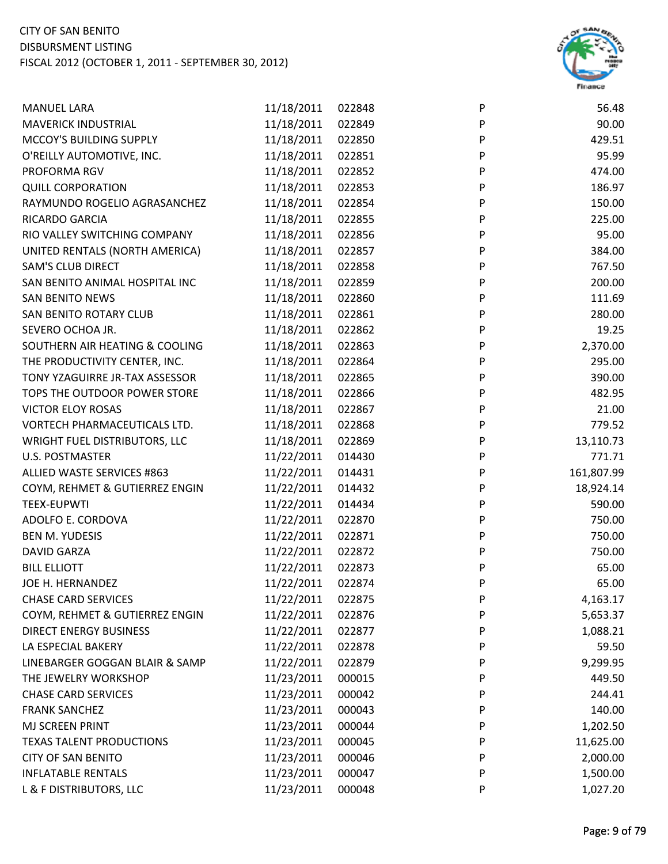

| <b>MANUEL LARA</b>              | 11/18/2011 | 022848 | $\mathsf{P}$ | 56.48      |
|---------------------------------|------------|--------|--------------|------------|
| <b>MAVERICK INDUSTRIAL</b>      | 11/18/2011 | 022849 | $\sf P$      | 90.00      |
| MCCOY'S BUILDING SUPPLY         | 11/18/2011 | 022850 | P            | 429.51     |
| O'REILLY AUTOMOTIVE, INC.       | 11/18/2011 | 022851 | P            | 95.99      |
| PROFORMA RGV                    | 11/18/2011 | 022852 | P            | 474.00     |
| <b>QUILL CORPORATION</b>        | 11/18/2011 | 022853 | $\mathsf{P}$ | 186.97     |
| RAYMUNDO ROGELIO AGRASANCHEZ    | 11/18/2011 | 022854 | P            | 150.00     |
| RICARDO GARCIA                  | 11/18/2011 | 022855 | P            | 225.00     |
| RIO VALLEY SWITCHING COMPANY    | 11/18/2011 | 022856 | P            | 95.00      |
| UNITED RENTALS (NORTH AMERICA)  | 11/18/2011 | 022857 | P            | 384.00     |
| <b>SAM'S CLUB DIRECT</b>        | 11/18/2011 | 022858 | $\mathsf{P}$ | 767.50     |
| SAN BENITO ANIMAL HOSPITAL INC  | 11/18/2011 | 022859 | P            | 200.00     |
| <b>SAN BENITO NEWS</b>          | 11/18/2011 | 022860 | $\mathsf{P}$ | 111.69     |
| SAN BENITO ROTARY CLUB          | 11/18/2011 | 022861 | P            | 280.00     |
| SEVERO OCHOA JR.                | 11/18/2011 | 022862 | P            | 19.25      |
| SOUTHERN AIR HEATING & COOLING  | 11/18/2011 | 022863 | P            | 2,370.00   |
| THE PRODUCTIVITY CENTER, INC.   | 11/18/2011 | 022864 | P            | 295.00     |
| TONY YZAGUIRRE JR-TAX ASSESSOR  | 11/18/2011 | 022865 | P            | 390.00     |
| TOPS THE OUTDOOR POWER STORE    | 11/18/2011 | 022866 | P            | 482.95     |
| <b>VICTOR ELOY ROSAS</b>        | 11/18/2011 | 022867 | ${\sf P}$    | 21.00      |
| VORTECH PHARMACEUTICALS LTD.    | 11/18/2011 | 022868 | $\sf P$      | 779.52     |
| WRIGHT FUEL DISTRIBUTORS, LLC   | 11/18/2011 | 022869 | P            | 13,110.73  |
| <b>U.S. POSTMASTER</b>          | 11/22/2011 | 014430 | P            | 771.71     |
| ALLIED WASTE SERVICES #863      | 11/22/2011 | 014431 | P            | 161,807.99 |
| COYM, REHMET & GUTIERREZ ENGIN  | 11/22/2011 | 014432 | P            | 18,924.14  |
| <b>TEEX-EUPWTI</b>              | 11/22/2011 | 014434 | P            | 590.00     |
| ADOLFO E. CORDOVA               | 11/22/2011 | 022870 | P            | 750.00     |
| <b>BEN M. YUDESIS</b>           | 11/22/2011 | 022871 | P            | 750.00     |
| <b>DAVID GARZA</b>              | 11/22/2011 | 022872 | P            | 750.00     |
| <b>BILL ELLIOTT</b>             | 11/22/2011 | 022873 | P            | 65.00      |
| JOE H. HERNANDEZ                | 11/22/2011 | 022874 | P            | 65.00      |
| <b>CHASE CARD SERVICES</b>      | 11/22/2011 | 022875 | P            | 4,163.17   |
| COYM, REHMET & GUTIERREZ ENGIN  | 11/22/2011 | 022876 | P            | 5,653.37   |
| <b>DIRECT ENERGY BUSINESS</b>   | 11/22/2011 | 022877 | P            | 1,088.21   |
| LA ESPECIAL BAKERY              | 11/22/2011 | 022878 | P            | 59.50      |
| LINEBARGER GOGGAN BLAIR & SAMP  | 11/22/2011 | 022879 | P            | 9,299.95   |
| THE JEWELRY WORKSHOP            | 11/23/2011 | 000015 | P            | 449.50     |
| <b>CHASE CARD SERVICES</b>      | 11/23/2011 | 000042 | P            | 244.41     |
| <b>FRANK SANCHEZ</b>            | 11/23/2011 | 000043 | P            | 140.00     |
| MJ SCREEN PRINT                 | 11/23/2011 | 000044 | P            | 1,202.50   |
| <b>TEXAS TALENT PRODUCTIONS</b> | 11/23/2011 | 000045 | P            | 11,625.00  |
| <b>CITY OF SAN BENITO</b>       | 11/23/2011 | 000046 | P            | 2,000.00   |
| <b>INFLATABLE RENTALS</b>       | 11/23/2011 | 000047 | P            | 1,500.00   |
| L & F DISTRIBUTORS, LLC         | 11/23/2011 | 000048 | P            | 1,027.20   |
|                                 |            |        |              |            |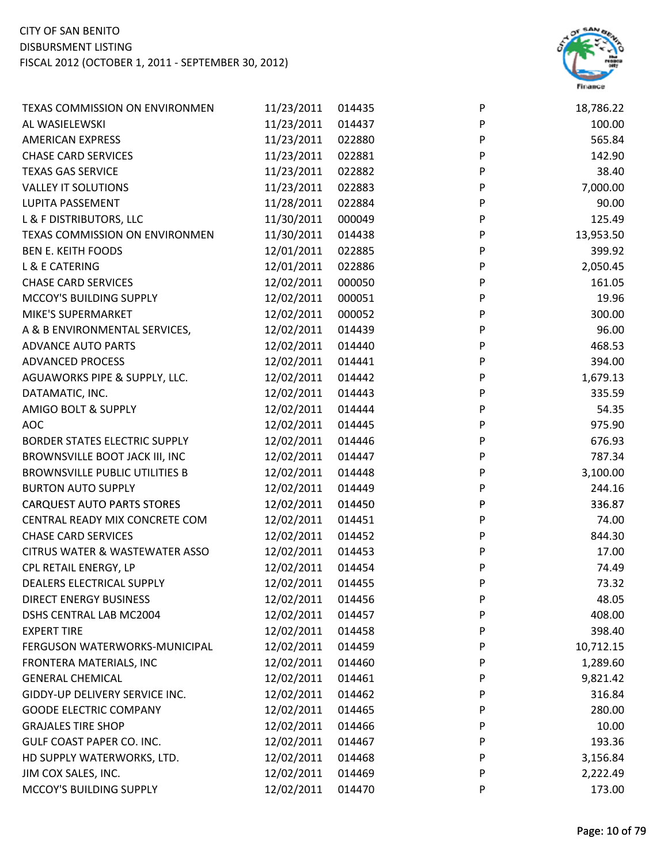

| <b>TEXAS COMMISSION ON ENVIRONMEN</b>     | 11/23/2011 | 014435 | P         | 18,786.22 |
|-------------------------------------------|------------|--------|-----------|-----------|
| AL WASIELEWSKI                            | 11/23/2011 | 014437 | ${\sf P}$ | 100.00    |
| <b>AMERICAN EXPRESS</b>                   | 11/23/2011 | 022880 | P         | 565.84    |
| <b>CHASE CARD SERVICES</b>                | 11/23/2011 | 022881 | P         | 142.90    |
| <b>TEXAS GAS SERVICE</b>                  | 11/23/2011 | 022882 | P         | 38.40     |
| <b>VALLEY IT SOLUTIONS</b>                | 11/23/2011 | 022883 | ${\sf P}$ | 7,000.00  |
| LUPITA PASSEMENT                          | 11/28/2011 | 022884 | ${\sf P}$ | 90.00     |
| L & F DISTRIBUTORS, LLC                   | 11/30/2011 | 000049 | P         | 125.49    |
| TEXAS COMMISSION ON ENVIRONMEN            | 11/30/2011 | 014438 | P         | 13,953.50 |
| <b>BEN E. KEITH FOODS</b>                 | 12/01/2011 | 022885 | P         | 399.92    |
| L & E CATERING                            | 12/01/2011 | 022886 | ${\sf P}$ | 2,050.45  |
| <b>CHASE CARD SERVICES</b>                | 12/02/2011 | 000050 | ${\sf P}$ | 161.05    |
| MCCOY'S BUILDING SUPPLY                   | 12/02/2011 | 000051 | P         | 19.96     |
| MIKE'S SUPERMARKET                        | 12/02/2011 | 000052 | P         | 300.00    |
| A & B ENVIRONMENTAL SERVICES,             | 12/02/2011 | 014439 | P         | 96.00     |
| <b>ADVANCE AUTO PARTS</b>                 | 12/02/2011 | 014440 | P         | 468.53    |
| <b>ADVANCED PROCESS</b>                   | 12/02/2011 | 014441 | P         | 394.00    |
| AGUAWORKS PIPE & SUPPLY, LLC.             | 12/02/2011 | 014442 | P         | 1,679.13  |
| DATAMATIC, INC.                           | 12/02/2011 | 014443 | P         | 335.59    |
| AMIGO BOLT & SUPPLY                       | 12/02/2011 | 014444 | P         | 54.35     |
| <b>AOC</b>                                | 12/02/2011 | 014445 | P         | 975.90    |
| BORDER STATES ELECTRIC SUPPLY             | 12/02/2011 | 014446 | P         | 676.93    |
| BROWNSVILLE BOOT JACK III, INC            | 12/02/2011 | 014447 | P         | 787.34    |
| <b>BROWNSVILLE PUBLIC UTILITIES B</b>     | 12/02/2011 | 014448 | P         | 3,100.00  |
| <b>BURTON AUTO SUPPLY</b>                 | 12/02/2011 | 014449 | ${\sf P}$ | 244.16    |
| <b>CARQUEST AUTO PARTS STORES</b>         | 12/02/2011 | 014450 | P         | 336.87    |
| CENTRAL READY MIX CONCRETE COM            | 12/02/2011 | 014451 | P         | 74.00     |
| <b>CHASE CARD SERVICES</b>                | 12/02/2011 | 014452 | P         | 844.30    |
| <b>CITRUS WATER &amp; WASTEWATER ASSO</b> | 12/02/2011 | 014453 | P         | 17.00     |
| CPL RETAIL ENERGY, LP                     | 12/02/2011 | 014454 | P         | 74.49     |
| DEALERS ELECTRICAL SUPPLY                 | 12/02/2011 | 014455 | P         | 73.32     |
| <b>DIRECT ENERGY BUSINESS</b>             | 12/02/2011 | 014456 | P         | 48.05     |
| <b>DSHS CENTRAL LAB MC2004</b>            | 12/02/2011 | 014457 | P         | 408.00    |
| <b>EXPERT TIRE</b>                        | 12/02/2011 | 014458 | P         | 398.40    |
| FERGUSON WATERWORKS-MUNICIPAL             | 12/02/2011 | 014459 | P         | 10,712.15 |
| FRONTERA MATERIALS, INC                   | 12/02/2011 | 014460 | P         | 1,289.60  |
| <b>GENERAL CHEMICAL</b>                   | 12/02/2011 | 014461 | P         | 9,821.42  |
| GIDDY-UP DELIVERY SERVICE INC.            | 12/02/2011 | 014462 | P         | 316.84    |
| <b>GOODE ELECTRIC COMPANY</b>             | 12/02/2011 | 014465 | P         | 280.00    |
| <b>GRAJALES TIRE SHOP</b>                 | 12/02/2011 | 014466 | P         | 10.00     |
| GULF COAST PAPER CO. INC.                 | 12/02/2011 | 014467 | P         | 193.36    |
| HD SUPPLY WATERWORKS, LTD.                | 12/02/2011 | 014468 | P         | 3,156.84  |
| JIM COX SALES, INC.                       | 12/02/2011 | 014469 | P         | 2,222.49  |
| MCCOY'S BUILDING SUPPLY                   | 12/02/2011 | 014470 | P         | 173.00    |
|                                           |            |        |           |           |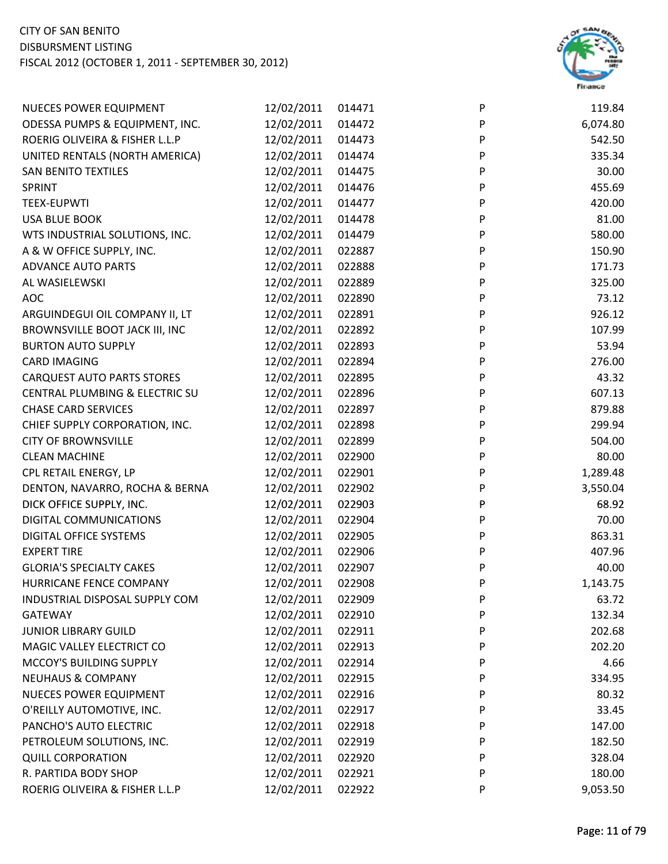

| <b>NUECES POWER EQUIPMENT</b>             | 12/02/2011 | 014471 | P            | 119.84   |
|-------------------------------------------|------------|--------|--------------|----------|
| ODESSA PUMPS & EQUIPMENT, INC.            | 12/02/2011 | 014472 | P            | 6,074.80 |
| ROERIG OLIVEIRA & FISHER L.L.P            | 12/02/2011 | 014473 | P            | 542.50   |
| UNITED RENTALS (NORTH AMERICA)            | 12/02/2011 | 014474 | P            | 335.34   |
| <b>SAN BENITO TEXTILES</b>                | 12/02/2011 | 014475 | P            | 30.00    |
| SPRINT                                    | 12/02/2011 | 014476 | P            | 455.69   |
| <b>TEEX-EUPWTI</b>                        | 12/02/2011 | 014477 | P            | 420.00   |
| <b>USA BLUE BOOK</b>                      | 12/02/2011 | 014478 | P            | 81.00    |
| WTS INDUSTRIAL SOLUTIONS, INC.            | 12/02/2011 | 014479 | P            | 580.00   |
| A & W OFFICE SUPPLY, INC.                 | 12/02/2011 | 022887 | ${\sf P}$    | 150.90   |
| <b>ADVANCE AUTO PARTS</b>                 | 12/02/2011 | 022888 | P            | 171.73   |
| AL WASIELEWSKI                            | 12/02/2011 | 022889 | P            | 325.00   |
| <b>AOC</b>                                | 12/02/2011 | 022890 | P            | 73.12    |
| ARGUINDEGUI OIL COMPANY II, LT            | 12/02/2011 | 022891 | P            | 926.12   |
| BROWNSVILLE BOOT JACK III, INC            | 12/02/2011 | 022892 | $\mathsf{P}$ | 107.99   |
| <b>BURTON AUTO SUPPLY</b>                 | 12/02/2011 | 022893 | ${\sf P}$    | 53.94    |
| <b>CARD IMAGING</b>                       | 12/02/2011 | 022894 | ${\sf P}$    | 276.00   |
| <b>CARQUEST AUTO PARTS STORES</b>         | 12/02/2011 | 022895 | P            | 43.32    |
| <b>CENTRAL PLUMBING &amp; ELECTRIC SU</b> | 12/02/2011 | 022896 | P            | 607.13   |
| <b>CHASE CARD SERVICES</b>                | 12/02/2011 | 022897 | P            | 879.88   |
| CHIEF SUPPLY CORPORATION, INC.            | 12/02/2011 | 022898 | P            | 299.94   |
| <b>CITY OF BROWNSVILLE</b>                | 12/02/2011 | 022899 | ${\sf P}$    | 504.00   |
| <b>CLEAN MACHINE</b>                      | 12/02/2011 | 022900 | P            | 80.00    |
| CPL RETAIL ENERGY, LP                     | 12/02/2011 | 022901 | P            | 1,289.48 |
| DENTON, NAVARRO, ROCHA & BERNA            | 12/02/2011 | 022902 | P            | 3,550.04 |
| DICK OFFICE SUPPLY, INC.                  | 12/02/2011 | 022903 | P            | 68.92    |
| DIGITAL COMMUNICATIONS                    | 12/02/2011 | 022904 | P            | 70.00    |
| DIGITAL OFFICE SYSTEMS                    | 12/02/2011 | 022905 | P            | 863.31   |
| <b>EXPERT TIRE</b>                        | 12/02/2011 | 022906 | P            | 407.96   |
| <b>GLORIA'S SPECIALTY CAKES</b>           | 12/02/2011 | 022907 | P            | 40.00    |
| HURRICANE FENCE COMPANY                   | 12/02/2011 | 022908 | P            | 1,143.75 |
| INDUSTRIAL DISPOSAL SUPPLY COM            | 12/02/2011 | 022909 | P            | 63.72    |
| <b>GATEWAY</b>                            | 12/02/2011 | 022910 | P            | 132.34   |
| <b>JUNIOR LIBRARY GUILD</b>               | 12/02/2011 | 022911 | P            | 202.68   |
| MAGIC VALLEY ELECTRICT CO                 | 12/02/2011 | 022913 | P            | 202.20   |
| MCCOY'S BUILDING SUPPLY                   | 12/02/2011 | 022914 | P            | 4.66     |
| <b>NEUHAUS &amp; COMPANY</b>              | 12/02/2011 | 022915 | P            | 334.95   |
| <b>NUECES POWER EQUIPMENT</b>             | 12/02/2011 | 022916 | P            | 80.32    |
| O'REILLY AUTOMOTIVE, INC.                 | 12/02/2011 | 022917 | P            | 33.45    |
| PANCHO'S AUTO ELECTRIC                    | 12/02/2011 | 022918 | P            | 147.00   |
| PETROLEUM SOLUTIONS, INC.                 | 12/02/2011 | 022919 | P            | 182.50   |
| <b>QUILL CORPORATION</b>                  | 12/02/2011 | 022920 | P            | 328.04   |
| R. PARTIDA BODY SHOP                      | 12/02/2011 | 022921 | P            | 180.00   |
| ROERIG OLIVEIRA & FISHER L.L.P            | 12/02/2011 | 022922 | P            | 9,053.50 |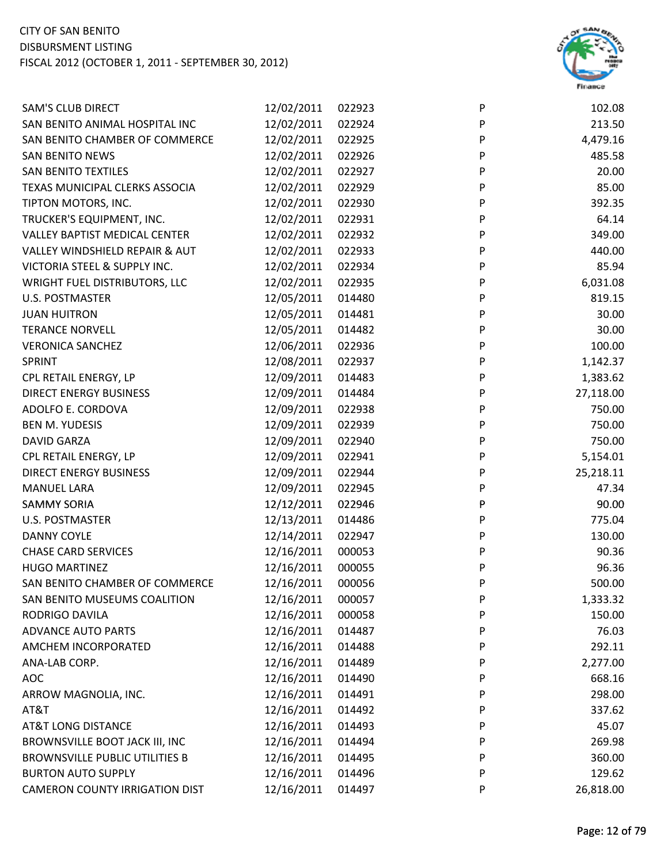

| <b>SAM'S CLUB DIRECT</b>                  | 12/02/2011 | 022923 | P | 102.08    |
|-------------------------------------------|------------|--------|---|-----------|
| SAN BENITO ANIMAL HOSPITAL INC            | 12/02/2011 | 022924 | P | 213.50    |
| SAN BENITO CHAMBER OF COMMERCE            | 12/02/2011 | 022925 | P | 4,479.16  |
| <b>SAN BENITO NEWS</b>                    | 12/02/2011 | 022926 | P | 485.58    |
| <b>SAN BENITO TEXTILES</b>                | 12/02/2011 | 022927 | P | 20.00     |
| TEXAS MUNICIPAL CLERKS ASSOCIA            | 12/02/2011 | 022929 | P | 85.00     |
| TIPTON MOTORS, INC.                       | 12/02/2011 | 022930 | P | 392.35    |
| TRUCKER'S EQUIPMENT, INC.                 | 12/02/2011 | 022931 | P | 64.14     |
| <b>VALLEY BAPTIST MEDICAL CENTER</b>      | 12/02/2011 | 022932 | P | 349.00    |
| <b>VALLEY WINDSHIELD REPAIR &amp; AUT</b> | 12/02/2011 | 022933 | P | 440.00    |
| VICTORIA STEEL & SUPPLY INC.              | 12/02/2011 | 022934 | P | 85.94     |
| WRIGHT FUEL DISTRIBUTORS, LLC             | 12/02/2011 | 022935 | P | 6,031.08  |
| <b>U.S. POSTMASTER</b>                    | 12/05/2011 | 014480 | P | 819.15    |
| <b>JUAN HUITRON</b>                       | 12/05/2011 | 014481 | P | 30.00     |
| <b>TERANCE NORVELL</b>                    | 12/05/2011 | 014482 | P | 30.00     |
| <b>VERONICA SANCHEZ</b>                   | 12/06/2011 | 022936 | P | 100.00    |
| <b>SPRINT</b>                             | 12/08/2011 | 022937 | P | 1,142.37  |
| CPL RETAIL ENERGY, LP                     | 12/09/2011 | 014483 | P | 1,383.62  |
| <b>DIRECT ENERGY BUSINESS</b>             | 12/09/2011 | 014484 | P | 27,118.00 |
| ADOLFO E. CORDOVA                         | 12/09/2011 | 022938 | P | 750.00    |
| <b>BEN M. YUDESIS</b>                     | 12/09/2011 | 022939 | P | 750.00    |
| <b>DAVID GARZA</b>                        | 12/09/2011 | 022940 | P | 750.00    |
| CPL RETAIL ENERGY, LP                     | 12/09/2011 | 022941 | P | 5,154.01  |
| <b>DIRECT ENERGY BUSINESS</b>             | 12/09/2011 | 022944 | P | 25,218.11 |
| <b>MANUEL LARA</b>                        | 12/09/2011 | 022945 | P | 47.34     |
| <b>SAMMY SORIA</b>                        | 12/12/2011 | 022946 | P | 90.00     |
| U.S. POSTMASTER                           | 12/13/2011 | 014486 | P | 775.04    |
| <b>DANNY COYLE</b>                        | 12/14/2011 | 022947 | P | 130.00    |
| <b>CHASE CARD SERVICES</b>                | 12/16/2011 | 000053 | P | 90.36     |
| <b>HUGO MARTINEZ</b>                      | 12/16/2011 | 000055 | P | 96.36     |
| SAN BENITO CHAMBER OF COMMERCE            | 12/16/2011 | 000056 | P | 500.00    |
| SAN BENITO MUSEUMS COALITION              | 12/16/2011 | 000057 | P | 1,333.32  |
| RODRIGO DAVILA                            | 12/16/2011 | 000058 | P | 150.00    |
| <b>ADVANCE AUTO PARTS</b>                 | 12/16/2011 | 014487 | P | 76.03     |
| AMCHEM INCORPORATED                       | 12/16/2011 | 014488 | P | 292.11    |
| ANA-LAB CORP.                             | 12/16/2011 | 014489 | P | 2,277.00  |
| <b>AOC</b>                                | 12/16/2011 | 014490 | P | 668.16    |
| ARROW MAGNOLIA, INC.                      | 12/16/2011 | 014491 | P | 298.00    |
| AT&T                                      | 12/16/2011 | 014492 | P | 337.62    |
| <b>AT&amp;T LONG DISTANCE</b>             | 12/16/2011 | 014493 | P | 45.07     |
| BROWNSVILLE BOOT JACK III, INC            | 12/16/2011 | 014494 | P | 269.98    |
| <b>BROWNSVILLE PUBLIC UTILITIES B</b>     | 12/16/2011 | 014495 | P | 360.00    |
| <b>BURTON AUTO SUPPLY</b>                 | 12/16/2011 | 014496 | P | 129.62    |
| <b>CAMERON COUNTY IRRIGATION DIST</b>     | 12/16/2011 | 014497 | P | 26,818.00 |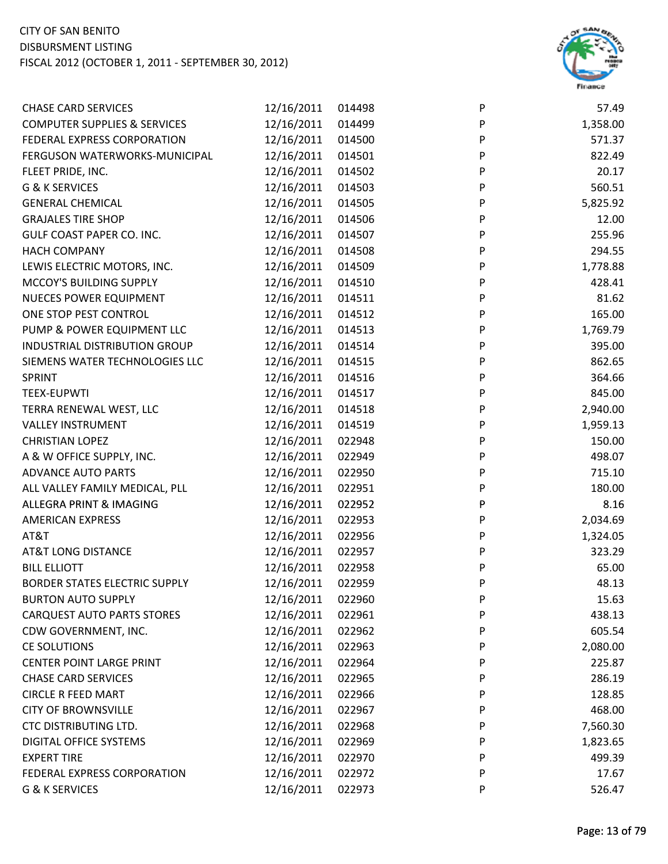

| <b>CHASE CARD SERVICES</b>              | 12/16/2011 | 014498 | P                         | 57.49    |
|-----------------------------------------|------------|--------|---------------------------|----------|
| <b>COMPUTER SUPPLIES &amp; SERVICES</b> | 12/16/2011 | 014499 | $\sf P$                   | 1,358.00 |
| FEDERAL EXPRESS CORPORATION             | 12/16/2011 | 014500 | P                         | 571.37   |
| FERGUSON WATERWORKS-MUNICIPAL           | 12/16/2011 | 014501 | P                         | 822.49   |
| FLEET PRIDE, INC.                       | 12/16/2011 | 014502 | P                         | 20.17    |
| G & K SERVICES                          | 12/16/2011 | 014503 | P                         | 560.51   |
| <b>GENERAL CHEMICAL</b>                 | 12/16/2011 | 014505 | P                         | 5,825.92 |
| <b>GRAJALES TIRE SHOP</b>               | 12/16/2011 | 014506 | P                         | 12.00    |
| GULF COAST PAPER CO. INC.               | 12/16/2011 | 014507 | P                         | 255.96   |
| <b>HACH COMPANY</b>                     | 12/16/2011 | 014508 | P                         | 294.55   |
| LEWIS ELECTRIC MOTORS, INC.             | 12/16/2011 | 014509 | P                         | 1,778.88 |
| MCCOY'S BUILDING SUPPLY                 | 12/16/2011 | 014510 | P                         | 428.41   |
| <b>NUECES POWER EQUIPMENT</b>           | 12/16/2011 | 014511 | P                         | 81.62    |
| ONE STOP PEST CONTROL                   | 12/16/2011 | 014512 | P                         | 165.00   |
| PUMP & POWER EQUIPMENT LLC              | 12/16/2011 | 014513 | $\boldsymbol{\mathsf{P}}$ | 1,769.79 |
| INDUSTRIAL DISTRIBUTION GROUP           | 12/16/2011 | 014514 | ${\sf P}$                 | 395.00   |
| SIEMENS WATER TECHNOLOGIES LLC          | 12/16/2011 | 014515 | P                         | 862.65   |
| SPRINT                                  | 12/16/2011 | 014516 | P                         | 364.66   |
| <b>TEEX-EUPWTI</b>                      | 12/16/2011 | 014517 | P                         | 845.00   |
| TERRA RENEWAL WEST, LLC                 | 12/16/2011 | 014518 | ${\sf P}$                 | 2,940.00 |
| <b>VALLEY INSTRUMENT</b>                | 12/16/2011 | 014519 | $\boldsymbol{\mathsf{P}}$ | 1,959.13 |
| <b>CHRISTIAN LOPEZ</b>                  | 12/16/2011 | 022948 | P                         | 150.00   |
| A & W OFFICE SUPPLY, INC.               | 12/16/2011 | 022949 | P                         | 498.07   |
| ADVANCE AUTO PARTS                      | 12/16/2011 | 022950 | P                         | 715.10   |
| ALL VALLEY FAMILY MEDICAL, PLL          | 12/16/2011 | 022951 | P                         | 180.00   |
| ALLEGRA PRINT & IMAGING                 | 12/16/2011 | 022952 | P                         | 8.16     |
| <b>AMERICAN EXPRESS</b>                 | 12/16/2011 | 022953 | P                         | 2,034.69 |
| AT&T                                    | 12/16/2011 | 022956 | P                         | 1,324.05 |
| <b>AT&amp;T LONG DISTANCE</b>           | 12/16/2011 | 022957 | P                         | 323.29   |
| <b>BILL ELLIOTT</b>                     | 12/16/2011 | 022958 | P                         | 65.00    |
| BORDER STATES ELECTRIC SUPPLY           | 12/16/2011 | 022959 | P                         | 48.13    |
| <b>BURTON AUTO SUPPLY</b>               | 12/16/2011 | 022960 | P                         | 15.63    |
| <b>CARQUEST AUTO PARTS STORES</b>       | 12/16/2011 | 022961 | P                         | 438.13   |
| CDW GOVERNMENT, INC.                    | 12/16/2011 | 022962 | P                         | 605.54   |
| <b>CE SOLUTIONS</b>                     | 12/16/2011 | 022963 | P                         | 2,080.00 |
| <b>CENTER POINT LARGE PRINT</b>         | 12/16/2011 | 022964 | P                         | 225.87   |
| <b>CHASE CARD SERVICES</b>              | 12/16/2011 | 022965 | P                         | 286.19   |
| <b>CIRCLE R FEED MART</b>               | 12/16/2011 | 022966 | P                         | 128.85   |
| <b>CITY OF BROWNSVILLE</b>              | 12/16/2011 | 022967 | P                         | 468.00   |
| <b>CTC DISTRIBUTING LTD.</b>            | 12/16/2011 | 022968 | P                         | 7,560.30 |
| <b>DIGITAL OFFICE SYSTEMS</b>           | 12/16/2011 | 022969 | P                         | 1,823.65 |
| <b>EXPERT TIRE</b>                      | 12/16/2011 | 022970 | P                         | 499.39   |
| FEDERAL EXPRESS CORPORATION             | 12/16/2011 | 022972 | P                         | 17.67    |
| G & K SERVICES                          | 12/16/2011 | 022973 | P                         | 526.47   |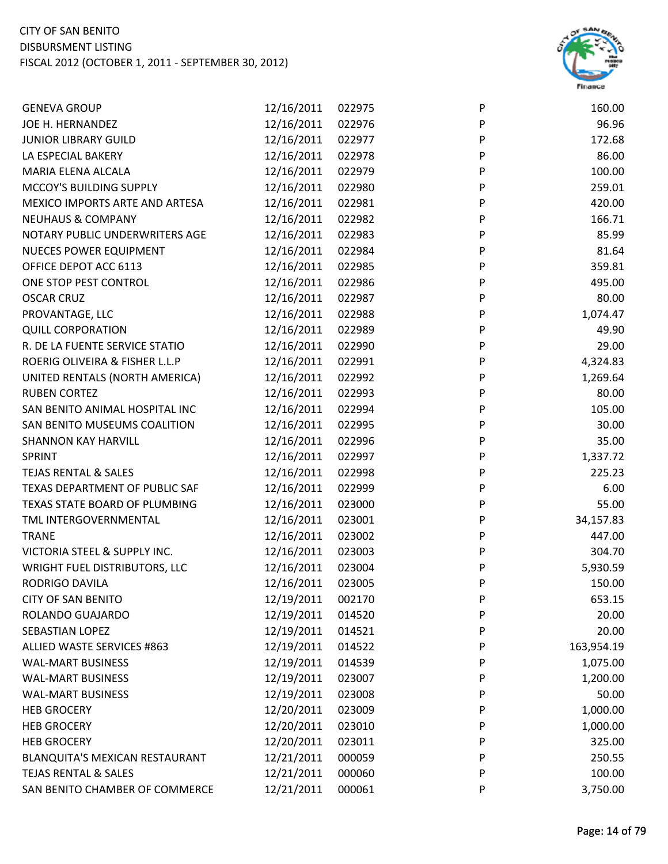

| <b>GENEVA GROUP</b>             | 12/16/2011 | 022975 | P | 160.00     |
|---------------------------------|------------|--------|---|------------|
| JOE H. HERNANDEZ                | 12/16/2011 | 022976 | P | 96.96      |
| <b>JUNIOR LIBRARY GUILD</b>     | 12/16/2011 | 022977 | P | 172.68     |
| LA ESPECIAL BAKERY              | 12/16/2011 | 022978 | P | 86.00      |
| MARIA ELENA ALCALA              | 12/16/2011 | 022979 | P | 100.00     |
| MCCOY'S BUILDING SUPPLY         | 12/16/2011 | 022980 | P | 259.01     |
| MEXICO IMPORTS ARTE AND ARTESA  | 12/16/2011 | 022981 | P | 420.00     |
| <b>NEUHAUS &amp; COMPANY</b>    | 12/16/2011 | 022982 | P | 166.71     |
| NOTARY PUBLIC UNDERWRITERS AGE  | 12/16/2011 | 022983 | P | 85.99      |
| <b>NUECES POWER EQUIPMENT</b>   | 12/16/2011 | 022984 | P | 81.64      |
| OFFICE DEPOT ACC 6113           | 12/16/2011 | 022985 | P | 359.81     |
| ONE STOP PEST CONTROL           | 12/16/2011 | 022986 | P | 495.00     |
| <b>OSCAR CRUZ</b>               | 12/16/2011 | 022987 | P | 80.00      |
| PROVANTAGE, LLC                 | 12/16/2011 | 022988 | P | 1,074.47   |
| <b>QUILL CORPORATION</b>        | 12/16/2011 | 022989 | P | 49.90      |
| R. DE LA FUENTE SERVICE STATIO  | 12/16/2011 | 022990 | P | 29.00      |
| ROERIG OLIVEIRA & FISHER L.L.P  | 12/16/2011 | 022991 | P | 4,324.83   |
| UNITED RENTALS (NORTH AMERICA)  | 12/16/2011 | 022992 | P | 1,269.64   |
| <b>RUBEN CORTEZ</b>             | 12/16/2011 | 022993 | P | 80.00      |
| SAN BENITO ANIMAL HOSPITAL INC  | 12/16/2011 | 022994 | P | 105.00     |
| SAN BENITO MUSEUMS COALITION    | 12/16/2011 | 022995 | P | 30.00      |
| <b>SHANNON KAY HARVILL</b>      | 12/16/2011 | 022996 | P | 35.00      |
| SPRINT                          | 12/16/2011 | 022997 | P | 1,337.72   |
| <b>TEJAS RENTAL &amp; SALES</b> | 12/16/2011 | 022998 | P | 225.23     |
| TEXAS DEPARTMENT OF PUBLIC SAF  | 12/16/2011 | 022999 | P | 6.00       |
| TEXAS STATE BOARD OF PLUMBING   | 12/16/2011 | 023000 | P | 55.00      |
| TML INTERGOVERNMENTAL           | 12/16/2011 | 023001 | P | 34,157.83  |
| <b>TRANE</b>                    | 12/16/2011 | 023002 | P | 447.00     |
| VICTORIA STEEL & SUPPLY INC.    | 12/16/2011 | 023003 | P | 304.70     |
| WRIGHT FUEL DISTRIBUTORS, LLC   | 12/16/2011 | 023004 | P | 5,930.59   |
| RODRIGO DAVILA                  | 12/16/2011 | 023005 | P | 150.00     |
| <b>CITY OF SAN BENITO</b>       | 12/19/2011 | 002170 | P | 653.15     |
| ROLANDO GUAJARDO                | 12/19/2011 | 014520 | P | 20.00      |
| <b>SEBASTIAN LOPEZ</b>          | 12/19/2011 | 014521 | P | 20.00      |
| ALLIED WASTE SERVICES #863      | 12/19/2011 | 014522 | P | 163,954.19 |
| <b>WAL-MART BUSINESS</b>        | 12/19/2011 | 014539 | P | 1,075.00   |
| <b>WAL-MART BUSINESS</b>        | 12/19/2011 | 023007 | P | 1,200.00   |
| <b>WAL-MART BUSINESS</b>        | 12/19/2011 | 023008 | P | 50.00      |
| <b>HEB GROCERY</b>              | 12/20/2011 | 023009 | P | 1,000.00   |
| <b>HEB GROCERY</b>              | 12/20/2011 | 023010 | P | 1,000.00   |
| <b>HEB GROCERY</b>              | 12/20/2011 | 023011 | P | 325.00     |
| BLANQUITA'S MEXICAN RESTAURANT  | 12/21/2011 | 000059 | P | 250.55     |
| <b>TEJAS RENTAL &amp; SALES</b> | 12/21/2011 | 000060 | P | 100.00     |
| SAN BENITO CHAMBER OF COMMERCE  | 12/21/2011 | 000061 | P | 3,750.00   |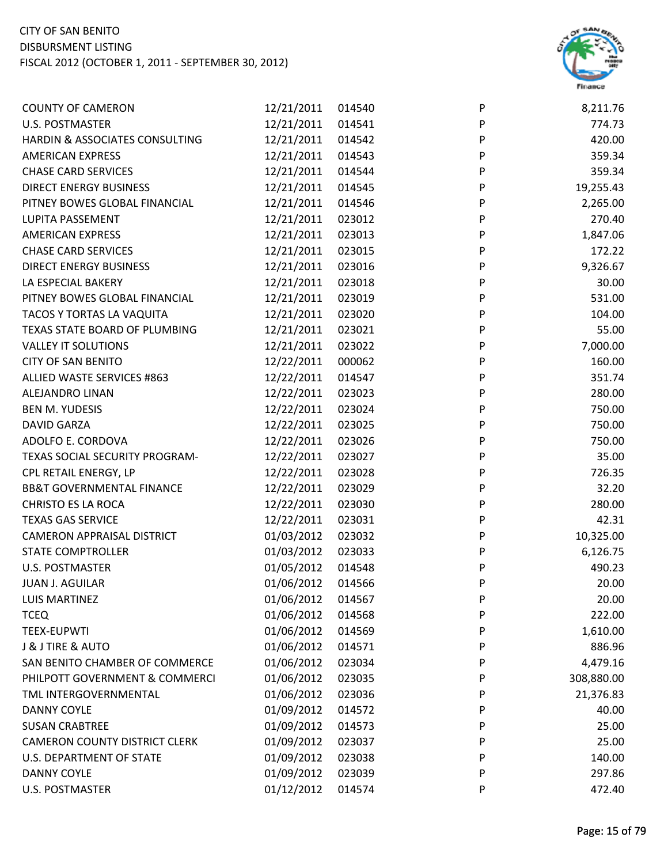

| <b>COUNTY OF CAMERON</b>             | 12/21/2011 | 014540 | P                         | 8,211.76   |
|--------------------------------------|------------|--------|---------------------------|------------|
| <b>U.S. POSTMASTER</b>               | 12/21/2011 | 014541 | ${\sf P}$                 | 774.73     |
| HARDIN & ASSOCIATES CONSULTING       | 12/21/2011 | 014542 | ${\sf P}$                 | 420.00     |
| <b>AMERICAN EXPRESS</b>              | 12/21/2011 | 014543 | P                         | 359.34     |
| <b>CHASE CARD SERVICES</b>           | 12/21/2011 | 014544 | P                         | 359.34     |
| <b>DIRECT ENERGY BUSINESS</b>        | 12/21/2011 | 014545 | ${\sf P}$                 | 19,255.43  |
| PITNEY BOWES GLOBAL FINANCIAL        | 12/21/2011 | 014546 | P                         | 2,265.00   |
| LUPITA PASSEMENT                     | 12/21/2011 | 023012 | ${\sf P}$                 | 270.40     |
| <b>AMERICAN EXPRESS</b>              | 12/21/2011 | 023013 | P                         | 1,847.06   |
| <b>CHASE CARD SERVICES</b>           | 12/21/2011 | 023015 | $\boldsymbol{\mathsf{P}}$ | 172.22     |
| <b>DIRECT ENERGY BUSINESS</b>        | 12/21/2011 | 023016 | P                         | 9,326.67   |
| LA ESPECIAL BAKERY                   | 12/21/2011 | 023018 | P                         | 30.00      |
| PITNEY BOWES GLOBAL FINANCIAL        | 12/21/2011 | 023019 | P                         | 531.00     |
| TACOS Y TORTAS LA VAQUITA            | 12/21/2011 | 023020 | P                         | 104.00     |
| TEXAS STATE BOARD OF PLUMBING        | 12/21/2011 | 023021 | ${\sf P}$                 | 55.00      |
| <b>VALLEY IT SOLUTIONS</b>           | 12/21/2011 | 023022 | $\boldsymbol{\mathsf{P}}$ | 7,000.00   |
| <b>CITY OF SAN BENITO</b>            | 12/22/2011 | 000062 | P                         | 160.00     |
| ALLIED WASTE SERVICES #863           | 12/22/2011 | 014547 | P                         | 351.74     |
| ALEJANDRO LINAN                      | 12/22/2011 | 023023 | P                         | 280.00     |
| <b>BEN M. YUDESIS</b>                | 12/22/2011 | 023024 | $\mathsf{P}$              | 750.00     |
| <b>DAVID GARZA</b>                   | 12/22/2011 | 023025 | P                         | 750.00     |
| ADOLFO E. CORDOVA                    | 12/22/2011 | 023026 | ${\sf P}$                 | 750.00     |
| TEXAS SOCIAL SECURITY PROGRAM-       | 12/22/2011 | 023027 | P                         | 35.00      |
| CPL RETAIL ENERGY, LP                | 12/22/2011 | 023028 | P                         | 726.35     |
| <b>BB&amp;T GOVERNMENTAL FINANCE</b> | 12/22/2011 | 023029 | P                         | 32.20      |
| <b>CHRISTO ES LA ROCA</b>            | 12/22/2011 | 023030 | P                         | 280.00     |
| <b>TEXAS GAS SERVICE</b>             | 12/22/2011 | 023031 | $\mathsf{P}$              | 42.31      |
| <b>CAMERON APPRAISAL DISTRICT</b>    | 01/03/2012 | 023032 | ${\sf P}$                 | 10,325.00  |
| <b>STATE COMPTROLLER</b>             | 01/03/2012 | 023033 | P                         | 6,126.75   |
| U.S. POSTMASTER                      | 01/05/2012 | 014548 | P                         | 490.23     |
| <b>JUAN J. AGUILAR</b>               | 01/06/2012 | 014566 | P                         | 20.00      |
| <b>LUIS MARTINEZ</b>                 | 01/06/2012 | 014567 | P                         | 20.00      |
| <b>TCEQ</b>                          | 01/06/2012 | 014568 | P                         | 222.00     |
| <b>TEEX-EUPWTI</b>                   | 01/06/2012 | 014569 | P                         | 1,610.00   |
| J & J TIRE & AUTO                    | 01/06/2012 | 014571 | P                         | 886.96     |
| SAN BENITO CHAMBER OF COMMERCE       | 01/06/2012 | 023034 | P                         | 4,479.16   |
| PHILPOTT GOVERNMENT & COMMERCI       | 01/06/2012 | 023035 | P                         | 308,880.00 |
| TML INTERGOVERNMENTAL                | 01/06/2012 | 023036 | P                         | 21,376.83  |
| <b>DANNY COYLE</b>                   | 01/09/2012 | 014572 | P                         | 40.00      |
| <b>SUSAN CRABTREE</b>                | 01/09/2012 | 014573 | P                         | 25.00      |
| <b>CAMERON COUNTY DISTRICT CLERK</b> | 01/09/2012 | 023037 | P                         | 25.00      |
| U.S. DEPARTMENT OF STATE             | 01/09/2012 | 023038 | P                         | 140.00     |
| DANNY COYLE                          | 01/09/2012 | 023039 | P                         | 297.86     |
| <b>U.S. POSTMASTER</b>               | 01/12/2012 | 014574 | P                         | 472.40     |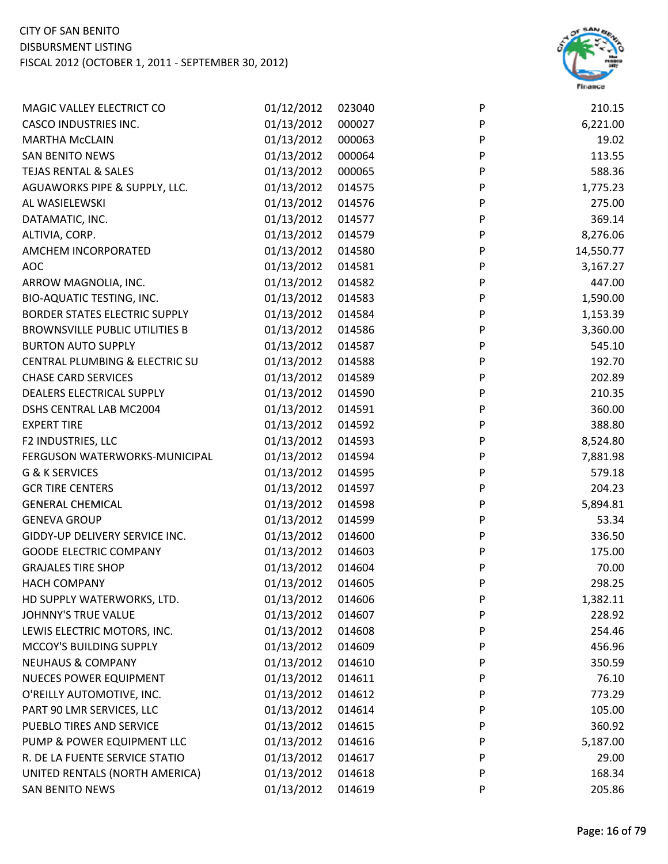

| MAGIC VALLEY ELECTRICT CO                 | 01/12/2012 | 023040 | P | 210.15    |
|-------------------------------------------|------------|--------|---|-----------|
| <b>CASCO INDUSTRIES INC.</b>              | 01/13/2012 | 000027 | P | 6,221.00  |
| <b>MARTHA McCLAIN</b>                     | 01/13/2012 | 000063 | P | 19.02     |
| <b>SAN BENITO NEWS</b>                    | 01/13/2012 | 000064 | P | 113.55    |
| <b>TEJAS RENTAL &amp; SALES</b>           | 01/13/2012 | 000065 | P | 588.36    |
| AGUAWORKS PIPE & SUPPLY, LLC.             | 01/13/2012 | 014575 | P | 1,775.23  |
| AL WASIELEWSKI                            | 01/13/2012 | 014576 | P | 275.00    |
| DATAMATIC, INC.                           | 01/13/2012 | 014577 | P | 369.14    |
| ALTIVIA, CORP.                            | 01/13/2012 | 014579 | P | 8,276.06  |
| AMCHEM INCORPORATED                       | 01/13/2012 | 014580 | P | 14,550.77 |
| <b>AOC</b>                                | 01/13/2012 | 014581 | P | 3,167.27  |
| ARROW MAGNOLIA, INC.                      | 01/13/2012 | 014582 | P | 447.00    |
| BIO-AQUATIC TESTING, INC.                 | 01/13/2012 | 014583 | P | 1,590.00  |
| <b>BORDER STATES ELECTRIC SUPPLY</b>      | 01/13/2012 | 014584 | P | 1,153.39  |
| <b>BROWNSVILLE PUBLIC UTILITIES B</b>     | 01/13/2012 | 014586 | P | 3,360.00  |
| <b>BURTON AUTO SUPPLY</b>                 | 01/13/2012 | 014587 | P | 545.10    |
| <b>CENTRAL PLUMBING &amp; ELECTRIC SU</b> | 01/13/2012 | 014588 | P | 192.70    |
| <b>CHASE CARD SERVICES</b>                | 01/13/2012 | 014589 | P | 202.89    |
| DEALERS ELECTRICAL SUPPLY                 | 01/13/2012 | 014590 | P | 210.35    |
| DSHS CENTRAL LAB MC2004                   | 01/13/2012 | 014591 | P | 360.00    |
| <b>EXPERT TIRE</b>                        | 01/13/2012 | 014592 | P | 388.80    |
| F2 INDUSTRIES, LLC                        | 01/13/2012 | 014593 | P | 8,524.80  |
| FERGUSON WATERWORKS-MUNICIPAL             | 01/13/2012 | 014594 | P | 7,881.98  |
| G & K SERVICES                            | 01/13/2012 | 014595 | P | 579.18    |
| <b>GCR TIRE CENTERS</b>                   | 01/13/2012 | 014597 | P | 204.23    |
| <b>GENERAL CHEMICAL</b>                   | 01/13/2012 | 014598 | P | 5,894.81  |
| <b>GENEVA GROUP</b>                       | 01/13/2012 | 014599 | P | 53.34     |
| GIDDY-UP DELIVERY SERVICE INC.            | 01/13/2012 | 014600 | P | 336.50    |
| <b>GOODE ELECTRIC COMPANY</b>             | 01/13/2012 | 014603 | P | 175.00    |
| <b>GRAJALES TIRE SHOP</b>                 | 01/13/2012 | 014604 | P | 70.00     |
| <b>HACH COMPANY</b>                       | 01/13/2012 | 014605 | P | 298.25    |
| HD SUPPLY WATERWORKS, LTD.                | 01/13/2012 | 014606 | P | 1,382.11  |
| JOHNNY'S TRUE VALUE                       | 01/13/2012 | 014607 | P | 228.92    |
| LEWIS ELECTRIC MOTORS, INC.               | 01/13/2012 | 014608 | P | 254.46    |
| MCCOY'S BUILDING SUPPLY                   | 01/13/2012 | 014609 | P | 456.96    |
| <b>NEUHAUS &amp; COMPANY</b>              | 01/13/2012 | 014610 | P | 350.59    |
| <b>NUECES POWER EQUIPMENT</b>             | 01/13/2012 | 014611 | P | 76.10     |
| O'REILLY AUTOMOTIVE, INC.                 | 01/13/2012 | 014612 | P | 773.29    |
| PART 90 LMR SERVICES, LLC                 | 01/13/2012 | 014614 | P | 105.00    |
| PUEBLO TIRES AND SERVICE                  | 01/13/2012 | 014615 | P | 360.92    |
| PUMP & POWER EQUIPMENT LLC                | 01/13/2012 | 014616 | P | 5,187.00  |
| R. DE LA FUENTE SERVICE STATIO            | 01/13/2012 | 014617 | P | 29.00     |
| UNITED RENTALS (NORTH AMERICA)            | 01/13/2012 | 014618 | P | 168.34    |
| <b>SAN BENITO NEWS</b>                    | 01/13/2012 | 014619 | P | 205.86    |
|                                           |            |        |   |           |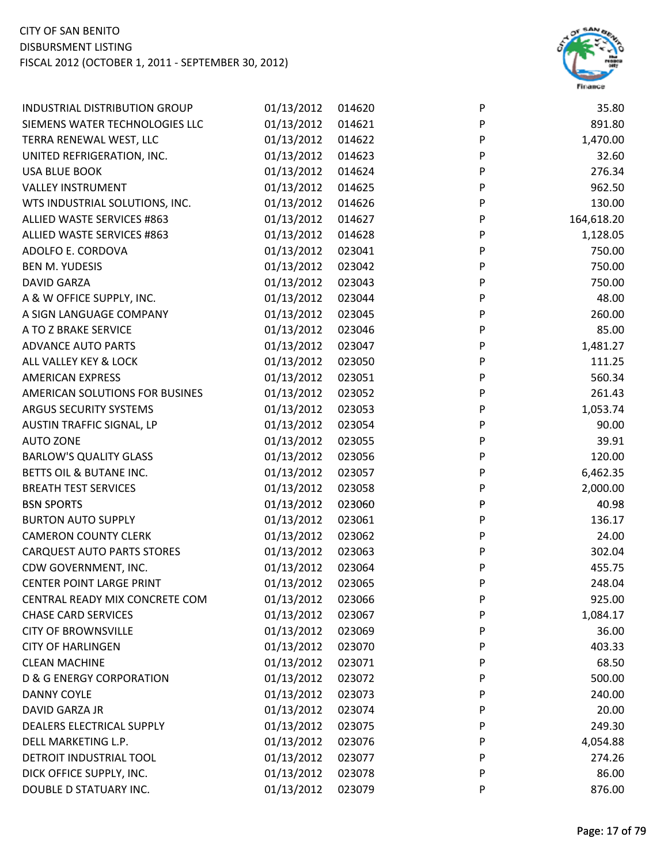

| INDUSTRIAL DISTRIBUTION GROUP       | 01/13/2012 | 014620 | ${\sf P}$                 | 35.80      |
|-------------------------------------|------------|--------|---------------------------|------------|
| SIEMENS WATER TECHNOLOGIES LLC      | 01/13/2012 | 014621 | $\boldsymbol{\mathsf{P}}$ | 891.80     |
| TERRA RENEWAL WEST, LLC             | 01/13/2012 | 014622 | P                         | 1,470.00   |
| UNITED REFRIGERATION, INC.          | 01/13/2012 | 014623 | P                         | 32.60      |
| <b>USA BLUE BOOK</b>                | 01/13/2012 | 014624 | P                         | 276.34     |
| <b>VALLEY INSTRUMENT</b>            | 01/13/2012 | 014625 | P                         | 962.50     |
| WTS INDUSTRIAL SOLUTIONS, INC.      | 01/13/2012 | 014626 | P                         | 130.00     |
| ALLIED WASTE SERVICES #863          | 01/13/2012 | 014627 | P                         | 164,618.20 |
| ALLIED WASTE SERVICES #863          | 01/13/2012 | 014628 | P                         | 1,128.05   |
| ADOLFO E. CORDOVA                   | 01/13/2012 | 023041 | P                         | 750.00     |
| <b>BEN M. YUDESIS</b>               | 01/13/2012 | 023042 | $\mathsf{P}$              | 750.00     |
| DAVID GARZA                         | 01/13/2012 | 023043 | P                         | 750.00     |
| A & W OFFICE SUPPLY, INC.           | 01/13/2012 | 023044 | P                         | 48.00      |
| A SIGN LANGUAGE COMPANY             | 01/13/2012 | 023045 | P                         | 260.00     |
| A TO Z BRAKE SERVICE                | 01/13/2012 | 023046 | P                         | 85.00      |
| <b>ADVANCE AUTO PARTS</b>           | 01/13/2012 | 023047 | P                         | 1,481.27   |
| ALL VALLEY KEY & LOCK               | 01/13/2012 | 023050 | P                         | 111.25     |
| <b>AMERICAN EXPRESS</b>             | 01/13/2012 | 023051 | P                         | 560.34     |
| AMERICAN SOLUTIONS FOR BUSINES      | 01/13/2012 | 023052 | P                         | 261.43     |
| ARGUS SECURITY SYSTEMS              | 01/13/2012 | 023053 | $\boldsymbol{\mathsf{P}}$ | 1,053.74   |
| AUSTIN TRAFFIC SIGNAL, LP           | 01/13/2012 | 023054 | P                         | 90.00      |
| <b>AUTO ZONE</b>                    | 01/13/2012 | 023055 | P                         | 39.91      |
| <b>BARLOW'S QUALITY GLASS</b>       | 01/13/2012 | 023056 | P                         | 120.00     |
| BETTS OIL & BUTANE INC.             | 01/13/2012 | 023057 | P                         | 6,462.35   |
| <b>BREATH TEST SERVICES</b>         | 01/13/2012 | 023058 | P                         | 2,000.00   |
| <b>BSN SPORTS</b>                   | 01/13/2012 | 023060 | P                         | 40.98      |
| <b>BURTON AUTO SUPPLY</b>           | 01/13/2012 | 023061 | P                         | 136.17     |
| <b>CAMERON COUNTY CLERK</b>         | 01/13/2012 | 023062 | P                         | 24.00      |
| <b>CARQUEST AUTO PARTS STORES</b>   | 01/13/2012 | 023063 | P                         | 302.04     |
| CDW GOVERNMENT, INC.                | 01/13/2012 | 023064 | P                         | 455.75     |
| <b>CENTER POINT LARGE PRINT</b>     | 01/13/2012 | 023065 | P                         | 248.04     |
| CENTRAL READY MIX CONCRETE COM      | 01/13/2012 | 023066 | P                         | 925.00     |
| <b>CHASE CARD SERVICES</b>          | 01/13/2012 | 023067 | P                         | 1,084.17   |
| <b>CITY OF BROWNSVILLE</b>          | 01/13/2012 | 023069 | P                         | 36.00      |
| <b>CITY OF HARLINGEN</b>            | 01/13/2012 | 023070 | P                         | 403.33     |
| <b>CLEAN MACHINE</b>                | 01/13/2012 | 023071 | P                         | 68.50      |
| <b>D &amp; G ENERGY CORPORATION</b> | 01/13/2012 | 023072 | P                         | 500.00     |
| <b>DANNY COYLE</b>                  | 01/13/2012 | 023073 | P                         | 240.00     |
| DAVID GARZA JR                      | 01/13/2012 | 023074 | P                         | 20.00      |
| DEALERS ELECTRICAL SUPPLY           | 01/13/2012 | 023075 | P                         | 249.30     |
| DELL MARKETING L.P.                 | 01/13/2012 | 023076 | P                         | 4,054.88   |
| DETROIT INDUSTRIAL TOOL             | 01/13/2012 | 023077 | P                         | 274.26     |
| DICK OFFICE SUPPLY, INC.            | 01/13/2012 | 023078 | P                         | 86.00      |
| DOUBLE D STATUARY INC.              | 01/13/2012 | 023079 | P                         | 876.00     |
|                                     |            |        |                           |            |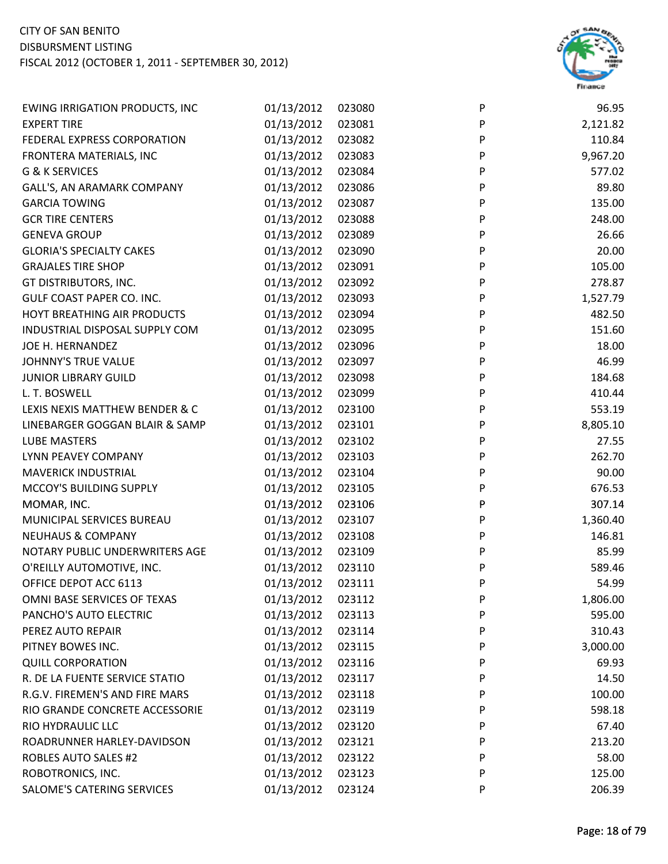

| <b>EWING IRRIGATION PRODUCTS, INC</b> | 01/13/2012 | 023080 | P | 96.95    |
|---------------------------------------|------------|--------|---|----------|
| <b>EXPERT TIRE</b>                    | 01/13/2012 | 023081 | P | 2,121.82 |
| FEDERAL EXPRESS CORPORATION           | 01/13/2012 | 023082 | P | 110.84   |
| FRONTERA MATERIALS, INC               | 01/13/2012 | 023083 | P | 9,967.20 |
| G & K SERVICES                        | 01/13/2012 | 023084 | P | 577.02   |
| GALL'S, AN ARAMARK COMPANY            | 01/13/2012 | 023086 | P | 89.80    |
| <b>GARCIA TOWING</b>                  | 01/13/2012 | 023087 | P | 135.00   |
| <b>GCR TIRE CENTERS</b>               | 01/13/2012 | 023088 | P | 248.00   |
| <b>GENEVA GROUP</b>                   | 01/13/2012 | 023089 | P | 26.66    |
| <b>GLORIA'S SPECIALTY CAKES</b>       | 01/13/2012 | 023090 | P | 20.00    |
| <b>GRAJALES TIRE SHOP</b>             | 01/13/2012 | 023091 | P | 105.00   |
| GT DISTRIBUTORS, INC.                 | 01/13/2012 | 023092 | P | 278.87   |
| <b>GULF COAST PAPER CO. INC.</b>      | 01/13/2012 | 023093 | P | 1,527.79 |
| HOYT BREATHING AIR PRODUCTS           | 01/13/2012 | 023094 | P | 482.50   |
| INDUSTRIAL DISPOSAL SUPPLY COM        | 01/13/2012 | 023095 | P | 151.60   |
| JOE H. HERNANDEZ                      | 01/13/2012 | 023096 | P | 18.00    |
| <b>JOHNNY'S TRUE VALUE</b>            | 01/13/2012 | 023097 | P | 46.99    |
| <b>JUNIOR LIBRARY GUILD</b>           | 01/13/2012 | 023098 | P | 184.68   |
| L. T. BOSWELL                         | 01/13/2012 | 023099 | P | 410.44   |
| LEXIS NEXIS MATTHEW BENDER & C        | 01/13/2012 | 023100 | P | 553.19   |
| LINEBARGER GOGGAN BLAIR & SAMP        | 01/13/2012 | 023101 | P | 8,805.10 |
| LUBE MASTERS                          | 01/13/2012 | 023102 | P | 27.55    |
| LYNN PEAVEY COMPANY                   | 01/13/2012 | 023103 | P | 262.70   |
| <b>MAVERICK INDUSTRIAL</b>            | 01/13/2012 | 023104 | P | 90.00    |
| MCCOY'S BUILDING SUPPLY               | 01/13/2012 | 023105 | P | 676.53   |
| MOMAR, INC.                           | 01/13/2012 | 023106 | P | 307.14   |
| MUNICIPAL SERVICES BUREAU             | 01/13/2012 | 023107 | P | 1,360.40 |
| <b>NEUHAUS &amp; COMPANY</b>          | 01/13/2012 | 023108 | P | 146.81   |
| NOTARY PUBLIC UNDERWRITERS AGE        | 01/13/2012 | 023109 | P | 85.99    |
| O'REILLY AUTOMOTIVE, INC.             | 01/13/2012 | 023110 | P | 589.46   |
| OFFICE DEPOT ACC 6113                 | 01/13/2012 | 023111 | P | 54.99    |
| OMNI BASE SERVICES OF TEXAS           | 01/13/2012 | 023112 | P | 1,806.00 |
| PANCHO'S AUTO ELECTRIC                | 01/13/2012 | 023113 | P | 595.00   |
| PEREZ AUTO REPAIR                     | 01/13/2012 | 023114 | P | 310.43   |
| PITNEY BOWES INC.                     | 01/13/2012 | 023115 | P | 3,000.00 |
| <b>QUILL CORPORATION</b>              | 01/13/2012 | 023116 | P | 69.93    |
| R. DE LA FUENTE SERVICE STATIO        | 01/13/2012 | 023117 | P | 14.50    |
| R.G.V. FIREMEN'S AND FIRE MARS        | 01/13/2012 | 023118 | P | 100.00   |
| RIO GRANDE CONCRETE ACCESSORIE        | 01/13/2012 | 023119 | P | 598.18   |
| RIO HYDRAULIC LLC                     | 01/13/2012 | 023120 | P | 67.40    |
| ROADRUNNER HARLEY-DAVIDSON            | 01/13/2012 | 023121 | P | 213.20   |
| <b>ROBLES AUTO SALES #2</b>           | 01/13/2012 | 023122 | P | 58.00    |
| ROBOTRONICS, INC.                     | 01/13/2012 | 023123 | P | 125.00   |
| SALOME'S CATERING SERVICES            | 01/13/2012 | 023124 | P | 206.39   |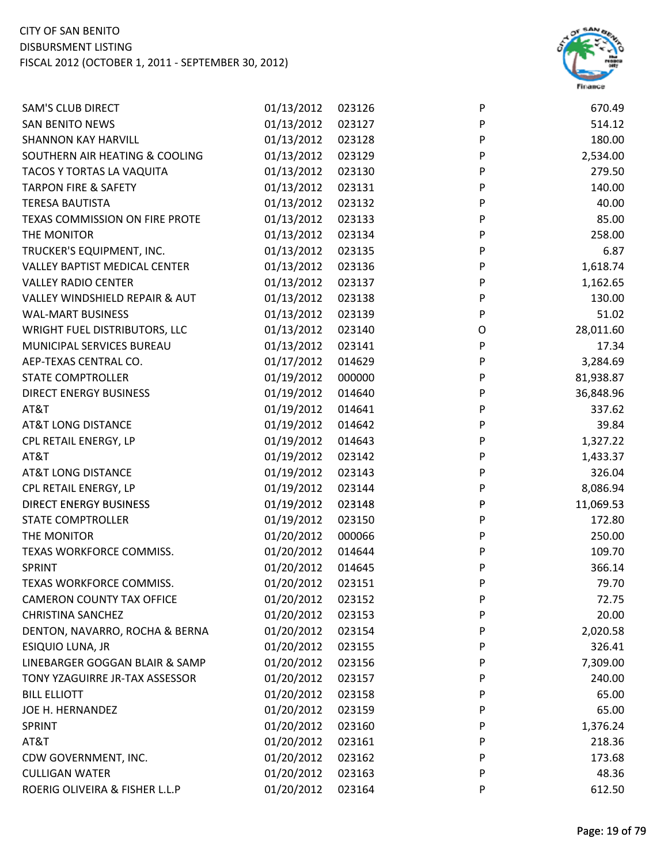

| <b>SAM'S CLUB DIRECT</b>         | 01/13/2012 | 023126 | P                         | 670.49    |
|----------------------------------|------------|--------|---------------------------|-----------|
| <b>SAN BENITO NEWS</b>           | 01/13/2012 | 023127 | P                         | 514.12    |
| <b>SHANNON KAY HARVILL</b>       | 01/13/2012 | 023128 | ${\sf P}$                 | 180.00    |
| SOUTHERN AIR HEATING & COOLING   | 01/13/2012 | 023129 | P                         | 2,534.00  |
| TACOS Y TORTAS LA VAQUITA        | 01/13/2012 | 023130 | P                         | 279.50    |
| <b>TARPON FIRE &amp; SAFETY</b>  | 01/13/2012 | 023131 | P                         | 140.00    |
| <b>TERESA BAUTISTA</b>           | 01/13/2012 | 023132 | P                         | 40.00     |
| TEXAS COMMISSION ON FIRE PROTE   | 01/13/2012 | 023133 | P                         | 85.00     |
| THE MONITOR                      | 01/13/2012 | 023134 | P                         | 258.00    |
| TRUCKER'S EQUIPMENT, INC.        | 01/13/2012 | 023135 | $\boldsymbol{\mathsf{P}}$ | 6.87      |
| VALLEY BAPTIST MEDICAL CENTER    | 01/13/2012 | 023136 | P                         | 1,618.74  |
| <b>VALLEY RADIO CENTER</b>       | 01/13/2012 | 023137 | P                         | 1,162.65  |
| VALLEY WINDSHIELD REPAIR & AUT   | 01/13/2012 | 023138 | P                         | 130.00    |
| <b>WAL-MART BUSINESS</b>         | 01/13/2012 | 023139 | P                         | 51.02     |
| WRIGHT FUEL DISTRIBUTORS, LLC    | 01/13/2012 | 023140 | O                         | 28,011.60 |
| MUNICIPAL SERVICES BUREAU        | 01/13/2012 | 023141 | $\boldsymbol{\mathsf{P}}$ | 17.34     |
| AEP-TEXAS CENTRAL CO.            | 01/17/2012 | 014629 | P                         | 3,284.69  |
| <b>STATE COMPTROLLER</b>         | 01/19/2012 | 000000 | P                         | 81,938.87 |
| <b>DIRECT ENERGY BUSINESS</b>    | 01/19/2012 | 014640 | P                         | 36,848.96 |
| AT&T                             | 01/19/2012 | 014641 | P                         | 337.62    |
| <b>AT&amp;T LONG DISTANCE</b>    | 01/19/2012 | 014642 | P                         | 39.84     |
| CPL RETAIL ENERGY, LP            | 01/19/2012 | 014643 | P                         | 1,327.22  |
| AT&T                             | 01/19/2012 | 023142 | ${\sf P}$                 | 1,433.37  |
| <b>AT&amp;T LONG DISTANCE</b>    | 01/19/2012 | 023143 | $\boldsymbol{\mathsf{P}}$ | 326.04    |
| CPL RETAIL ENERGY, LP            | 01/19/2012 | 023144 | P                         | 8,086.94  |
| <b>DIRECT ENERGY BUSINESS</b>    | 01/19/2012 | 023148 | P                         | 11,069.53 |
| <b>STATE COMPTROLLER</b>         | 01/19/2012 | 023150 | P                         | 172.80    |
| THE MONITOR                      | 01/20/2012 | 000066 | P                         | 250.00    |
| TEXAS WORKFORCE COMMISS.         | 01/20/2012 | 014644 | P                         | 109.70    |
| <b>SPRINT</b>                    | 01/20/2012 | 014645 | P                         | 366.14    |
| TEXAS WORKFORCE COMMISS.         | 01/20/2012 | 023151 | P                         | 79.70     |
| <b>CAMERON COUNTY TAX OFFICE</b> | 01/20/2012 | 023152 | P                         | 72.75     |
| <b>CHRISTINA SANCHEZ</b>         | 01/20/2012 | 023153 | P                         | 20.00     |
| DENTON, NAVARRO, ROCHA & BERNA   | 01/20/2012 | 023154 | P                         | 2,020.58  |
| ESIQUIO LUNA, JR                 | 01/20/2012 | 023155 | P                         | 326.41    |
| LINEBARGER GOGGAN BLAIR & SAMP   | 01/20/2012 | 023156 | P                         | 7,309.00  |
| TONY YZAGUIRRE JR-TAX ASSESSOR   | 01/20/2012 | 023157 | P                         | 240.00    |
| <b>BILL ELLIOTT</b>              | 01/20/2012 | 023158 | P                         | 65.00     |
| JOE H. HERNANDEZ                 | 01/20/2012 | 023159 | P                         | 65.00     |
| <b>SPRINT</b>                    | 01/20/2012 | 023160 | P                         | 1,376.24  |
| AT&T                             | 01/20/2012 | 023161 | P                         | 218.36    |
| CDW GOVERNMENT, INC.             | 01/20/2012 | 023162 | P                         | 173.68    |
| <b>CULLIGAN WATER</b>            | 01/20/2012 | 023163 | P                         | 48.36     |
| ROERIG OLIVEIRA & FISHER L.L.P   | 01/20/2012 | 023164 | P                         | 612.50    |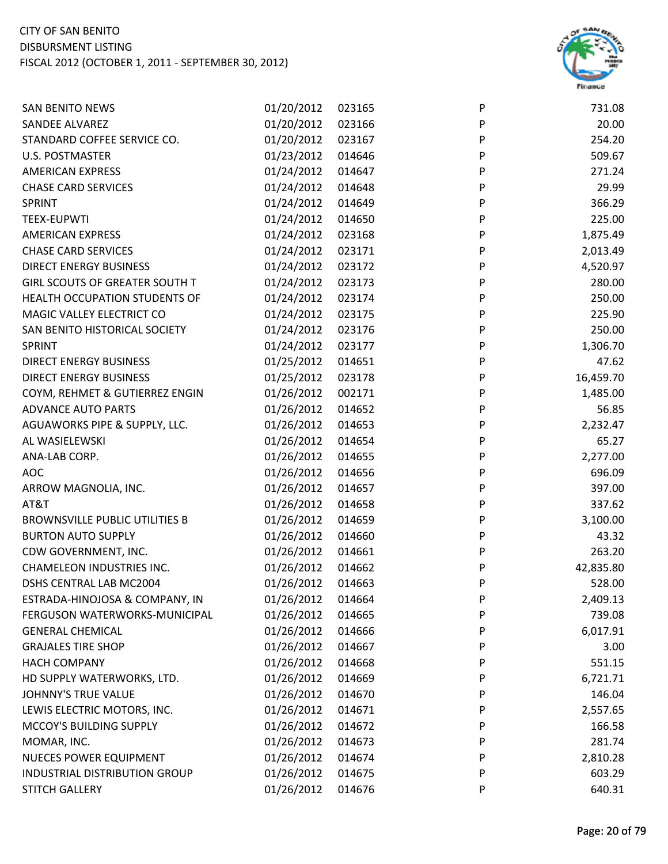

| <b>SAN BENITO NEWS</b>                | 01/20/2012 | 023165 | P | 731.08    |
|---------------------------------------|------------|--------|---|-----------|
| SANDEE ALVAREZ                        | 01/20/2012 | 023166 | P | 20.00     |
| STANDARD COFFEE SERVICE CO.           | 01/20/2012 | 023167 | P | 254.20    |
| <b>U.S. POSTMASTER</b>                | 01/23/2012 | 014646 | P | 509.67    |
| <b>AMERICAN EXPRESS</b>               | 01/24/2012 | 014647 | P | 271.24    |
| <b>CHASE CARD SERVICES</b>            | 01/24/2012 | 014648 | P | 29.99     |
| SPRINT                                | 01/24/2012 | 014649 | P | 366.29    |
| <b>TEEX-EUPWTI</b>                    | 01/24/2012 | 014650 | P | 225.00    |
| <b>AMERICAN EXPRESS</b>               | 01/24/2012 | 023168 | P | 1,875.49  |
| <b>CHASE CARD SERVICES</b>            | 01/24/2012 | 023171 | P | 2,013.49  |
| <b>DIRECT ENERGY BUSINESS</b>         | 01/24/2012 | 023172 | P | 4,520.97  |
| GIRL SCOUTS OF GREATER SOUTH T        | 01/24/2012 | 023173 | P | 280.00    |
| HEALTH OCCUPATION STUDENTS OF         | 01/24/2012 | 023174 | P | 250.00    |
| MAGIC VALLEY ELECTRICT CO             | 01/24/2012 | 023175 | P | 225.90    |
| SAN BENITO HISTORICAL SOCIETY         | 01/24/2012 | 023176 | P | 250.00    |
| SPRINT                                | 01/24/2012 | 023177 | P | 1,306.70  |
| DIRECT ENERGY BUSINESS                | 01/25/2012 | 014651 | P | 47.62     |
| <b>DIRECT ENERGY BUSINESS</b>         | 01/25/2012 | 023178 | P | 16,459.70 |
| COYM, REHMET & GUTIERREZ ENGIN        | 01/26/2012 | 002171 | P | 1,485.00  |
| <b>ADVANCE AUTO PARTS</b>             | 01/26/2012 | 014652 | P | 56.85     |
| AGUAWORKS PIPE & SUPPLY, LLC.         | 01/26/2012 | 014653 | P | 2,232.47  |
| AL WASIELEWSKI                        | 01/26/2012 | 014654 | P | 65.27     |
| ANA-LAB CORP.                         | 01/26/2012 | 014655 | P | 2,277.00  |
| <b>AOC</b>                            | 01/26/2012 | 014656 | P | 696.09    |
| ARROW MAGNOLIA, INC.                  | 01/26/2012 | 014657 | P | 397.00    |
| AT&T                                  | 01/26/2012 | 014658 | P | 337.62    |
| <b>BROWNSVILLE PUBLIC UTILITIES B</b> | 01/26/2012 | 014659 | P | 3,100.00  |
| <b>BURTON AUTO SUPPLY</b>             | 01/26/2012 | 014660 | P | 43.32     |
| CDW GOVERNMENT, INC.                  | 01/26/2012 | 014661 | P | 263.20    |
| <b>CHAMELEON INDUSTRIES INC.</b>      | 01/26/2012 | 014662 | P | 42,835.80 |
| DSHS CENTRAL LAB MC2004               | 01/26/2012 | 014663 | P | 528.00    |
| ESTRADA-HINOJOSA & COMPANY, IN        | 01/26/2012 | 014664 | P | 2,409.13  |
| FERGUSON WATERWORKS-MUNICIPAL         | 01/26/2012 | 014665 | P | 739.08    |
| <b>GENERAL CHEMICAL</b>               | 01/26/2012 | 014666 | P | 6,017.91  |
| <b>GRAJALES TIRE SHOP</b>             | 01/26/2012 | 014667 | P | 3.00      |
| <b>HACH COMPANY</b>                   | 01/26/2012 | 014668 | P | 551.15    |
| HD SUPPLY WATERWORKS, LTD.            | 01/26/2012 | 014669 | P | 6,721.71  |
| JOHNNY'S TRUE VALUE                   | 01/26/2012 | 014670 | P | 146.04    |
| LEWIS ELECTRIC MOTORS, INC.           | 01/26/2012 | 014671 | P | 2,557.65  |
| MCCOY'S BUILDING SUPPLY               | 01/26/2012 | 014672 | P | 166.58    |
| MOMAR, INC.                           | 01/26/2012 | 014673 | P | 281.74    |
| <b>NUECES POWER EQUIPMENT</b>         | 01/26/2012 | 014674 | P | 2,810.28  |
| INDUSTRIAL DISTRIBUTION GROUP         | 01/26/2012 | 014675 | P | 603.29    |
| <b>STITCH GALLERY</b>                 | 01/26/2012 | 014676 | P | 640.31    |
|                                       |            |        |   |           |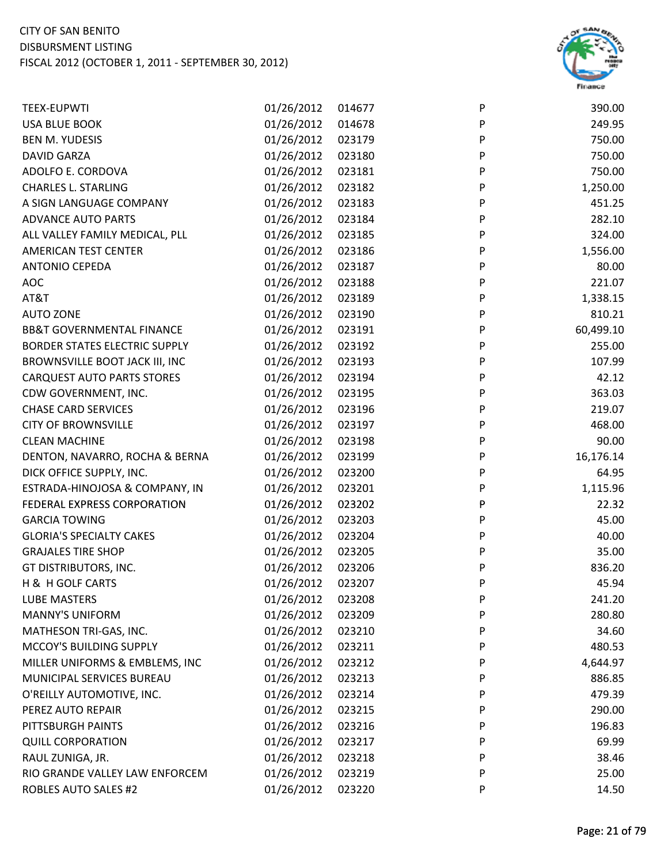

| <b>TEEX-EUPWTI</b>                   | 01/26/2012 | 014677 | P | 390.00    |
|--------------------------------------|------------|--------|---|-----------|
| <b>USA BLUE BOOK</b>                 | 01/26/2012 | 014678 | P | 249.95    |
| <b>BEN M. YUDESIS</b>                | 01/26/2012 | 023179 | P | 750.00    |
| <b>DAVID GARZA</b>                   | 01/26/2012 | 023180 | P | 750.00    |
| ADOLFO E. CORDOVA                    | 01/26/2012 | 023181 | P | 750.00    |
| <b>CHARLES L. STARLING</b>           | 01/26/2012 | 023182 | P | 1,250.00  |
| A SIGN LANGUAGE COMPANY              | 01/26/2012 | 023183 | P | 451.25    |
| <b>ADVANCE AUTO PARTS</b>            | 01/26/2012 | 023184 | P | 282.10    |
| ALL VALLEY FAMILY MEDICAL, PLL       | 01/26/2012 | 023185 | P | 324.00    |
| <b>AMERICAN TEST CENTER</b>          | 01/26/2012 | 023186 | P | 1,556.00  |
| <b>ANTONIO CEPEDA</b>                | 01/26/2012 | 023187 | P | 80.00     |
| <b>AOC</b>                           | 01/26/2012 | 023188 | P | 221.07    |
| AT&T                                 | 01/26/2012 | 023189 | P | 1,338.15  |
| <b>AUTO ZONE</b>                     | 01/26/2012 | 023190 | P | 810.21    |
| <b>BB&amp;T GOVERNMENTAL FINANCE</b> | 01/26/2012 | 023191 | P | 60,499.10 |
| <b>BORDER STATES ELECTRIC SUPPLY</b> | 01/26/2012 | 023192 | P | 255.00    |
| BROWNSVILLE BOOT JACK III, INC       | 01/26/2012 | 023193 | P | 107.99    |
| <b>CARQUEST AUTO PARTS STORES</b>    | 01/26/2012 | 023194 | P | 42.12     |
| CDW GOVERNMENT, INC.                 | 01/26/2012 | 023195 | P | 363.03    |
| <b>CHASE CARD SERVICES</b>           | 01/26/2012 | 023196 | P | 219.07    |
| <b>CITY OF BROWNSVILLE</b>           | 01/26/2012 | 023197 | P | 468.00    |
| <b>CLEAN MACHINE</b>                 | 01/26/2012 | 023198 | P | 90.00     |
| DENTON, NAVARRO, ROCHA & BERNA       | 01/26/2012 | 023199 | P | 16,176.14 |
| DICK OFFICE SUPPLY, INC.             | 01/26/2012 | 023200 | P | 64.95     |
| ESTRADA-HINOJOSA & COMPANY, IN       | 01/26/2012 | 023201 | P | 1,115.96  |
| FEDERAL EXPRESS CORPORATION          | 01/26/2012 | 023202 | P | 22.32     |
| <b>GARCIA TOWING</b>                 | 01/26/2012 | 023203 | P | 45.00     |
| <b>GLORIA'S SPECIALTY CAKES</b>      | 01/26/2012 | 023204 | P | 40.00     |
| <b>GRAJALES TIRE SHOP</b>            | 01/26/2012 | 023205 | P | 35.00     |
| GT DISTRIBUTORS, INC.                | 01/26/2012 | 023206 | P | 836.20    |
| H & H GOLF CARTS                     | 01/26/2012 | 023207 | P | 45.94     |
| <b>LUBE MASTERS</b>                  | 01/26/2012 | 023208 | P | 241.20    |
| <b>MANNY'S UNIFORM</b>               | 01/26/2012 | 023209 | P | 280.80    |
| MATHESON TRI-GAS, INC.               | 01/26/2012 | 023210 | P | 34.60     |
| MCCOY'S BUILDING SUPPLY              | 01/26/2012 | 023211 | P | 480.53    |
| MILLER UNIFORMS & EMBLEMS, INC       | 01/26/2012 | 023212 | P | 4,644.97  |
| MUNICIPAL SERVICES BUREAU            | 01/26/2012 | 023213 | P | 886.85    |
| O'REILLY AUTOMOTIVE, INC.            | 01/26/2012 | 023214 | P | 479.39    |
| PEREZ AUTO REPAIR                    | 01/26/2012 | 023215 | P | 290.00    |
| PITTSBURGH PAINTS                    | 01/26/2012 | 023216 | P | 196.83    |
| <b>QUILL CORPORATION</b>             | 01/26/2012 | 023217 | P | 69.99     |
| RAUL ZUNIGA, JR.                     | 01/26/2012 | 023218 | P | 38.46     |
| RIO GRANDE VALLEY LAW ENFORCEM       | 01/26/2012 | 023219 | P | 25.00     |
| <b>ROBLES AUTO SALES #2</b>          | 01/26/2012 | 023220 | P | 14.50     |
|                                      |            |        |   |           |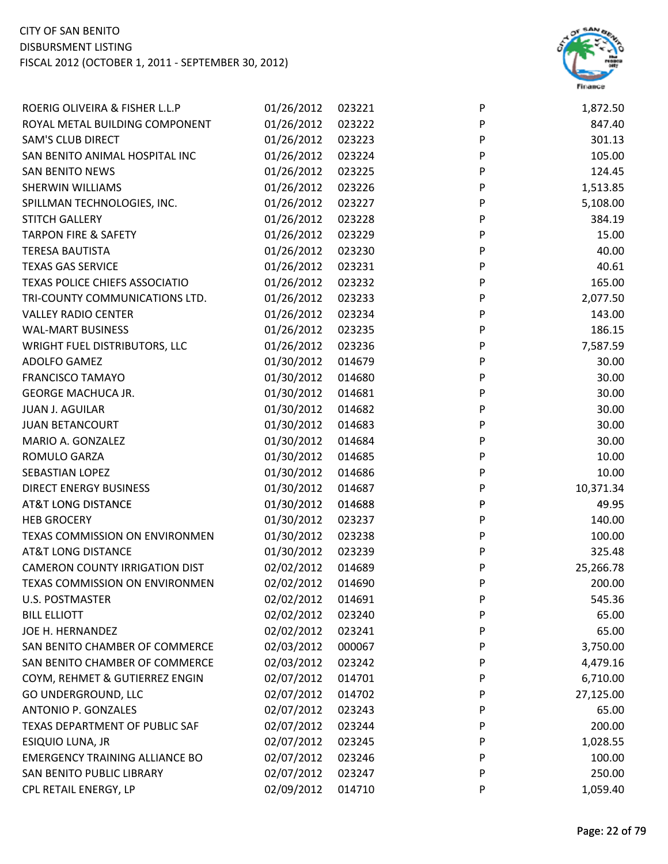

| ROERIG OLIVEIRA & FISHER L.L.P        | 01/26/2012 | 023221 | P | 1,872.50  |
|---------------------------------------|------------|--------|---|-----------|
| ROYAL METAL BUILDING COMPONENT        | 01/26/2012 | 023222 | P | 847.40    |
| <b>SAM'S CLUB DIRECT</b>              | 01/26/2012 | 023223 | P | 301.13    |
| SAN BENITO ANIMAL HOSPITAL INC        | 01/26/2012 | 023224 | P | 105.00    |
| <b>SAN BENITO NEWS</b>                | 01/26/2012 | 023225 | P | 124.45    |
| SHERWIN WILLIAMS                      | 01/26/2012 | 023226 | P | 1,513.85  |
| SPILLMAN TECHNOLOGIES, INC.           | 01/26/2012 | 023227 | P | 5,108.00  |
| <b>STITCH GALLERY</b>                 | 01/26/2012 | 023228 | P | 384.19    |
| <b>TARPON FIRE &amp; SAFETY</b>       | 01/26/2012 | 023229 | P | 15.00     |
| <b>TERESA BAUTISTA</b>                | 01/26/2012 | 023230 | P | 40.00     |
| <b>TEXAS GAS SERVICE</b>              | 01/26/2012 | 023231 | P | 40.61     |
| TEXAS POLICE CHIEFS ASSOCIATIO        | 01/26/2012 | 023232 | P | 165.00    |
| TRI-COUNTY COMMUNICATIONS LTD.        | 01/26/2012 | 023233 | P | 2,077.50  |
| <b>VALLEY RADIO CENTER</b>            | 01/26/2012 | 023234 | P | 143.00    |
| <b>WAL-MART BUSINESS</b>              | 01/26/2012 | 023235 | P | 186.15    |
| <b>WRIGHT FUEL DISTRIBUTORS, LLC</b>  | 01/26/2012 | 023236 | P | 7,587.59  |
| ADOLFO GAMEZ                          | 01/30/2012 | 014679 | P | 30.00     |
| <b>FRANCISCO TAMAYO</b>               | 01/30/2012 | 014680 | P | 30.00     |
| <b>GEORGE MACHUCA JR.</b>             | 01/30/2012 | 014681 | P | 30.00     |
| <b>JUAN J. AGUILAR</b>                | 01/30/2012 | 014682 | P | 30.00     |
| <b>JUAN BETANCOURT</b>                | 01/30/2012 | 014683 | P | 30.00     |
| MARIO A. GONZALEZ                     | 01/30/2012 | 014684 | P | 30.00     |
| ROMULO GARZA                          | 01/30/2012 | 014685 | P | 10.00     |
| <b>SEBASTIAN LOPEZ</b>                | 01/30/2012 | 014686 | P | 10.00     |
| <b>DIRECT ENERGY BUSINESS</b>         | 01/30/2012 | 014687 | P | 10,371.34 |
| <b>AT&amp;T LONG DISTANCE</b>         | 01/30/2012 | 014688 | P | 49.95     |
| <b>HEB GROCERY</b>                    | 01/30/2012 | 023237 | P | 140.00    |
| TEXAS COMMISSION ON ENVIRONMEN        | 01/30/2012 | 023238 | P | 100.00    |
| <b>AT&amp;T LONG DISTANCE</b>         | 01/30/2012 | 023239 | P | 325.48    |
| <b>CAMERON COUNTY IRRIGATION DIST</b> | 02/02/2012 | 014689 | P | 25,266.78 |
| TEXAS COMMISSION ON ENVIRONMEN        | 02/02/2012 | 014690 | P | 200.00    |
| U.S. POSTMASTER                       | 02/02/2012 | 014691 | P | 545.36    |
| <b>BILL ELLIOTT</b>                   | 02/02/2012 | 023240 | P | 65.00     |
| JOE H. HERNANDEZ                      | 02/02/2012 | 023241 | P | 65.00     |
| SAN BENITO CHAMBER OF COMMERCE        | 02/03/2012 | 000067 | P | 3,750.00  |
| SAN BENITO CHAMBER OF COMMERCE        | 02/03/2012 | 023242 | P | 4,479.16  |
| COYM, REHMET & GUTIERREZ ENGIN        | 02/07/2012 | 014701 | P | 6,710.00  |
| GO UNDERGROUND, LLC                   | 02/07/2012 | 014702 | P | 27,125.00 |
| <b>ANTONIO P. GONZALES</b>            | 02/07/2012 | 023243 | P | 65.00     |
| TEXAS DEPARTMENT OF PUBLIC SAF        | 02/07/2012 | 023244 | P | 200.00    |
| ESIQUIO LUNA, JR                      | 02/07/2012 | 023245 | P | 1,028.55  |
| <b>EMERGENCY TRAINING ALLIANCE BO</b> | 02/07/2012 | 023246 | P | 100.00    |
| SAN BENITO PUBLIC LIBRARY             | 02/07/2012 | 023247 | P | 250.00    |
| CPL RETAIL ENERGY, LP                 | 02/09/2012 | 014710 | P | 1,059.40  |
|                                       |            |        |   |           |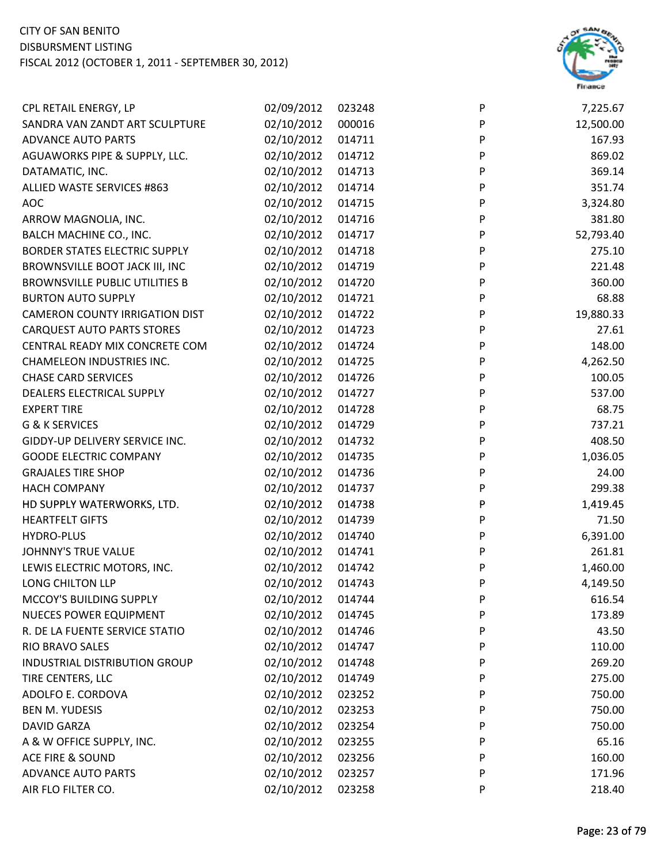

| 12,500.00<br>02/10/2012<br>000016<br>P<br>SANDRA VAN ZANDT ART SCULPTURE<br>02/10/2012<br><b>ADVANCE AUTO PARTS</b><br>014711<br>P<br>167.93<br>P<br>02/10/2012<br>014712<br>869.02<br>AGUAWORKS PIPE & SUPPLY, LLC.<br>P<br>02/10/2012<br>369.14<br>DATAMATIC, INC.<br>014713<br>ALLIED WASTE SERVICES #863<br>02/10/2012<br>P<br>351.74<br>014714<br>02/10/2012<br>014715<br>P<br>3,324.80<br><b>AOC</b><br>02/10/2012<br>381.80<br>ARROW MAGNOLIA, INC.<br>014716<br>P<br>BALCH MACHINE CO., INC.<br>02/10/2012<br>P<br>52,793.40<br>014717<br>02/10/2012<br>P<br><b>BORDER STATES ELECTRIC SUPPLY</b><br>275.10<br>014718<br>02/10/2012<br>P<br>BROWNSVILLE BOOT JACK III, INC<br>014719<br>221.48<br>02/10/2012<br>P<br>360.00<br><b>BROWNSVILLE PUBLIC UTILITIES B</b><br>014720<br>02/10/2012<br>68.88<br><b>BURTON AUTO SUPPLY</b><br>P<br>014721<br>P<br>02/10/2012<br>19,880.33<br><b>CAMERON COUNTY IRRIGATION DIST</b><br>014722<br>02/10/2012<br>P<br>27.61<br><b>CARQUEST AUTO PARTS STORES</b><br>014723<br>P<br>148.00<br>02/10/2012<br>CENTRAL READY MIX CONCRETE COM<br>014724<br>P<br>02/10/2012<br>4,262.50<br><b>CHAMELEON INDUSTRIES INC.</b><br>014725<br><b>CHASE CARD SERVICES</b><br>02/10/2012<br>P<br>100.05<br>014726<br>02/10/2012<br>P<br>DEALERS ELECTRICAL SUPPLY<br>014727<br>537.00<br>02/10/2012<br>68.75<br><b>EXPERT TIRE</b><br>014728<br>P<br>02/10/2012<br>P<br>737.21<br>G & K SERVICES<br>014729<br>P<br>02/10/2012<br>408.50<br>GIDDY-UP DELIVERY SERVICE INC.<br>014732<br><b>GOODE ELECTRIC COMPANY</b><br>02/10/2012<br>P<br>1,036.05<br>014735<br>P<br><b>GRAJALES TIRE SHOP</b><br>02/10/2012<br>24.00<br>014736<br>02/10/2012<br>P<br>299.38<br><b>HACH COMPANY</b><br>014737<br>P<br>02/10/2012<br>1,419.45<br>HD SUPPLY WATERWORKS, LTD.<br>014738<br><b>HEARTFELT GIFTS</b><br>02/10/2012<br>71.50<br>014739<br>P<br>02/10/2012<br>P<br>6,391.00<br><b>HYDRO-PLUS</b><br>014740<br>02/10/2012<br>P<br>261.81<br><b>JOHNNY'S TRUE VALUE</b><br>014741<br>02/10/2012<br>P<br>1,460.00<br>LEWIS ELECTRIC MOTORS, INC.<br>014742<br>02/10/2012<br>P<br>4,149.50<br>LONG CHILTON LLP<br>014743<br>02/10/2012<br>MCCOY'S BUILDING SUPPLY<br>014744<br>P<br>616.54<br>02/10/2012<br><b>NUECES POWER EQUIPMENT</b><br>014745<br>P<br>173.89<br>02/10/2012<br>R. DE LA FUENTE SERVICE STATIO<br>014746<br>43.50<br>P<br>RIO BRAVO SALES<br>02/10/2012<br>110.00<br>014747<br>P<br>02/10/2012<br>269.20<br>INDUSTRIAL DISTRIBUTION GROUP<br>P<br>014748<br>TIRE CENTERS, LLC<br>02/10/2012<br>275.00<br>014749<br>P<br>ADOLFO E. CORDOVA<br>02/10/2012<br>750.00<br>023252<br>P<br>02/10/2012<br>023253<br>750.00<br><b>BEN M. YUDESIS</b><br>P<br>02/10/2012<br>750.00<br><b>DAVID GARZA</b><br>023254<br>P<br>02/10/2012<br>65.16<br>A & W OFFICE SUPPLY, INC.<br>023255<br>P<br>02/10/2012<br>160.00<br><b>ACE FIRE &amp; SOUND</b><br>023256<br>P<br>02/10/2012<br><b>ADVANCE AUTO PARTS</b><br>023257<br>P<br>171.96 | CPL RETAIL ENERGY, LP | 02/09/2012 | 023248 | P | 7,225.67 |
|----------------------------------------------------------------------------------------------------------------------------------------------------------------------------------------------------------------------------------------------------------------------------------------------------------------------------------------------------------------------------------------------------------------------------------------------------------------------------------------------------------------------------------------------------------------------------------------------------------------------------------------------------------------------------------------------------------------------------------------------------------------------------------------------------------------------------------------------------------------------------------------------------------------------------------------------------------------------------------------------------------------------------------------------------------------------------------------------------------------------------------------------------------------------------------------------------------------------------------------------------------------------------------------------------------------------------------------------------------------------------------------------------------------------------------------------------------------------------------------------------------------------------------------------------------------------------------------------------------------------------------------------------------------------------------------------------------------------------------------------------------------------------------------------------------------------------------------------------------------------------------------------------------------------------------------------------------------------------------------------------------------------------------------------------------------------------------------------------------------------------------------------------------------------------------------------------------------------------------------------------------------------------------------------------------------------------------------------------------------------------------------------------------------------------------------------------------------------------------------------------------------------------------------------------------------------------------------------------------------------------------------------------------------------------------------------------------------------------------------------------------------------------------------------------------------------------------------------------------------------------------------------------------------------------------------------------------------------|-----------------------|------------|--------|---|----------|
|                                                                                                                                                                                                                                                                                                                                                                                                                                                                                                                                                                                                                                                                                                                                                                                                                                                                                                                                                                                                                                                                                                                                                                                                                                                                                                                                                                                                                                                                                                                                                                                                                                                                                                                                                                                                                                                                                                                                                                                                                                                                                                                                                                                                                                                                                                                                                                                                                                                                                                                                                                                                                                                                                                                                                                                                                                                                                                                                                                      |                       |            |        |   |          |
|                                                                                                                                                                                                                                                                                                                                                                                                                                                                                                                                                                                                                                                                                                                                                                                                                                                                                                                                                                                                                                                                                                                                                                                                                                                                                                                                                                                                                                                                                                                                                                                                                                                                                                                                                                                                                                                                                                                                                                                                                                                                                                                                                                                                                                                                                                                                                                                                                                                                                                                                                                                                                                                                                                                                                                                                                                                                                                                                                                      |                       |            |        |   |          |
|                                                                                                                                                                                                                                                                                                                                                                                                                                                                                                                                                                                                                                                                                                                                                                                                                                                                                                                                                                                                                                                                                                                                                                                                                                                                                                                                                                                                                                                                                                                                                                                                                                                                                                                                                                                                                                                                                                                                                                                                                                                                                                                                                                                                                                                                                                                                                                                                                                                                                                                                                                                                                                                                                                                                                                                                                                                                                                                                                                      |                       |            |        |   |          |
|                                                                                                                                                                                                                                                                                                                                                                                                                                                                                                                                                                                                                                                                                                                                                                                                                                                                                                                                                                                                                                                                                                                                                                                                                                                                                                                                                                                                                                                                                                                                                                                                                                                                                                                                                                                                                                                                                                                                                                                                                                                                                                                                                                                                                                                                                                                                                                                                                                                                                                                                                                                                                                                                                                                                                                                                                                                                                                                                                                      |                       |            |        |   |          |
|                                                                                                                                                                                                                                                                                                                                                                                                                                                                                                                                                                                                                                                                                                                                                                                                                                                                                                                                                                                                                                                                                                                                                                                                                                                                                                                                                                                                                                                                                                                                                                                                                                                                                                                                                                                                                                                                                                                                                                                                                                                                                                                                                                                                                                                                                                                                                                                                                                                                                                                                                                                                                                                                                                                                                                                                                                                                                                                                                                      |                       |            |        |   |          |
|                                                                                                                                                                                                                                                                                                                                                                                                                                                                                                                                                                                                                                                                                                                                                                                                                                                                                                                                                                                                                                                                                                                                                                                                                                                                                                                                                                                                                                                                                                                                                                                                                                                                                                                                                                                                                                                                                                                                                                                                                                                                                                                                                                                                                                                                                                                                                                                                                                                                                                                                                                                                                                                                                                                                                                                                                                                                                                                                                                      |                       |            |        |   |          |
|                                                                                                                                                                                                                                                                                                                                                                                                                                                                                                                                                                                                                                                                                                                                                                                                                                                                                                                                                                                                                                                                                                                                                                                                                                                                                                                                                                                                                                                                                                                                                                                                                                                                                                                                                                                                                                                                                                                                                                                                                                                                                                                                                                                                                                                                                                                                                                                                                                                                                                                                                                                                                                                                                                                                                                                                                                                                                                                                                                      |                       |            |        |   |          |
|                                                                                                                                                                                                                                                                                                                                                                                                                                                                                                                                                                                                                                                                                                                                                                                                                                                                                                                                                                                                                                                                                                                                                                                                                                                                                                                                                                                                                                                                                                                                                                                                                                                                                                                                                                                                                                                                                                                                                                                                                                                                                                                                                                                                                                                                                                                                                                                                                                                                                                                                                                                                                                                                                                                                                                                                                                                                                                                                                                      |                       |            |        |   |          |
|                                                                                                                                                                                                                                                                                                                                                                                                                                                                                                                                                                                                                                                                                                                                                                                                                                                                                                                                                                                                                                                                                                                                                                                                                                                                                                                                                                                                                                                                                                                                                                                                                                                                                                                                                                                                                                                                                                                                                                                                                                                                                                                                                                                                                                                                                                                                                                                                                                                                                                                                                                                                                                                                                                                                                                                                                                                                                                                                                                      |                       |            |        |   |          |
|                                                                                                                                                                                                                                                                                                                                                                                                                                                                                                                                                                                                                                                                                                                                                                                                                                                                                                                                                                                                                                                                                                                                                                                                                                                                                                                                                                                                                                                                                                                                                                                                                                                                                                                                                                                                                                                                                                                                                                                                                                                                                                                                                                                                                                                                                                                                                                                                                                                                                                                                                                                                                                                                                                                                                                                                                                                                                                                                                                      |                       |            |        |   |          |
|                                                                                                                                                                                                                                                                                                                                                                                                                                                                                                                                                                                                                                                                                                                                                                                                                                                                                                                                                                                                                                                                                                                                                                                                                                                                                                                                                                                                                                                                                                                                                                                                                                                                                                                                                                                                                                                                                                                                                                                                                                                                                                                                                                                                                                                                                                                                                                                                                                                                                                                                                                                                                                                                                                                                                                                                                                                                                                                                                                      |                       |            |        |   |          |
|                                                                                                                                                                                                                                                                                                                                                                                                                                                                                                                                                                                                                                                                                                                                                                                                                                                                                                                                                                                                                                                                                                                                                                                                                                                                                                                                                                                                                                                                                                                                                                                                                                                                                                                                                                                                                                                                                                                                                                                                                                                                                                                                                                                                                                                                                                                                                                                                                                                                                                                                                                                                                                                                                                                                                                                                                                                                                                                                                                      |                       |            |        |   |          |
|                                                                                                                                                                                                                                                                                                                                                                                                                                                                                                                                                                                                                                                                                                                                                                                                                                                                                                                                                                                                                                                                                                                                                                                                                                                                                                                                                                                                                                                                                                                                                                                                                                                                                                                                                                                                                                                                                                                                                                                                                                                                                                                                                                                                                                                                                                                                                                                                                                                                                                                                                                                                                                                                                                                                                                                                                                                                                                                                                                      |                       |            |        |   |          |
|                                                                                                                                                                                                                                                                                                                                                                                                                                                                                                                                                                                                                                                                                                                                                                                                                                                                                                                                                                                                                                                                                                                                                                                                                                                                                                                                                                                                                                                                                                                                                                                                                                                                                                                                                                                                                                                                                                                                                                                                                                                                                                                                                                                                                                                                                                                                                                                                                                                                                                                                                                                                                                                                                                                                                                                                                                                                                                                                                                      |                       |            |        |   |          |
|                                                                                                                                                                                                                                                                                                                                                                                                                                                                                                                                                                                                                                                                                                                                                                                                                                                                                                                                                                                                                                                                                                                                                                                                                                                                                                                                                                                                                                                                                                                                                                                                                                                                                                                                                                                                                                                                                                                                                                                                                                                                                                                                                                                                                                                                                                                                                                                                                                                                                                                                                                                                                                                                                                                                                                                                                                                                                                                                                                      |                       |            |        |   |          |
|                                                                                                                                                                                                                                                                                                                                                                                                                                                                                                                                                                                                                                                                                                                                                                                                                                                                                                                                                                                                                                                                                                                                                                                                                                                                                                                                                                                                                                                                                                                                                                                                                                                                                                                                                                                                                                                                                                                                                                                                                                                                                                                                                                                                                                                                                                                                                                                                                                                                                                                                                                                                                                                                                                                                                                                                                                                                                                                                                                      |                       |            |        |   |          |
|                                                                                                                                                                                                                                                                                                                                                                                                                                                                                                                                                                                                                                                                                                                                                                                                                                                                                                                                                                                                                                                                                                                                                                                                                                                                                                                                                                                                                                                                                                                                                                                                                                                                                                                                                                                                                                                                                                                                                                                                                                                                                                                                                                                                                                                                                                                                                                                                                                                                                                                                                                                                                                                                                                                                                                                                                                                                                                                                                                      |                       |            |        |   |          |
|                                                                                                                                                                                                                                                                                                                                                                                                                                                                                                                                                                                                                                                                                                                                                                                                                                                                                                                                                                                                                                                                                                                                                                                                                                                                                                                                                                                                                                                                                                                                                                                                                                                                                                                                                                                                                                                                                                                                                                                                                                                                                                                                                                                                                                                                                                                                                                                                                                                                                                                                                                                                                                                                                                                                                                                                                                                                                                                                                                      |                       |            |        |   |          |
|                                                                                                                                                                                                                                                                                                                                                                                                                                                                                                                                                                                                                                                                                                                                                                                                                                                                                                                                                                                                                                                                                                                                                                                                                                                                                                                                                                                                                                                                                                                                                                                                                                                                                                                                                                                                                                                                                                                                                                                                                                                                                                                                                                                                                                                                                                                                                                                                                                                                                                                                                                                                                                                                                                                                                                                                                                                                                                                                                                      |                       |            |        |   |          |
|                                                                                                                                                                                                                                                                                                                                                                                                                                                                                                                                                                                                                                                                                                                                                                                                                                                                                                                                                                                                                                                                                                                                                                                                                                                                                                                                                                                                                                                                                                                                                                                                                                                                                                                                                                                                                                                                                                                                                                                                                                                                                                                                                                                                                                                                                                                                                                                                                                                                                                                                                                                                                                                                                                                                                                                                                                                                                                                                                                      |                       |            |        |   |          |
|                                                                                                                                                                                                                                                                                                                                                                                                                                                                                                                                                                                                                                                                                                                                                                                                                                                                                                                                                                                                                                                                                                                                                                                                                                                                                                                                                                                                                                                                                                                                                                                                                                                                                                                                                                                                                                                                                                                                                                                                                                                                                                                                                                                                                                                                                                                                                                                                                                                                                                                                                                                                                                                                                                                                                                                                                                                                                                                                                                      |                       |            |        |   |          |
|                                                                                                                                                                                                                                                                                                                                                                                                                                                                                                                                                                                                                                                                                                                                                                                                                                                                                                                                                                                                                                                                                                                                                                                                                                                                                                                                                                                                                                                                                                                                                                                                                                                                                                                                                                                                                                                                                                                                                                                                                                                                                                                                                                                                                                                                                                                                                                                                                                                                                                                                                                                                                                                                                                                                                                                                                                                                                                                                                                      |                       |            |        |   |          |
|                                                                                                                                                                                                                                                                                                                                                                                                                                                                                                                                                                                                                                                                                                                                                                                                                                                                                                                                                                                                                                                                                                                                                                                                                                                                                                                                                                                                                                                                                                                                                                                                                                                                                                                                                                                                                                                                                                                                                                                                                                                                                                                                                                                                                                                                                                                                                                                                                                                                                                                                                                                                                                                                                                                                                                                                                                                                                                                                                                      |                       |            |        |   |          |
|                                                                                                                                                                                                                                                                                                                                                                                                                                                                                                                                                                                                                                                                                                                                                                                                                                                                                                                                                                                                                                                                                                                                                                                                                                                                                                                                                                                                                                                                                                                                                                                                                                                                                                                                                                                                                                                                                                                                                                                                                                                                                                                                                                                                                                                                                                                                                                                                                                                                                                                                                                                                                                                                                                                                                                                                                                                                                                                                                                      |                       |            |        |   |          |
|                                                                                                                                                                                                                                                                                                                                                                                                                                                                                                                                                                                                                                                                                                                                                                                                                                                                                                                                                                                                                                                                                                                                                                                                                                                                                                                                                                                                                                                                                                                                                                                                                                                                                                                                                                                                                                                                                                                                                                                                                                                                                                                                                                                                                                                                                                                                                                                                                                                                                                                                                                                                                                                                                                                                                                                                                                                                                                                                                                      |                       |            |        |   |          |
|                                                                                                                                                                                                                                                                                                                                                                                                                                                                                                                                                                                                                                                                                                                                                                                                                                                                                                                                                                                                                                                                                                                                                                                                                                                                                                                                                                                                                                                                                                                                                                                                                                                                                                                                                                                                                                                                                                                                                                                                                                                                                                                                                                                                                                                                                                                                                                                                                                                                                                                                                                                                                                                                                                                                                                                                                                                                                                                                                                      |                       |            |        |   |          |
|                                                                                                                                                                                                                                                                                                                                                                                                                                                                                                                                                                                                                                                                                                                                                                                                                                                                                                                                                                                                                                                                                                                                                                                                                                                                                                                                                                                                                                                                                                                                                                                                                                                                                                                                                                                                                                                                                                                                                                                                                                                                                                                                                                                                                                                                                                                                                                                                                                                                                                                                                                                                                                                                                                                                                                                                                                                                                                                                                                      |                       |            |        |   |          |
|                                                                                                                                                                                                                                                                                                                                                                                                                                                                                                                                                                                                                                                                                                                                                                                                                                                                                                                                                                                                                                                                                                                                                                                                                                                                                                                                                                                                                                                                                                                                                                                                                                                                                                                                                                                                                                                                                                                                                                                                                                                                                                                                                                                                                                                                                                                                                                                                                                                                                                                                                                                                                                                                                                                                                                                                                                                                                                                                                                      |                       |            |        |   |          |
|                                                                                                                                                                                                                                                                                                                                                                                                                                                                                                                                                                                                                                                                                                                                                                                                                                                                                                                                                                                                                                                                                                                                                                                                                                                                                                                                                                                                                                                                                                                                                                                                                                                                                                                                                                                                                                                                                                                                                                                                                                                                                                                                                                                                                                                                                                                                                                                                                                                                                                                                                                                                                                                                                                                                                                                                                                                                                                                                                                      |                       |            |        |   |          |
|                                                                                                                                                                                                                                                                                                                                                                                                                                                                                                                                                                                                                                                                                                                                                                                                                                                                                                                                                                                                                                                                                                                                                                                                                                                                                                                                                                                                                                                                                                                                                                                                                                                                                                                                                                                                                                                                                                                                                                                                                                                                                                                                                                                                                                                                                                                                                                                                                                                                                                                                                                                                                                                                                                                                                                                                                                                                                                                                                                      |                       |            |        |   |          |
|                                                                                                                                                                                                                                                                                                                                                                                                                                                                                                                                                                                                                                                                                                                                                                                                                                                                                                                                                                                                                                                                                                                                                                                                                                                                                                                                                                                                                                                                                                                                                                                                                                                                                                                                                                                                                                                                                                                                                                                                                                                                                                                                                                                                                                                                                                                                                                                                                                                                                                                                                                                                                                                                                                                                                                                                                                                                                                                                                                      |                       |            |        |   |          |
|                                                                                                                                                                                                                                                                                                                                                                                                                                                                                                                                                                                                                                                                                                                                                                                                                                                                                                                                                                                                                                                                                                                                                                                                                                                                                                                                                                                                                                                                                                                                                                                                                                                                                                                                                                                                                                                                                                                                                                                                                                                                                                                                                                                                                                                                                                                                                                                                                                                                                                                                                                                                                                                                                                                                                                                                                                                                                                                                                                      |                       |            |        |   |          |
|                                                                                                                                                                                                                                                                                                                                                                                                                                                                                                                                                                                                                                                                                                                                                                                                                                                                                                                                                                                                                                                                                                                                                                                                                                                                                                                                                                                                                                                                                                                                                                                                                                                                                                                                                                                                                                                                                                                                                                                                                                                                                                                                                                                                                                                                                                                                                                                                                                                                                                                                                                                                                                                                                                                                                                                                                                                                                                                                                                      |                       |            |        |   |          |
|                                                                                                                                                                                                                                                                                                                                                                                                                                                                                                                                                                                                                                                                                                                                                                                                                                                                                                                                                                                                                                                                                                                                                                                                                                                                                                                                                                                                                                                                                                                                                                                                                                                                                                                                                                                                                                                                                                                                                                                                                                                                                                                                                                                                                                                                                                                                                                                                                                                                                                                                                                                                                                                                                                                                                                                                                                                                                                                                                                      |                       |            |        |   |          |
|                                                                                                                                                                                                                                                                                                                                                                                                                                                                                                                                                                                                                                                                                                                                                                                                                                                                                                                                                                                                                                                                                                                                                                                                                                                                                                                                                                                                                                                                                                                                                                                                                                                                                                                                                                                                                                                                                                                                                                                                                                                                                                                                                                                                                                                                                                                                                                                                                                                                                                                                                                                                                                                                                                                                                                                                                                                                                                                                                                      |                       |            |        |   |          |
|                                                                                                                                                                                                                                                                                                                                                                                                                                                                                                                                                                                                                                                                                                                                                                                                                                                                                                                                                                                                                                                                                                                                                                                                                                                                                                                                                                                                                                                                                                                                                                                                                                                                                                                                                                                                                                                                                                                                                                                                                                                                                                                                                                                                                                                                                                                                                                                                                                                                                                                                                                                                                                                                                                                                                                                                                                                                                                                                                                      |                       |            |        |   |          |
|                                                                                                                                                                                                                                                                                                                                                                                                                                                                                                                                                                                                                                                                                                                                                                                                                                                                                                                                                                                                                                                                                                                                                                                                                                                                                                                                                                                                                                                                                                                                                                                                                                                                                                                                                                                                                                                                                                                                                                                                                                                                                                                                                                                                                                                                                                                                                                                                                                                                                                                                                                                                                                                                                                                                                                                                                                                                                                                                                                      |                       |            |        |   |          |
|                                                                                                                                                                                                                                                                                                                                                                                                                                                                                                                                                                                                                                                                                                                                                                                                                                                                                                                                                                                                                                                                                                                                                                                                                                                                                                                                                                                                                                                                                                                                                                                                                                                                                                                                                                                                                                                                                                                                                                                                                                                                                                                                                                                                                                                                                                                                                                                                                                                                                                                                                                                                                                                                                                                                                                                                                                                                                                                                                                      |                       |            |        |   |          |
|                                                                                                                                                                                                                                                                                                                                                                                                                                                                                                                                                                                                                                                                                                                                                                                                                                                                                                                                                                                                                                                                                                                                                                                                                                                                                                                                                                                                                                                                                                                                                                                                                                                                                                                                                                                                                                                                                                                                                                                                                                                                                                                                                                                                                                                                                                                                                                                                                                                                                                                                                                                                                                                                                                                                                                                                                                                                                                                                                                      |                       |            |        |   |          |
|                                                                                                                                                                                                                                                                                                                                                                                                                                                                                                                                                                                                                                                                                                                                                                                                                                                                                                                                                                                                                                                                                                                                                                                                                                                                                                                                                                                                                                                                                                                                                                                                                                                                                                                                                                                                                                                                                                                                                                                                                                                                                                                                                                                                                                                                                                                                                                                                                                                                                                                                                                                                                                                                                                                                                                                                                                                                                                                                                                      |                       |            |        |   |          |
|                                                                                                                                                                                                                                                                                                                                                                                                                                                                                                                                                                                                                                                                                                                                                                                                                                                                                                                                                                                                                                                                                                                                                                                                                                                                                                                                                                                                                                                                                                                                                                                                                                                                                                                                                                                                                                                                                                                                                                                                                                                                                                                                                                                                                                                                                                                                                                                                                                                                                                                                                                                                                                                                                                                                                                                                                                                                                                                                                                      |                       |            |        |   |          |
|                                                                                                                                                                                                                                                                                                                                                                                                                                                                                                                                                                                                                                                                                                                                                                                                                                                                                                                                                                                                                                                                                                                                                                                                                                                                                                                                                                                                                                                                                                                                                                                                                                                                                                                                                                                                                                                                                                                                                                                                                                                                                                                                                                                                                                                                                                                                                                                                                                                                                                                                                                                                                                                                                                                                                                                                                                                                                                                                                                      |                       |            |        |   |          |
| P                                                                                                                                                                                                                                                                                                                                                                                                                                                                                                                                                                                                                                                                                                                                                                                                                                                                                                                                                                                                                                                                                                                                                                                                                                                                                                                                                                                                                                                                                                                                                                                                                                                                                                                                                                                                                                                                                                                                                                                                                                                                                                                                                                                                                                                                                                                                                                                                                                                                                                                                                                                                                                                                                                                                                                                                                                                                                                                                                                    | AIR FLO FILTER CO.    | 02/10/2012 | 023258 |   | 218.40   |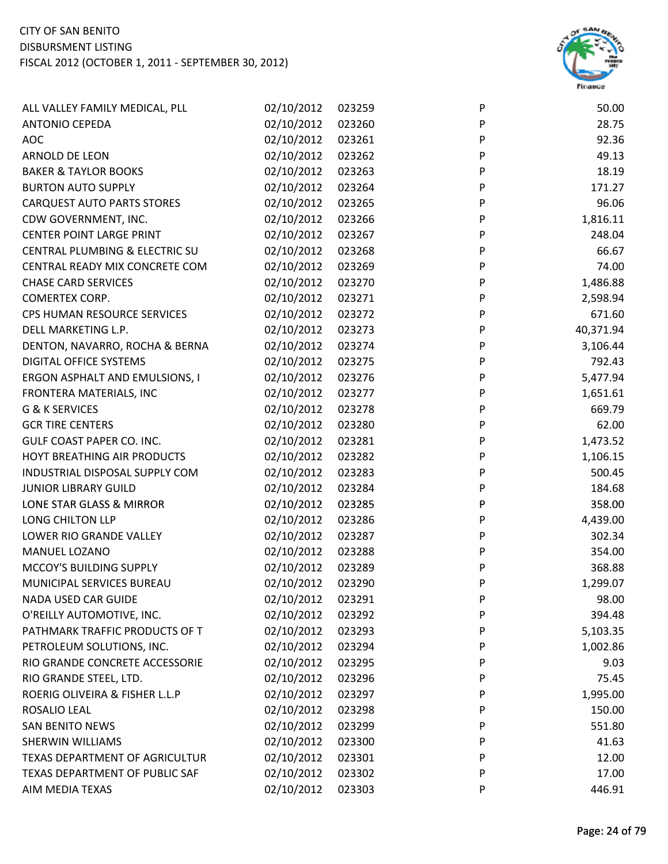

| ALL VALLEY FAMILY MEDICAL, PLL    | 02/10/2012 | 023259 | P | 50.00     |
|-----------------------------------|------------|--------|---|-----------|
| <b>ANTONIO CEPEDA</b>             | 02/10/2012 | 023260 | P | 28.75     |
| <b>AOC</b>                        | 02/10/2012 | 023261 | P | 92.36     |
| ARNOLD DE LEON                    | 02/10/2012 | 023262 | P | 49.13     |
| <b>BAKER &amp; TAYLOR BOOKS</b>   | 02/10/2012 | 023263 | P | 18.19     |
| <b>BURTON AUTO SUPPLY</b>         | 02/10/2012 | 023264 | P | 171.27    |
| <b>CARQUEST AUTO PARTS STORES</b> | 02/10/2012 | 023265 | P | 96.06     |
| CDW GOVERNMENT, INC.              | 02/10/2012 | 023266 | P | 1,816.11  |
| <b>CENTER POINT LARGE PRINT</b>   | 02/10/2012 | 023267 | P | 248.04    |
| CENTRAL PLUMBING & ELECTRIC SU    | 02/10/2012 | 023268 | P | 66.67     |
| CENTRAL READY MIX CONCRETE COM    | 02/10/2012 | 023269 | P | 74.00     |
| <b>CHASE CARD SERVICES</b>        | 02/10/2012 | 023270 | P | 1,486.88  |
| COMERTEX CORP.                    | 02/10/2012 | 023271 | P | 2,598.94  |
| CPS HUMAN RESOURCE SERVICES       | 02/10/2012 | 023272 | P | 671.60    |
| DELL MARKETING L.P.               | 02/10/2012 | 023273 | P | 40,371.94 |
| DENTON, NAVARRO, ROCHA & BERNA    | 02/10/2012 | 023274 | P | 3,106.44  |
| DIGITAL OFFICE SYSTEMS            | 02/10/2012 | 023275 | P | 792.43    |
| ERGON ASPHALT AND EMULSIONS, I    | 02/10/2012 | 023276 | P | 5,477.94  |
| FRONTERA MATERIALS, INC           | 02/10/2012 | 023277 | P | 1,651.61  |
| <b>G &amp; K SERVICES</b>         | 02/10/2012 | 023278 | P | 669.79    |
| <b>GCR TIRE CENTERS</b>           | 02/10/2012 | 023280 | P | 62.00     |
| GULF COAST PAPER CO. INC.         | 02/10/2012 | 023281 | P | 1,473.52  |
| HOYT BREATHING AIR PRODUCTS       | 02/10/2012 | 023282 | P | 1,106.15  |
| INDUSTRIAL DISPOSAL SUPPLY COM    | 02/10/2012 | 023283 | P | 500.45    |
| <b>JUNIOR LIBRARY GUILD</b>       | 02/10/2012 | 023284 | P | 184.68    |
| LONE STAR GLASS & MIRROR          | 02/10/2012 | 023285 | P | 358.00    |
| LONG CHILTON LLP                  | 02/10/2012 | 023286 | P | 4,439.00  |
| LOWER RIO GRANDE VALLEY           | 02/10/2012 | 023287 | P | 302.34    |
| MANUEL LOZANO                     | 02/10/2012 | 023288 | P | 354.00    |
| MCCOY'S BUILDING SUPPLY           | 02/10/2012 | 023289 | P | 368.88    |
| MUNICIPAL SERVICES BUREAU         | 02/10/2012 | 023290 | P | 1,299.07  |
| <b>NADA USED CAR GUIDE</b>        | 02/10/2012 | 023291 | P | 98.00     |
| O'REILLY AUTOMOTIVE, INC.         | 02/10/2012 | 023292 | P | 394.48    |
| PATHMARK TRAFFIC PRODUCTS OF T    | 02/10/2012 | 023293 | P | 5,103.35  |
| PETROLEUM SOLUTIONS, INC.         | 02/10/2012 | 023294 | P | 1,002.86  |
| RIO GRANDE CONCRETE ACCESSORIE    | 02/10/2012 | 023295 | P | 9.03      |
| RIO GRANDE STEEL, LTD.            | 02/10/2012 | 023296 | P | 75.45     |
| ROERIG OLIVEIRA & FISHER L.L.P    | 02/10/2012 | 023297 | P | 1,995.00  |
| ROSALIO LEAL                      | 02/10/2012 | 023298 | P | 150.00    |
| <b>SAN BENITO NEWS</b>            | 02/10/2012 | 023299 | P | 551.80    |
| <b>SHERWIN WILLIAMS</b>           | 02/10/2012 | 023300 | P | 41.63     |
| TEXAS DEPARTMENT OF AGRICULTUR    | 02/10/2012 | 023301 | P | 12.00     |
| TEXAS DEPARTMENT OF PUBLIC SAF    | 02/10/2012 | 023302 | P | 17.00     |
| AIM MEDIA TEXAS                   | 02/10/2012 | 023303 | P | 446.91    |
|                                   |            |        |   |           |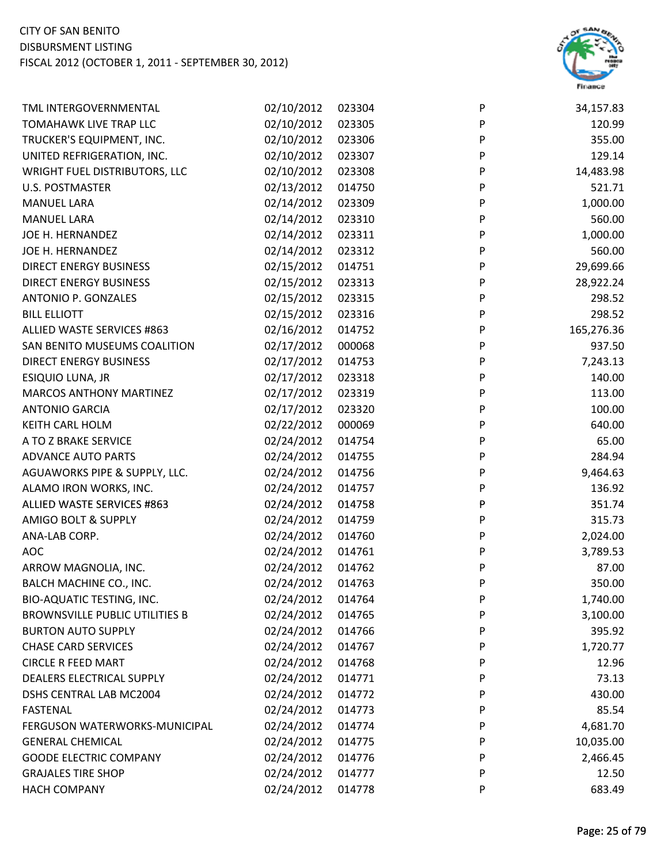

| TML INTERGOVERNMENTAL                 | 02/10/2012 | 023304 | P            | 34,157.83  |
|---------------------------------------|------------|--------|--------------|------------|
| TOMAHAWK LIVE TRAP LLC                | 02/10/2012 | 023305 | P            | 120.99     |
| TRUCKER'S EQUIPMENT, INC.             | 02/10/2012 | 023306 | P            | 355.00     |
| UNITED REFRIGERATION, INC.            | 02/10/2012 | 023307 | P            | 129.14     |
| WRIGHT FUEL DISTRIBUTORS, LLC         | 02/10/2012 | 023308 | P            | 14,483.98  |
| <b>U.S. POSTMASTER</b>                | 02/13/2012 | 014750 | P            | 521.71     |
| <b>MANUEL LARA</b>                    | 02/14/2012 | 023309 | P            | 1,000.00   |
| <b>MANUEL LARA</b>                    | 02/14/2012 | 023310 | P            | 560.00     |
| JOE H. HERNANDEZ                      | 02/14/2012 | 023311 | P            | 1,000.00   |
| JOE H. HERNANDEZ                      | 02/14/2012 | 023312 | P            | 560.00     |
| DIRECT ENERGY BUSINESS                | 02/15/2012 | 014751 | $\mathsf{P}$ | 29,699.66  |
| <b>DIRECT ENERGY BUSINESS</b>         | 02/15/2012 | 023313 | P            | 28,922.24  |
| ANTONIO P. GONZALES                   | 02/15/2012 | 023315 | P            | 298.52     |
| <b>BILL ELLIOTT</b>                   | 02/15/2012 | 023316 | P            | 298.52     |
| ALLIED WASTE SERVICES #863            | 02/16/2012 | 014752 | P            | 165,276.36 |
| SAN BENITO MUSEUMS COALITION          | 02/17/2012 | 000068 | P            | 937.50     |
| <b>DIRECT ENERGY BUSINESS</b>         | 02/17/2012 | 014753 | P            | 7,243.13   |
| ESIQUIO LUNA, JR                      | 02/17/2012 | 023318 | P            | 140.00     |
| <b>MARCOS ANTHONY MARTINEZ</b>        | 02/17/2012 | 023319 | P            | 113.00     |
| <b>ANTONIO GARCIA</b>                 | 02/17/2012 | 023320 | P            | 100.00     |
| KEITH CARL HOLM                       | 02/22/2012 | 000069 | P            | 640.00     |
| A TO Z BRAKE SERVICE                  | 02/24/2012 | 014754 | P            | 65.00      |
| <b>ADVANCE AUTO PARTS</b>             | 02/24/2012 | 014755 | P            | 284.94     |
| AGUAWORKS PIPE & SUPPLY, LLC.         | 02/24/2012 | 014756 | P            | 9,464.63   |
| ALAMO IRON WORKS, INC.                | 02/24/2012 | 014757 | P            | 136.92     |
| ALLIED WASTE SERVICES #863            | 02/24/2012 | 014758 | P            | 351.74     |
| AMIGO BOLT & SUPPLY                   | 02/24/2012 | 014759 | P            | 315.73     |
| ANA-LAB CORP.                         | 02/24/2012 | 014760 | P            | 2,024.00   |
| <b>AOC</b>                            | 02/24/2012 | 014761 | P            | 3,789.53   |
| ARROW MAGNOLIA, INC.                  | 02/24/2012 | 014762 | P            | 87.00      |
| BALCH MACHINE CO., INC.               | 02/24/2012 | 014763 | P            | 350.00     |
| BIO-AQUATIC TESTING, INC.             | 02/24/2012 | 014764 | P            | 1,740.00   |
| <b>BROWNSVILLE PUBLIC UTILITIES B</b> | 02/24/2012 | 014765 | P            | 3,100.00   |
| <b>BURTON AUTO SUPPLY</b>             | 02/24/2012 | 014766 | P            | 395.92     |
| <b>CHASE CARD SERVICES</b>            | 02/24/2012 | 014767 | P            | 1,720.77   |
| <b>CIRCLE R FEED MART</b>             | 02/24/2012 | 014768 | P            | 12.96      |
| DEALERS ELECTRICAL SUPPLY             | 02/24/2012 | 014771 | P            | 73.13      |
| DSHS CENTRAL LAB MC2004               | 02/24/2012 | 014772 | P            | 430.00     |
| <b>FASTENAL</b>                       | 02/24/2012 | 014773 | P            | 85.54      |
| FERGUSON WATERWORKS-MUNICIPAL         | 02/24/2012 | 014774 | P            | 4,681.70   |
| <b>GENERAL CHEMICAL</b>               | 02/24/2012 | 014775 | P            | 10,035.00  |
| <b>GOODE ELECTRIC COMPANY</b>         | 02/24/2012 | 014776 | P            | 2,466.45   |
| <b>GRAJALES TIRE SHOP</b>             | 02/24/2012 | 014777 | P            | 12.50      |
| <b>HACH COMPANY</b>                   | 02/24/2012 | 014778 | P            | 683.49     |
|                                       |            |        |              |            |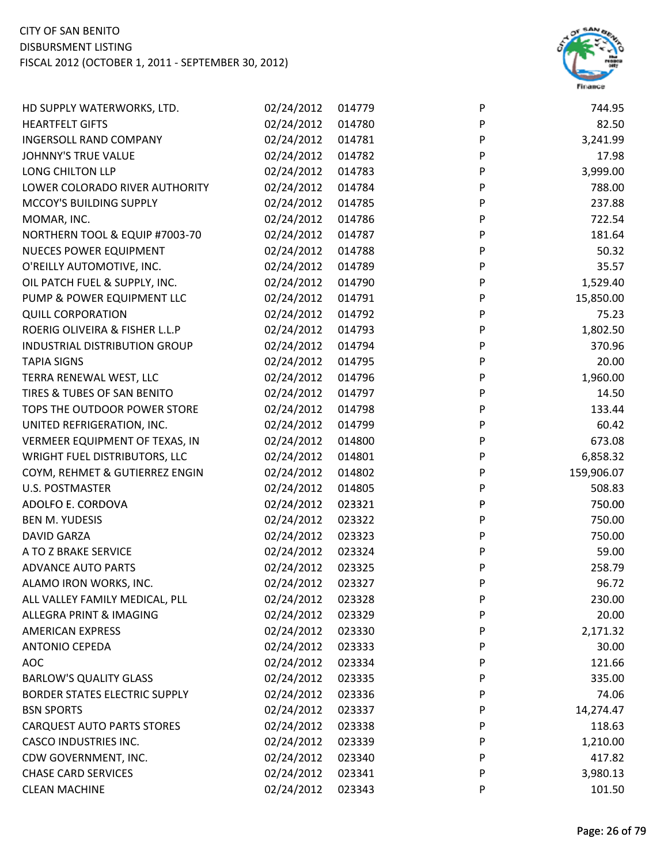

| HD SUPPLY WATERWORKS, LTD.           | 02/24/2012 | 014779 | P | 744.95     |
|--------------------------------------|------------|--------|---|------------|
| <b>HEARTFELT GIFTS</b>               | 02/24/2012 | 014780 | P | 82.50      |
| <b>INGERSOLL RAND COMPANY</b>        | 02/24/2012 | 014781 | P | 3,241.99   |
| JOHNNY'S TRUE VALUE                  | 02/24/2012 | 014782 | P | 17.98      |
| LONG CHILTON LLP                     | 02/24/2012 | 014783 | P | 3,999.00   |
| LOWER COLORADO RIVER AUTHORITY       | 02/24/2012 | 014784 | P | 788.00     |
| MCCOY'S BUILDING SUPPLY              | 02/24/2012 | 014785 | P | 237.88     |
| MOMAR, INC.                          | 02/24/2012 | 014786 | P | 722.54     |
| NORTHERN TOOL & EQUIP #7003-70       | 02/24/2012 | 014787 | P | 181.64     |
| <b>NUECES POWER EQUIPMENT</b>        | 02/24/2012 | 014788 | P | 50.32      |
| O'REILLY AUTOMOTIVE, INC.            | 02/24/2012 | 014789 | P | 35.57      |
| OIL PATCH FUEL & SUPPLY, INC.        | 02/24/2012 | 014790 | P | 1,529.40   |
| PUMP & POWER EQUIPMENT LLC           | 02/24/2012 | 014791 | P | 15,850.00  |
| <b>QUILL CORPORATION</b>             | 02/24/2012 | 014792 | P | 75.23      |
| ROERIG OLIVEIRA & FISHER L.L.P       | 02/24/2012 | 014793 | P | 1,802.50   |
| INDUSTRIAL DISTRIBUTION GROUP        | 02/24/2012 | 014794 | P | 370.96     |
| <b>TAPIA SIGNS</b>                   | 02/24/2012 | 014795 | P | 20.00      |
| TERRA RENEWAL WEST, LLC              | 02/24/2012 | 014796 | P | 1,960.00   |
| TIRES & TUBES OF SAN BENITO          | 02/24/2012 | 014797 | P | 14.50      |
| TOPS THE OUTDOOR POWER STORE         | 02/24/2012 | 014798 | P | 133.44     |
| UNITED REFRIGERATION, INC.           | 02/24/2012 | 014799 | P | 60.42      |
| VERMEER EQUIPMENT OF TEXAS, IN       | 02/24/2012 | 014800 | P | 673.08     |
| WRIGHT FUEL DISTRIBUTORS, LLC        | 02/24/2012 | 014801 | P | 6,858.32   |
| COYM, REHMET & GUTIERREZ ENGIN       | 02/24/2012 | 014802 | P | 159,906.07 |
| <b>U.S. POSTMASTER</b>               | 02/24/2012 | 014805 | P | 508.83     |
| ADOLFO E. CORDOVA                    | 02/24/2012 | 023321 | P | 750.00     |
| <b>BEN M. YUDESIS</b>                | 02/24/2012 | 023322 | P | 750.00     |
| <b>DAVID GARZA</b>                   | 02/24/2012 | 023323 | P | 750.00     |
| A TO Z BRAKE SERVICE                 | 02/24/2012 | 023324 | P | 59.00      |
| <b>ADVANCE AUTO PARTS</b>            | 02/24/2012 | 023325 | P | 258.79     |
| ALAMO IRON WORKS, INC.               | 02/24/2012 | 023327 | P | 96.72      |
| ALL VALLEY FAMILY MEDICAL, PLL       | 02/24/2012 | 023328 | P | 230.00     |
| ALLEGRA PRINT & IMAGING              | 02/24/2012 | 023329 | P | 20.00      |
| <b>AMERICAN EXPRESS</b>              | 02/24/2012 | 023330 | P | 2,171.32   |
| <b>ANTONIO CEPEDA</b>                | 02/24/2012 | 023333 | P | 30.00      |
| <b>AOC</b>                           | 02/24/2012 | 023334 | P | 121.66     |
| <b>BARLOW'S QUALITY GLASS</b>        | 02/24/2012 | 023335 | P | 335.00     |
| <b>BORDER STATES ELECTRIC SUPPLY</b> | 02/24/2012 | 023336 | P | 74.06      |
| <b>BSN SPORTS</b>                    | 02/24/2012 | 023337 | P | 14,274.47  |
| <b>CARQUEST AUTO PARTS STORES</b>    | 02/24/2012 | 023338 | P | 118.63     |
| <b>CASCO INDUSTRIES INC.</b>         | 02/24/2012 | 023339 | P | 1,210.00   |
| CDW GOVERNMENT, INC.                 | 02/24/2012 | 023340 | P | 417.82     |
| <b>CHASE CARD SERVICES</b>           | 02/24/2012 | 023341 | P | 3,980.13   |
| <b>CLEAN MACHINE</b>                 | 02/24/2012 | 023343 | P | 101.50     |
|                                      |            |        |   |            |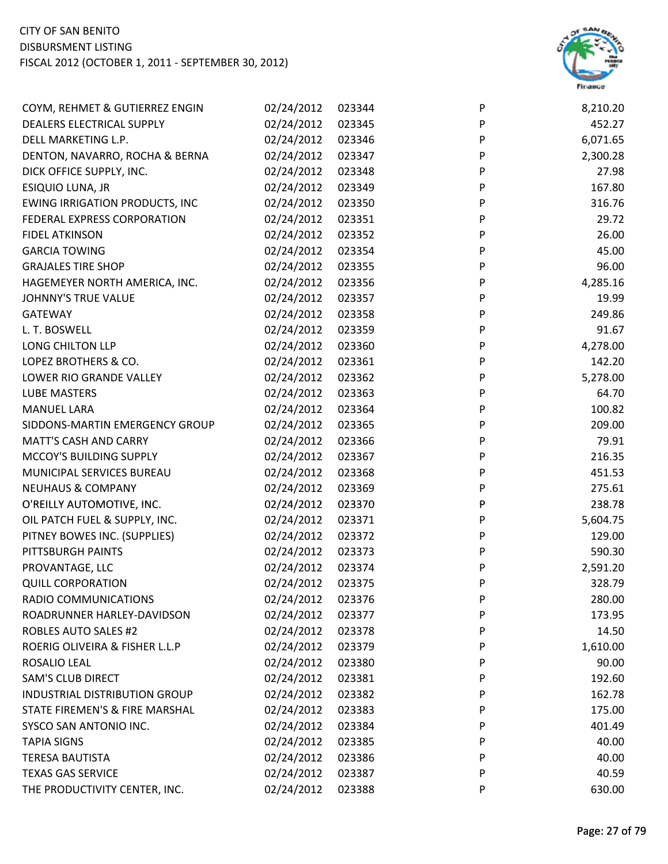

| COYM, REHMET & GUTIERREZ ENGIN        | 02/24/2012 | 023344 | P | 8,210.20 |
|---------------------------------------|------------|--------|---|----------|
| DEALERS ELECTRICAL SUPPLY             | 02/24/2012 | 023345 | P | 452.27   |
| DELL MARKETING L.P.                   | 02/24/2012 | 023346 | P | 6,071.65 |
| DENTON, NAVARRO, ROCHA & BERNA        | 02/24/2012 | 023347 | P | 2,300.28 |
| DICK OFFICE SUPPLY, INC.              | 02/24/2012 | 023348 | P | 27.98    |
| ESIQUIO LUNA, JR                      | 02/24/2012 | 023349 | P | 167.80   |
| <b>EWING IRRIGATION PRODUCTS, INC</b> | 02/24/2012 | 023350 | P | 316.76   |
| FEDERAL EXPRESS CORPORATION           | 02/24/2012 | 023351 | P | 29.72    |
| <b>FIDEL ATKINSON</b>                 | 02/24/2012 | 023352 | P | 26.00    |
| <b>GARCIA TOWING</b>                  | 02/24/2012 | 023354 | P | 45.00    |
| <b>GRAJALES TIRE SHOP</b>             | 02/24/2012 | 023355 | P | 96.00    |
| HAGEMEYER NORTH AMERICA, INC.         | 02/24/2012 | 023356 | P | 4,285.16 |
| <b>JOHNNY'S TRUE VALUE</b>            | 02/24/2012 | 023357 | P | 19.99    |
| <b>GATEWAY</b>                        | 02/24/2012 | 023358 | P | 249.86   |
| L. T. BOSWELL                         | 02/24/2012 | 023359 | P | 91.67    |
| LONG CHILTON LLP                      | 02/24/2012 | 023360 | P | 4,278.00 |
| LOPEZ BROTHERS & CO.                  | 02/24/2012 | 023361 | P | 142.20   |
| LOWER RIO GRANDE VALLEY               | 02/24/2012 | 023362 | P | 5,278.00 |
| LUBE MASTERS                          | 02/24/2012 | 023363 | P | 64.70    |
| <b>MANUEL LARA</b>                    | 02/24/2012 | 023364 | P | 100.82   |
| SIDDONS-MARTIN EMERGENCY GROUP        | 02/24/2012 | 023365 | P | 209.00   |
| <b>MATT'S CASH AND CARRY</b>          | 02/24/2012 | 023366 | P | 79.91    |
| MCCOY'S BUILDING SUPPLY               | 02/24/2012 | 023367 | P | 216.35   |
| MUNICIPAL SERVICES BUREAU             | 02/24/2012 | 023368 | P | 451.53   |
| <b>NEUHAUS &amp; COMPANY</b>          | 02/24/2012 | 023369 | P | 275.61   |
| O'REILLY AUTOMOTIVE, INC.             | 02/24/2012 | 023370 | P | 238.78   |
| OIL PATCH FUEL & SUPPLY, INC.         | 02/24/2012 | 023371 | P | 5,604.75 |
| PITNEY BOWES INC. (SUPPLIES)          | 02/24/2012 | 023372 | P | 129.00   |
| PITTSBURGH PAINTS                     | 02/24/2012 | 023373 | P | 590.30   |
| PROVANTAGE, LLC                       | 02/24/2012 | 023374 | P | 2,591.20 |
| <b>QUILL CORPORATION</b>              | 02/24/2012 | 023375 | P | 328.79   |
| RADIO COMMUNICATIONS                  | 02/24/2012 | 023376 | P | 280.00   |
| ROADRUNNER HARLEY-DAVIDSON            | 02/24/2012 | 023377 | P | 173.95   |
| <b>ROBLES AUTO SALES #2</b>           | 02/24/2012 | 023378 | P | 14.50    |
| ROERIG OLIVEIRA & FISHER L.L.P        | 02/24/2012 | 023379 | P | 1,610.00 |
| ROSALIO LEAL                          | 02/24/2012 | 023380 | P | 90.00    |
| <b>SAM'S CLUB DIRECT</b>              | 02/24/2012 | 023381 | P | 192.60   |
| <b>INDUSTRIAL DISTRIBUTION GROUP</b>  | 02/24/2012 | 023382 | P | 162.78   |
| STATE FIREMEN'S & FIRE MARSHAL        | 02/24/2012 | 023383 | P | 175.00   |
| SYSCO SAN ANTONIO INC.                | 02/24/2012 | 023384 | P | 401.49   |
| <b>TAPIA SIGNS</b>                    | 02/24/2012 | 023385 | P | 40.00    |
| <b>TERESA BAUTISTA</b>                | 02/24/2012 | 023386 | P | 40.00    |
| <b>TEXAS GAS SERVICE</b>              | 02/24/2012 | 023387 | P | 40.59    |
| THE PRODUCTIVITY CENTER, INC.         | 02/24/2012 | 023388 | P | 630.00   |
|                                       |            |        |   |          |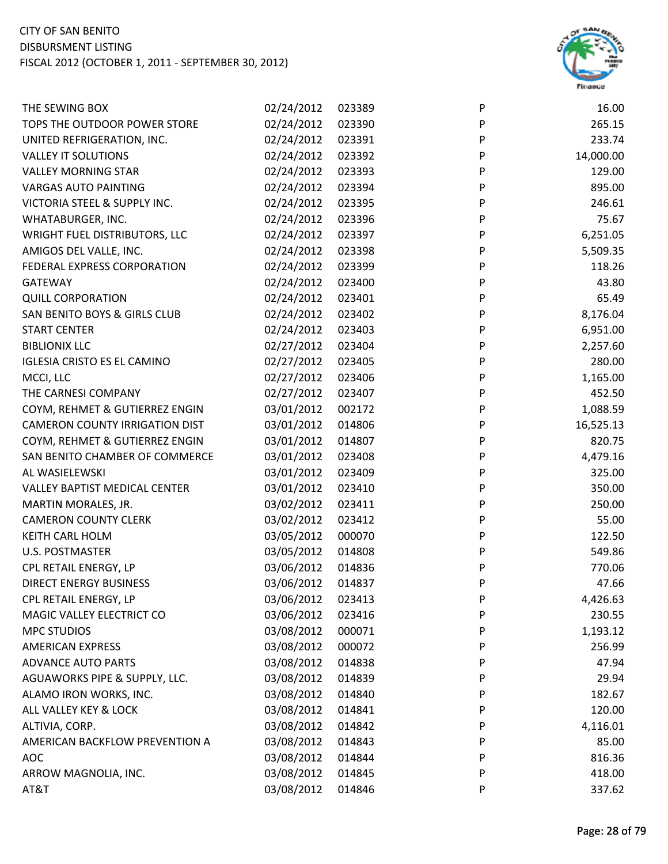

| THE SEWING BOX                        | 02/24/2012 | 023389 | P                         | 16.00     |
|---------------------------------------|------------|--------|---------------------------|-----------|
| TOPS THE OUTDOOR POWER STORE          | 02/24/2012 | 023390 | P                         | 265.15    |
| UNITED REFRIGERATION, INC.            | 02/24/2012 | 023391 | ${\sf P}$                 | 233.74    |
| <b>VALLEY IT SOLUTIONS</b>            | 02/24/2012 | 023392 | P                         | 14,000.00 |
| <b>VALLEY MORNING STAR</b>            | 02/24/2012 | 023393 | P                         | 129.00    |
| <b>VARGAS AUTO PAINTING</b>           | 02/24/2012 | 023394 | P                         | 895.00    |
| VICTORIA STEEL & SUPPLY INC.          | 02/24/2012 | 023395 | P                         | 246.61    |
| WHATABURGER, INC.                     | 02/24/2012 | 023396 | P                         | 75.67     |
| WRIGHT FUEL DISTRIBUTORS, LLC         | 02/24/2012 | 023397 | P                         | 6,251.05  |
| AMIGOS DEL VALLE, INC.                | 02/24/2012 | 023398 | P                         | 5,509.35  |
| FEDERAL EXPRESS CORPORATION           | 02/24/2012 | 023399 | P                         | 118.26    |
| GATEWAY                               | 02/24/2012 | 023400 | P                         | 43.80     |
| <b>QUILL CORPORATION</b>              | 02/24/2012 | 023401 | P                         | 65.49     |
| SAN BENITO BOYS & GIRLS CLUB          | 02/24/2012 | 023402 | P                         | 8,176.04  |
| <b>START CENTER</b>                   | 02/24/2012 | 023403 | $\boldsymbol{\mathsf{P}}$ | 6,951.00  |
| <b>BIBLIONIX LLC</b>                  | 02/27/2012 | 023404 | $\boldsymbol{\mathsf{P}}$ | 2,257.60  |
| <b>IGLESIA CRISTO ES EL CAMINO</b>    | 02/27/2012 | 023405 | P                         | 280.00    |
| MCCI, LLC                             | 02/27/2012 | 023406 | P                         | 1,165.00  |
| THE CARNESI COMPANY                   | 02/27/2012 | 023407 | P                         | 452.50    |
| COYM, REHMET & GUTIERREZ ENGIN        | 03/01/2012 | 002172 | P                         | 1,088.59  |
| <b>CAMERON COUNTY IRRIGATION DIST</b> | 03/01/2012 | 014806 | P                         | 16,525.13 |
| COYM, REHMET & GUTIERREZ ENGIN        | 03/01/2012 | 014807 | P                         | 820.75    |
| SAN BENITO CHAMBER OF COMMERCE        | 03/01/2012 | 023408 | P                         | 4,479.16  |
| AL WASIELEWSKI                        | 03/01/2012 | 023409 | P                         | 325.00    |
| <b>VALLEY BAPTIST MEDICAL CENTER</b>  | 03/01/2012 | 023410 | P                         | 350.00    |
| MARTIN MORALES, JR.                   | 03/02/2012 | 023411 | P                         | 250.00    |
| <b>CAMERON COUNTY CLERK</b>           | 03/02/2012 | 023412 | P                         | 55.00     |
| <b>KEITH CARL HOLM</b>                | 03/05/2012 | 000070 | P                         | 122.50    |
| <b>U.S. POSTMASTER</b>                | 03/05/2012 | 014808 | P                         | 549.86    |
| CPL RETAIL ENERGY, LP                 | 03/06/2012 | 014836 | P                         | 770.06    |
| <b>DIRECT ENERGY BUSINESS</b>         | 03/06/2012 | 014837 | P                         | 47.66     |
| CPL RETAIL ENERGY, LP                 | 03/06/2012 | 023413 | P                         | 4,426.63  |
| MAGIC VALLEY ELECTRICT CO             | 03/06/2012 | 023416 | P                         | 230.55    |
| <b>MPC STUDIOS</b>                    | 03/08/2012 | 000071 | P                         | 1,193.12  |
| <b>AMERICAN EXPRESS</b>               | 03/08/2012 | 000072 | P                         | 256.99    |
| <b>ADVANCE AUTO PARTS</b>             | 03/08/2012 | 014838 | P                         | 47.94     |
| AGUAWORKS PIPE & SUPPLY, LLC.         | 03/08/2012 | 014839 | P                         | 29.94     |
| ALAMO IRON WORKS, INC.                | 03/08/2012 | 014840 | P                         | 182.67    |
| ALL VALLEY KEY & LOCK                 | 03/08/2012 | 014841 | P                         | 120.00    |
| ALTIVIA, CORP.                        | 03/08/2012 | 014842 | P                         | 4,116.01  |
| AMERICAN BACKFLOW PREVENTION A        | 03/08/2012 | 014843 | P                         | 85.00     |
| <b>AOC</b>                            | 03/08/2012 | 014844 | P                         | 816.36    |
| ARROW MAGNOLIA, INC.                  | 03/08/2012 | 014845 | P                         | 418.00    |
| AT&T                                  | 03/08/2012 | 014846 | P                         | 337.62    |
|                                       |            |        |                           |           |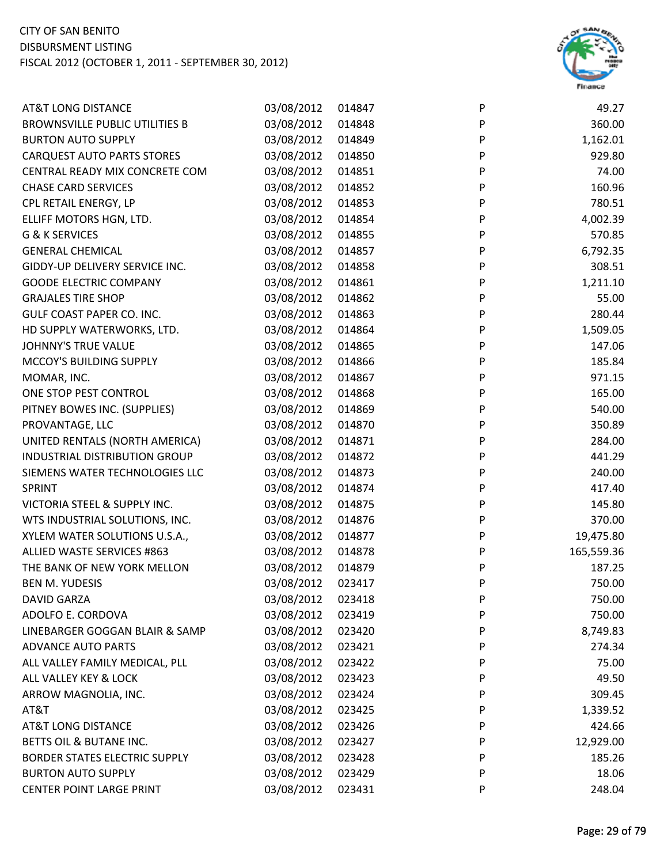

| <b>AT&amp;T LONG DISTANCE</b>         | 03/08/2012 | 014847 | P                         | 49.27      |
|---------------------------------------|------------|--------|---------------------------|------------|
| <b>BROWNSVILLE PUBLIC UTILITIES B</b> | 03/08/2012 | 014848 | P                         | 360.00     |
| <b>BURTON AUTO SUPPLY</b>             | 03/08/2012 | 014849 | P                         | 1,162.01   |
| <b>CARQUEST AUTO PARTS STORES</b>     | 03/08/2012 | 014850 | P                         | 929.80     |
| CENTRAL READY MIX CONCRETE COM        | 03/08/2012 | 014851 | P                         | 74.00      |
| <b>CHASE CARD SERVICES</b>            | 03/08/2012 | 014852 | P                         | 160.96     |
| CPL RETAIL ENERGY, LP                 | 03/08/2012 | 014853 | P                         | 780.51     |
| ELLIFF MOTORS HGN, LTD.               | 03/08/2012 | 014854 | P                         | 4,002.39   |
| <b>G &amp; K SERVICES</b>             | 03/08/2012 | 014855 | P                         | 570.85     |
| <b>GENERAL CHEMICAL</b>               | 03/08/2012 | 014857 | P                         | 6,792.35   |
| GIDDY-UP DELIVERY SERVICE INC.        | 03/08/2012 | 014858 | P                         | 308.51     |
| <b>GOODE ELECTRIC COMPANY</b>         | 03/08/2012 | 014861 | P                         | 1,211.10   |
| <b>GRAJALES TIRE SHOP</b>             | 03/08/2012 | 014862 | P                         | 55.00      |
| GULF COAST PAPER CO. INC.             | 03/08/2012 | 014863 | P                         | 280.44     |
| HD SUPPLY WATERWORKS, LTD.            | 03/08/2012 | 014864 | $\boldsymbol{\mathsf{P}}$ | 1,509.05   |
| <b>JOHNNY'S TRUE VALUE</b>            | 03/08/2012 | 014865 | P                         | 147.06     |
| MCCOY'S BUILDING SUPPLY               | 03/08/2012 | 014866 | P                         | 185.84     |
| MOMAR, INC.                           | 03/08/2012 | 014867 | P                         | 971.15     |
| ONE STOP PEST CONTROL                 | 03/08/2012 | 014868 | P                         | 165.00     |
| PITNEY BOWES INC. (SUPPLIES)          | 03/08/2012 | 014869 | P                         | 540.00     |
| PROVANTAGE, LLC                       | 03/08/2012 | 014870 | P                         | 350.89     |
| UNITED RENTALS (NORTH AMERICA)        | 03/08/2012 | 014871 | P                         | 284.00     |
| <b>INDUSTRIAL DISTRIBUTION GROUP</b>  | 03/08/2012 | 014872 | P                         | 441.29     |
| SIEMENS WATER TECHNOLOGIES LLC        | 03/08/2012 | 014873 | P                         | 240.00     |
| <b>SPRINT</b>                         | 03/08/2012 | 014874 | P                         | 417.40     |
| VICTORIA STEEL & SUPPLY INC.          | 03/08/2012 | 014875 | P                         | 145.80     |
| WTS INDUSTRIAL SOLUTIONS, INC.        | 03/08/2012 | 014876 | P                         | 370.00     |
| XYLEM WATER SOLUTIONS U.S.A.,         | 03/08/2012 | 014877 | P                         | 19,475.80  |
| ALLIED WASTE SERVICES #863            | 03/08/2012 | 014878 | P                         | 165,559.36 |
| THE BANK OF NEW YORK MELLON           | 03/08/2012 | 014879 | P                         | 187.25     |
| <b>BEN M. YUDESIS</b>                 | 03/08/2012 | 023417 | P                         | 750.00     |
| <b>DAVID GARZA</b>                    | 03/08/2012 | 023418 | P                         | 750.00     |
| ADOLFO E. CORDOVA                     | 03/08/2012 | 023419 | P                         | 750.00     |
| LINEBARGER GOGGAN BLAIR & SAMP        | 03/08/2012 | 023420 | P                         | 8,749.83   |
| <b>ADVANCE AUTO PARTS</b>             | 03/08/2012 | 023421 | P                         | 274.34     |
| ALL VALLEY FAMILY MEDICAL, PLL        | 03/08/2012 | 023422 | P                         | 75.00      |
| ALL VALLEY KEY & LOCK                 | 03/08/2012 | 023423 | P                         | 49.50      |
| ARROW MAGNOLIA, INC.                  | 03/08/2012 | 023424 | P                         | 309.45     |
| AT&T                                  | 03/08/2012 | 023425 | P                         | 1,339.52   |
| <b>AT&amp;T LONG DISTANCE</b>         | 03/08/2012 | 023426 | P                         | 424.66     |
| BETTS OIL & BUTANE INC.               | 03/08/2012 | 023427 | P                         | 12,929.00  |
| <b>BORDER STATES ELECTRIC SUPPLY</b>  | 03/08/2012 | 023428 | P                         | 185.26     |
| <b>BURTON AUTO SUPPLY</b>             | 03/08/2012 | 023429 | P                         | 18.06      |
| <b>CENTER POINT LARGE PRINT</b>       | 03/08/2012 | 023431 | P                         | 248.04     |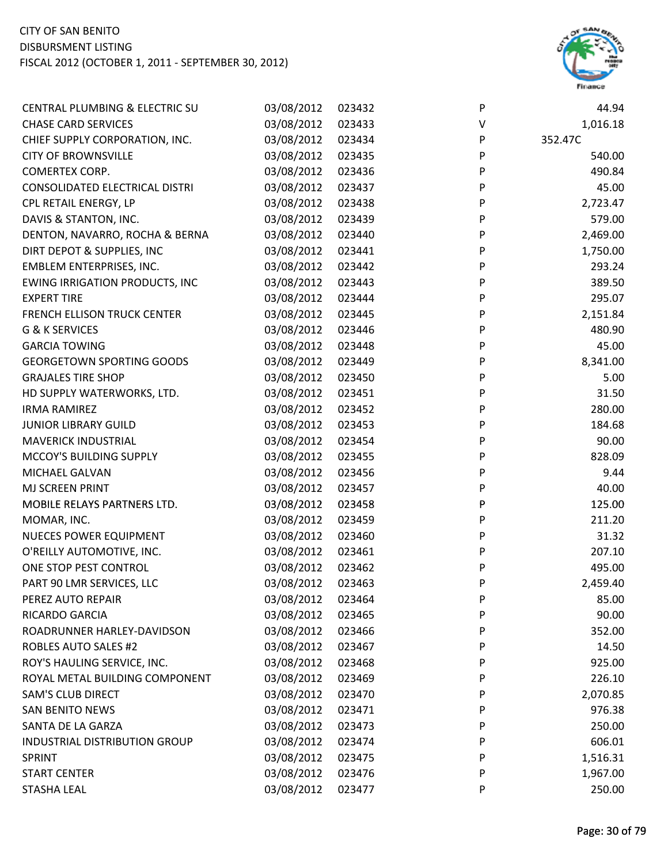

| CENTRAL PLUMBING & ELECTRIC SU        | 03/08/2012 | 023432 | P         | 44.94    |
|---------------------------------------|------------|--------|-----------|----------|
| <b>CHASE CARD SERVICES</b>            | 03/08/2012 | 023433 | V         | 1,016.18 |
| CHIEF SUPPLY CORPORATION, INC.        | 03/08/2012 | 023434 | P         | 352.47C  |
| <b>CITY OF BROWNSVILLE</b>            | 03/08/2012 | 023435 | P         | 540.00   |
| <b>COMERTEX CORP.</b>                 | 03/08/2012 | 023436 | P         | 490.84   |
| CONSOLIDATED ELECTRICAL DISTRI        | 03/08/2012 | 023437 | P         | 45.00    |
| CPL RETAIL ENERGY, LP                 | 03/08/2012 | 023438 | P         | 2,723.47 |
| DAVIS & STANTON, INC.                 | 03/08/2012 | 023439 | P         | 579.00   |
| DENTON, NAVARRO, ROCHA & BERNA        | 03/08/2012 | 023440 | P         | 2,469.00 |
| DIRT DEPOT & SUPPLIES, INC            | 03/08/2012 | 023441 | P         | 1,750.00 |
| EMBLEM ENTERPRISES, INC.              | 03/08/2012 | 023442 | P         | 293.24   |
| <b>EWING IRRIGATION PRODUCTS, INC</b> | 03/08/2012 | 023443 | P         | 389.50   |
| <b>EXPERT TIRE</b>                    | 03/08/2012 | 023444 | P         | 295.07   |
| <b>FRENCH ELLISON TRUCK CENTER</b>    | 03/08/2012 | 023445 | P         | 2,151.84 |
| G & K SERVICES                        | 03/08/2012 | 023446 | P         | 480.90   |
| <b>GARCIA TOWING</b>                  | 03/08/2012 | 023448 | P         | 45.00    |
| <b>GEORGETOWN SPORTING GOODS</b>      | 03/08/2012 | 023449 | P         | 8,341.00 |
| <b>GRAJALES TIRE SHOP</b>             | 03/08/2012 | 023450 | P         | 5.00     |
| HD SUPPLY WATERWORKS, LTD.            | 03/08/2012 | 023451 | P         | 31.50    |
| <b>IRMA RAMIREZ</b>                   | 03/08/2012 | 023452 | ${\sf P}$ | 280.00   |
| <b>JUNIOR LIBRARY GUILD</b>           | 03/08/2012 | 023453 | P         | 184.68   |
| <b>MAVERICK INDUSTRIAL</b>            | 03/08/2012 | 023454 | P         | 90.00    |
| MCCOY'S BUILDING SUPPLY               | 03/08/2012 | 023455 | P         | 828.09   |
| MICHAEL GALVAN                        | 03/08/2012 | 023456 | P         | 9.44     |
| MJ SCREEN PRINT                       | 03/08/2012 | 023457 | P         | 40.00    |
| MOBILE RELAYS PARTNERS LTD.           | 03/08/2012 | 023458 | P         | 125.00   |
| MOMAR, INC.                           | 03/08/2012 | 023459 | P         | 211.20   |
| <b>NUECES POWER EQUIPMENT</b>         | 03/08/2012 | 023460 | P         | 31.32    |
| O'REILLY AUTOMOTIVE, INC.             | 03/08/2012 | 023461 | P         | 207.10   |
| ONE STOP PEST CONTROL                 | 03/08/2012 | 023462 | P         | 495.00   |
| PART 90 LMR SERVICES, LLC             | 03/08/2012 | 023463 | P         | 2,459.40 |
| PEREZ AUTO REPAIR                     | 03/08/2012 | 023464 | P         | 85.00    |
| RICARDO GARCIA                        | 03/08/2012 | 023465 | P         | 90.00    |
| ROADRUNNER HARLEY-DAVIDSON            | 03/08/2012 | 023466 | P         | 352.00   |
| <b>ROBLES AUTO SALES #2</b>           | 03/08/2012 | 023467 | P         | 14.50    |
| ROY'S HAULING SERVICE, INC.           | 03/08/2012 | 023468 | P         | 925.00   |
| ROYAL METAL BUILDING COMPONENT        | 03/08/2012 | 023469 | P         | 226.10   |
| <b>SAM'S CLUB DIRECT</b>              | 03/08/2012 | 023470 | P         | 2,070.85 |
| <b>SAN BENITO NEWS</b>                | 03/08/2012 | 023471 | P         | 976.38   |
| SANTA DE LA GARZA                     | 03/08/2012 | 023473 | P         | 250.00   |
| INDUSTRIAL DISTRIBUTION GROUP         | 03/08/2012 | 023474 | P         | 606.01   |
| SPRINT                                | 03/08/2012 | 023475 | P         | 1,516.31 |
| <b>START CENTER</b>                   | 03/08/2012 | 023476 | P         | 1,967.00 |
| <b>STASHA LEAL</b>                    | 03/08/2012 | 023477 | P         | 250.00   |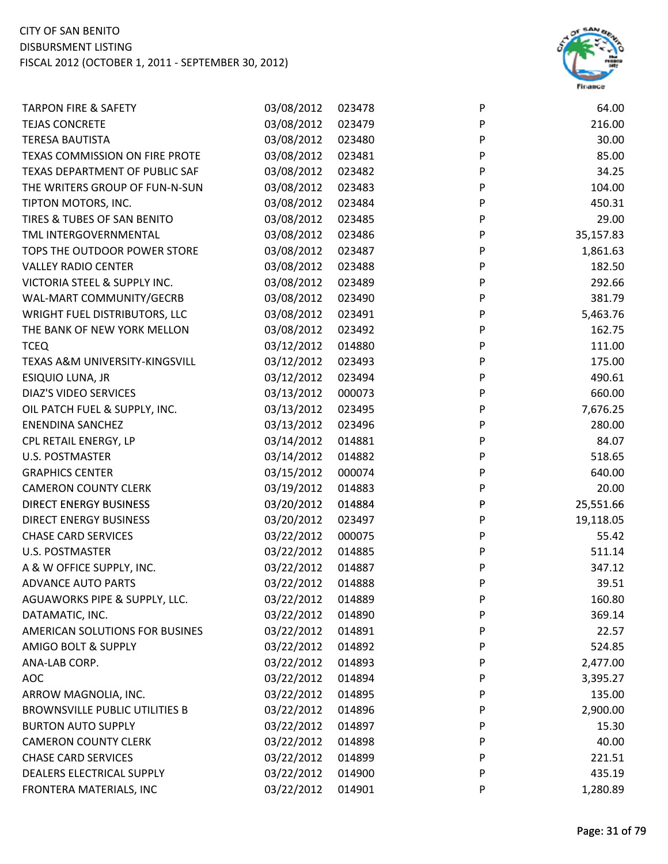

| <b>TARPON FIRE &amp; SAFETY</b>       | 03/08/2012 | 023478 | P | 64.00     |
|---------------------------------------|------------|--------|---|-----------|
| <b>TEJAS CONCRETE</b>                 | 03/08/2012 | 023479 | P | 216.00    |
| <b>TERESA BAUTISTA</b>                | 03/08/2012 | 023480 | P | 30.00     |
| TEXAS COMMISSION ON FIRE PROTE        | 03/08/2012 | 023481 | P | 85.00     |
| TEXAS DEPARTMENT OF PUBLIC SAF        | 03/08/2012 | 023482 | P | 34.25     |
| THE WRITERS GROUP OF FUN-N-SUN        | 03/08/2012 | 023483 | P | 104.00    |
| TIPTON MOTORS, INC.                   | 03/08/2012 | 023484 | P | 450.31    |
| TIRES & TUBES OF SAN BENITO           | 03/08/2012 | 023485 | P | 29.00     |
| TML INTERGOVERNMENTAL                 | 03/08/2012 | 023486 | P | 35,157.83 |
| TOPS THE OUTDOOR POWER STORE          | 03/08/2012 | 023487 | P | 1,861.63  |
| <b>VALLEY RADIO CENTER</b>            | 03/08/2012 | 023488 | P | 182.50    |
| VICTORIA STEEL & SUPPLY INC.          | 03/08/2012 | 023489 | P | 292.66    |
| WAL-MART COMMUNITY/GECRB              | 03/08/2012 | 023490 | P | 381.79    |
| WRIGHT FUEL DISTRIBUTORS, LLC         | 03/08/2012 | 023491 | P | 5,463.76  |
| THE BANK OF NEW YORK MELLON           | 03/08/2012 | 023492 | P | 162.75    |
| <b>TCEQ</b>                           | 03/12/2012 | 014880 | P | 111.00    |
| TEXAS A&M UNIVERSITY-KINGSVILL        | 03/12/2012 | 023493 | P | 175.00    |
| ESIQUIO LUNA, JR                      | 03/12/2012 | 023494 | P | 490.61    |
| <b>DIAZ'S VIDEO SERVICES</b>          | 03/13/2012 | 000073 | P | 660.00    |
| OIL PATCH FUEL & SUPPLY, INC.         | 03/13/2012 | 023495 | P | 7,676.25  |
| <b>ENENDINA SANCHEZ</b>               | 03/13/2012 | 023496 | P | 280.00    |
| CPL RETAIL ENERGY, LP                 | 03/14/2012 | 014881 | P | 84.07     |
| <b>U.S. POSTMASTER</b>                | 03/14/2012 | 014882 | P | 518.65    |
| <b>GRAPHICS CENTER</b>                | 03/15/2012 | 000074 | P | 640.00    |
| <b>CAMERON COUNTY CLERK</b>           | 03/19/2012 | 014883 | P | 20.00     |
| <b>DIRECT ENERGY BUSINESS</b>         | 03/20/2012 | 014884 | P | 25,551.66 |
| <b>DIRECT ENERGY BUSINESS</b>         | 03/20/2012 | 023497 | P | 19,118.05 |
| <b>CHASE CARD SERVICES</b>            | 03/22/2012 | 000075 | P | 55.42     |
| U.S. POSTMASTER                       | 03/22/2012 | 014885 | P | 511.14    |
| A & W OFFICE SUPPLY, INC.             | 03/22/2012 | 014887 | P | 347.12    |
| <b>ADVANCE AUTO PARTS</b>             | 03/22/2012 | 014888 | P | 39.51     |
| AGUAWORKS PIPE & SUPPLY, LLC.         | 03/22/2012 | 014889 | P | 160.80    |
| DATAMATIC, INC.                       | 03/22/2012 | 014890 | P | 369.14    |
| AMERICAN SOLUTIONS FOR BUSINES        | 03/22/2012 | 014891 | P | 22.57     |
| <b>AMIGO BOLT &amp; SUPPLY</b>        | 03/22/2012 | 014892 | P | 524.85    |
| ANA-LAB CORP.                         | 03/22/2012 | 014893 | P | 2,477.00  |
| <b>AOC</b>                            | 03/22/2012 | 014894 | P | 3,395.27  |
| ARROW MAGNOLIA, INC.                  | 03/22/2012 | 014895 | P | 135.00    |
| <b>BROWNSVILLE PUBLIC UTILITIES B</b> | 03/22/2012 | 014896 | P | 2,900.00  |
| <b>BURTON AUTO SUPPLY</b>             | 03/22/2012 | 014897 | P | 15.30     |
| <b>CAMERON COUNTY CLERK</b>           | 03/22/2012 | 014898 | P | 40.00     |
| <b>CHASE CARD SERVICES</b>            | 03/22/2012 | 014899 | P | 221.51    |
| DEALERS ELECTRICAL SUPPLY             | 03/22/2012 | 014900 | P | 435.19    |
| FRONTERA MATERIALS, INC               | 03/22/2012 | 014901 | P | 1,280.89  |
|                                       |            |        |   |           |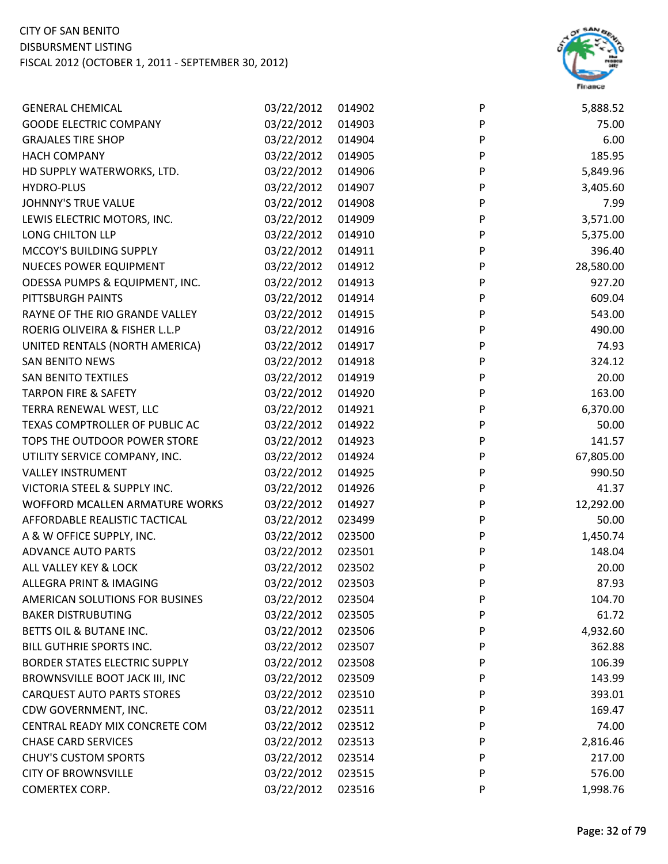

| <b>GENERAL CHEMICAL</b>           | 03/22/2012 | 014902 | P | 5,888.52  |
|-----------------------------------|------------|--------|---|-----------|
| <b>GOODE ELECTRIC COMPANY</b>     | 03/22/2012 | 014903 | P | 75.00     |
| <b>GRAJALES TIRE SHOP</b>         | 03/22/2012 | 014904 | P | 6.00      |
| <b>HACH COMPANY</b>               | 03/22/2012 | 014905 | P | 185.95    |
| HD SUPPLY WATERWORKS, LTD.        | 03/22/2012 | 014906 | P | 5,849.96  |
| <b>HYDRO-PLUS</b>                 | 03/22/2012 | 014907 | P | 3,405.60  |
| JOHNNY'S TRUE VALUE               | 03/22/2012 | 014908 | P | 7.99      |
| LEWIS ELECTRIC MOTORS, INC.       | 03/22/2012 | 014909 | P | 3,571.00  |
| LONG CHILTON LLP                  | 03/22/2012 | 014910 | P | 5,375.00  |
| MCCOY'S BUILDING SUPPLY           | 03/22/2012 | 014911 | P | 396.40    |
| <b>NUECES POWER EQUIPMENT</b>     | 03/22/2012 | 014912 | P | 28,580.00 |
| ODESSA PUMPS & EQUIPMENT, INC.    | 03/22/2012 | 014913 | P | 927.20    |
| PITTSBURGH PAINTS                 | 03/22/2012 | 014914 | P | 609.04    |
| RAYNE OF THE RIO GRANDE VALLEY    | 03/22/2012 | 014915 | P | 543.00    |
| ROERIG OLIVEIRA & FISHER L.L.P    | 03/22/2012 | 014916 | P | 490.00    |
| UNITED RENTALS (NORTH AMERICA)    | 03/22/2012 | 014917 | P | 74.93     |
| <b>SAN BENITO NEWS</b>            | 03/22/2012 | 014918 | P | 324.12    |
| <b>SAN BENITO TEXTILES</b>        | 03/22/2012 | 014919 | P | 20.00     |
| <b>TARPON FIRE &amp; SAFETY</b>   | 03/22/2012 | 014920 | P | 163.00    |
| TERRA RENEWAL WEST, LLC           | 03/22/2012 | 014921 | P | 6,370.00  |
| TEXAS COMPTROLLER OF PUBLIC AC    | 03/22/2012 | 014922 | P | 50.00     |
| TOPS THE OUTDOOR POWER STORE      | 03/22/2012 | 014923 | P | 141.57    |
| UTILITY SERVICE COMPANY, INC.     | 03/22/2012 | 014924 | P | 67,805.00 |
| <b>VALLEY INSTRUMENT</b>          | 03/22/2012 | 014925 | P | 990.50    |
| VICTORIA STEEL & SUPPLY INC.      | 03/22/2012 | 014926 | P | 41.37     |
| WOFFORD MCALLEN ARMATURE WORKS    | 03/22/2012 | 014927 | P | 12,292.00 |
| AFFORDABLE REALISTIC TACTICAL     | 03/22/2012 | 023499 | P | 50.00     |
| A & W OFFICE SUPPLY, INC.         | 03/22/2012 | 023500 | P | 1,450.74  |
| <b>ADVANCE AUTO PARTS</b>         | 03/22/2012 | 023501 | P | 148.04    |
| ALL VALLEY KEY & LOCK             | 03/22/2012 | 023502 | P | 20.00     |
| ALLEGRA PRINT & IMAGING           | 03/22/2012 | 023503 | P | 87.93     |
| AMERICAN SOLUTIONS FOR BUSINES    | 03/22/2012 | 023504 | P | 104.70    |
| <b>BAKER DISTRUBUTING</b>         | 03/22/2012 | 023505 | P | 61.72     |
| BETTS OIL & BUTANE INC.           | 03/22/2012 | 023506 | P | 4,932.60  |
| BILL GUTHRIE SPORTS INC.          | 03/22/2012 | 023507 | P | 362.88    |
| BORDER STATES ELECTRIC SUPPLY     | 03/22/2012 | 023508 | P | 106.39    |
| BROWNSVILLE BOOT JACK III, INC    | 03/22/2012 | 023509 | P | 143.99    |
| <b>CARQUEST AUTO PARTS STORES</b> | 03/22/2012 | 023510 | P | 393.01    |
| CDW GOVERNMENT, INC.              | 03/22/2012 | 023511 | P | 169.47    |
| CENTRAL READY MIX CONCRETE COM    | 03/22/2012 | 023512 | P | 74.00     |
| <b>CHASE CARD SERVICES</b>        | 03/22/2012 | 023513 | P | 2,816.46  |
| <b>CHUY'S CUSTOM SPORTS</b>       | 03/22/2012 | 023514 | P | 217.00    |
| <b>CITY OF BROWNSVILLE</b>        | 03/22/2012 | 023515 | P | 576.00    |
| COMERTEX CORP.                    | 03/22/2012 | 023516 | P | 1,998.76  |
|                                   |            |        |   |           |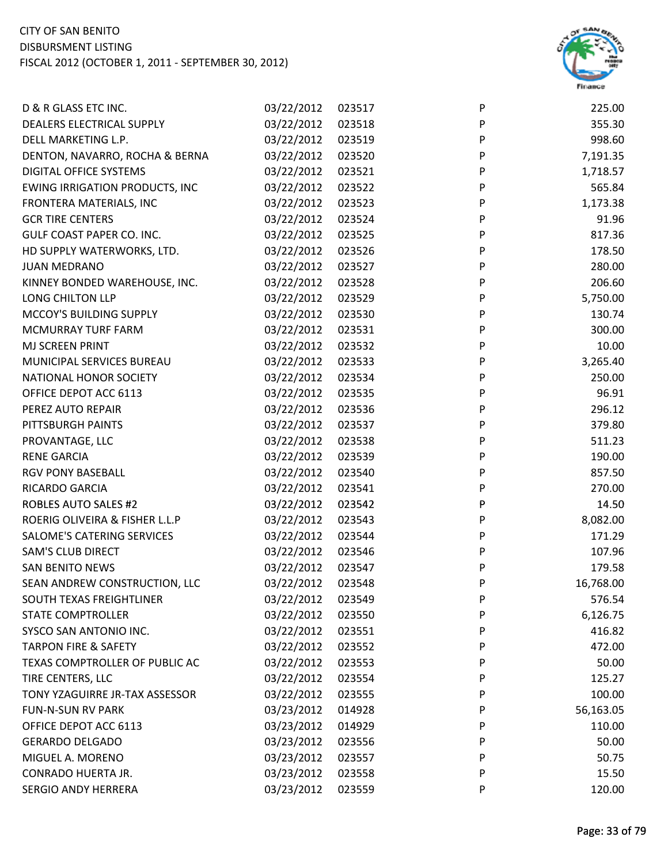

| D & R GLASS ETC INC.                  | 03/22/2012 | 023517 | P | 225.00    |
|---------------------------------------|------------|--------|---|-----------|
| DEALERS ELECTRICAL SUPPLY             | 03/22/2012 | 023518 | P | 355.30    |
| DELL MARKETING L.P.                   | 03/22/2012 | 023519 | P | 998.60    |
| DENTON, NAVARRO, ROCHA & BERNA        | 03/22/2012 | 023520 | P | 7,191.35  |
| DIGITAL OFFICE SYSTEMS                | 03/22/2012 | 023521 | P | 1,718.57  |
| <b>EWING IRRIGATION PRODUCTS, INC</b> | 03/22/2012 | 023522 | P | 565.84    |
| FRONTERA MATERIALS, INC               | 03/22/2012 | 023523 | P | 1,173.38  |
| <b>GCR TIRE CENTERS</b>               | 03/22/2012 | 023524 | P | 91.96     |
| GULF COAST PAPER CO. INC.             | 03/22/2012 | 023525 | P | 817.36    |
| HD SUPPLY WATERWORKS, LTD.            | 03/22/2012 | 023526 | P | 178.50    |
| <b>JUAN MEDRANO</b>                   | 03/22/2012 | 023527 | P | 280.00    |
| KINNEY BONDED WAREHOUSE, INC.         | 03/22/2012 | 023528 | P | 206.60    |
| LONG CHILTON LLP                      | 03/22/2012 | 023529 | P | 5,750.00  |
| MCCOY'S BUILDING SUPPLY               | 03/22/2012 | 023530 | P | 130.74    |
| MCMURRAY TURF FARM                    | 03/22/2012 | 023531 | P | 300.00    |
| MJ SCREEN PRINT                       | 03/22/2012 | 023532 | P | 10.00     |
| MUNICIPAL SERVICES BUREAU             | 03/22/2012 | 023533 | P | 3,265.40  |
| NATIONAL HONOR SOCIETY                | 03/22/2012 | 023534 | P | 250.00    |
| OFFICE DEPOT ACC 6113                 | 03/22/2012 | 023535 | P | 96.91     |
| PEREZ AUTO REPAIR                     | 03/22/2012 | 023536 | P | 296.12    |
| PITTSBURGH PAINTS                     | 03/22/2012 | 023537 | P | 379.80    |
| PROVANTAGE, LLC                       | 03/22/2012 | 023538 | P | 511.23    |
| <b>RENE GARCIA</b>                    | 03/22/2012 | 023539 | P | 190.00    |
| <b>RGV PONY BASEBALL</b>              | 03/22/2012 | 023540 | P | 857.50    |
| RICARDO GARCIA                        | 03/22/2012 | 023541 | P | 270.00    |
| <b>ROBLES AUTO SALES #2</b>           | 03/22/2012 | 023542 | P | 14.50     |
| ROERIG OLIVEIRA & FISHER L.L.P        | 03/22/2012 | 023543 | P | 8,082.00  |
| SALOME'S CATERING SERVICES            | 03/22/2012 | 023544 | P | 171.29    |
| <b>SAM'S CLUB DIRECT</b>              | 03/22/2012 | 023546 | P | 107.96    |
| <b>SAN BENITO NEWS</b>                | 03/22/2012 | 023547 | P | 179.58    |
| SEAN ANDREW CONSTRUCTION, LLC         | 03/22/2012 | 023548 | P | 16,768.00 |
| SOUTH TEXAS FREIGHTLINER              | 03/22/2012 | 023549 | P | 576.54    |
| <b>STATE COMPTROLLER</b>              | 03/22/2012 | 023550 | P | 6,126.75  |
| SYSCO SAN ANTONIO INC.                | 03/22/2012 | 023551 | P | 416.82    |
| <b>TARPON FIRE &amp; SAFETY</b>       | 03/22/2012 | 023552 | P | 472.00    |
| TEXAS COMPTROLLER OF PUBLIC AC        | 03/22/2012 | 023553 | P | 50.00     |
| TIRE CENTERS, LLC                     | 03/22/2012 | 023554 | P | 125.27    |
| TONY YZAGUIRRE JR-TAX ASSESSOR        | 03/22/2012 | 023555 | P | 100.00    |
| <b>FUN-N-SUN RV PARK</b>              | 03/23/2012 | 014928 | P | 56,163.05 |
| OFFICE DEPOT ACC 6113                 | 03/23/2012 | 014929 | P | 110.00    |
| <b>GERARDO DELGADO</b>                | 03/23/2012 | 023556 | P | 50.00     |
| MIGUEL A. MORENO                      | 03/23/2012 | 023557 | P | 50.75     |
| CONRADO HUERTA JR.                    | 03/23/2012 | 023558 | P | 15.50     |
| SERGIO ANDY HERRERA                   | 03/23/2012 | 023559 | P | 120.00    |
|                                       |            |        |   |           |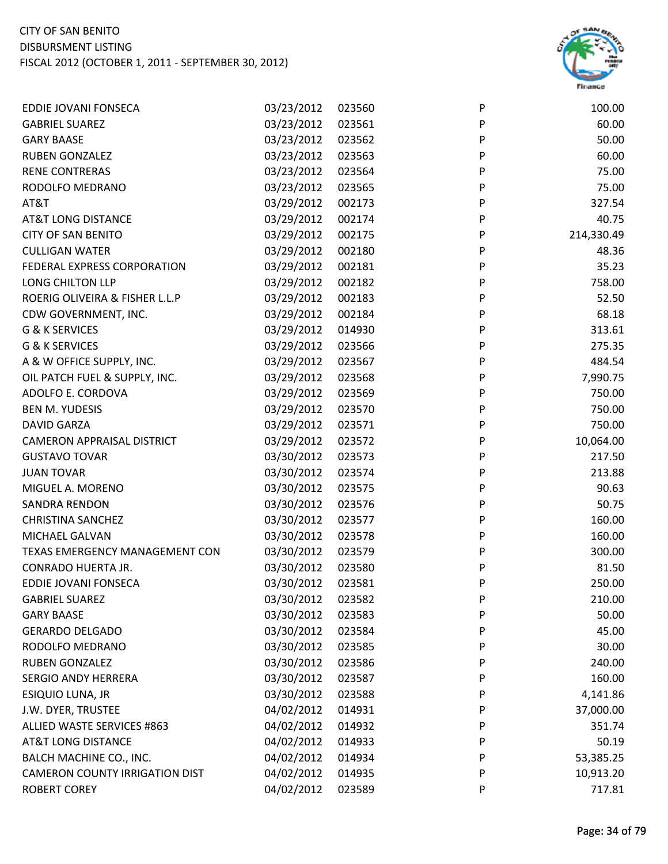

| EDDIE JOVANI FONSECA                  | 03/23/2012 | 023560 | P                         | 100.00     |
|---------------------------------------|------------|--------|---------------------------|------------|
| <b>GABRIEL SUAREZ</b>                 | 03/23/2012 | 023561 | $\boldsymbol{\mathsf{P}}$ | 60.00      |
| <b>GARY BAASE</b>                     | 03/23/2012 | 023562 | P                         | 50.00      |
| <b>RUBEN GONZALEZ</b>                 | 03/23/2012 | 023563 | P                         | 60.00      |
| <b>RENE CONTRERAS</b>                 | 03/23/2012 | 023564 | P                         | 75.00      |
| RODOLFO MEDRANO                       | 03/23/2012 | 023565 | P                         | 75.00      |
| AT&T                                  | 03/29/2012 | 002173 | $\mathsf{P}$              | 327.54     |
| <b>AT&amp;T LONG DISTANCE</b>         | 03/29/2012 | 002174 | P                         | 40.75      |
| <b>CITY OF SAN BENITO</b>             | 03/29/2012 | 002175 | P                         | 214,330.49 |
| <b>CULLIGAN WATER</b>                 | 03/29/2012 | 002180 | P                         | 48.36      |
| FEDERAL EXPRESS CORPORATION           | 03/29/2012 | 002181 | P                         | 35.23      |
| LONG CHILTON LLP                      | 03/29/2012 | 002182 | P                         | 758.00     |
| ROERIG OLIVEIRA & FISHER L.L.P        | 03/29/2012 | 002183 | P                         | 52.50      |
| CDW GOVERNMENT, INC.                  | 03/29/2012 | 002184 | ${\sf P}$                 | 68.18      |
| G & K SERVICES                        | 03/29/2012 | 014930 | P                         | 313.61     |
| G & K SERVICES                        | 03/29/2012 | 023566 | P                         | 275.35     |
| A & W OFFICE SUPPLY, INC.             | 03/29/2012 | 023567 | P                         | 484.54     |
| OIL PATCH FUEL & SUPPLY, INC.         | 03/29/2012 | 023568 | P                         | 7,990.75   |
| ADOLFO E. CORDOVA                     | 03/29/2012 | 023569 | P                         | 750.00     |
| <b>BEN M. YUDESIS</b>                 | 03/29/2012 | 023570 | P                         | 750.00     |
| <b>DAVID GARZA</b>                    | 03/29/2012 | 023571 | $\boldsymbol{\mathsf{P}}$ | 750.00     |
| <b>CAMERON APPRAISAL DISTRICT</b>     | 03/29/2012 | 023572 | P                         | 10,064.00  |
| <b>GUSTAVO TOVAR</b>                  | 03/30/2012 | 023573 | P                         | 217.50     |
| <b>JUAN TOVAR</b>                     | 03/30/2012 | 023574 | P                         | 213.88     |
| MIGUEL A. MORENO                      | 03/30/2012 | 023575 | P                         | 90.63      |
| <b>SANDRA RENDON</b>                  | 03/30/2012 | 023576 | $\mathsf{P}$              | 50.75      |
| <b>CHRISTINA SANCHEZ</b>              | 03/30/2012 | 023577 | ${\sf P}$                 | 160.00     |
| MICHAEL GALVAN                        | 03/30/2012 | 023578 | P                         | 160.00     |
| TEXAS EMERGENCY MANAGEMENT CON        | 03/30/2012 | 023579 | P                         | 300.00     |
| <b>CONRADO HUERTA JR.</b>             | 03/30/2012 | 023580 | P                         | 81.50      |
| EDDIE JOVANI FONSECA                  | 03/30/2012 | 023581 | P                         | 250.00     |
| <b>GABRIEL SUAREZ</b>                 | 03/30/2012 | 023582 | P                         | 210.00     |
| <b>GARY BAASE</b>                     | 03/30/2012 | 023583 | P                         | 50.00      |
| <b>GERARDO DELGADO</b>                | 03/30/2012 | 023584 | P                         | 45.00      |
| RODOLFO MEDRANO                       | 03/30/2012 | 023585 | P                         | 30.00      |
| <b>RUBEN GONZALEZ</b>                 | 03/30/2012 | 023586 | P                         | 240.00     |
| <b>SERGIO ANDY HERRERA</b>            | 03/30/2012 | 023587 | P                         | 160.00     |
| ESIQUIO LUNA, JR                      | 03/30/2012 | 023588 | P                         | 4,141.86   |
| J.W. DYER, TRUSTEE                    | 04/02/2012 | 014931 | P                         | 37,000.00  |
| ALLIED WASTE SERVICES #863            | 04/02/2012 | 014932 | P                         | 351.74     |
| <b>AT&amp;T LONG DISTANCE</b>         | 04/02/2012 | 014933 | P                         | 50.19      |
| BALCH MACHINE CO., INC.               | 04/02/2012 | 014934 | P                         | 53,385.25  |
| <b>CAMERON COUNTY IRRIGATION DIST</b> | 04/02/2012 | 014935 | P                         | 10,913.20  |
| <b>ROBERT COREY</b>                   | 04/02/2012 | 023589 | P                         | 717.81     |
|                                       |            |        |                           |            |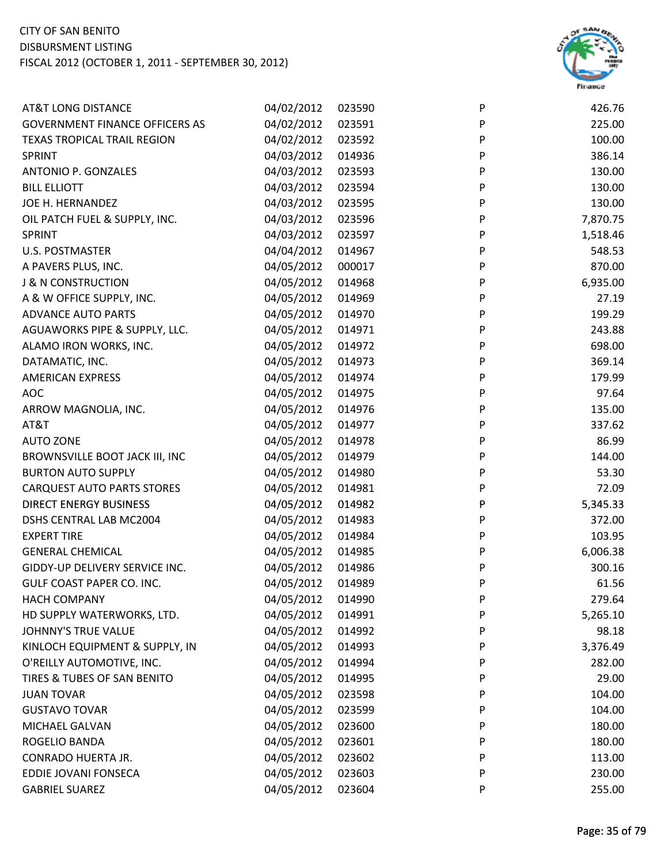

| <b>AT&amp;T LONG DISTANCE</b>         | 04/02/2012 | 023590 | P | 426.76   |
|---------------------------------------|------------|--------|---|----------|
| <b>GOVERNMENT FINANCE OFFICERS AS</b> | 04/02/2012 | 023591 | P | 225.00   |
| <b>TEXAS TROPICAL TRAIL REGION</b>    | 04/02/2012 | 023592 | P | 100.00   |
| SPRINT                                | 04/03/2012 | 014936 | P | 386.14   |
| <b>ANTONIO P. GONZALES</b>            | 04/03/2012 | 023593 | P | 130.00   |
| <b>BILL ELLIOTT</b>                   | 04/03/2012 | 023594 | P | 130.00   |
| JOE H. HERNANDEZ                      | 04/03/2012 | 023595 | P | 130.00   |
| OIL PATCH FUEL & SUPPLY, INC.         | 04/03/2012 | 023596 | P | 7,870.75 |
| SPRINT                                | 04/03/2012 | 023597 | P | 1,518.46 |
| <b>U.S. POSTMASTER</b>                | 04/04/2012 | 014967 | P | 548.53   |
| A PAVERS PLUS, INC.                   | 04/05/2012 | 000017 | P | 870.00   |
| <b>J &amp; N CONSTRUCTION</b>         | 04/05/2012 | 014968 | P | 6,935.00 |
| A & W OFFICE SUPPLY, INC.             | 04/05/2012 | 014969 | P | 27.19    |
| <b>ADVANCE AUTO PARTS</b>             | 04/05/2012 | 014970 | P | 199.29   |
| AGUAWORKS PIPE & SUPPLY, LLC.         | 04/05/2012 | 014971 | P | 243.88   |
| ALAMO IRON WORKS, INC.                | 04/05/2012 | 014972 | P | 698.00   |
| DATAMATIC, INC.                       | 04/05/2012 | 014973 | P | 369.14   |
| <b>AMERICAN EXPRESS</b>               | 04/05/2012 | 014974 | P | 179.99   |
| <b>AOC</b>                            | 04/05/2012 | 014975 | P | 97.64    |
| ARROW MAGNOLIA, INC.                  | 04/05/2012 | 014976 | P | 135.00   |
| AT&T                                  | 04/05/2012 | 014977 | P | 337.62   |
| <b>AUTO ZONE</b>                      | 04/05/2012 | 014978 | P | 86.99    |
| BROWNSVILLE BOOT JACK III, INC        | 04/05/2012 | 014979 | P | 144.00   |
| <b>BURTON AUTO SUPPLY</b>             | 04/05/2012 | 014980 | P | 53.30    |
| <b>CARQUEST AUTO PARTS STORES</b>     | 04/05/2012 | 014981 | P | 72.09    |
| <b>DIRECT ENERGY BUSINESS</b>         | 04/05/2012 | 014982 | P | 5,345.33 |
| DSHS CENTRAL LAB MC2004               | 04/05/2012 | 014983 | P | 372.00   |
| <b>EXPERT TIRE</b>                    | 04/05/2012 | 014984 | P | 103.95   |
| <b>GENERAL CHEMICAL</b>               | 04/05/2012 | 014985 | P | 6,006.38 |
| GIDDY-UP DELIVERY SERVICE INC.        | 04/05/2012 | 014986 | P | 300.16   |
| GULF COAST PAPER CO. INC.             | 04/05/2012 | 014989 | P | 61.56    |
| <b>HACH COMPANY</b>                   | 04/05/2012 | 014990 | P | 279.64   |
| HD SUPPLY WATERWORKS, LTD.            | 04/05/2012 | 014991 | P | 5,265.10 |
| JOHNNY'S TRUE VALUE                   | 04/05/2012 | 014992 | P | 98.18    |
| KINLOCH EQUIPMENT & SUPPLY, IN        | 04/05/2012 | 014993 | P | 3,376.49 |
| O'REILLY AUTOMOTIVE, INC.             | 04/05/2012 | 014994 | P | 282.00   |
| TIRES & TUBES OF SAN BENITO           | 04/05/2012 | 014995 | P | 29.00    |
| <b>JUAN TOVAR</b>                     | 04/05/2012 | 023598 | P | 104.00   |
| <b>GUSTAVO TOVAR</b>                  | 04/05/2012 | 023599 | P | 104.00   |
| MICHAEL GALVAN                        | 04/05/2012 | 023600 | P | 180.00   |
| ROGELIO BANDA                         | 04/05/2012 | 023601 | P | 180.00   |
| <b>CONRADO HUERTA JR.</b>             | 04/05/2012 | 023602 | P | 113.00   |
| EDDIE JOVANI FONSECA                  | 04/05/2012 | 023603 | P | 230.00   |
| <b>GABRIEL SUAREZ</b>                 | 04/05/2012 | 023604 | P | 255.00   |
|                                       |            |        |   |          |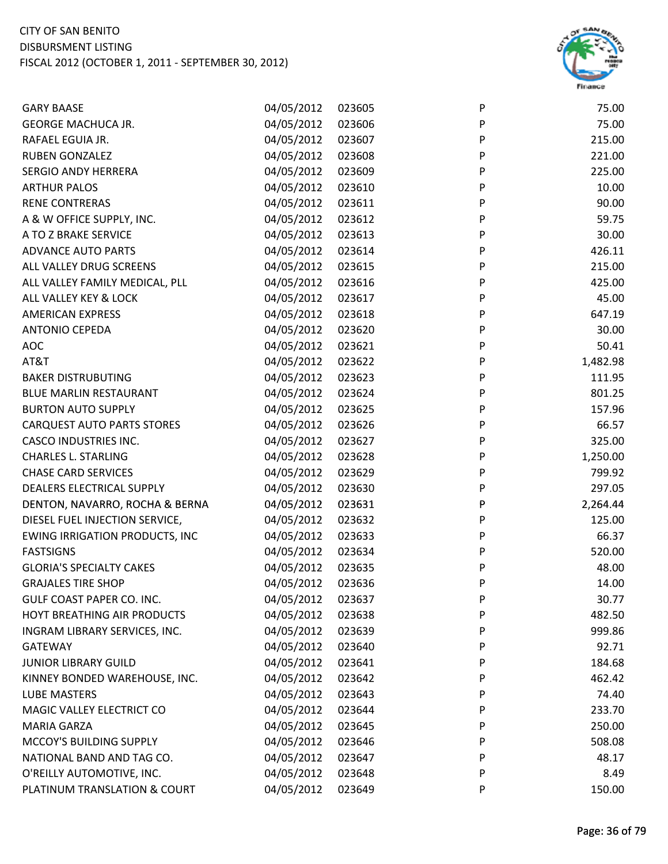

| <b>GARY BAASE</b>                     | 04/05/2012 | 023605 | P | 75.00    |
|---------------------------------------|------------|--------|---|----------|
| <b>GEORGE MACHUCA JR.</b>             | 04/05/2012 | 023606 | P | 75.00    |
| RAFAEL EGUIA JR.                      | 04/05/2012 | 023607 | P | 215.00   |
| <b>RUBEN GONZALEZ</b>                 | 04/05/2012 | 023608 | P | 221.00   |
| <b>SERGIO ANDY HERRERA</b>            | 04/05/2012 | 023609 | P | 225.00   |
| <b>ARTHUR PALOS</b>                   | 04/05/2012 | 023610 | P | 10.00    |
| <b>RENE CONTRERAS</b>                 | 04/05/2012 | 023611 | P | 90.00    |
| A & W OFFICE SUPPLY, INC.             | 04/05/2012 | 023612 | P | 59.75    |
| A TO Z BRAKE SERVICE                  | 04/05/2012 | 023613 | P | 30.00    |
| <b>ADVANCE AUTO PARTS</b>             | 04/05/2012 | 023614 | P | 426.11   |
| ALL VALLEY DRUG SCREENS               | 04/05/2012 | 023615 | P | 215.00   |
| ALL VALLEY FAMILY MEDICAL, PLL        | 04/05/2012 | 023616 | P | 425.00   |
| ALL VALLEY KEY & LOCK                 | 04/05/2012 | 023617 | P | 45.00    |
| <b>AMERICAN EXPRESS</b>               | 04/05/2012 | 023618 | P | 647.19   |
| <b>ANTONIO CEPEDA</b>                 | 04/05/2012 | 023620 | P | 30.00    |
| <b>AOC</b>                            | 04/05/2012 | 023621 | P | 50.41    |
| AT&T                                  | 04/05/2012 | 023622 | P | 1,482.98 |
| <b>BAKER DISTRUBUTING</b>             | 04/05/2012 | 023623 | P | 111.95   |
| <b>BLUE MARLIN RESTAURANT</b>         | 04/05/2012 | 023624 | P | 801.25   |
| <b>BURTON AUTO SUPPLY</b>             | 04/05/2012 | 023625 | P | 157.96   |
| <b>CARQUEST AUTO PARTS STORES</b>     | 04/05/2012 | 023626 | P | 66.57    |
| <b>CASCO INDUSTRIES INC.</b>          | 04/05/2012 | 023627 | P | 325.00   |
| <b>CHARLES L. STARLING</b>            | 04/05/2012 | 023628 | P | 1,250.00 |
| <b>CHASE CARD SERVICES</b>            | 04/05/2012 | 023629 | P | 799.92   |
| DEALERS ELECTRICAL SUPPLY             | 04/05/2012 | 023630 | P | 297.05   |
| DENTON, NAVARRO, ROCHA & BERNA        | 04/05/2012 | 023631 | P | 2,264.44 |
| DIESEL FUEL INJECTION SERVICE,        | 04/05/2012 | 023632 | P | 125.00   |
| <b>EWING IRRIGATION PRODUCTS, INC</b> | 04/05/2012 | 023633 | P | 66.37    |
| <b>FASTSIGNS</b>                      | 04/05/2012 | 023634 | P | 520.00   |
| <b>GLORIA'S SPECIALTY CAKES</b>       | 04/05/2012 | 023635 | P | 48.00    |
| <b>GRAJALES TIRE SHOP</b>             | 04/05/2012 | 023636 | P | 14.00    |
| GULF COAST PAPER CO. INC.             | 04/05/2012 | 023637 | P | 30.77    |
| HOYT BREATHING AIR PRODUCTS           | 04/05/2012 | 023638 | P | 482.50   |
| INGRAM LIBRARY SERVICES, INC.         | 04/05/2012 | 023639 | P | 999.86   |
| <b>GATEWAY</b>                        | 04/05/2012 | 023640 | P | 92.71    |
| <b>JUNIOR LIBRARY GUILD</b>           | 04/05/2012 | 023641 | P | 184.68   |
| KINNEY BONDED WAREHOUSE, INC.         | 04/05/2012 | 023642 | P | 462.42   |
| LUBE MASTERS                          | 04/05/2012 | 023643 | P | 74.40    |
| MAGIC VALLEY ELECTRICT CO             | 04/05/2012 | 023644 | P | 233.70   |
| <b>MARIA GARZA</b>                    | 04/05/2012 | 023645 | P | 250.00   |
| MCCOY'S BUILDING SUPPLY               | 04/05/2012 | 023646 | P | 508.08   |
| NATIONAL BAND AND TAG CO.             | 04/05/2012 | 023647 | P | 48.17    |
| O'REILLY AUTOMOTIVE, INC.             | 04/05/2012 | 023648 | P | 8.49     |
| PLATINUM TRANSLATION & COURT          | 04/05/2012 | 023649 | P | 150.00   |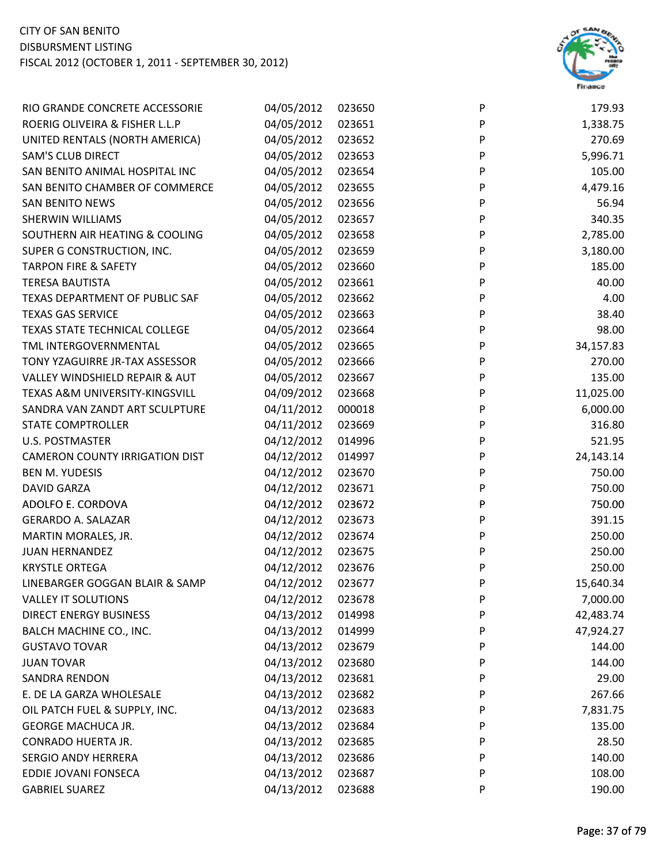

| RIO GRANDE CONCRETE ACCESSORIE            | 04/05/2012 | 023650 | P            | 179.93    |
|-------------------------------------------|------------|--------|--------------|-----------|
| ROERIG OLIVEIRA & FISHER L.L.P            | 04/05/2012 | 023651 | P            | 1,338.75  |
| UNITED RENTALS (NORTH AMERICA)            | 04/05/2012 | 023652 | P            | 270.69    |
| <b>SAM'S CLUB DIRECT</b>                  | 04/05/2012 | 023653 | P            | 5,996.71  |
| SAN BENITO ANIMAL HOSPITAL INC            | 04/05/2012 | 023654 | P            | 105.00    |
| SAN BENITO CHAMBER OF COMMERCE            | 04/05/2012 | 023655 | P            | 4,479.16  |
| <b>SAN BENITO NEWS</b>                    | 04/05/2012 | 023656 | P            | 56.94     |
| SHERWIN WILLIAMS                          | 04/05/2012 | 023657 | P            | 340.35    |
| SOUTHERN AIR HEATING & COOLING            | 04/05/2012 | 023658 | P            | 2,785.00  |
| SUPER G CONSTRUCTION, INC.                | 04/05/2012 | 023659 | P            | 3,180.00  |
| <b>TARPON FIRE &amp; SAFETY</b>           | 04/05/2012 | 023660 | P            | 185.00    |
| <b>TERESA BAUTISTA</b>                    | 04/05/2012 | 023661 | P            | 40.00     |
| TEXAS DEPARTMENT OF PUBLIC SAF            | 04/05/2012 | 023662 | P            | 4.00      |
| <b>TEXAS GAS SERVICE</b>                  | 04/05/2012 | 023663 | P            | 38.40     |
| TEXAS STATE TECHNICAL COLLEGE             | 04/05/2012 | 023664 | $\mathsf{P}$ | 98.00     |
| TML INTERGOVERNMENTAL                     | 04/05/2012 | 023665 | P            | 34,157.83 |
| TONY YZAGUIRRE JR-TAX ASSESSOR            | 04/05/2012 | 023666 | P            | 270.00    |
| <b>VALLEY WINDSHIELD REPAIR &amp; AUT</b> | 04/05/2012 | 023667 | P            | 135.00    |
| TEXAS A&M UNIVERSITY-KINGSVILL            | 04/09/2012 | 023668 | P            | 11,025.00 |
| SANDRA VAN ZANDT ART SCULPTURE            | 04/11/2012 | 000018 | P            | 6,000.00  |
| <b>STATE COMPTROLLER</b>                  | 04/11/2012 | 023669 | ${\sf P}$    | 316.80    |
| <b>U.S. POSTMASTER</b>                    | 04/12/2012 | 014996 | P            | 521.95    |
| <b>CAMERON COUNTY IRRIGATION DIST</b>     | 04/12/2012 | 014997 | P            | 24,143.14 |
| <b>BEN M. YUDESIS</b>                     | 04/12/2012 | 023670 | P            | 750.00    |
| <b>DAVID GARZA</b>                        | 04/12/2012 | 023671 | P            | 750.00    |
| ADOLFO E. CORDOVA                         | 04/12/2012 | 023672 | P            | 750.00    |
| <b>GERARDO A. SALAZAR</b>                 | 04/12/2012 | 023673 | P            | 391.15    |
| MARTIN MORALES, JR.                       | 04/12/2012 | 023674 | P            | 250.00    |
| <b>JUAN HERNANDEZ</b>                     | 04/12/2012 | 023675 | P            | 250.00    |
| <b>KRYSTLE ORTEGA</b>                     | 04/12/2012 | 023676 | P            | 250.00    |
| LINEBARGER GOGGAN BLAIR & SAMP            | 04/12/2012 | 023677 | P            | 15,640.34 |
| <b>VALLEY IT SOLUTIONS</b>                | 04/12/2012 | 023678 | P            | 7,000.00  |
| <b>DIRECT ENERGY BUSINESS</b>             | 04/13/2012 | 014998 | P            | 42,483.74 |
| BALCH MACHINE CO., INC.                   | 04/13/2012 | 014999 | P            | 47,924.27 |
| <b>GUSTAVO TOVAR</b>                      | 04/13/2012 | 023679 | P            | 144.00    |
| <b>JUAN TOVAR</b>                         | 04/13/2012 | 023680 | P            | 144.00    |
| <b>SANDRA RENDON</b>                      | 04/13/2012 | 023681 | P            | 29.00     |
| E. DE LA GARZA WHOLESALE                  | 04/13/2012 | 023682 | P            | 267.66    |
| OIL PATCH FUEL & SUPPLY, INC.             | 04/13/2012 | 023683 | P            | 7,831.75  |
| <b>GEORGE MACHUCA JR.</b>                 | 04/13/2012 | 023684 | P            | 135.00    |
| CONRADO HUERTA JR.                        | 04/13/2012 | 023685 | P            | 28.50     |
| <b>SERGIO ANDY HERRERA</b>                | 04/13/2012 | 023686 | P            | 140.00    |
| EDDIE JOVANI FONSECA                      | 04/13/2012 | 023687 | P            | 108.00    |
| <b>GABRIEL SUAREZ</b>                     | 04/13/2012 | 023688 | P            | 190.00    |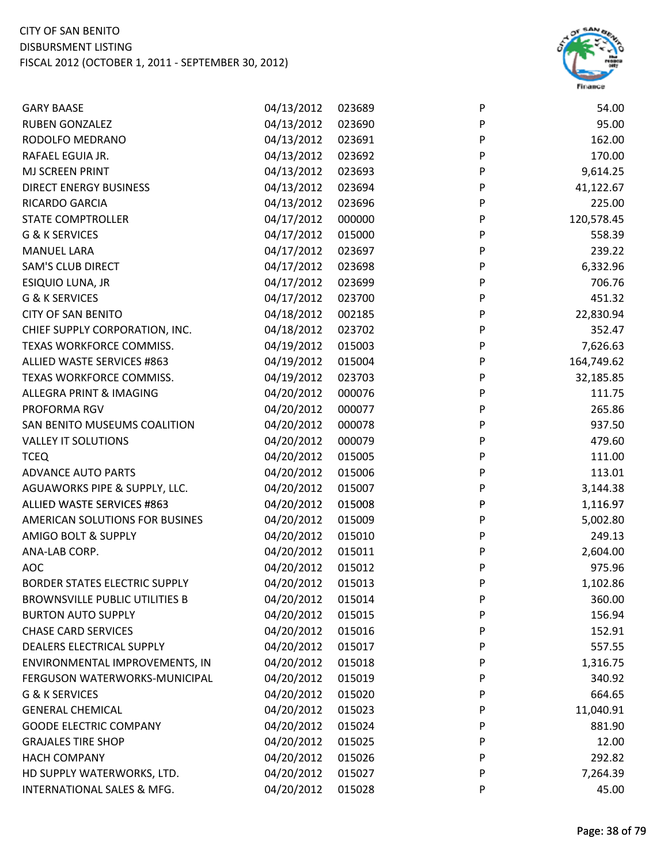

| <b>GARY BAASE</b>                     | 04/13/2012 | 023689 | P       | 54.00      |
|---------------------------------------|------------|--------|---------|------------|
| <b>RUBEN GONZALEZ</b>                 | 04/13/2012 | 023690 | P       | 95.00      |
| RODOLFO MEDRANO                       | 04/13/2012 | 023691 | P       | 162.00     |
| RAFAEL EGUIA JR.                      | 04/13/2012 | 023692 | P       | 170.00     |
| MJ SCREEN PRINT                       | 04/13/2012 | 023693 | P       | 9,614.25   |
| <b>DIRECT ENERGY BUSINESS</b>         | 04/13/2012 | 023694 | P       | 41,122.67  |
| RICARDO GARCIA                        | 04/13/2012 | 023696 | $\sf P$ | 225.00     |
| <b>STATE COMPTROLLER</b>              | 04/17/2012 | 000000 | P       | 120,578.45 |
| G & K SERVICES                        | 04/17/2012 | 015000 | P       | 558.39     |
| <b>MANUEL LARA</b>                    | 04/17/2012 | 023697 | P       | 239.22     |
| <b>SAM'S CLUB DIRECT</b>              | 04/17/2012 | 023698 | P       | 6,332.96   |
| ESIQUIO LUNA, JR                      | 04/17/2012 | 023699 | P       | 706.76     |
| G & K SERVICES                        | 04/17/2012 | 023700 | P       | 451.32     |
| <b>CITY OF SAN BENITO</b>             | 04/18/2012 | 002185 | P       | 22,830.94  |
| CHIEF SUPPLY CORPORATION, INC.        | 04/18/2012 | 023702 | P       | 352.47     |
| TEXAS WORKFORCE COMMISS.              | 04/19/2012 | 015003 | P       | 7,626.63   |
| ALLIED WASTE SERVICES #863            | 04/19/2012 | 015004 | P       | 164,749.62 |
| TEXAS WORKFORCE COMMISS.              | 04/19/2012 | 023703 | P       | 32,185.85  |
| ALLEGRA PRINT & IMAGING               | 04/20/2012 | 000076 | P       | 111.75     |
| PROFORMA RGV                          | 04/20/2012 | 000077 | P       | 265.86     |
| SAN BENITO MUSEUMS COALITION          | 04/20/2012 | 000078 | P       | 937.50     |
| <b>VALLEY IT SOLUTIONS</b>            | 04/20/2012 | 000079 | P       | 479.60     |
| <b>TCEQ</b>                           | 04/20/2012 | 015005 | P       | 111.00     |
| <b>ADVANCE AUTO PARTS</b>             | 04/20/2012 | 015006 | P       | 113.01     |
| AGUAWORKS PIPE & SUPPLY, LLC.         | 04/20/2012 | 015007 | P       | 3,144.38   |
| ALLIED WASTE SERVICES #863            | 04/20/2012 | 015008 | P       | 1,116.97   |
| AMERICAN SOLUTIONS FOR BUSINES        | 04/20/2012 | 015009 | P       | 5,002.80   |
| <b>AMIGO BOLT &amp; SUPPLY</b>        | 04/20/2012 | 015010 | P       | 249.13     |
| ANA-LAB CORP.                         | 04/20/2012 | 015011 | P       | 2,604.00   |
| <b>AOC</b>                            | 04/20/2012 | 015012 | P       | 975.96     |
| <b>BORDER STATES ELECTRIC SUPPLY</b>  | 04/20/2012 | 015013 | P       | 1,102.86   |
| <b>BROWNSVILLE PUBLIC UTILITIES B</b> | 04/20/2012 | 015014 | P       | 360.00     |
| <b>BURTON AUTO SUPPLY</b>             | 04/20/2012 | 015015 | P       | 156.94     |
| <b>CHASE CARD SERVICES</b>            | 04/20/2012 | 015016 | P       | 152.91     |
| <b>DEALERS ELECTRICAL SUPPLY</b>      | 04/20/2012 | 015017 | P       | 557.55     |
| ENVIRONMENTAL IMPROVEMENTS, IN        | 04/20/2012 | 015018 | P       | 1,316.75   |
| FERGUSON WATERWORKS-MUNICIPAL         | 04/20/2012 | 015019 | P       | 340.92     |
| G & K SERVICES                        | 04/20/2012 | 015020 | P       | 664.65     |
| <b>GENERAL CHEMICAL</b>               | 04/20/2012 | 015023 | P       | 11,040.91  |
| <b>GOODE ELECTRIC COMPANY</b>         | 04/20/2012 | 015024 | P       | 881.90     |
| <b>GRAJALES TIRE SHOP</b>             | 04/20/2012 | 015025 | P       | 12.00      |
| <b>HACH COMPANY</b>                   | 04/20/2012 | 015026 | P       | 292.82     |
| HD SUPPLY WATERWORKS, LTD.            | 04/20/2012 | 015027 | P       | 7,264.39   |
| INTERNATIONAL SALES & MFG.            | 04/20/2012 | 015028 | P       | 45.00      |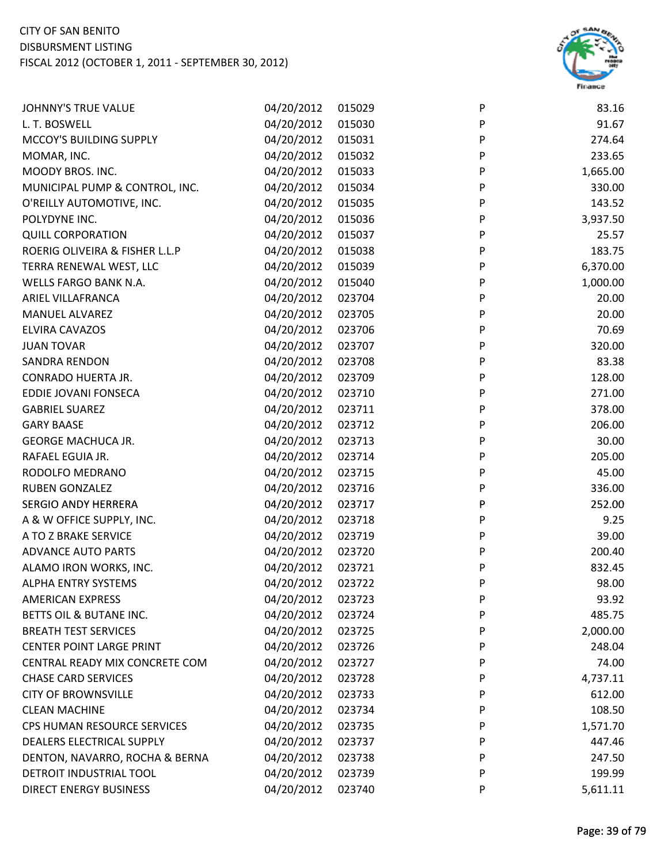

| <b>JOHNNY'S TRUE VALUE</b>      | 04/20/2012 | 015029 | P | 83.16    |
|---------------------------------|------------|--------|---|----------|
| L. T. BOSWELL                   | 04/20/2012 | 015030 | P | 91.67    |
| MCCOY'S BUILDING SUPPLY         | 04/20/2012 | 015031 | P | 274.64   |
| MOMAR, INC.                     | 04/20/2012 | 015032 | P | 233.65   |
| MOODY BROS. INC.                | 04/20/2012 | 015033 | P | 1,665.00 |
| MUNICIPAL PUMP & CONTROL, INC.  | 04/20/2012 | 015034 | P | 330.00   |
| O'REILLY AUTOMOTIVE, INC.       | 04/20/2012 | 015035 | P | 143.52   |
| POLYDYNE INC.                   | 04/20/2012 | 015036 | P | 3,937.50 |
| <b>QUILL CORPORATION</b>        | 04/20/2012 | 015037 | P | 25.57    |
| ROERIG OLIVEIRA & FISHER L.L.P  | 04/20/2012 | 015038 | P | 183.75   |
| TERRA RENEWAL WEST, LLC         | 04/20/2012 | 015039 | P | 6,370.00 |
| WELLS FARGO BANK N.A.           | 04/20/2012 | 015040 | P | 1,000.00 |
| ARIEL VILLAFRANCA               | 04/20/2012 | 023704 | P | 20.00    |
| <b>MANUEL ALVAREZ</b>           | 04/20/2012 | 023705 | P | 20.00    |
| ELVIRA CAVAZOS                  | 04/20/2012 | 023706 | P | 70.69    |
| <b>JUAN TOVAR</b>               | 04/20/2012 | 023707 | P | 320.00   |
| SANDRA RENDON                   | 04/20/2012 | 023708 | P | 83.38    |
| CONRADO HUERTA JR.              | 04/20/2012 | 023709 | P | 128.00   |
| EDDIE JOVANI FONSECA            | 04/20/2012 | 023710 | P | 271.00   |
| <b>GABRIEL SUAREZ</b>           | 04/20/2012 | 023711 | P | 378.00   |
| <b>GARY BAASE</b>               | 04/20/2012 | 023712 | P | 206.00   |
| <b>GEORGE MACHUCA JR.</b>       | 04/20/2012 | 023713 | P | 30.00    |
| RAFAEL EGUIA JR.                | 04/20/2012 | 023714 | P | 205.00   |
| RODOLFO MEDRANO                 | 04/20/2012 | 023715 | P | 45.00    |
| <b>RUBEN GONZALEZ</b>           | 04/20/2012 | 023716 | P | 336.00   |
| <b>SERGIO ANDY HERRERA</b>      | 04/20/2012 | 023717 | P | 252.00   |
| A & W OFFICE SUPPLY, INC.       | 04/20/2012 | 023718 | P | 9.25     |
| A TO Z BRAKE SERVICE            | 04/20/2012 | 023719 | P | 39.00    |
| <b>ADVANCE AUTO PARTS</b>       | 04/20/2012 | 023720 | P | 200.40   |
| ALAMO IRON WORKS, INC.          | 04/20/2012 | 023721 | P | 832.45   |
| ALPHA ENTRY SYSTEMS             | 04/20/2012 | 023722 | P | 98.00    |
| <b>AMERICAN EXPRESS</b>         | 04/20/2012 | 023723 | P | 93.92    |
| BETTS OIL & BUTANE INC.         | 04/20/2012 | 023724 | P | 485.75   |
| <b>BREATH TEST SERVICES</b>     | 04/20/2012 | 023725 | P | 2,000.00 |
| <b>CENTER POINT LARGE PRINT</b> | 04/20/2012 | 023726 | P | 248.04   |
| CENTRAL READY MIX CONCRETE COM  | 04/20/2012 | 023727 | P | 74.00    |
| <b>CHASE CARD SERVICES</b>      | 04/20/2012 | 023728 | P | 4,737.11 |
| <b>CITY OF BROWNSVILLE</b>      | 04/20/2012 | 023733 | P | 612.00   |
| <b>CLEAN MACHINE</b>            | 04/20/2012 | 023734 | P | 108.50   |
| CPS HUMAN RESOURCE SERVICES     | 04/20/2012 | 023735 | P | 1,571.70 |
| DEALERS ELECTRICAL SUPPLY       | 04/20/2012 | 023737 | P | 447.46   |
| DENTON, NAVARRO, ROCHA & BERNA  | 04/20/2012 | 023738 | P | 247.50   |
| DETROIT INDUSTRIAL TOOL         | 04/20/2012 | 023739 | P | 199.99   |
| <b>DIRECT ENERGY BUSINESS</b>   | 04/20/2012 | 023740 | P | 5,611.11 |
|                                 |            |        |   |          |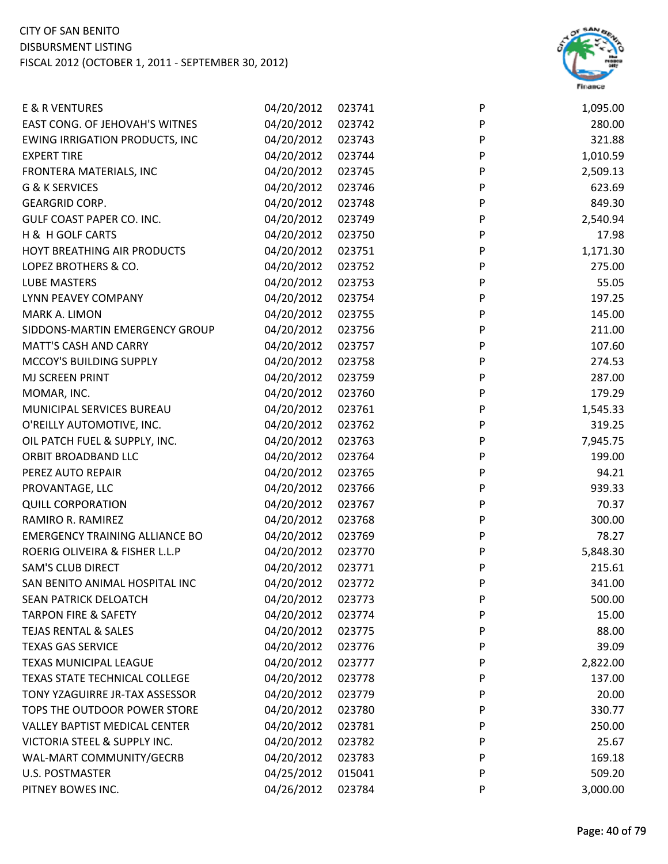

| E & R VENTURES                        | 04/20/2012 | 023741 | P | 1,095.00 |
|---------------------------------------|------------|--------|---|----------|
| EAST CONG. OF JEHOVAH'S WITNES        | 04/20/2012 | 023742 | P | 280.00   |
| <b>EWING IRRIGATION PRODUCTS, INC</b> | 04/20/2012 | 023743 | P | 321.88   |
| <b>EXPERT TIRE</b>                    | 04/20/2012 | 023744 | P | 1,010.59 |
| FRONTERA MATERIALS, INC               | 04/20/2012 | 023745 | P | 2,509.13 |
| G & K SERVICES                        | 04/20/2012 | 023746 | P | 623.69   |
| <b>GEARGRID CORP.</b>                 | 04/20/2012 | 023748 | P | 849.30   |
| GULF COAST PAPER CO. INC.             | 04/20/2012 | 023749 | P | 2,540.94 |
| H & H GOLF CARTS                      | 04/20/2012 | 023750 | P | 17.98    |
| HOYT BREATHING AIR PRODUCTS           | 04/20/2012 | 023751 | P | 1,171.30 |
| LOPEZ BROTHERS & CO.                  | 04/20/2012 | 023752 | P | 275.00   |
| LUBE MASTERS                          | 04/20/2012 | 023753 | P | 55.05    |
| LYNN PEAVEY COMPANY                   | 04/20/2012 | 023754 | P | 197.25   |
| MARK A. LIMON                         | 04/20/2012 | 023755 | P | 145.00   |
| SIDDONS-MARTIN EMERGENCY GROUP        | 04/20/2012 | 023756 | P | 211.00   |
| <b>MATT'S CASH AND CARRY</b>          | 04/20/2012 | 023757 | P | 107.60   |
| MCCOY'S BUILDING SUPPLY               | 04/20/2012 | 023758 | P | 274.53   |
| MJ SCREEN PRINT                       | 04/20/2012 | 023759 | P | 287.00   |
| MOMAR, INC.                           | 04/20/2012 | 023760 | P | 179.29   |
| MUNICIPAL SERVICES BUREAU             | 04/20/2012 | 023761 | P | 1,545.33 |
| O'REILLY AUTOMOTIVE, INC.             | 04/20/2012 | 023762 | P | 319.25   |
| OIL PATCH FUEL & SUPPLY, INC.         | 04/20/2012 | 023763 | P | 7,945.75 |
| ORBIT BROADBAND LLC                   | 04/20/2012 | 023764 | P | 199.00   |
| PEREZ AUTO REPAIR                     | 04/20/2012 | 023765 | P | 94.21    |
| PROVANTAGE, LLC                       | 04/20/2012 | 023766 | P | 939.33   |
| <b>QUILL CORPORATION</b>              | 04/20/2012 | 023767 | P | 70.37    |
| RAMIRO R. RAMIREZ                     | 04/20/2012 | 023768 | P | 300.00   |
| <b>EMERGENCY TRAINING ALLIANCE BO</b> | 04/20/2012 | 023769 | P | 78.27    |
| ROERIG OLIVEIRA & FISHER L.L.P        | 04/20/2012 | 023770 | P | 5,848.30 |
| <b>SAM'S CLUB DIRECT</b>              | 04/20/2012 | 023771 | P | 215.61   |
| SAN BENITO ANIMAL HOSPITAL INC        | 04/20/2012 | 023772 | P | 341.00   |
| <b>SEAN PATRICK DELOATCH</b>          | 04/20/2012 | 023773 | P | 500.00   |
| <b>TARPON FIRE &amp; SAFETY</b>       | 04/20/2012 | 023774 | P | 15.00    |
| <b>TEJAS RENTAL &amp; SALES</b>       | 04/20/2012 | 023775 | P | 88.00    |
| <b>TEXAS GAS SERVICE</b>              | 04/20/2012 | 023776 | P | 39.09    |
| TEXAS MUNICIPAL LEAGUE                | 04/20/2012 | 023777 | P | 2,822.00 |
| <b>TEXAS STATE TECHNICAL COLLEGE</b>  | 04/20/2012 | 023778 | P | 137.00   |
| TONY YZAGUIRRE JR-TAX ASSESSOR        | 04/20/2012 | 023779 | P | 20.00    |
| TOPS THE OUTDOOR POWER STORE          | 04/20/2012 | 023780 | P | 330.77   |
| <b>VALLEY BAPTIST MEDICAL CENTER</b>  | 04/20/2012 | 023781 | P | 250.00   |
| VICTORIA STEEL & SUPPLY INC.          | 04/20/2012 | 023782 | P | 25.67    |
| WAL-MART COMMUNITY/GECRB              | 04/20/2012 | 023783 | P | 169.18   |
| <b>U.S. POSTMASTER</b>                | 04/25/2012 | 015041 | P | 509.20   |
| PITNEY BOWES INC.                     | 04/26/2012 | 023784 | P | 3,000.00 |
|                                       |            |        |   |          |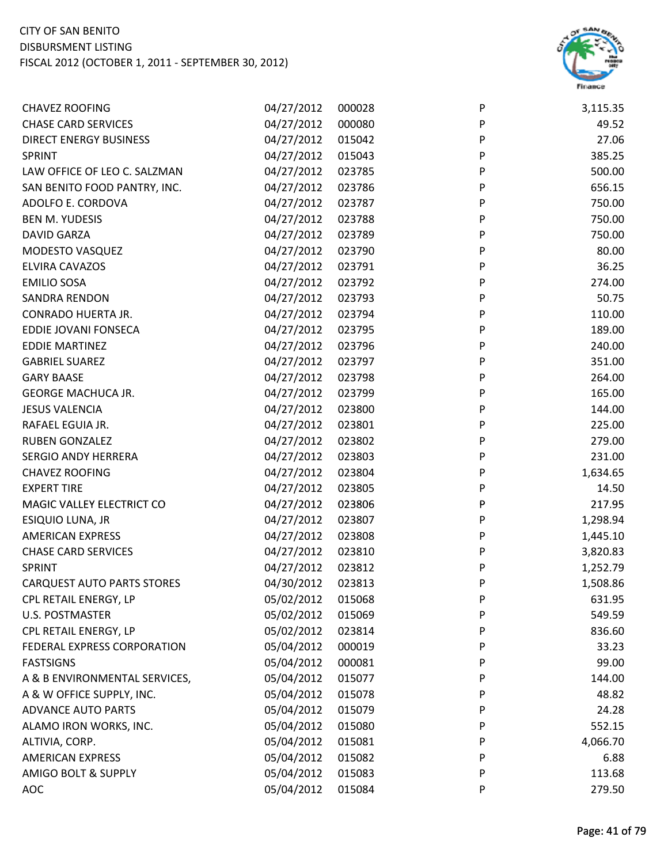

| <b>CHAVEZ ROOFING</b>             | 04/27/2012 | 000028 | P         | 3,115.35 |
|-----------------------------------|------------|--------|-----------|----------|
| <b>CHASE CARD SERVICES</b>        | 04/27/2012 | 000080 | P         | 49.52    |
| <b>DIRECT ENERGY BUSINESS</b>     | 04/27/2012 | 015042 | P         | 27.06    |
| <b>SPRINT</b>                     | 04/27/2012 | 015043 | P         | 385.25   |
| LAW OFFICE OF LEO C. SALZMAN      | 04/27/2012 | 023785 | P         | 500.00   |
| SAN BENITO FOOD PANTRY, INC.      | 04/27/2012 | 023786 | P         | 656.15   |
| ADOLFO E. CORDOVA                 | 04/27/2012 | 023787 | P         | 750.00   |
| <b>BEN M. YUDESIS</b>             | 04/27/2012 | 023788 | P         | 750.00   |
| <b>DAVID GARZA</b>                | 04/27/2012 | 023789 | P         | 750.00   |
| MODESTO VASQUEZ                   | 04/27/2012 | 023790 | P         | 80.00    |
| ELVIRA CAVAZOS                    | 04/27/2012 | 023791 | P         | 36.25    |
| <b>EMILIO SOSA</b>                | 04/27/2012 | 023792 | P         | 274.00   |
| <b>SANDRA RENDON</b>              | 04/27/2012 | 023793 | P         | 50.75    |
| CONRADO HUERTA JR.                | 04/27/2012 | 023794 | P         | 110.00   |
| EDDIE JOVANI FONSECA              | 04/27/2012 | 023795 | ${\sf P}$ | 189.00   |
| <b>EDDIE MARTINEZ</b>             | 04/27/2012 | 023796 | P         | 240.00   |
| <b>GABRIEL SUAREZ</b>             | 04/27/2012 | 023797 | P         | 351.00   |
| <b>GARY BAASE</b>                 | 04/27/2012 | 023798 | P         | 264.00   |
| <b>GEORGE MACHUCA JR.</b>         | 04/27/2012 | 023799 | P         | 165.00   |
| <b>JESUS VALENCIA</b>             | 04/27/2012 | 023800 | P         | 144.00   |
| RAFAEL EGUIA JR.                  | 04/27/2012 | 023801 | P         | 225.00   |
| <b>RUBEN GONZALEZ</b>             | 04/27/2012 | 023802 | P         | 279.00   |
| <b>SERGIO ANDY HERRERA</b>        | 04/27/2012 | 023803 | P         | 231.00   |
| <b>CHAVEZ ROOFING</b>             | 04/27/2012 | 023804 | P         | 1,634.65 |
| <b>EXPERT TIRE</b>                | 04/27/2012 | 023805 | P         | 14.50    |
| MAGIC VALLEY ELECTRICT CO         | 04/27/2012 | 023806 | P         | 217.95   |
| ESIQUIO LUNA, JR                  | 04/27/2012 | 023807 | P         | 1,298.94 |
| <b>AMERICAN EXPRESS</b>           | 04/27/2012 | 023808 | P         | 1,445.10 |
| <b>CHASE CARD SERVICES</b>        | 04/27/2012 | 023810 | P         | 3,820.83 |
| SPRINT                            | 04/27/2012 | 023812 | P         | 1,252.79 |
| <b>CARQUEST AUTO PARTS STORES</b> | 04/30/2012 | 023813 | P         | 1,508.86 |
| CPL RETAIL ENERGY, LP             | 05/02/2012 | 015068 | P         | 631.95   |
| U.S. POSTMASTER                   | 05/02/2012 | 015069 | P         | 549.59   |
| CPL RETAIL ENERGY, LP             | 05/02/2012 | 023814 | P         | 836.60   |
| FEDERAL EXPRESS CORPORATION       | 05/04/2012 | 000019 | P         | 33.23    |
| <b>FASTSIGNS</b>                  | 05/04/2012 | 000081 | P         | 99.00    |
| A & B ENVIRONMENTAL SERVICES,     | 05/04/2012 | 015077 | P         | 144.00   |
| A & W OFFICE SUPPLY, INC.         | 05/04/2012 | 015078 | P         | 48.82    |
| <b>ADVANCE AUTO PARTS</b>         | 05/04/2012 | 015079 | P         | 24.28    |
| ALAMO IRON WORKS, INC.            | 05/04/2012 | 015080 | P         | 552.15   |
| ALTIVIA, CORP.                    | 05/04/2012 | 015081 | P         | 4,066.70 |
| <b>AMERICAN EXPRESS</b>           | 05/04/2012 | 015082 | P         | 6.88     |
| <b>AMIGO BOLT &amp; SUPPLY</b>    | 05/04/2012 | 015083 | P         | 113.68   |
| <b>AOC</b>                        | 05/04/2012 | 015084 | P         | 279.50   |
|                                   |            |        |           |          |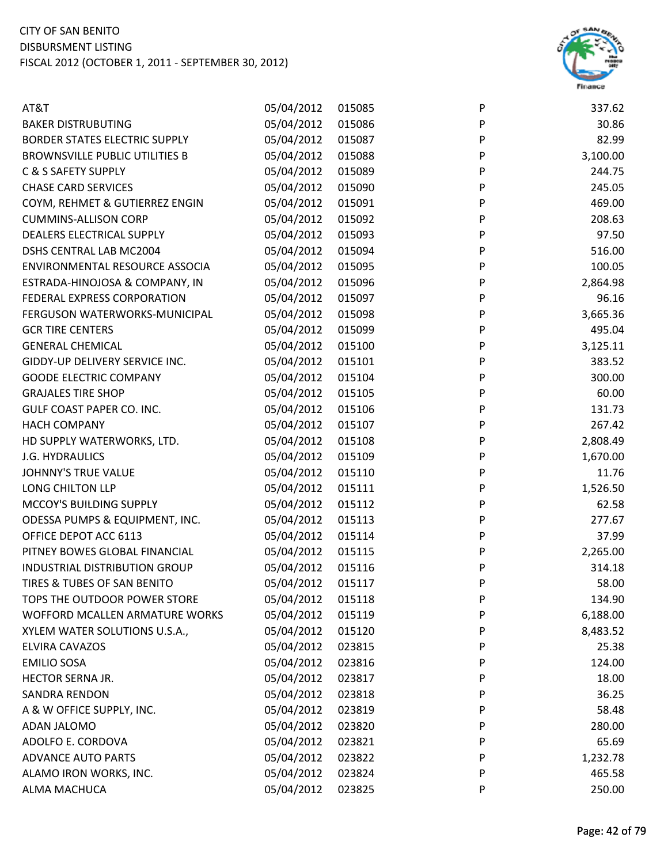

| 30.86<br>05/04/2012<br>015086<br>P<br><b>BAKER DISTRUBUTING</b><br>05/04/2012<br>P<br>82.99<br>BORDER STATES ELECTRIC SUPPLY<br>015087<br>05/04/2012<br>P<br>3,100.00<br><b>BROWNSVILLE PUBLIC UTILITIES B</b><br>015088<br>P<br>C & S SAFETY SUPPLY<br>05/04/2012<br>015089<br>244.75<br>05/04/2012<br>${\sf P}$<br><b>CHASE CARD SERVICES</b><br>245.05<br>015090<br>P<br>05/04/2012<br>015091<br>469.00<br>COYM, REHMET & GUTIERREZ ENGIN<br>05/04/2012<br>P<br>208.63<br><b>CUMMINS-ALLISON CORP</b><br>015092<br>05/04/2012<br>DEALERS ELECTRICAL SUPPLY<br>P<br>97.50<br>015093<br>P<br>516.00<br>05/04/2012<br>015094<br>DSHS CENTRAL LAB MC2004<br>05/04/2012<br>$\mathsf{P}$<br>100.05<br>ENVIRONMENTAL RESOURCE ASSOCIA<br>015095<br>P<br>05/04/2012<br>2,864.98<br>ESTRADA-HINOJOSA & COMPANY, IN<br>015096<br>P<br>FEDERAL EXPRESS CORPORATION<br>05/04/2012<br>96.16<br>015097<br>05/04/2012<br>015098<br>P<br>3,665.36<br>FERGUSON WATERWORKS-MUNICIPAL<br>P<br>05/04/2012<br>495.04<br><b>GCR TIRE CENTERS</b><br>015099<br><b>GENERAL CHEMICAL</b><br>05/04/2012<br>P<br>015100<br>3,125.11<br>P<br>05/04/2012<br>383.52<br>GIDDY-UP DELIVERY SERVICE INC.<br>015101<br>P<br><b>GOODE ELECTRIC COMPANY</b><br>05/04/2012<br>015104<br>300.00<br>P<br><b>GRAJALES TIRE SHOP</b><br>05/04/2012<br>60.00<br>015105<br>P<br>05/04/2012<br><b>GULF COAST PAPER CO. INC.</b><br>015106<br>131.73<br>267.42<br><b>HACH COMPANY</b><br>05/04/2012<br>015107<br>P<br>P<br>05/04/2012<br>2,808.49<br>HD SUPPLY WATERWORKS, LTD.<br>015108<br>05/04/2012<br><b>J.G. HYDRAULICS</b><br>P<br>1,670.00<br>015109<br>P<br><b>JOHNNY'S TRUE VALUE</b><br>05/04/2012<br>015110<br>11.76<br>05/04/2012<br>$\sf P$<br>LONG CHILTON LLP<br>015111<br>1,526.50<br>05/04/2012<br>P<br>62.58<br>MCCOY'S BUILDING SUPPLY<br>015112<br>ODESSA PUMPS & EQUIPMENT, INC.<br>05/04/2012<br>P<br>015113<br>277.67<br>05/04/2012<br>OFFICE DEPOT ACC 6113<br>015114<br>P<br>37.99<br>05/04/2012<br>P<br>2,265.00<br>PITNEY BOWES GLOBAL FINANCIAL<br>015115<br>05/04/2012<br>INDUSTRIAL DISTRIBUTION GROUP<br>015116<br>314.18<br>P<br>TIRES & TUBES OF SAN BENITO<br>05/04/2012<br>P<br>58.00<br>015117<br>05/04/2012<br>TOPS THE OUTDOOR POWER STORE<br>015118<br>P<br>134.90<br>05/04/2012<br>6,188.00<br>WOFFORD MCALLEN ARMATURE WORKS<br>015119<br>P<br>05/04/2012<br>XYLEM WATER SOLUTIONS U.S.A.,<br>P<br>8,483.52<br>015120<br>05/04/2012<br>ELVIRA CAVAZOS<br>023815<br>25.38<br>P<br>05/04/2012<br><b>EMILIO SOSA</b><br>023816<br>P<br>124.00<br>05/04/2012<br>18.00<br>HECTOR SERNA JR.<br>023817<br>P<br>05/04/2012<br>36.25<br><b>SANDRA RENDON</b><br>023818<br>P<br>05/04/2012<br>A & W OFFICE SUPPLY, INC.<br>023819<br>58.48<br>P<br>05/04/2012<br>ADAN JALOMO<br>023820<br>280.00<br>P<br>05/04/2012<br>ADOLFO E. CORDOVA<br>023821<br>P<br>65.69<br>05/04/2012<br><b>ADVANCE AUTO PARTS</b><br>023822<br>1,232.78<br>P<br>05/04/2012<br>ALAMO IRON WORKS, INC.<br>023824<br>P<br>465.58<br>05/04/2012<br>ALMA MACHUCA<br>023825<br>P<br>250.00 | AT&T | 05/04/2012 | 015085 | P | 337.62 |
|------------------------------------------------------------------------------------------------------------------------------------------------------------------------------------------------------------------------------------------------------------------------------------------------------------------------------------------------------------------------------------------------------------------------------------------------------------------------------------------------------------------------------------------------------------------------------------------------------------------------------------------------------------------------------------------------------------------------------------------------------------------------------------------------------------------------------------------------------------------------------------------------------------------------------------------------------------------------------------------------------------------------------------------------------------------------------------------------------------------------------------------------------------------------------------------------------------------------------------------------------------------------------------------------------------------------------------------------------------------------------------------------------------------------------------------------------------------------------------------------------------------------------------------------------------------------------------------------------------------------------------------------------------------------------------------------------------------------------------------------------------------------------------------------------------------------------------------------------------------------------------------------------------------------------------------------------------------------------------------------------------------------------------------------------------------------------------------------------------------------------------------------------------------------------------------------------------------------------------------------------------------------------------------------------------------------------------------------------------------------------------------------------------------------------------------------------------------------------------------------------------------------------------------------------------------------------------------------------------------------------------------------------------------------------------------------------------------------------------------------------------------------------------------------------------------------------------------------------------------------------------------------------------------------------------------------------------------------------------------------------------------------------------------------------|------|------------|--------|---|--------|
|                                                                                                                                                                                                                                                                                                                                                                                                                                                                                                                                                                                                                                                                                                                                                                                                                                                                                                                                                                                                                                                                                                                                                                                                                                                                                                                                                                                                                                                                                                                                                                                                                                                                                                                                                                                                                                                                                                                                                                                                                                                                                                                                                                                                                                                                                                                                                                                                                                                                                                                                                                                                                                                                                                                                                                                                                                                                                                                                                                                                                                                      |      |            |        |   |        |
|                                                                                                                                                                                                                                                                                                                                                                                                                                                                                                                                                                                                                                                                                                                                                                                                                                                                                                                                                                                                                                                                                                                                                                                                                                                                                                                                                                                                                                                                                                                                                                                                                                                                                                                                                                                                                                                                                                                                                                                                                                                                                                                                                                                                                                                                                                                                                                                                                                                                                                                                                                                                                                                                                                                                                                                                                                                                                                                                                                                                                                                      |      |            |        |   |        |
|                                                                                                                                                                                                                                                                                                                                                                                                                                                                                                                                                                                                                                                                                                                                                                                                                                                                                                                                                                                                                                                                                                                                                                                                                                                                                                                                                                                                                                                                                                                                                                                                                                                                                                                                                                                                                                                                                                                                                                                                                                                                                                                                                                                                                                                                                                                                                                                                                                                                                                                                                                                                                                                                                                                                                                                                                                                                                                                                                                                                                                                      |      |            |        |   |        |
|                                                                                                                                                                                                                                                                                                                                                                                                                                                                                                                                                                                                                                                                                                                                                                                                                                                                                                                                                                                                                                                                                                                                                                                                                                                                                                                                                                                                                                                                                                                                                                                                                                                                                                                                                                                                                                                                                                                                                                                                                                                                                                                                                                                                                                                                                                                                                                                                                                                                                                                                                                                                                                                                                                                                                                                                                                                                                                                                                                                                                                                      |      |            |        |   |        |
|                                                                                                                                                                                                                                                                                                                                                                                                                                                                                                                                                                                                                                                                                                                                                                                                                                                                                                                                                                                                                                                                                                                                                                                                                                                                                                                                                                                                                                                                                                                                                                                                                                                                                                                                                                                                                                                                                                                                                                                                                                                                                                                                                                                                                                                                                                                                                                                                                                                                                                                                                                                                                                                                                                                                                                                                                                                                                                                                                                                                                                                      |      |            |        |   |        |
|                                                                                                                                                                                                                                                                                                                                                                                                                                                                                                                                                                                                                                                                                                                                                                                                                                                                                                                                                                                                                                                                                                                                                                                                                                                                                                                                                                                                                                                                                                                                                                                                                                                                                                                                                                                                                                                                                                                                                                                                                                                                                                                                                                                                                                                                                                                                                                                                                                                                                                                                                                                                                                                                                                                                                                                                                                                                                                                                                                                                                                                      |      |            |        |   |        |
|                                                                                                                                                                                                                                                                                                                                                                                                                                                                                                                                                                                                                                                                                                                                                                                                                                                                                                                                                                                                                                                                                                                                                                                                                                                                                                                                                                                                                                                                                                                                                                                                                                                                                                                                                                                                                                                                                                                                                                                                                                                                                                                                                                                                                                                                                                                                                                                                                                                                                                                                                                                                                                                                                                                                                                                                                                                                                                                                                                                                                                                      |      |            |        |   |        |
|                                                                                                                                                                                                                                                                                                                                                                                                                                                                                                                                                                                                                                                                                                                                                                                                                                                                                                                                                                                                                                                                                                                                                                                                                                                                                                                                                                                                                                                                                                                                                                                                                                                                                                                                                                                                                                                                                                                                                                                                                                                                                                                                                                                                                                                                                                                                                                                                                                                                                                                                                                                                                                                                                                                                                                                                                                                                                                                                                                                                                                                      |      |            |        |   |        |
|                                                                                                                                                                                                                                                                                                                                                                                                                                                                                                                                                                                                                                                                                                                                                                                                                                                                                                                                                                                                                                                                                                                                                                                                                                                                                                                                                                                                                                                                                                                                                                                                                                                                                                                                                                                                                                                                                                                                                                                                                                                                                                                                                                                                                                                                                                                                                                                                                                                                                                                                                                                                                                                                                                                                                                                                                                                                                                                                                                                                                                                      |      |            |        |   |        |
|                                                                                                                                                                                                                                                                                                                                                                                                                                                                                                                                                                                                                                                                                                                                                                                                                                                                                                                                                                                                                                                                                                                                                                                                                                                                                                                                                                                                                                                                                                                                                                                                                                                                                                                                                                                                                                                                                                                                                                                                                                                                                                                                                                                                                                                                                                                                                                                                                                                                                                                                                                                                                                                                                                                                                                                                                                                                                                                                                                                                                                                      |      |            |        |   |        |
|                                                                                                                                                                                                                                                                                                                                                                                                                                                                                                                                                                                                                                                                                                                                                                                                                                                                                                                                                                                                                                                                                                                                                                                                                                                                                                                                                                                                                                                                                                                                                                                                                                                                                                                                                                                                                                                                                                                                                                                                                                                                                                                                                                                                                                                                                                                                                                                                                                                                                                                                                                                                                                                                                                                                                                                                                                                                                                                                                                                                                                                      |      |            |        |   |        |
|                                                                                                                                                                                                                                                                                                                                                                                                                                                                                                                                                                                                                                                                                                                                                                                                                                                                                                                                                                                                                                                                                                                                                                                                                                                                                                                                                                                                                                                                                                                                                                                                                                                                                                                                                                                                                                                                                                                                                                                                                                                                                                                                                                                                                                                                                                                                                                                                                                                                                                                                                                                                                                                                                                                                                                                                                                                                                                                                                                                                                                                      |      |            |        |   |        |
|                                                                                                                                                                                                                                                                                                                                                                                                                                                                                                                                                                                                                                                                                                                                                                                                                                                                                                                                                                                                                                                                                                                                                                                                                                                                                                                                                                                                                                                                                                                                                                                                                                                                                                                                                                                                                                                                                                                                                                                                                                                                                                                                                                                                                                                                                                                                                                                                                                                                                                                                                                                                                                                                                                                                                                                                                                                                                                                                                                                                                                                      |      |            |        |   |        |
|                                                                                                                                                                                                                                                                                                                                                                                                                                                                                                                                                                                                                                                                                                                                                                                                                                                                                                                                                                                                                                                                                                                                                                                                                                                                                                                                                                                                                                                                                                                                                                                                                                                                                                                                                                                                                                                                                                                                                                                                                                                                                                                                                                                                                                                                                                                                                                                                                                                                                                                                                                                                                                                                                                                                                                                                                                                                                                                                                                                                                                                      |      |            |        |   |        |
|                                                                                                                                                                                                                                                                                                                                                                                                                                                                                                                                                                                                                                                                                                                                                                                                                                                                                                                                                                                                                                                                                                                                                                                                                                                                                                                                                                                                                                                                                                                                                                                                                                                                                                                                                                                                                                                                                                                                                                                                                                                                                                                                                                                                                                                                                                                                                                                                                                                                                                                                                                                                                                                                                                                                                                                                                                                                                                                                                                                                                                                      |      |            |        |   |        |
|                                                                                                                                                                                                                                                                                                                                                                                                                                                                                                                                                                                                                                                                                                                                                                                                                                                                                                                                                                                                                                                                                                                                                                                                                                                                                                                                                                                                                                                                                                                                                                                                                                                                                                                                                                                                                                                                                                                                                                                                                                                                                                                                                                                                                                                                                                                                                                                                                                                                                                                                                                                                                                                                                                                                                                                                                                                                                                                                                                                                                                                      |      |            |        |   |        |
|                                                                                                                                                                                                                                                                                                                                                                                                                                                                                                                                                                                                                                                                                                                                                                                                                                                                                                                                                                                                                                                                                                                                                                                                                                                                                                                                                                                                                                                                                                                                                                                                                                                                                                                                                                                                                                                                                                                                                                                                                                                                                                                                                                                                                                                                                                                                                                                                                                                                                                                                                                                                                                                                                                                                                                                                                                                                                                                                                                                                                                                      |      |            |        |   |        |
|                                                                                                                                                                                                                                                                                                                                                                                                                                                                                                                                                                                                                                                                                                                                                                                                                                                                                                                                                                                                                                                                                                                                                                                                                                                                                                                                                                                                                                                                                                                                                                                                                                                                                                                                                                                                                                                                                                                                                                                                                                                                                                                                                                                                                                                                                                                                                                                                                                                                                                                                                                                                                                                                                                                                                                                                                                                                                                                                                                                                                                                      |      |            |        |   |        |
|                                                                                                                                                                                                                                                                                                                                                                                                                                                                                                                                                                                                                                                                                                                                                                                                                                                                                                                                                                                                                                                                                                                                                                                                                                                                                                                                                                                                                                                                                                                                                                                                                                                                                                                                                                                                                                                                                                                                                                                                                                                                                                                                                                                                                                                                                                                                                                                                                                                                                                                                                                                                                                                                                                                                                                                                                                                                                                                                                                                                                                                      |      |            |        |   |        |
|                                                                                                                                                                                                                                                                                                                                                                                                                                                                                                                                                                                                                                                                                                                                                                                                                                                                                                                                                                                                                                                                                                                                                                                                                                                                                                                                                                                                                                                                                                                                                                                                                                                                                                                                                                                                                                                                                                                                                                                                                                                                                                                                                                                                                                                                                                                                                                                                                                                                                                                                                                                                                                                                                                                                                                                                                                                                                                                                                                                                                                                      |      |            |        |   |        |
|                                                                                                                                                                                                                                                                                                                                                                                                                                                                                                                                                                                                                                                                                                                                                                                                                                                                                                                                                                                                                                                                                                                                                                                                                                                                                                                                                                                                                                                                                                                                                                                                                                                                                                                                                                                                                                                                                                                                                                                                                                                                                                                                                                                                                                                                                                                                                                                                                                                                                                                                                                                                                                                                                                                                                                                                                                                                                                                                                                                                                                                      |      |            |        |   |        |
|                                                                                                                                                                                                                                                                                                                                                                                                                                                                                                                                                                                                                                                                                                                                                                                                                                                                                                                                                                                                                                                                                                                                                                                                                                                                                                                                                                                                                                                                                                                                                                                                                                                                                                                                                                                                                                                                                                                                                                                                                                                                                                                                                                                                                                                                                                                                                                                                                                                                                                                                                                                                                                                                                                                                                                                                                                                                                                                                                                                                                                                      |      |            |        |   |        |
|                                                                                                                                                                                                                                                                                                                                                                                                                                                                                                                                                                                                                                                                                                                                                                                                                                                                                                                                                                                                                                                                                                                                                                                                                                                                                                                                                                                                                                                                                                                                                                                                                                                                                                                                                                                                                                                                                                                                                                                                                                                                                                                                                                                                                                                                                                                                                                                                                                                                                                                                                                                                                                                                                                                                                                                                                                                                                                                                                                                                                                                      |      |            |        |   |        |
|                                                                                                                                                                                                                                                                                                                                                                                                                                                                                                                                                                                                                                                                                                                                                                                                                                                                                                                                                                                                                                                                                                                                                                                                                                                                                                                                                                                                                                                                                                                                                                                                                                                                                                                                                                                                                                                                                                                                                                                                                                                                                                                                                                                                                                                                                                                                                                                                                                                                                                                                                                                                                                                                                                                                                                                                                                                                                                                                                                                                                                                      |      |            |        |   |        |
|                                                                                                                                                                                                                                                                                                                                                                                                                                                                                                                                                                                                                                                                                                                                                                                                                                                                                                                                                                                                                                                                                                                                                                                                                                                                                                                                                                                                                                                                                                                                                                                                                                                                                                                                                                                                                                                                                                                                                                                                                                                                                                                                                                                                                                                                                                                                                                                                                                                                                                                                                                                                                                                                                                                                                                                                                                                                                                                                                                                                                                                      |      |            |        |   |        |
|                                                                                                                                                                                                                                                                                                                                                                                                                                                                                                                                                                                                                                                                                                                                                                                                                                                                                                                                                                                                                                                                                                                                                                                                                                                                                                                                                                                                                                                                                                                                                                                                                                                                                                                                                                                                                                                                                                                                                                                                                                                                                                                                                                                                                                                                                                                                                                                                                                                                                                                                                                                                                                                                                                                                                                                                                                                                                                                                                                                                                                                      |      |            |        |   |        |
|                                                                                                                                                                                                                                                                                                                                                                                                                                                                                                                                                                                                                                                                                                                                                                                                                                                                                                                                                                                                                                                                                                                                                                                                                                                                                                                                                                                                                                                                                                                                                                                                                                                                                                                                                                                                                                                                                                                                                                                                                                                                                                                                                                                                                                                                                                                                                                                                                                                                                                                                                                                                                                                                                                                                                                                                                                                                                                                                                                                                                                                      |      |            |        |   |        |
|                                                                                                                                                                                                                                                                                                                                                                                                                                                                                                                                                                                                                                                                                                                                                                                                                                                                                                                                                                                                                                                                                                                                                                                                                                                                                                                                                                                                                                                                                                                                                                                                                                                                                                                                                                                                                                                                                                                                                                                                                                                                                                                                                                                                                                                                                                                                                                                                                                                                                                                                                                                                                                                                                                                                                                                                                                                                                                                                                                                                                                                      |      |            |        |   |        |
|                                                                                                                                                                                                                                                                                                                                                                                                                                                                                                                                                                                                                                                                                                                                                                                                                                                                                                                                                                                                                                                                                                                                                                                                                                                                                                                                                                                                                                                                                                                                                                                                                                                                                                                                                                                                                                                                                                                                                                                                                                                                                                                                                                                                                                                                                                                                                                                                                                                                                                                                                                                                                                                                                                                                                                                                                                                                                                                                                                                                                                                      |      |            |        |   |        |
|                                                                                                                                                                                                                                                                                                                                                                                                                                                                                                                                                                                                                                                                                                                                                                                                                                                                                                                                                                                                                                                                                                                                                                                                                                                                                                                                                                                                                                                                                                                                                                                                                                                                                                                                                                                                                                                                                                                                                                                                                                                                                                                                                                                                                                                                                                                                                                                                                                                                                                                                                                                                                                                                                                                                                                                                                                                                                                                                                                                                                                                      |      |            |        |   |        |
|                                                                                                                                                                                                                                                                                                                                                                                                                                                                                                                                                                                                                                                                                                                                                                                                                                                                                                                                                                                                                                                                                                                                                                                                                                                                                                                                                                                                                                                                                                                                                                                                                                                                                                                                                                                                                                                                                                                                                                                                                                                                                                                                                                                                                                                                                                                                                                                                                                                                                                                                                                                                                                                                                                                                                                                                                                                                                                                                                                                                                                                      |      |            |        |   |        |
|                                                                                                                                                                                                                                                                                                                                                                                                                                                                                                                                                                                                                                                                                                                                                                                                                                                                                                                                                                                                                                                                                                                                                                                                                                                                                                                                                                                                                                                                                                                                                                                                                                                                                                                                                                                                                                                                                                                                                                                                                                                                                                                                                                                                                                                                                                                                                                                                                                                                                                                                                                                                                                                                                                                                                                                                                                                                                                                                                                                                                                                      |      |            |        |   |        |
|                                                                                                                                                                                                                                                                                                                                                                                                                                                                                                                                                                                                                                                                                                                                                                                                                                                                                                                                                                                                                                                                                                                                                                                                                                                                                                                                                                                                                                                                                                                                                                                                                                                                                                                                                                                                                                                                                                                                                                                                                                                                                                                                                                                                                                                                                                                                                                                                                                                                                                                                                                                                                                                                                                                                                                                                                                                                                                                                                                                                                                                      |      |            |        |   |        |
|                                                                                                                                                                                                                                                                                                                                                                                                                                                                                                                                                                                                                                                                                                                                                                                                                                                                                                                                                                                                                                                                                                                                                                                                                                                                                                                                                                                                                                                                                                                                                                                                                                                                                                                                                                                                                                                                                                                                                                                                                                                                                                                                                                                                                                                                                                                                                                                                                                                                                                                                                                                                                                                                                                                                                                                                                                                                                                                                                                                                                                                      |      |            |        |   |        |
|                                                                                                                                                                                                                                                                                                                                                                                                                                                                                                                                                                                                                                                                                                                                                                                                                                                                                                                                                                                                                                                                                                                                                                                                                                                                                                                                                                                                                                                                                                                                                                                                                                                                                                                                                                                                                                                                                                                                                                                                                                                                                                                                                                                                                                                                                                                                                                                                                                                                                                                                                                                                                                                                                                                                                                                                                                                                                                                                                                                                                                                      |      |            |        |   |        |
|                                                                                                                                                                                                                                                                                                                                                                                                                                                                                                                                                                                                                                                                                                                                                                                                                                                                                                                                                                                                                                                                                                                                                                                                                                                                                                                                                                                                                                                                                                                                                                                                                                                                                                                                                                                                                                                                                                                                                                                                                                                                                                                                                                                                                                                                                                                                                                                                                                                                                                                                                                                                                                                                                                                                                                                                                                                                                                                                                                                                                                                      |      |            |        |   |        |
|                                                                                                                                                                                                                                                                                                                                                                                                                                                                                                                                                                                                                                                                                                                                                                                                                                                                                                                                                                                                                                                                                                                                                                                                                                                                                                                                                                                                                                                                                                                                                                                                                                                                                                                                                                                                                                                                                                                                                                                                                                                                                                                                                                                                                                                                                                                                                                                                                                                                                                                                                                                                                                                                                                                                                                                                                                                                                                                                                                                                                                                      |      |            |        |   |        |
|                                                                                                                                                                                                                                                                                                                                                                                                                                                                                                                                                                                                                                                                                                                                                                                                                                                                                                                                                                                                                                                                                                                                                                                                                                                                                                                                                                                                                                                                                                                                                                                                                                                                                                                                                                                                                                                                                                                                                                                                                                                                                                                                                                                                                                                                                                                                                                                                                                                                                                                                                                                                                                                                                                                                                                                                                                                                                                                                                                                                                                                      |      |            |        |   |        |
|                                                                                                                                                                                                                                                                                                                                                                                                                                                                                                                                                                                                                                                                                                                                                                                                                                                                                                                                                                                                                                                                                                                                                                                                                                                                                                                                                                                                                                                                                                                                                                                                                                                                                                                                                                                                                                                                                                                                                                                                                                                                                                                                                                                                                                                                                                                                                                                                                                                                                                                                                                                                                                                                                                                                                                                                                                                                                                                                                                                                                                                      |      |            |        |   |        |
|                                                                                                                                                                                                                                                                                                                                                                                                                                                                                                                                                                                                                                                                                                                                                                                                                                                                                                                                                                                                                                                                                                                                                                                                                                                                                                                                                                                                                                                                                                                                                                                                                                                                                                                                                                                                                                                                                                                                                                                                                                                                                                                                                                                                                                                                                                                                                                                                                                                                                                                                                                                                                                                                                                                                                                                                                                                                                                                                                                                                                                                      |      |            |        |   |        |
|                                                                                                                                                                                                                                                                                                                                                                                                                                                                                                                                                                                                                                                                                                                                                                                                                                                                                                                                                                                                                                                                                                                                                                                                                                                                                                                                                                                                                                                                                                                                                                                                                                                                                                                                                                                                                                                                                                                                                                                                                                                                                                                                                                                                                                                                                                                                                                                                                                                                                                                                                                                                                                                                                                                                                                                                                                                                                                                                                                                                                                                      |      |            |        |   |        |
|                                                                                                                                                                                                                                                                                                                                                                                                                                                                                                                                                                                                                                                                                                                                                                                                                                                                                                                                                                                                                                                                                                                                                                                                                                                                                                                                                                                                                                                                                                                                                                                                                                                                                                                                                                                                                                                                                                                                                                                                                                                                                                                                                                                                                                                                                                                                                                                                                                                                                                                                                                                                                                                                                                                                                                                                                                                                                                                                                                                                                                                      |      |            |        |   |        |
|                                                                                                                                                                                                                                                                                                                                                                                                                                                                                                                                                                                                                                                                                                                                                                                                                                                                                                                                                                                                                                                                                                                                                                                                                                                                                                                                                                                                                                                                                                                                                                                                                                                                                                                                                                                                                                                                                                                                                                                                                                                                                                                                                                                                                                                                                                                                                                                                                                                                                                                                                                                                                                                                                                                                                                                                                                                                                                                                                                                                                                                      |      |            |        |   |        |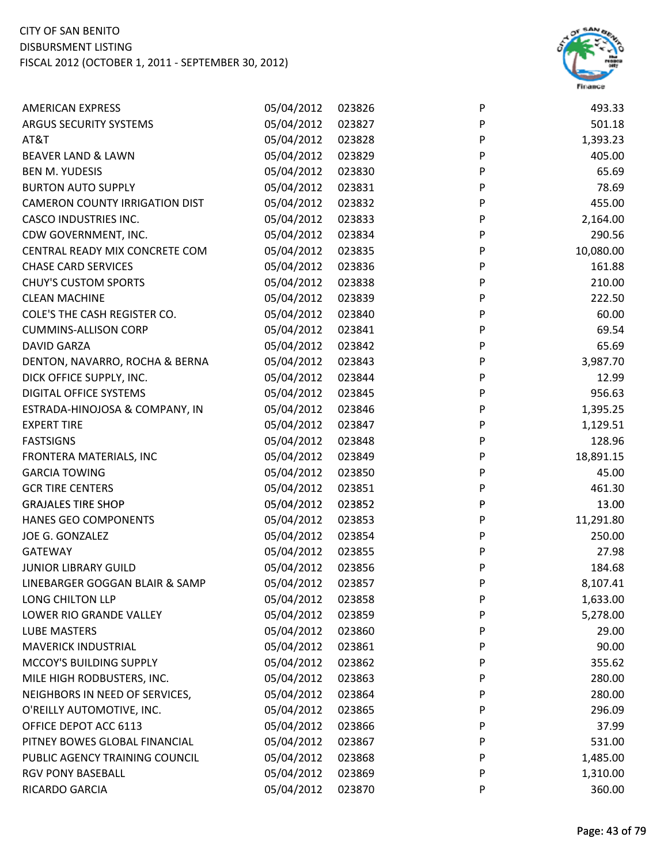

| 05/04/2012<br>023827<br>P<br>501.18<br>05/04/2012<br>023828<br>P<br>1,393.23<br>05/04/2012<br>023829<br>P<br>405.00<br>05/04/2012<br>P<br>65.69<br>023830<br>05/04/2012<br>P<br>78.69<br>023831<br>05/04/2012<br>023832<br>P<br>455.00<br>05/04/2012<br>023833<br>P<br>2,164.00<br>05/04/2012<br>023834<br>P<br>290.56<br>P<br>05/04/2012<br>10,080.00<br>023835<br>05/04/2012<br>P<br>161.88<br>023836<br>P<br>05/04/2012<br>210.00<br>023838<br>05/04/2012<br>023839<br>P<br>222.50<br>05/04/2012<br>P<br>60.00<br>023840<br>05/04/2012<br>023841<br>P<br>69.54<br>05/04/2012<br>P<br>65.69<br>023842<br>05/04/2012<br>023843<br>P<br>3,987.70<br>05/04/2012<br>P<br>023844<br>12.99<br>05/04/2012<br>P<br>956.63<br>023845<br>05/04/2012<br>P<br>023846<br>1,395.25<br>05/04/2012<br>023847<br>P<br>1,129.51<br>P<br>05/04/2012<br>128.96<br>023848<br>05/04/2012<br>P<br>023849<br>18,891.15<br>P<br>05/04/2012<br>45.00<br>023850<br>05/04/2012<br>P<br>461.30<br>023851<br>05/04/2012<br>P<br>13.00<br>023852<br>05/04/2012<br>023853<br>11,291.80<br>P<br>05/04/2012<br>P<br>250.00<br>023854<br>05/04/2012<br>P<br>023855<br>27.98<br>05/04/2012<br>P<br>184.68<br>023856<br>05/04/2012<br>P<br>8,107.41<br>023857<br>05/04/2012<br>023858<br>P<br>1,633.00<br>05/04/2012<br>023859<br>P<br>5,278.00<br>05/04/2012<br>023860<br>P<br>29.00<br>05/04/2012<br>90.00<br>023861<br>P<br>05/04/2012<br>P<br>355.62<br>023862<br>05/04/2012<br>023863<br>280.00<br>P<br>05/04/2012<br>280.00<br>023864<br>P<br>05/04/2012<br>023865<br>296.09<br>P<br>05/04/2012<br>023866<br>P<br>37.99<br>05/04/2012<br>023867<br>P<br>531.00 | <b>AMERICAN EXPRESS</b>               | 05/04/2012 | 023826 | P | 493.33   |
|-----------------------------------------------------------------------------------------------------------------------------------------------------------------------------------------------------------------------------------------------------------------------------------------------------------------------------------------------------------------------------------------------------------------------------------------------------------------------------------------------------------------------------------------------------------------------------------------------------------------------------------------------------------------------------------------------------------------------------------------------------------------------------------------------------------------------------------------------------------------------------------------------------------------------------------------------------------------------------------------------------------------------------------------------------------------------------------------------------------------------------------------------------------------------------------------------------------------------------------------------------------------------------------------------------------------------------------------------------------------------------------------------------------------------------------------------------------------------------------------------------------------------------------------------------------------------------------------------------------------------------------|---------------------------------------|------------|--------|---|----------|
|                                                                                                                                                                                                                                                                                                                                                                                                                                                                                                                                                                                                                                                                                                                                                                                                                                                                                                                                                                                                                                                                                                                                                                                                                                                                                                                                                                                                                                                                                                                                                                                                                                   | ARGUS SECURITY SYSTEMS                |            |        |   |          |
|                                                                                                                                                                                                                                                                                                                                                                                                                                                                                                                                                                                                                                                                                                                                                                                                                                                                                                                                                                                                                                                                                                                                                                                                                                                                                                                                                                                                                                                                                                                                                                                                                                   | AT&T                                  |            |        |   |          |
|                                                                                                                                                                                                                                                                                                                                                                                                                                                                                                                                                                                                                                                                                                                                                                                                                                                                                                                                                                                                                                                                                                                                                                                                                                                                                                                                                                                                                                                                                                                                                                                                                                   | BEAVER LAND & LAWN                    |            |        |   |          |
|                                                                                                                                                                                                                                                                                                                                                                                                                                                                                                                                                                                                                                                                                                                                                                                                                                                                                                                                                                                                                                                                                                                                                                                                                                                                                                                                                                                                                                                                                                                                                                                                                                   | <b>BEN M. YUDESIS</b>                 |            |        |   |          |
|                                                                                                                                                                                                                                                                                                                                                                                                                                                                                                                                                                                                                                                                                                                                                                                                                                                                                                                                                                                                                                                                                                                                                                                                                                                                                                                                                                                                                                                                                                                                                                                                                                   | <b>BURTON AUTO SUPPLY</b>             |            |        |   |          |
|                                                                                                                                                                                                                                                                                                                                                                                                                                                                                                                                                                                                                                                                                                                                                                                                                                                                                                                                                                                                                                                                                                                                                                                                                                                                                                                                                                                                                                                                                                                                                                                                                                   | <b>CAMERON COUNTY IRRIGATION DIST</b> |            |        |   |          |
|                                                                                                                                                                                                                                                                                                                                                                                                                                                                                                                                                                                                                                                                                                                                                                                                                                                                                                                                                                                                                                                                                                                                                                                                                                                                                                                                                                                                                                                                                                                                                                                                                                   | <b>CASCO INDUSTRIES INC.</b>          |            |        |   |          |
|                                                                                                                                                                                                                                                                                                                                                                                                                                                                                                                                                                                                                                                                                                                                                                                                                                                                                                                                                                                                                                                                                                                                                                                                                                                                                                                                                                                                                                                                                                                                                                                                                                   | CDW GOVERNMENT, INC.                  |            |        |   |          |
|                                                                                                                                                                                                                                                                                                                                                                                                                                                                                                                                                                                                                                                                                                                                                                                                                                                                                                                                                                                                                                                                                                                                                                                                                                                                                                                                                                                                                                                                                                                                                                                                                                   | CENTRAL READY MIX CONCRETE COM        |            |        |   |          |
|                                                                                                                                                                                                                                                                                                                                                                                                                                                                                                                                                                                                                                                                                                                                                                                                                                                                                                                                                                                                                                                                                                                                                                                                                                                                                                                                                                                                                                                                                                                                                                                                                                   | <b>CHASE CARD SERVICES</b>            |            |        |   |          |
|                                                                                                                                                                                                                                                                                                                                                                                                                                                                                                                                                                                                                                                                                                                                                                                                                                                                                                                                                                                                                                                                                                                                                                                                                                                                                                                                                                                                                                                                                                                                                                                                                                   | <b>CHUY'S CUSTOM SPORTS</b>           |            |        |   |          |
|                                                                                                                                                                                                                                                                                                                                                                                                                                                                                                                                                                                                                                                                                                                                                                                                                                                                                                                                                                                                                                                                                                                                                                                                                                                                                                                                                                                                                                                                                                                                                                                                                                   | <b>CLEAN MACHINE</b>                  |            |        |   |          |
|                                                                                                                                                                                                                                                                                                                                                                                                                                                                                                                                                                                                                                                                                                                                                                                                                                                                                                                                                                                                                                                                                                                                                                                                                                                                                                                                                                                                                                                                                                                                                                                                                                   | COLE'S THE CASH REGISTER CO.          |            |        |   |          |
|                                                                                                                                                                                                                                                                                                                                                                                                                                                                                                                                                                                                                                                                                                                                                                                                                                                                                                                                                                                                                                                                                                                                                                                                                                                                                                                                                                                                                                                                                                                                                                                                                                   | <b>CUMMINS-ALLISON CORP</b>           |            |        |   |          |
|                                                                                                                                                                                                                                                                                                                                                                                                                                                                                                                                                                                                                                                                                                                                                                                                                                                                                                                                                                                                                                                                                                                                                                                                                                                                                                                                                                                                                                                                                                                                                                                                                                   | <b>DAVID GARZA</b>                    |            |        |   |          |
|                                                                                                                                                                                                                                                                                                                                                                                                                                                                                                                                                                                                                                                                                                                                                                                                                                                                                                                                                                                                                                                                                                                                                                                                                                                                                                                                                                                                                                                                                                                                                                                                                                   | DENTON, NAVARRO, ROCHA & BERNA        |            |        |   |          |
|                                                                                                                                                                                                                                                                                                                                                                                                                                                                                                                                                                                                                                                                                                                                                                                                                                                                                                                                                                                                                                                                                                                                                                                                                                                                                                                                                                                                                                                                                                                                                                                                                                   | DICK OFFICE SUPPLY, INC.              |            |        |   |          |
|                                                                                                                                                                                                                                                                                                                                                                                                                                                                                                                                                                                                                                                                                                                                                                                                                                                                                                                                                                                                                                                                                                                                                                                                                                                                                                                                                                                                                                                                                                                                                                                                                                   | DIGITAL OFFICE SYSTEMS                |            |        |   |          |
|                                                                                                                                                                                                                                                                                                                                                                                                                                                                                                                                                                                                                                                                                                                                                                                                                                                                                                                                                                                                                                                                                                                                                                                                                                                                                                                                                                                                                                                                                                                                                                                                                                   | ESTRADA-HINOJOSA & COMPANY, IN        |            |        |   |          |
|                                                                                                                                                                                                                                                                                                                                                                                                                                                                                                                                                                                                                                                                                                                                                                                                                                                                                                                                                                                                                                                                                                                                                                                                                                                                                                                                                                                                                                                                                                                                                                                                                                   | <b>EXPERT TIRE</b>                    |            |        |   |          |
|                                                                                                                                                                                                                                                                                                                                                                                                                                                                                                                                                                                                                                                                                                                                                                                                                                                                                                                                                                                                                                                                                                                                                                                                                                                                                                                                                                                                                                                                                                                                                                                                                                   | <b>FASTSIGNS</b>                      |            |        |   |          |
|                                                                                                                                                                                                                                                                                                                                                                                                                                                                                                                                                                                                                                                                                                                                                                                                                                                                                                                                                                                                                                                                                                                                                                                                                                                                                                                                                                                                                                                                                                                                                                                                                                   | FRONTERA MATERIALS, INC               |            |        |   |          |
|                                                                                                                                                                                                                                                                                                                                                                                                                                                                                                                                                                                                                                                                                                                                                                                                                                                                                                                                                                                                                                                                                                                                                                                                                                                                                                                                                                                                                                                                                                                                                                                                                                   | <b>GARCIA TOWING</b>                  |            |        |   |          |
|                                                                                                                                                                                                                                                                                                                                                                                                                                                                                                                                                                                                                                                                                                                                                                                                                                                                                                                                                                                                                                                                                                                                                                                                                                                                                                                                                                                                                                                                                                                                                                                                                                   | <b>GCR TIRE CENTERS</b>               |            |        |   |          |
|                                                                                                                                                                                                                                                                                                                                                                                                                                                                                                                                                                                                                                                                                                                                                                                                                                                                                                                                                                                                                                                                                                                                                                                                                                                                                                                                                                                                                                                                                                                                                                                                                                   | <b>GRAJALES TIRE SHOP</b>             |            |        |   |          |
|                                                                                                                                                                                                                                                                                                                                                                                                                                                                                                                                                                                                                                                                                                                                                                                                                                                                                                                                                                                                                                                                                                                                                                                                                                                                                                                                                                                                                                                                                                                                                                                                                                   | HANES GEO COMPONENTS                  |            |        |   |          |
|                                                                                                                                                                                                                                                                                                                                                                                                                                                                                                                                                                                                                                                                                                                                                                                                                                                                                                                                                                                                                                                                                                                                                                                                                                                                                                                                                                                                                                                                                                                                                                                                                                   | JOE G. GONZALEZ                       |            |        |   |          |
|                                                                                                                                                                                                                                                                                                                                                                                                                                                                                                                                                                                                                                                                                                                                                                                                                                                                                                                                                                                                                                                                                                                                                                                                                                                                                                                                                                                                                                                                                                                                                                                                                                   | <b>GATEWAY</b>                        |            |        |   |          |
|                                                                                                                                                                                                                                                                                                                                                                                                                                                                                                                                                                                                                                                                                                                                                                                                                                                                                                                                                                                                                                                                                                                                                                                                                                                                                                                                                                                                                                                                                                                                                                                                                                   | <b>JUNIOR LIBRARY GUILD</b>           |            |        |   |          |
|                                                                                                                                                                                                                                                                                                                                                                                                                                                                                                                                                                                                                                                                                                                                                                                                                                                                                                                                                                                                                                                                                                                                                                                                                                                                                                                                                                                                                                                                                                                                                                                                                                   | LINEBARGER GOGGAN BLAIR & SAMP        |            |        |   |          |
|                                                                                                                                                                                                                                                                                                                                                                                                                                                                                                                                                                                                                                                                                                                                                                                                                                                                                                                                                                                                                                                                                                                                                                                                                                                                                                                                                                                                                                                                                                                                                                                                                                   | LONG CHILTON LLP                      |            |        |   |          |
|                                                                                                                                                                                                                                                                                                                                                                                                                                                                                                                                                                                                                                                                                                                                                                                                                                                                                                                                                                                                                                                                                                                                                                                                                                                                                                                                                                                                                                                                                                                                                                                                                                   | LOWER RIO GRANDE VALLEY               |            |        |   |          |
|                                                                                                                                                                                                                                                                                                                                                                                                                                                                                                                                                                                                                                                                                                                                                                                                                                                                                                                                                                                                                                                                                                                                                                                                                                                                                                                                                                                                                                                                                                                                                                                                                                   | <b>LUBE MASTERS</b>                   |            |        |   |          |
|                                                                                                                                                                                                                                                                                                                                                                                                                                                                                                                                                                                                                                                                                                                                                                                                                                                                                                                                                                                                                                                                                                                                                                                                                                                                                                                                                                                                                                                                                                                                                                                                                                   | <b>MAVERICK INDUSTRIAL</b>            |            |        |   |          |
|                                                                                                                                                                                                                                                                                                                                                                                                                                                                                                                                                                                                                                                                                                                                                                                                                                                                                                                                                                                                                                                                                                                                                                                                                                                                                                                                                                                                                                                                                                                                                                                                                                   | MCCOY'S BUILDING SUPPLY               |            |        |   |          |
|                                                                                                                                                                                                                                                                                                                                                                                                                                                                                                                                                                                                                                                                                                                                                                                                                                                                                                                                                                                                                                                                                                                                                                                                                                                                                                                                                                                                                                                                                                                                                                                                                                   | MILE HIGH RODBUSTERS, INC.            |            |        |   |          |
|                                                                                                                                                                                                                                                                                                                                                                                                                                                                                                                                                                                                                                                                                                                                                                                                                                                                                                                                                                                                                                                                                                                                                                                                                                                                                                                                                                                                                                                                                                                                                                                                                                   | NEIGHBORS IN NEED OF SERVICES,        |            |        |   |          |
|                                                                                                                                                                                                                                                                                                                                                                                                                                                                                                                                                                                                                                                                                                                                                                                                                                                                                                                                                                                                                                                                                                                                                                                                                                                                                                                                                                                                                                                                                                                                                                                                                                   | O'REILLY AUTOMOTIVE, INC.             |            |        |   |          |
|                                                                                                                                                                                                                                                                                                                                                                                                                                                                                                                                                                                                                                                                                                                                                                                                                                                                                                                                                                                                                                                                                                                                                                                                                                                                                                                                                                                                                                                                                                                                                                                                                                   | OFFICE DEPOT ACC 6113                 |            |        |   |          |
|                                                                                                                                                                                                                                                                                                                                                                                                                                                                                                                                                                                                                                                                                                                                                                                                                                                                                                                                                                                                                                                                                                                                                                                                                                                                                                                                                                                                                                                                                                                                                                                                                                   | PITNEY BOWES GLOBAL FINANCIAL         |            |        |   |          |
|                                                                                                                                                                                                                                                                                                                                                                                                                                                                                                                                                                                                                                                                                                                                                                                                                                                                                                                                                                                                                                                                                                                                                                                                                                                                                                                                                                                                                                                                                                                                                                                                                                   | PUBLIC AGENCY TRAINING COUNCIL        | 05/04/2012 | 023868 | P | 1,485.00 |
| 05/04/2012<br>023869<br>P<br>1,310.00                                                                                                                                                                                                                                                                                                                                                                                                                                                                                                                                                                                                                                                                                                                                                                                                                                                                                                                                                                                                                                                                                                                                                                                                                                                                                                                                                                                                                                                                                                                                                                                             | <b>RGV PONY BASEBALL</b>              |            |        |   |          |
|                                                                                                                                                                                                                                                                                                                                                                                                                                                                                                                                                                                                                                                                                                                                                                                                                                                                                                                                                                                                                                                                                                                                                                                                                                                                                                                                                                                                                                                                                                                                                                                                                                   | RICARDO GARCIA                        | 05/04/2012 | 023870 | P | 360.00   |
|                                                                                                                                                                                                                                                                                                                                                                                                                                                                                                                                                                                                                                                                                                                                                                                                                                                                                                                                                                                                                                                                                                                                                                                                                                                                                                                                                                                                                                                                                                                                                                                                                                   |                                       |            |        |   |          |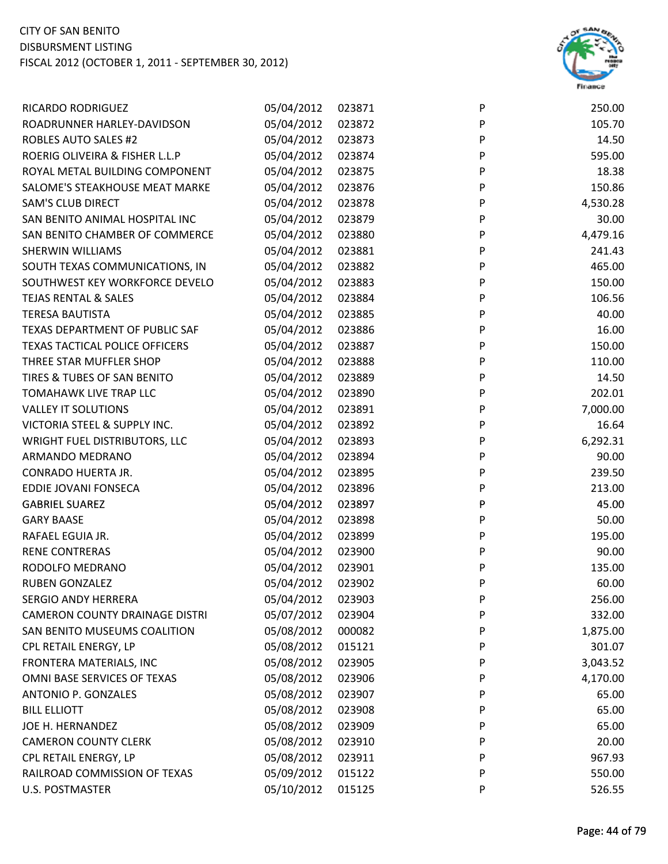

| RICARDO RODRIGUEZ                     | 05/04/2012 | 023871 | P | 250.00   |
|---------------------------------------|------------|--------|---|----------|
| ROADRUNNER HARLEY-DAVIDSON            | 05/04/2012 | 023872 | P | 105.70   |
| <b>ROBLES AUTO SALES #2</b>           | 05/04/2012 | 023873 | P | 14.50    |
| ROERIG OLIVEIRA & FISHER L.L.P        | 05/04/2012 | 023874 | P | 595.00   |
| ROYAL METAL BUILDING COMPONENT        | 05/04/2012 | 023875 | P | 18.38    |
| SALOME'S STEAKHOUSE MEAT MARKE        | 05/04/2012 | 023876 | P | 150.86   |
| <b>SAM'S CLUB DIRECT</b>              | 05/04/2012 | 023878 | P | 4,530.28 |
| SAN BENITO ANIMAL HOSPITAL INC        | 05/04/2012 | 023879 | P | 30.00    |
| SAN BENITO CHAMBER OF COMMERCE        | 05/04/2012 | 023880 | P | 4,479.16 |
| <b>SHERWIN WILLIAMS</b>               | 05/04/2012 | 023881 | P | 241.43   |
| SOUTH TEXAS COMMUNICATIONS, IN        | 05/04/2012 | 023882 | P | 465.00   |
| SOUTHWEST KEY WORKFORCE DEVELO        | 05/04/2012 | 023883 | P | 150.00   |
| <b>TEJAS RENTAL &amp; SALES</b>       | 05/04/2012 | 023884 | P | 106.56   |
| <b>TERESA BAUTISTA</b>                | 05/04/2012 | 023885 | P | 40.00    |
| TEXAS DEPARTMENT OF PUBLIC SAF        | 05/04/2012 | 023886 | P | 16.00    |
| TEXAS TACTICAL POLICE OFFICERS        | 05/04/2012 | 023887 | P | 150.00   |
| THREE STAR MUFFLER SHOP               | 05/04/2012 | 023888 | P | 110.00   |
| TIRES & TUBES OF SAN BENITO           | 05/04/2012 | 023889 | P | 14.50    |
| TOMAHAWK LIVE TRAP LLC                | 05/04/2012 | 023890 | P | 202.01   |
| <b>VALLEY IT SOLUTIONS</b>            | 05/04/2012 | 023891 | P | 7,000.00 |
| VICTORIA STEEL & SUPPLY INC.          | 05/04/2012 | 023892 | P | 16.64    |
| <b>WRIGHT FUEL DISTRIBUTORS, LLC</b>  | 05/04/2012 | 023893 | P | 6,292.31 |
| ARMANDO MEDRANO                       | 05/04/2012 | 023894 | P | 90.00    |
| CONRADO HUERTA JR.                    | 05/04/2012 | 023895 | P | 239.50   |
| EDDIE JOVANI FONSECA                  | 05/04/2012 | 023896 | P | 213.00   |
| <b>GABRIEL SUAREZ</b>                 | 05/04/2012 | 023897 | P | 45.00    |
| <b>GARY BAASE</b>                     | 05/04/2012 | 023898 | P | 50.00    |
| RAFAEL EGUIA JR.                      | 05/04/2012 | 023899 | P | 195.00   |
| <b>RENE CONTRERAS</b>                 | 05/04/2012 | 023900 | P | 90.00    |
| RODOLFO MEDRANO                       | 05/04/2012 | 023901 | P | 135.00   |
| <b>RUBEN GONZALEZ</b>                 | 05/04/2012 | 023902 | P | 60.00    |
| <b>SERGIO ANDY HERRERA</b>            | 05/04/2012 | 023903 | P | 256.00   |
| <b>CAMERON COUNTY DRAINAGE DISTRI</b> | 05/07/2012 | 023904 | P | 332.00   |
| SAN BENITO MUSEUMS COALITION          | 05/08/2012 | 000082 | P | 1,875.00 |
| CPL RETAIL ENERGY, LP                 | 05/08/2012 | 015121 | P | 301.07   |
| FRONTERA MATERIALS, INC               | 05/08/2012 | 023905 | P | 3,043.52 |
| OMNI BASE SERVICES OF TEXAS           | 05/08/2012 | 023906 | P | 4,170.00 |
| <b>ANTONIO P. GONZALES</b>            | 05/08/2012 | 023907 | P | 65.00    |
| <b>BILL ELLIOTT</b>                   | 05/08/2012 | 023908 | P | 65.00    |
| JOE H. HERNANDEZ                      | 05/08/2012 | 023909 | P | 65.00    |
| <b>CAMERON COUNTY CLERK</b>           | 05/08/2012 | 023910 | P | 20.00    |
| CPL RETAIL ENERGY, LP                 | 05/08/2012 | 023911 | P | 967.93   |
| RAILROAD COMMISSION OF TEXAS          | 05/09/2012 | 015122 | P | 550.00   |
| <b>U.S. POSTMASTER</b>                | 05/10/2012 | 015125 | P | 526.55   |
|                                       |            |        |   |          |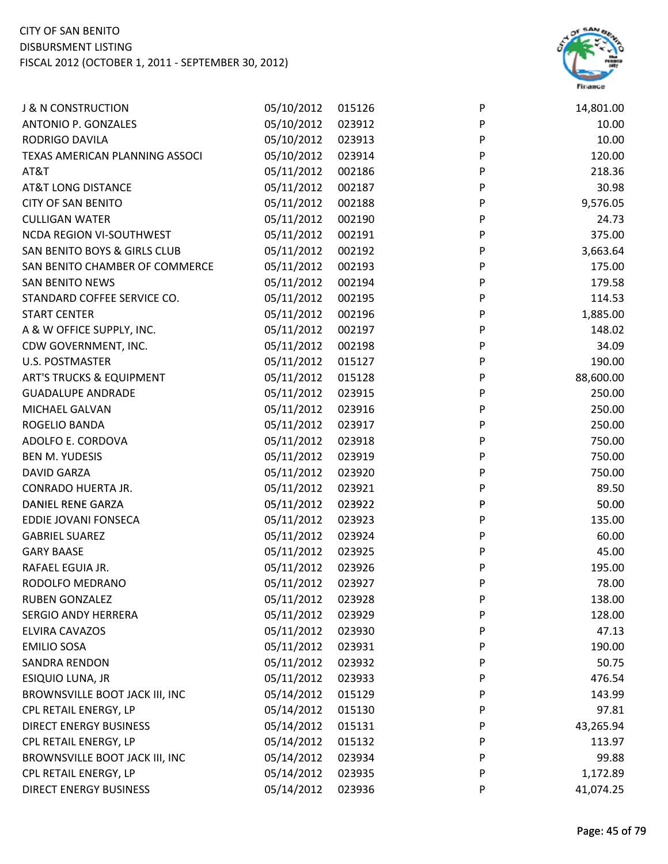

| <b>J &amp; N CONSTRUCTION</b>       | 05/10/2012 | 015126 | P            | 14,801.00 |
|-------------------------------------|------------|--------|--------------|-----------|
| ANTONIO P. GONZALES                 | 05/10/2012 | 023912 | ${\sf P}$    | 10.00     |
| RODRIGO DAVILA                      | 05/10/2012 | 023913 | ${\sf P}$    | 10.00     |
| TEXAS AMERICAN PLANNING ASSOCI      | 05/10/2012 | 023914 | P            | 120.00    |
| AT&T                                | 05/11/2012 | 002186 | P            | 218.36    |
| <b>AT&amp;T LONG DISTANCE</b>       | 05/11/2012 | 002187 | P            | 30.98     |
| <b>CITY OF SAN BENITO</b>           | 05/11/2012 | 002188 | P            | 9,576.05  |
| <b>CULLIGAN WATER</b>               | 05/11/2012 | 002190 | ${\sf P}$    | 24.73     |
| NCDA REGION VI-SOUTHWEST            | 05/11/2012 | 002191 | P            | 375.00    |
| SAN BENITO BOYS & GIRLS CLUB        | 05/11/2012 | 002192 | ${\sf P}$    | 3,663.64  |
| SAN BENITO CHAMBER OF COMMERCE      | 05/11/2012 | 002193 | P            | 175.00    |
| SAN BENITO NEWS                     | 05/11/2012 | 002194 | P            | 179.58    |
| STANDARD COFFEE SERVICE CO.         | 05/11/2012 | 002195 | P            | 114.53    |
| <b>START CENTER</b>                 | 05/11/2012 | 002196 | P            | 1,885.00  |
| A & W OFFICE SUPPLY, INC.           | 05/11/2012 | 002197 | $\sf P$      | 148.02    |
| CDW GOVERNMENT, INC.                | 05/11/2012 | 002198 | $\mathsf{P}$ | 34.09     |
| <b>U.S. POSTMASTER</b>              | 05/11/2012 | 015127 | P            | 190.00    |
| <b>ART'S TRUCKS &amp; EQUIPMENT</b> | 05/11/2012 | 015128 | P            | 88,600.00 |
| <b>GUADALUPE ANDRADE</b>            | 05/11/2012 | 023915 | P            | 250.00    |
| MICHAEL GALVAN                      | 05/11/2012 | 023916 | $\mathsf{P}$ | 250.00    |
| ROGELIO BANDA                       | 05/11/2012 | 023917 | ${\sf P}$    | 250.00    |
| ADOLFO E. CORDOVA                   | 05/11/2012 | 023918 | P            | 750.00    |
| <b>BEN M. YUDESIS</b>               | 05/11/2012 | 023919 | P            | 750.00    |
| <b>DAVID GARZA</b>                  | 05/11/2012 | 023920 | P            | 750.00    |
| CONRADO HUERTA JR.                  | 05/11/2012 | 023921 | P            | 89.50     |
| DANIEL RENE GARZA                   | 05/11/2012 | 023922 | P            | 50.00     |
| EDDIE JOVANI FONSECA                | 05/11/2012 | 023923 | ${\sf P}$    | 135.00    |
| <b>GABRIEL SUAREZ</b>               | 05/11/2012 | 023924 | P            | 60.00     |
| <b>GARY BAASE</b>                   | 05/11/2012 | 023925 | P            | 45.00     |
| RAFAEL EGUIA JR.                    | 05/11/2012 | 023926 | P            | 195.00    |
| RODOLFO MEDRANO                     | 05/11/2012 | 023927 | P            | 78.00     |
| <b>RUBEN GONZALEZ</b>               | 05/11/2012 | 023928 | P            | 138.00    |
| <b>SERGIO ANDY HERRERA</b>          | 05/11/2012 | 023929 | P            | 128.00    |
| ELVIRA CAVAZOS                      | 05/11/2012 | 023930 | P            | 47.13     |
| <b>EMILIO SOSA</b>                  | 05/11/2012 | 023931 | P            | 190.00    |
| SANDRA RENDON                       | 05/11/2012 | 023932 | P            | 50.75     |
| ESIQUIO LUNA, JR                    | 05/11/2012 | 023933 | P            | 476.54    |
| BROWNSVILLE BOOT JACK III, INC      | 05/14/2012 | 015129 | P            | 143.99    |
| CPL RETAIL ENERGY, LP               | 05/14/2012 | 015130 | P            | 97.81     |
| <b>DIRECT ENERGY BUSINESS</b>       | 05/14/2012 | 015131 | P            | 43,265.94 |
| CPL RETAIL ENERGY, LP               | 05/14/2012 | 015132 | P            | 113.97    |
| BROWNSVILLE BOOT JACK III, INC      | 05/14/2012 | 023934 | P            | 99.88     |
| CPL RETAIL ENERGY, LP               | 05/14/2012 | 023935 | P            | 1,172.89  |
| <b>DIRECT ENERGY BUSINESS</b>       | 05/14/2012 | 023936 | P            | 41,074.25 |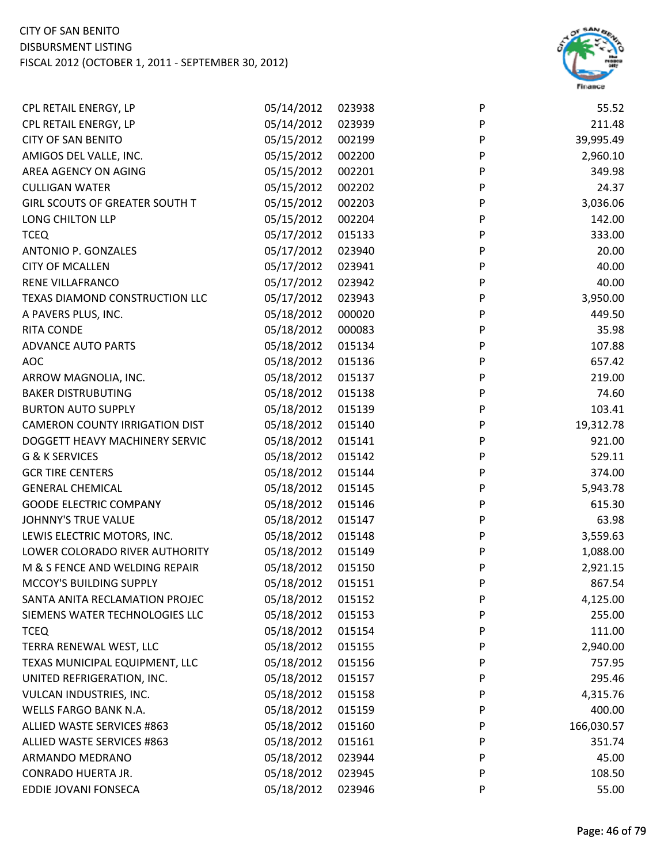

| CPL RETAIL ENERGY, LP                 | 05/14/2012 | 023938 | P | 55.52      |
|---------------------------------------|------------|--------|---|------------|
| CPL RETAIL ENERGY, LP                 | 05/14/2012 | 023939 | P | 211.48     |
| <b>CITY OF SAN BENITO</b>             | 05/15/2012 | 002199 | P | 39,995.49  |
| AMIGOS DEL VALLE, INC.                | 05/15/2012 | 002200 | P | 2,960.10   |
| AREA AGENCY ON AGING                  | 05/15/2012 | 002201 | P | 349.98     |
| <b>CULLIGAN WATER</b>                 | 05/15/2012 | 002202 | P | 24.37      |
| GIRL SCOUTS OF GREATER SOUTH T        | 05/15/2012 | 002203 | P | 3,036.06   |
| LONG CHILTON LLP                      | 05/15/2012 | 002204 | P | 142.00     |
| <b>TCEQ</b>                           | 05/17/2012 | 015133 | P | 333.00     |
| ANTONIO P. GONZALES                   | 05/17/2012 | 023940 | P | 20.00      |
| <b>CITY OF MCALLEN</b>                | 05/17/2012 | 023941 | P | 40.00      |
| RENE VILLAFRANCO                      | 05/17/2012 | 023942 | P | 40.00      |
| TEXAS DIAMOND CONSTRUCTION LLC        | 05/17/2012 | 023943 | P | 3,950.00   |
| A PAVERS PLUS, INC.                   | 05/18/2012 | 000020 | P | 449.50     |
| RITA CONDE                            | 05/18/2012 | 000083 | P | 35.98      |
| <b>ADVANCE AUTO PARTS</b>             | 05/18/2012 | 015134 | P | 107.88     |
| <b>AOC</b>                            | 05/18/2012 | 015136 | P | 657.42     |
| ARROW MAGNOLIA, INC.                  | 05/18/2012 | 015137 | P | 219.00     |
| <b>BAKER DISTRUBUTING</b>             | 05/18/2012 | 015138 | P | 74.60      |
| <b>BURTON AUTO SUPPLY</b>             | 05/18/2012 | 015139 | P | 103.41     |
| <b>CAMERON COUNTY IRRIGATION DIST</b> | 05/18/2012 | 015140 | P | 19,312.78  |
| DOGGETT HEAVY MACHINERY SERVIC        | 05/18/2012 | 015141 | P | 921.00     |
| G & K SERVICES                        | 05/18/2012 | 015142 | P | 529.11     |
| <b>GCR TIRE CENTERS</b>               | 05/18/2012 | 015144 | P | 374.00     |
| <b>GENERAL CHEMICAL</b>               | 05/18/2012 | 015145 | P | 5,943.78   |
| <b>GOODE ELECTRIC COMPANY</b>         | 05/18/2012 | 015146 | P | 615.30     |
| JOHNNY'S TRUE VALUE                   | 05/18/2012 | 015147 | P | 63.98      |
| LEWIS ELECTRIC MOTORS, INC.           | 05/18/2012 | 015148 | P | 3,559.63   |
| LOWER COLORADO RIVER AUTHORITY        | 05/18/2012 | 015149 | P | 1,088.00   |
| M & S FENCE AND WELDING REPAIR        | 05/18/2012 | 015150 | P | 2,921.15   |
| MCCOY'S BUILDING SUPPLY               | 05/18/2012 | 015151 | P | 867.54     |
| SANTA ANITA RECLAMATION PROJEC        | 05/18/2012 | 015152 | P | 4,125.00   |
| SIEMENS WATER TECHNOLOGIES LLC        | 05/18/2012 | 015153 | P | 255.00     |
| <b>TCEQ</b>                           | 05/18/2012 | 015154 | P | 111.00     |
| TERRA RENEWAL WEST, LLC               | 05/18/2012 | 015155 | P | 2,940.00   |
| TEXAS MUNICIPAL EQUIPMENT, LLC        | 05/18/2012 | 015156 | P | 757.95     |
| UNITED REFRIGERATION, INC.            | 05/18/2012 | 015157 | P | 295.46     |
| VULCAN INDUSTRIES, INC.               | 05/18/2012 | 015158 | P | 4,315.76   |
| WELLS FARGO BANK N.A.                 | 05/18/2012 | 015159 | P | 400.00     |
| ALLIED WASTE SERVICES #863            | 05/18/2012 | 015160 | P | 166,030.57 |
| ALLIED WASTE SERVICES #863            | 05/18/2012 | 015161 | P | 351.74     |
| ARMANDO MEDRANO                       | 05/18/2012 | 023944 | P | 45.00      |
| CONRADO HUERTA JR.                    | 05/18/2012 | 023945 | P | 108.50     |
| EDDIE JOVANI FONSECA                  | 05/18/2012 | 023946 | P | 55.00      |
|                                       |            |        |   |            |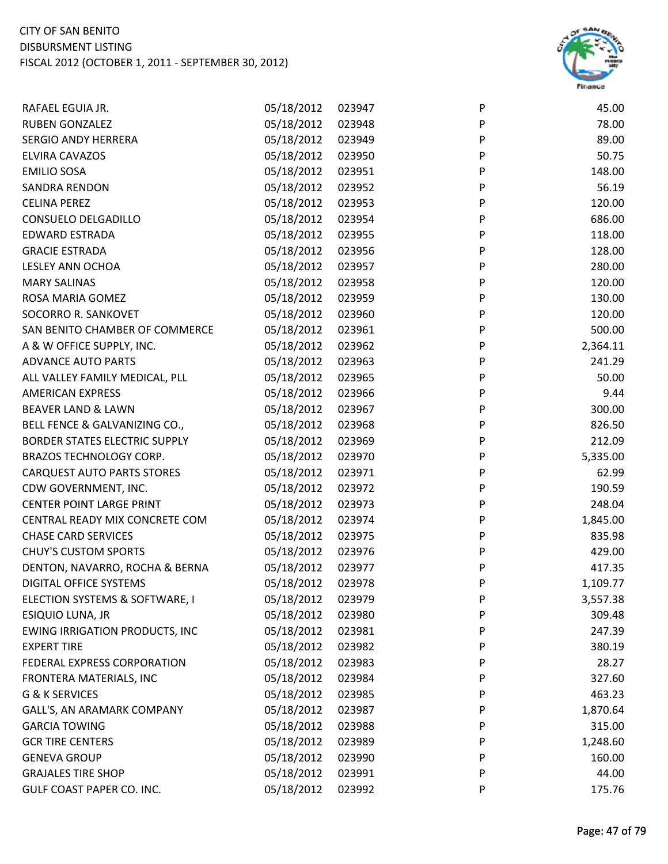

| RAFAEL EGUIA JR.                      | 05/18/2012 | 023947 | P | 45.00    |
|---------------------------------------|------------|--------|---|----------|
| <b>RUBEN GONZALEZ</b>                 | 05/18/2012 | 023948 | P | 78.00    |
| <b>SERGIO ANDY HERRERA</b>            | 05/18/2012 | 023949 | P | 89.00    |
| ELVIRA CAVAZOS                        | 05/18/2012 | 023950 | P | 50.75    |
| <b>EMILIO SOSA</b>                    | 05/18/2012 | 023951 | P | 148.00   |
| SANDRA RENDON                         | 05/18/2012 | 023952 | P | 56.19    |
| <b>CELINA PEREZ</b>                   | 05/18/2012 | 023953 | P | 120.00   |
| CONSUELO DELGADILLO                   | 05/18/2012 | 023954 | P | 686.00   |
| EDWARD ESTRADA                        | 05/18/2012 | 023955 | P | 118.00   |
| <b>GRACIE ESTRADA</b>                 | 05/18/2012 | 023956 | P | 128.00   |
| LESLEY ANN OCHOA                      | 05/18/2012 | 023957 | P | 280.00   |
| <b>MARY SALINAS</b>                   | 05/18/2012 | 023958 | P | 120.00   |
| ROSA MARIA GOMEZ                      | 05/18/2012 | 023959 | P | 130.00   |
| SOCORRO R. SANKOVET                   | 05/18/2012 | 023960 | P | 120.00   |
| SAN BENITO CHAMBER OF COMMERCE        | 05/18/2012 | 023961 | P | 500.00   |
| A & W OFFICE SUPPLY, INC.             | 05/18/2012 | 023962 | P | 2,364.11 |
| <b>ADVANCE AUTO PARTS</b>             | 05/18/2012 | 023963 | P | 241.29   |
| ALL VALLEY FAMILY MEDICAL, PLL        | 05/18/2012 | 023965 | P | 50.00    |
| <b>AMERICAN EXPRESS</b>               | 05/18/2012 | 023966 | P | 9.44     |
| <b>BEAVER LAND &amp; LAWN</b>         | 05/18/2012 | 023967 | P | 300.00   |
| BELL FENCE & GALVANIZING CO.,         | 05/18/2012 | 023968 | P | 826.50   |
| BORDER STATES ELECTRIC SUPPLY         | 05/18/2012 | 023969 | P | 212.09   |
| BRAZOS TECHNOLOGY CORP.               | 05/18/2012 | 023970 | P | 5,335.00 |
| <b>CARQUEST AUTO PARTS STORES</b>     | 05/18/2012 | 023971 | P | 62.99    |
| CDW GOVERNMENT, INC.                  | 05/18/2012 | 023972 | P | 190.59   |
| <b>CENTER POINT LARGE PRINT</b>       | 05/18/2012 | 023973 | P | 248.04   |
| CENTRAL READY MIX CONCRETE COM        | 05/18/2012 | 023974 | P | 1,845.00 |
| <b>CHASE CARD SERVICES</b>            | 05/18/2012 | 023975 | P | 835.98   |
| <b>CHUY'S CUSTOM SPORTS</b>           | 05/18/2012 | 023976 | P | 429.00   |
| DENTON, NAVARRO, ROCHA & BERNA        | 05/18/2012 | 023977 | P | 417.35   |
| DIGITAL OFFICE SYSTEMS                | 05/18/2012 | 023978 | P | 1,109.77 |
| ELECTION SYSTEMS & SOFTWARE, I        | 05/18/2012 | 023979 | P | 3,557.38 |
| ESIQUIO LUNA, JR                      | 05/18/2012 | 023980 | P | 309.48   |
| <b>EWING IRRIGATION PRODUCTS, INC</b> | 05/18/2012 | 023981 | P | 247.39   |
| <b>EXPERT TIRE</b>                    | 05/18/2012 | 023982 | P | 380.19   |
| FEDERAL EXPRESS CORPORATION           | 05/18/2012 | 023983 | P | 28.27    |
| FRONTERA MATERIALS, INC               | 05/18/2012 | 023984 | P | 327.60   |
| G & K SERVICES                        | 05/18/2012 | 023985 | P | 463.23   |
| GALL'S, AN ARAMARK COMPANY            | 05/18/2012 | 023987 | P | 1,870.64 |
| <b>GARCIA TOWING</b>                  | 05/18/2012 | 023988 | P | 315.00   |
| <b>GCR TIRE CENTERS</b>               | 05/18/2012 | 023989 | P | 1,248.60 |
| <b>GENEVA GROUP</b>                   | 05/18/2012 | 023990 | P | 160.00   |
| <b>GRAJALES TIRE SHOP</b>             | 05/18/2012 | 023991 | P | 44.00    |
| GULF COAST PAPER CO. INC.             | 05/18/2012 | 023992 | P | 175.76   |
|                                       |            |        |   |          |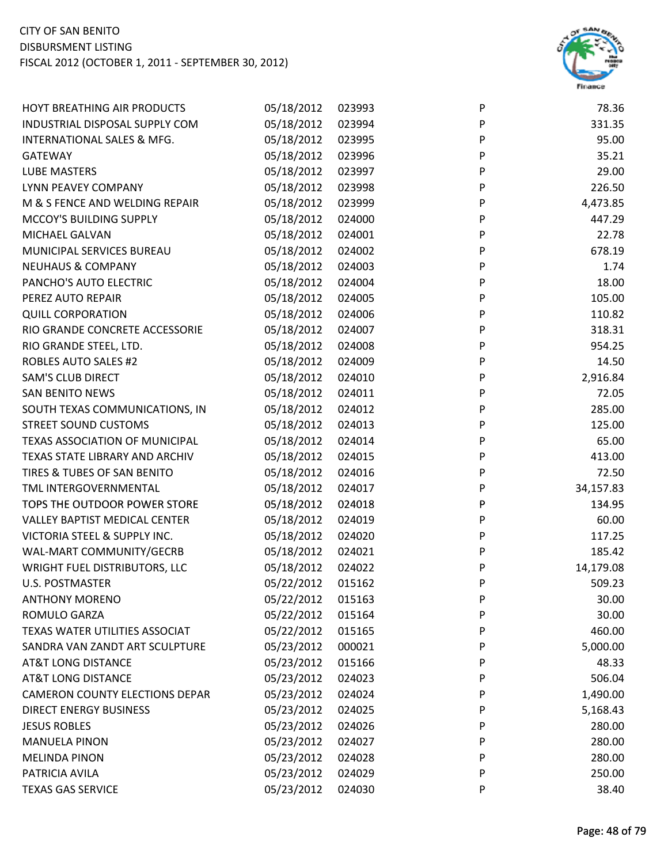

| HOYT BREATHING AIR PRODUCTS           | 05/18/2012 | 023993 | P | 78.36     |
|---------------------------------------|------------|--------|---|-----------|
| INDUSTRIAL DISPOSAL SUPPLY COM        | 05/18/2012 | 023994 | P | 331.35    |
| INTERNATIONAL SALES & MFG.            | 05/18/2012 | 023995 | P | 95.00     |
| <b>GATEWAY</b>                        | 05/18/2012 | 023996 | P | 35.21     |
| <b>LUBE MASTERS</b>                   | 05/18/2012 | 023997 | P | 29.00     |
| LYNN PEAVEY COMPANY                   | 05/18/2012 | 023998 | P | 226.50    |
| M & S FENCE AND WELDING REPAIR        | 05/18/2012 | 023999 | P | 4,473.85  |
| MCCOY'S BUILDING SUPPLY               | 05/18/2012 | 024000 | P | 447.29    |
| MICHAEL GALVAN                        | 05/18/2012 | 024001 | P | 22.78     |
| MUNICIPAL SERVICES BUREAU             | 05/18/2012 | 024002 | P | 678.19    |
| <b>NEUHAUS &amp; COMPANY</b>          | 05/18/2012 | 024003 | P | 1.74      |
| PANCHO'S AUTO ELECTRIC                | 05/18/2012 | 024004 | P | 18.00     |
| PEREZ AUTO REPAIR                     | 05/18/2012 | 024005 | P | 105.00    |
| <b>QUILL CORPORATION</b>              | 05/18/2012 | 024006 | P | 110.82    |
| RIO GRANDE CONCRETE ACCESSORIE        | 05/18/2012 | 024007 | P | 318.31    |
| RIO GRANDE STEEL, LTD.                | 05/18/2012 | 024008 | P | 954.25    |
| <b>ROBLES AUTO SALES #2</b>           | 05/18/2012 | 024009 | P | 14.50     |
| <b>SAM'S CLUB DIRECT</b>              | 05/18/2012 | 024010 | P | 2,916.84  |
| <b>SAN BENITO NEWS</b>                | 05/18/2012 | 024011 | P | 72.05     |
| SOUTH TEXAS COMMUNICATIONS, IN        | 05/18/2012 | 024012 | P | 285.00    |
| <b>STREET SOUND CUSTOMS</b>           | 05/18/2012 | 024013 | P | 125.00    |
| TEXAS ASSOCIATION OF MUNICIPAL        | 05/18/2012 | 024014 | P | 65.00     |
| TEXAS STATE LIBRARY AND ARCHIV        | 05/18/2012 | 024015 | P | 413.00    |
| TIRES & TUBES OF SAN BENITO           | 05/18/2012 | 024016 | P | 72.50     |
| TML INTERGOVERNMENTAL                 | 05/18/2012 | 024017 | P | 34,157.83 |
| TOPS THE OUTDOOR POWER STORE          | 05/18/2012 | 024018 | P | 134.95    |
| VALLEY BAPTIST MEDICAL CENTER         | 05/18/2012 | 024019 | P | 60.00     |
| VICTORIA STEEL & SUPPLY INC.          | 05/18/2012 | 024020 | P | 117.25    |
| WAL-MART COMMUNITY/GECRB              | 05/18/2012 | 024021 | P | 185.42    |
| WRIGHT FUEL DISTRIBUTORS, LLC         | 05/18/2012 | 024022 | P | 14,179.08 |
| <b>U.S. POSTMASTER</b>                | 05/22/2012 | 015162 | P | 509.23    |
| <b>ANTHONY MORENO</b>                 | 05/22/2012 | 015163 | P | 30.00     |
| ROMULO GARZA                          | 05/22/2012 | 015164 | P | 30.00     |
| TEXAS WATER UTILITIES ASSOCIAT        | 05/22/2012 | 015165 | P | 460.00    |
| SANDRA VAN ZANDT ART SCULPTURE        | 05/23/2012 | 000021 | P | 5,000.00  |
| <b>AT&amp;T LONG DISTANCE</b>         | 05/23/2012 | 015166 | P | 48.33     |
| <b>AT&amp;T LONG DISTANCE</b>         | 05/23/2012 | 024023 | P | 506.04    |
| <b>CAMERON COUNTY ELECTIONS DEPAR</b> | 05/23/2012 | 024024 | P | 1,490.00  |
| <b>DIRECT ENERGY BUSINESS</b>         | 05/23/2012 | 024025 | P | 5,168.43  |
| <b>JESUS ROBLES</b>                   | 05/23/2012 | 024026 | P | 280.00    |
| <b>MANUELA PINON</b>                  | 05/23/2012 | 024027 | P | 280.00    |
| <b>MELINDA PINON</b>                  | 05/23/2012 | 024028 | P | 280.00    |
| PATRICIA AVILA                        | 05/23/2012 | 024029 | P | 250.00    |
| <b>TEXAS GAS SERVICE</b>              | 05/23/2012 | 024030 | P | 38.40     |
|                                       |            |        |   |           |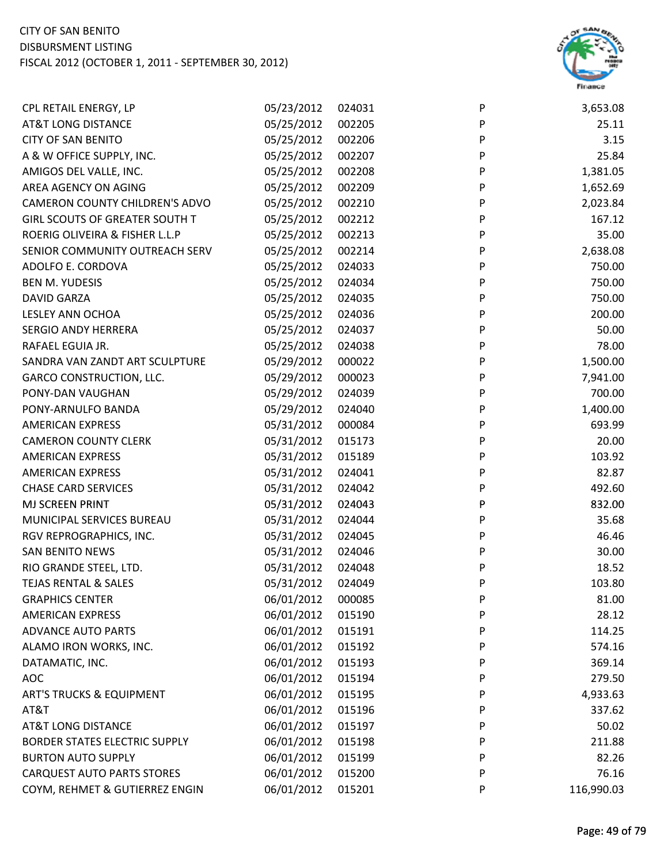

| CPL RETAIL ENERGY, LP                | 05/23/2012 | 024031 | P | 3,653.08   |
|--------------------------------------|------------|--------|---|------------|
| <b>AT&amp;T LONG DISTANCE</b>        | 05/25/2012 | 002205 | P | 25.11      |
| <b>CITY OF SAN BENITO</b>            | 05/25/2012 | 002206 | P | 3.15       |
| A & W OFFICE SUPPLY, INC.            | 05/25/2012 | 002207 | P | 25.84      |
| AMIGOS DEL VALLE, INC.               | 05/25/2012 | 002208 | P | 1,381.05   |
| AREA AGENCY ON AGING                 | 05/25/2012 | 002209 | P | 1,652.69   |
| CAMERON COUNTY CHILDREN'S ADVO       | 05/25/2012 | 002210 | P | 2,023.84   |
| GIRL SCOUTS OF GREATER SOUTH T       | 05/25/2012 | 002212 | P | 167.12     |
| ROERIG OLIVEIRA & FISHER L.L.P       | 05/25/2012 | 002213 | P | 35.00      |
| SENIOR COMMUNITY OUTREACH SERV       | 05/25/2012 | 002214 | P | 2,638.08   |
| ADOLFO E. CORDOVA                    | 05/25/2012 | 024033 | P | 750.00     |
| <b>BEN M. YUDESIS</b>                | 05/25/2012 | 024034 | P | 750.00     |
| <b>DAVID GARZA</b>                   | 05/25/2012 | 024035 | P | 750.00     |
| <b>LESLEY ANN OCHOA</b>              | 05/25/2012 | 024036 | P | 200.00     |
| <b>SERGIO ANDY HERRERA</b>           | 05/25/2012 | 024037 | P | 50.00      |
| RAFAEL EGUIA JR.                     | 05/25/2012 | 024038 | P | 78.00      |
| SANDRA VAN ZANDT ART SCULPTURE       | 05/29/2012 | 000022 | P | 1,500.00   |
| <b>GARCO CONSTRUCTION, LLC.</b>      | 05/29/2012 | 000023 | P | 7,941.00   |
| PONY-DAN VAUGHAN                     | 05/29/2012 | 024039 | P | 700.00     |
| PONY-ARNULFO BANDA                   | 05/29/2012 | 024040 | P | 1,400.00   |
| <b>AMERICAN EXPRESS</b>              | 05/31/2012 | 000084 | P | 693.99     |
| <b>CAMERON COUNTY CLERK</b>          | 05/31/2012 | 015173 | P | 20.00      |
| <b>AMERICAN EXPRESS</b>              | 05/31/2012 | 015189 | P | 103.92     |
| <b>AMERICAN EXPRESS</b>              | 05/31/2012 | 024041 | P | 82.87      |
| <b>CHASE CARD SERVICES</b>           | 05/31/2012 | 024042 | P | 492.60     |
| MJ SCREEN PRINT                      | 05/31/2012 | 024043 | P | 832.00     |
| MUNICIPAL SERVICES BUREAU            | 05/31/2012 | 024044 | P | 35.68      |
| RGV REPROGRAPHICS, INC.              | 05/31/2012 | 024045 | P | 46.46      |
| <b>SAN BENITO NEWS</b>               | 05/31/2012 | 024046 | P | 30.00      |
| RIO GRANDE STEEL, LTD.               | 05/31/2012 | 024048 | P | 18.52      |
| <b>TEJAS RENTAL &amp; SALES</b>      | 05/31/2012 | 024049 | P | 103.80     |
| <b>GRAPHICS CENTER</b>               | 06/01/2012 | 000085 | P | 81.00      |
| <b>AMERICAN EXPRESS</b>              | 06/01/2012 | 015190 | P | 28.12      |
| <b>ADVANCE AUTO PARTS</b>            | 06/01/2012 | 015191 | P | 114.25     |
| ALAMO IRON WORKS, INC.               | 06/01/2012 | 015192 | P | 574.16     |
| DATAMATIC, INC.                      | 06/01/2012 | 015193 | P | 369.14     |
| <b>AOC</b>                           | 06/01/2012 | 015194 | P | 279.50     |
| <b>ART'S TRUCKS &amp; EQUIPMENT</b>  | 06/01/2012 | 015195 | P | 4,933.63   |
| AT&T                                 | 06/01/2012 | 015196 | P | 337.62     |
| <b>AT&amp;T LONG DISTANCE</b>        | 06/01/2012 | 015197 | P | 50.02      |
| <b>BORDER STATES ELECTRIC SUPPLY</b> | 06/01/2012 | 015198 | P | 211.88     |
| <b>BURTON AUTO SUPPLY</b>            | 06/01/2012 | 015199 | P | 82.26      |
| <b>CARQUEST AUTO PARTS STORES</b>    | 06/01/2012 | 015200 | P | 76.16      |
| COYM, REHMET & GUTIERREZ ENGIN       | 06/01/2012 | 015201 | P | 116,990.03 |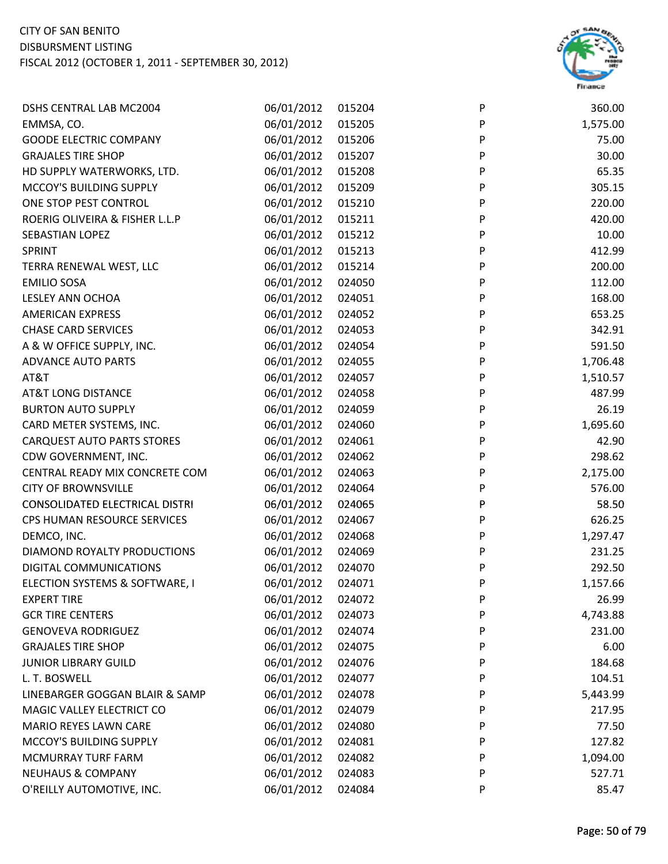

| <b>DSHS CENTRAL LAB MC2004</b>    | 06/01/2012 | 015204 | P | 360.00   |
|-----------------------------------|------------|--------|---|----------|
| EMMSA, CO.                        | 06/01/2012 | 015205 | P | 1,575.00 |
| <b>GOODE ELECTRIC COMPANY</b>     | 06/01/2012 | 015206 | P | 75.00    |
| <b>GRAJALES TIRE SHOP</b>         | 06/01/2012 | 015207 | P | 30.00    |
| HD SUPPLY WATERWORKS, LTD.        | 06/01/2012 | 015208 | P | 65.35    |
| MCCOY'S BUILDING SUPPLY           | 06/01/2012 | 015209 | P | 305.15   |
| ONE STOP PEST CONTROL             | 06/01/2012 | 015210 | P | 220.00   |
| ROERIG OLIVEIRA & FISHER L.L.P    | 06/01/2012 | 015211 | P | 420.00   |
| SEBASTIAN LOPEZ                   | 06/01/2012 | 015212 | P | 10.00    |
| SPRINT                            | 06/01/2012 | 015213 | P | 412.99   |
| TERRA RENEWAL WEST, LLC           | 06/01/2012 | 015214 | P | 200.00   |
| <b>EMILIO SOSA</b>                | 06/01/2012 | 024050 | P | 112.00   |
| LESLEY ANN OCHOA                  | 06/01/2012 | 024051 | P | 168.00   |
| <b>AMERICAN EXPRESS</b>           | 06/01/2012 | 024052 | P | 653.25   |
| <b>CHASE CARD SERVICES</b>        | 06/01/2012 | 024053 | P | 342.91   |
| A & W OFFICE SUPPLY, INC.         | 06/01/2012 | 024054 | P | 591.50   |
| <b>ADVANCE AUTO PARTS</b>         | 06/01/2012 | 024055 | P | 1,706.48 |
| AT&T                              | 06/01/2012 | 024057 | P | 1,510.57 |
| <b>AT&amp;T LONG DISTANCE</b>     | 06/01/2012 | 024058 | P | 487.99   |
| <b>BURTON AUTO SUPPLY</b>         | 06/01/2012 | 024059 | P | 26.19    |
| CARD METER SYSTEMS, INC.          | 06/01/2012 | 024060 | P | 1,695.60 |
| <b>CARQUEST AUTO PARTS STORES</b> | 06/01/2012 | 024061 | P | 42.90    |
| CDW GOVERNMENT, INC.              | 06/01/2012 | 024062 | P | 298.62   |
| CENTRAL READY MIX CONCRETE COM    | 06/01/2012 | 024063 | P | 2,175.00 |
| <b>CITY OF BROWNSVILLE</b>        | 06/01/2012 | 024064 | P | 576.00   |
| CONSOLIDATED ELECTRICAL DISTRI    | 06/01/2012 | 024065 | P | 58.50    |
| CPS HUMAN RESOURCE SERVICES       | 06/01/2012 | 024067 | P | 626.25   |
| DEMCO, INC.                       | 06/01/2012 | 024068 | P | 1,297.47 |
| DIAMOND ROYALTY PRODUCTIONS       | 06/01/2012 | 024069 | P | 231.25   |
| DIGITAL COMMUNICATIONS            | 06/01/2012 | 024070 | P | 292.50   |
| ELECTION SYSTEMS & SOFTWARE, I    | 06/01/2012 | 024071 | P | 1,157.66 |
| <b>EXPERT TIRE</b>                | 06/01/2012 | 024072 | P | 26.99    |
| <b>GCR TIRE CENTERS</b>           | 06/01/2012 | 024073 | P | 4,743.88 |
| <b>GENOVEVA RODRIGUEZ</b>         | 06/01/2012 | 024074 | P | 231.00   |
| <b>GRAJALES TIRE SHOP</b>         | 06/01/2012 | 024075 | P | 6.00     |
| <b>JUNIOR LIBRARY GUILD</b>       | 06/01/2012 | 024076 | P | 184.68   |
| L. T. BOSWELL                     | 06/01/2012 | 024077 | P | 104.51   |
| LINEBARGER GOGGAN BLAIR & SAMP    | 06/01/2012 | 024078 | P | 5,443.99 |
| MAGIC VALLEY ELECTRICT CO         | 06/01/2012 | 024079 | P | 217.95   |
| <b>MARIO REYES LAWN CARE</b>      | 06/01/2012 | 024080 | P | 77.50    |
| MCCOY'S BUILDING SUPPLY           | 06/01/2012 | 024081 | P | 127.82   |
| MCMURRAY TURF FARM                | 06/01/2012 | 024082 | P | 1,094.00 |
| <b>NEUHAUS &amp; COMPANY</b>      | 06/01/2012 | 024083 | P | 527.71   |
| O'REILLY AUTOMOTIVE, INC.         | 06/01/2012 | 024084 | P | 85.47    |
|                                   |            |        |   |          |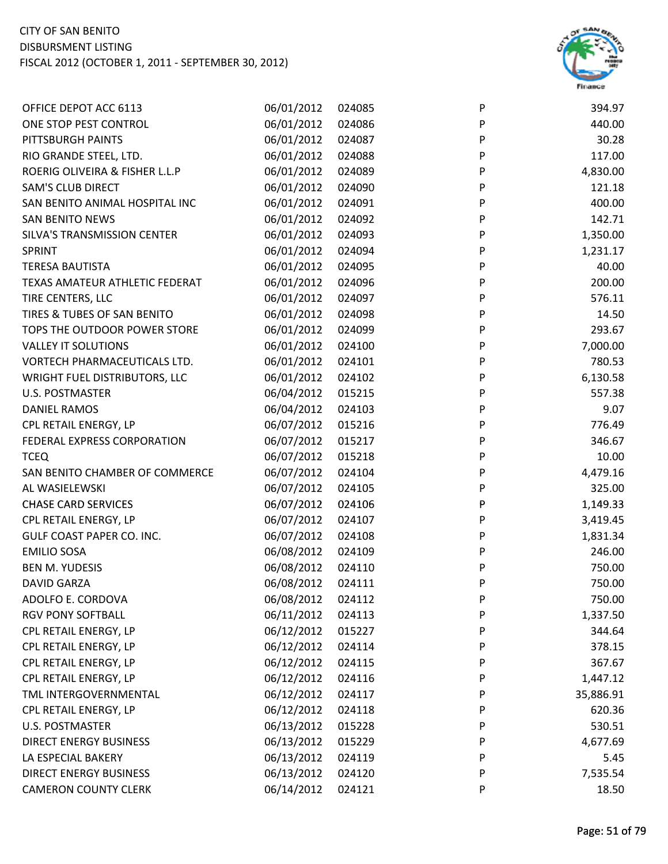

| OFFICE DEPOT ACC 6113          | 06/01/2012 | 024085 | P | 394.97    |
|--------------------------------|------------|--------|---|-----------|
| ONE STOP PEST CONTROL          | 06/01/2012 | 024086 | P | 440.00    |
| PITTSBURGH PAINTS              | 06/01/2012 | 024087 | P | 30.28     |
| RIO GRANDE STEEL, LTD.         | 06/01/2012 | 024088 | P | 117.00    |
| ROERIG OLIVEIRA & FISHER L.L.P | 06/01/2012 | 024089 | P | 4,830.00  |
| <b>SAM'S CLUB DIRECT</b>       | 06/01/2012 | 024090 | P | 121.18    |
| SAN BENITO ANIMAL HOSPITAL INC | 06/01/2012 | 024091 | P | 400.00    |
| <b>SAN BENITO NEWS</b>         | 06/01/2012 | 024092 | P | 142.71    |
| SILVA'S TRANSMISSION CENTER    | 06/01/2012 | 024093 | P | 1,350.00  |
| SPRINT                         | 06/01/2012 | 024094 | P | 1,231.17  |
| <b>TERESA BAUTISTA</b>         | 06/01/2012 | 024095 | P | 40.00     |
| TEXAS AMATEUR ATHLETIC FEDERAT | 06/01/2012 | 024096 | P | 200.00    |
| TIRE CENTERS, LLC              | 06/01/2012 | 024097 | P | 576.11    |
| TIRES & TUBES OF SAN BENITO    | 06/01/2012 | 024098 | P | 14.50     |
| TOPS THE OUTDOOR POWER STORE   | 06/01/2012 | 024099 | P | 293.67    |
| <b>VALLEY IT SOLUTIONS</b>     | 06/01/2012 | 024100 | P | 7,000.00  |
| VORTECH PHARMACEUTICALS LTD.   | 06/01/2012 | 024101 | P | 780.53    |
| WRIGHT FUEL DISTRIBUTORS, LLC  | 06/01/2012 | 024102 | P | 6,130.58  |
| <b>U.S. POSTMASTER</b>         | 06/04/2012 | 015215 | P | 557.38    |
| <b>DANIEL RAMOS</b>            | 06/04/2012 | 024103 | P | 9.07      |
| CPL RETAIL ENERGY, LP          | 06/07/2012 | 015216 | P | 776.49    |
| FEDERAL EXPRESS CORPORATION    | 06/07/2012 | 015217 | P | 346.67    |
| <b>TCEQ</b>                    | 06/07/2012 | 015218 | P | 10.00     |
| SAN BENITO CHAMBER OF COMMERCE | 06/07/2012 | 024104 | P | 4,479.16  |
| AL WASIELEWSKI                 | 06/07/2012 | 024105 | P | 325.00    |
| <b>CHASE CARD SERVICES</b>     | 06/07/2012 | 024106 | P | 1,149.33  |
| CPL RETAIL ENERGY, LP          | 06/07/2012 | 024107 | P | 3,419.45  |
| GULF COAST PAPER CO. INC.      | 06/07/2012 | 024108 | P | 1,831.34  |
| <b>EMILIO SOSA</b>             | 06/08/2012 | 024109 | P | 246.00    |
| <b>BEN M. YUDESIS</b>          | 06/08/2012 | 024110 | P | 750.00    |
| <b>DAVID GARZA</b>             | 06/08/2012 | 024111 | P | 750.00    |
| ADOLFO E. CORDOVA              | 06/08/2012 | 024112 | P | 750.00    |
| RGV PONY SOFTBALL              | 06/11/2012 | 024113 | P | 1,337.50  |
| CPL RETAIL ENERGY, LP          | 06/12/2012 | 015227 | P | 344.64    |
| CPL RETAIL ENERGY, LP          | 06/12/2012 | 024114 | P | 378.15    |
| CPL RETAIL ENERGY, LP          | 06/12/2012 | 024115 | P | 367.67    |
| CPL RETAIL ENERGY, LP          | 06/12/2012 | 024116 | P | 1,447.12  |
| TML INTERGOVERNMENTAL          | 06/12/2012 | 024117 | P | 35,886.91 |
| CPL RETAIL ENERGY, LP          | 06/12/2012 | 024118 | P | 620.36    |
| <b>U.S. POSTMASTER</b>         | 06/13/2012 | 015228 | P | 530.51    |
| <b>DIRECT ENERGY BUSINESS</b>  | 06/13/2012 | 015229 | P | 4,677.69  |
| LA ESPECIAL BAKERY             | 06/13/2012 | 024119 | P | 5.45      |
| <b>DIRECT ENERGY BUSINESS</b>  | 06/13/2012 | 024120 | P | 7,535.54  |
| <b>CAMERON COUNTY CLERK</b>    | 06/14/2012 | 024121 | P | 18.50     |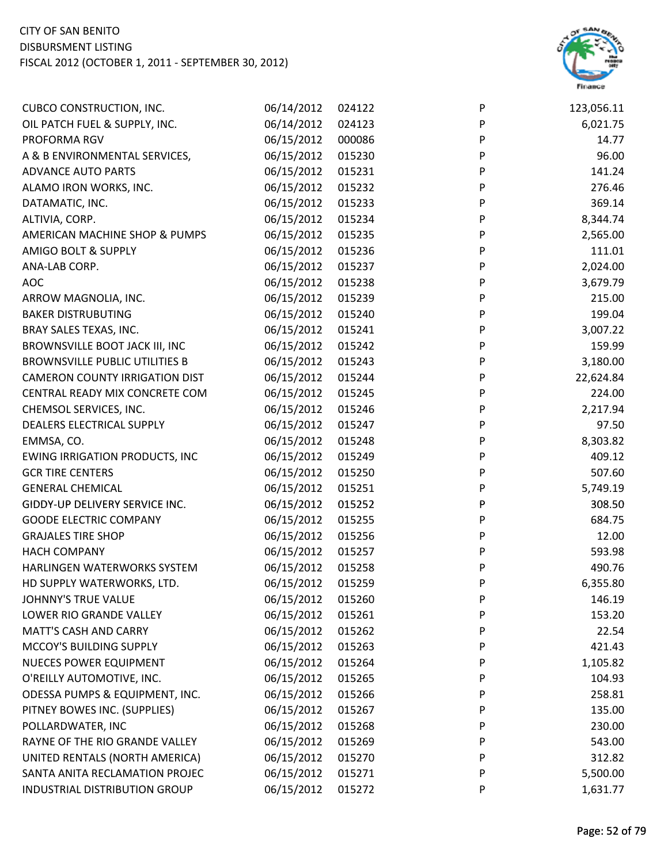

| <b>CUBCO CONSTRUCTION, INC.</b>       | 06/14/2012 | 024122 | P         | 123,056.11 |
|---------------------------------------|------------|--------|-----------|------------|
| OIL PATCH FUEL & SUPPLY, INC.         | 06/14/2012 | 024123 | P         | 6,021.75   |
| PROFORMA RGV                          | 06/15/2012 | 000086 | P         | 14.77      |
| A & B ENVIRONMENTAL SERVICES,         | 06/15/2012 | 015230 | P         | 96.00      |
| <b>ADVANCE AUTO PARTS</b>             | 06/15/2012 | 015231 | P         | 141.24     |
| ALAMO IRON WORKS, INC.                | 06/15/2012 | 015232 | P         | 276.46     |
| DATAMATIC, INC.                       | 06/15/2012 | 015233 | P         | 369.14     |
| ALTIVIA, CORP.                        | 06/15/2012 | 015234 | ${\sf P}$ | 8,344.74   |
| AMERICAN MACHINE SHOP & PUMPS         | 06/15/2012 | 015235 | P         | 2,565.00   |
| <b>AMIGO BOLT &amp; SUPPLY</b>        | 06/15/2012 | 015236 | P         | 111.01     |
| ANA-LAB CORP.                         | 06/15/2012 | 015237 | P         | 2,024.00   |
| <b>AOC</b>                            | 06/15/2012 | 015238 | P         | 3,679.79   |
| ARROW MAGNOLIA, INC.                  | 06/15/2012 | 015239 | P         | 215.00     |
| <b>BAKER DISTRUBUTING</b>             | 06/15/2012 | 015240 | P         | 199.04     |
| BRAY SALES TEXAS, INC.                | 06/15/2012 | 015241 | ${\sf P}$ | 3,007.22   |
| BROWNSVILLE BOOT JACK III, INC        | 06/15/2012 | 015242 | P         | 159.99     |
| <b>BROWNSVILLE PUBLIC UTILITIES B</b> | 06/15/2012 | 015243 | P         | 3,180.00   |
| <b>CAMERON COUNTY IRRIGATION DIST</b> | 06/15/2012 | 015244 | P         | 22,624.84  |
| CENTRAL READY MIX CONCRETE COM        | 06/15/2012 | 015245 | P         | 224.00     |
| CHEMSOL SERVICES, INC.                | 06/15/2012 | 015246 | ${\sf P}$ | 2,217.94   |
| DEALERS ELECTRICAL SUPPLY             | 06/15/2012 | 015247 | ${\sf P}$ | 97.50      |
| EMMSA, CO.                            | 06/15/2012 | 015248 | P         | 8,303.82   |
| <b>EWING IRRIGATION PRODUCTS, INC</b> | 06/15/2012 | 015249 | P         | 409.12     |
| <b>GCR TIRE CENTERS</b>               | 06/15/2012 | 015250 | P         | 507.60     |
| <b>GENERAL CHEMICAL</b>               | 06/15/2012 | 015251 | P         | 5,749.19   |
| GIDDY-UP DELIVERY SERVICE INC.        | 06/15/2012 | 015252 | ${\sf P}$ | 308.50     |
| <b>GOODE ELECTRIC COMPANY</b>         | 06/15/2012 | 015255 | P         | 684.75     |
| <b>GRAJALES TIRE SHOP</b>             | 06/15/2012 | 015256 | P         | 12.00      |
| <b>HACH COMPANY</b>                   | 06/15/2012 | 015257 | P         | 593.98     |
| HARLINGEN WATERWORKS SYSTEM           | 06/15/2012 | 015258 | P         | 490.76     |
| HD SUPPLY WATERWORKS, LTD.            | 06/15/2012 | 015259 | P         | 6,355.80   |
| <b>JOHNNY'S TRUE VALUE</b>            | 06/15/2012 | 015260 | P         | 146.19     |
| LOWER RIO GRANDE VALLEY               | 06/15/2012 | 015261 | P         | 153.20     |
| <b>MATT'S CASH AND CARRY</b>          | 06/15/2012 | 015262 | P         | 22.54      |
| MCCOY'S BUILDING SUPPLY               | 06/15/2012 | 015263 | P         | 421.43     |
| <b>NUECES POWER EQUIPMENT</b>         | 06/15/2012 | 015264 | P         | 1,105.82   |
| O'REILLY AUTOMOTIVE, INC.             | 06/15/2012 | 015265 | P         | 104.93     |
| ODESSA PUMPS & EQUIPMENT, INC.        | 06/15/2012 | 015266 | P         | 258.81     |
| PITNEY BOWES INC. (SUPPLIES)          | 06/15/2012 | 015267 | P         | 135.00     |
| POLLARDWATER, INC                     | 06/15/2012 | 015268 | P         | 230.00     |
| RAYNE OF THE RIO GRANDE VALLEY        | 06/15/2012 | 015269 | P         | 543.00     |
| UNITED RENTALS (NORTH AMERICA)        | 06/15/2012 | 015270 | P         | 312.82     |
| SANTA ANITA RECLAMATION PROJEC        | 06/15/2012 | 015271 | P         | 5,500.00   |
| INDUSTRIAL DISTRIBUTION GROUP         | 06/15/2012 | 015272 | P         | 1,631.77   |
|                                       |            |        |           |            |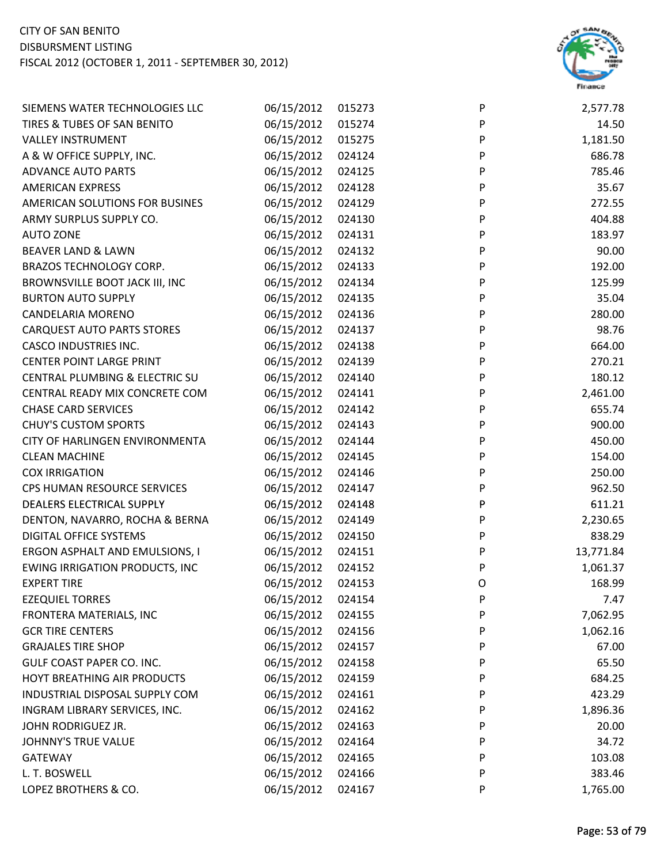

| SIEMENS WATER TECHNOLOGIES LLC        | 06/15/2012 | 015273 | P | 2,577.78  |
|---------------------------------------|------------|--------|---|-----------|
| TIRES & TUBES OF SAN BENITO           | 06/15/2012 | 015274 | P | 14.50     |
| <b>VALLEY INSTRUMENT</b>              | 06/15/2012 | 015275 | P | 1,181.50  |
| A & W OFFICE SUPPLY, INC.             | 06/15/2012 | 024124 | P | 686.78    |
| <b>ADVANCE AUTO PARTS</b>             | 06/15/2012 | 024125 | P | 785.46    |
| <b>AMERICAN EXPRESS</b>               | 06/15/2012 | 024128 | P | 35.67     |
| AMERICAN SOLUTIONS FOR BUSINES        | 06/15/2012 | 024129 | P | 272.55    |
| ARMY SURPLUS SUPPLY CO.               | 06/15/2012 | 024130 | P | 404.88    |
| <b>AUTO ZONE</b>                      | 06/15/2012 | 024131 | P | 183.97    |
| <b>BEAVER LAND &amp; LAWN</b>         | 06/15/2012 | 024132 | P | 90.00     |
| BRAZOS TECHNOLOGY CORP.               | 06/15/2012 | 024133 | P | 192.00    |
| BROWNSVILLE BOOT JACK III, INC        | 06/15/2012 | 024134 | P | 125.99    |
| <b>BURTON AUTO SUPPLY</b>             | 06/15/2012 | 024135 | P | 35.04     |
| CANDELARIA MORENO                     | 06/15/2012 | 024136 | P | 280.00    |
| <b>CARQUEST AUTO PARTS STORES</b>     | 06/15/2012 | 024137 | P | 98.76     |
| <b>CASCO INDUSTRIES INC.</b>          | 06/15/2012 | 024138 | P | 664.00    |
| <b>CENTER POINT LARGE PRINT</b>       | 06/15/2012 | 024139 | P | 270.21    |
| CENTRAL PLUMBING & ELECTRIC SU        | 06/15/2012 | 024140 | P | 180.12    |
| CENTRAL READY MIX CONCRETE COM        | 06/15/2012 | 024141 | P | 2,461.00  |
| <b>CHASE CARD SERVICES</b>            | 06/15/2012 | 024142 | P | 655.74    |
| <b>CHUY'S CUSTOM SPORTS</b>           | 06/15/2012 | 024143 | P | 900.00    |
| CITY OF HARLINGEN ENVIRONMENTA        | 06/15/2012 | 024144 | P | 450.00    |
| <b>CLEAN MACHINE</b>                  | 06/15/2012 | 024145 | P | 154.00    |
| <b>COX IRRIGATION</b>                 | 06/15/2012 | 024146 | P | 250.00    |
| CPS HUMAN RESOURCE SERVICES           | 06/15/2012 | 024147 | P | 962.50    |
| DEALERS ELECTRICAL SUPPLY             | 06/15/2012 | 024148 | P | 611.21    |
| DENTON, NAVARRO, ROCHA & BERNA        | 06/15/2012 | 024149 | P | 2,230.65  |
| DIGITAL OFFICE SYSTEMS                | 06/15/2012 | 024150 | P | 838.29    |
| ERGON ASPHALT AND EMULSIONS, I        | 06/15/2012 | 024151 | P | 13,771.84 |
| <b>EWING IRRIGATION PRODUCTS, INC</b> | 06/15/2012 | 024152 | P | 1,061.37  |
| <b>EXPERT TIRE</b>                    | 06/15/2012 | 024153 | O | 168.99    |
| <b>EZEQUIEL TORRES</b>                | 06/15/2012 | 024154 | P | 7.47      |
| FRONTERA MATERIALS, INC               | 06/15/2012 | 024155 | P | 7,062.95  |
| <b>GCR TIRE CENTERS</b>               | 06/15/2012 | 024156 | P | 1,062.16  |
| <b>GRAJALES TIRE SHOP</b>             | 06/15/2012 | 024157 | P | 67.00     |
| GULF COAST PAPER CO. INC.             | 06/15/2012 | 024158 | P | 65.50     |
| HOYT BREATHING AIR PRODUCTS           | 06/15/2012 | 024159 | P | 684.25    |
| INDUSTRIAL DISPOSAL SUPPLY COM        | 06/15/2012 | 024161 | P | 423.29    |
| INGRAM LIBRARY SERVICES, INC.         | 06/15/2012 | 024162 | P | 1,896.36  |
| JOHN RODRIGUEZ JR.                    | 06/15/2012 | 024163 | P | 20.00     |
| <b>JOHNNY'S TRUE VALUE</b>            | 06/15/2012 | 024164 | P | 34.72     |
| <b>GATEWAY</b>                        | 06/15/2012 | 024165 | P | 103.08    |
| L. T. BOSWELL                         | 06/15/2012 | 024166 | P | 383.46    |
| LOPEZ BROTHERS & CO.                  | 06/15/2012 | 024167 | P | 1,765.00  |
|                                       |            |        |   |           |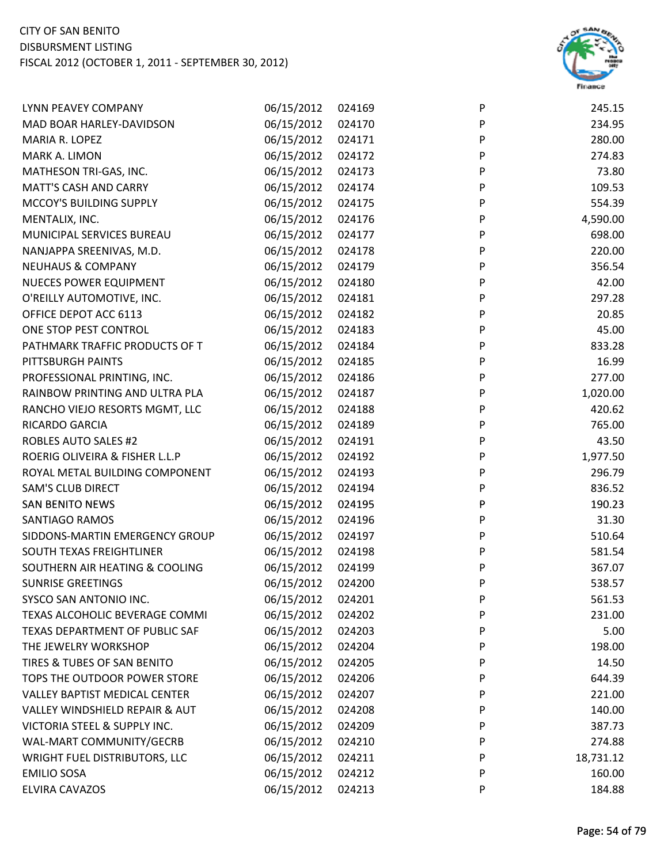

| LYNN PEAVEY COMPANY                  | 06/15/2012 | 024169 | P | 245.15    |
|--------------------------------------|------------|--------|---|-----------|
| MAD BOAR HARLEY-DAVIDSON             | 06/15/2012 | 024170 | P | 234.95    |
| MARIA R. LOPEZ                       | 06/15/2012 | 024171 | P | 280.00    |
| MARK A. LIMON                        | 06/15/2012 | 024172 | P | 274.83    |
| MATHESON TRI-GAS, INC.               | 06/15/2012 | 024173 | P | 73.80     |
| <b>MATT'S CASH AND CARRY</b>         | 06/15/2012 | 024174 | P | 109.53    |
| MCCOY'S BUILDING SUPPLY              | 06/15/2012 | 024175 | P | 554.39    |
| MENTALIX, INC.                       | 06/15/2012 | 024176 | P | 4,590.00  |
| MUNICIPAL SERVICES BUREAU            | 06/15/2012 | 024177 | P | 698.00    |
| NANJAPPA SREENIVAS, M.D.             | 06/15/2012 | 024178 | P | 220.00    |
| <b>NEUHAUS &amp; COMPANY</b>         | 06/15/2012 | 024179 | P | 356.54    |
| <b>NUECES POWER EQUIPMENT</b>        | 06/15/2012 | 024180 | P | 42.00     |
| O'REILLY AUTOMOTIVE, INC.            | 06/15/2012 | 024181 | P | 297.28    |
| OFFICE DEPOT ACC 6113                | 06/15/2012 | 024182 | P | 20.85     |
| ONE STOP PEST CONTROL                | 06/15/2012 | 024183 | P | 45.00     |
| PATHMARK TRAFFIC PRODUCTS OF T       | 06/15/2012 | 024184 | P | 833.28    |
| PITTSBURGH PAINTS                    | 06/15/2012 | 024185 | P | 16.99     |
| PROFESSIONAL PRINTING, INC.          | 06/15/2012 | 024186 | P | 277.00    |
| RAINBOW PRINTING AND ULTRA PLA       | 06/15/2012 | 024187 | P | 1,020.00  |
| RANCHO VIEJO RESORTS MGMT, LLC       | 06/15/2012 | 024188 | P | 420.62    |
| <b>RICARDO GARCIA</b>                | 06/15/2012 | 024189 | P | 765.00    |
| <b>ROBLES AUTO SALES #2</b>          | 06/15/2012 | 024191 | P | 43.50     |
| ROERIG OLIVEIRA & FISHER L.L.P       | 06/15/2012 | 024192 | P | 1,977.50  |
| ROYAL METAL BUILDING COMPONENT       | 06/15/2012 | 024193 | P | 296.79    |
| <b>SAM'S CLUB DIRECT</b>             | 06/15/2012 | 024194 | P | 836.52    |
| <b>SAN BENITO NEWS</b>               | 06/15/2012 | 024195 | P | 190.23    |
| SANTIAGO RAMOS                       | 06/15/2012 | 024196 | P | 31.30     |
| SIDDONS-MARTIN EMERGENCY GROUP       | 06/15/2012 | 024197 | P | 510.64    |
| SOUTH TEXAS FREIGHTLINER             | 06/15/2012 | 024198 | P | 581.54    |
| SOUTHERN AIR HEATING & COOLING       | 06/15/2012 | 024199 | P | 367.07    |
| <b>SUNRISE GREETINGS</b>             | 06/15/2012 | 024200 | P | 538.57    |
| SYSCO SAN ANTONIO INC.               | 06/15/2012 | 024201 | P | 561.53    |
| TEXAS ALCOHOLIC BEVERAGE COMMI       | 06/15/2012 | 024202 | P | 231.00    |
| TEXAS DEPARTMENT OF PUBLIC SAF       | 06/15/2012 | 024203 | P | 5.00      |
| THE JEWELRY WORKSHOP                 | 06/15/2012 | 024204 | P | 198.00    |
| TIRES & TUBES OF SAN BENITO          | 06/15/2012 | 024205 | P | 14.50     |
| TOPS THE OUTDOOR POWER STORE         | 06/15/2012 | 024206 | P | 644.39    |
| <b>VALLEY BAPTIST MEDICAL CENTER</b> | 06/15/2012 | 024207 | P | 221.00    |
| VALLEY WINDSHIELD REPAIR & AUT       | 06/15/2012 | 024208 | P | 140.00    |
| VICTORIA STEEL & SUPPLY INC.         | 06/15/2012 | 024209 | P | 387.73    |
| WAL-MART COMMUNITY/GECRB             | 06/15/2012 | 024210 | P | 274.88    |
| <b>WRIGHT FUEL DISTRIBUTORS, LLC</b> | 06/15/2012 | 024211 | P | 18,731.12 |
| <b>EMILIO SOSA</b>                   | 06/15/2012 | 024212 | P | 160.00    |
| ELVIRA CAVAZOS                       | 06/15/2012 | 024213 | P | 184.88    |
|                                      |            |        |   |           |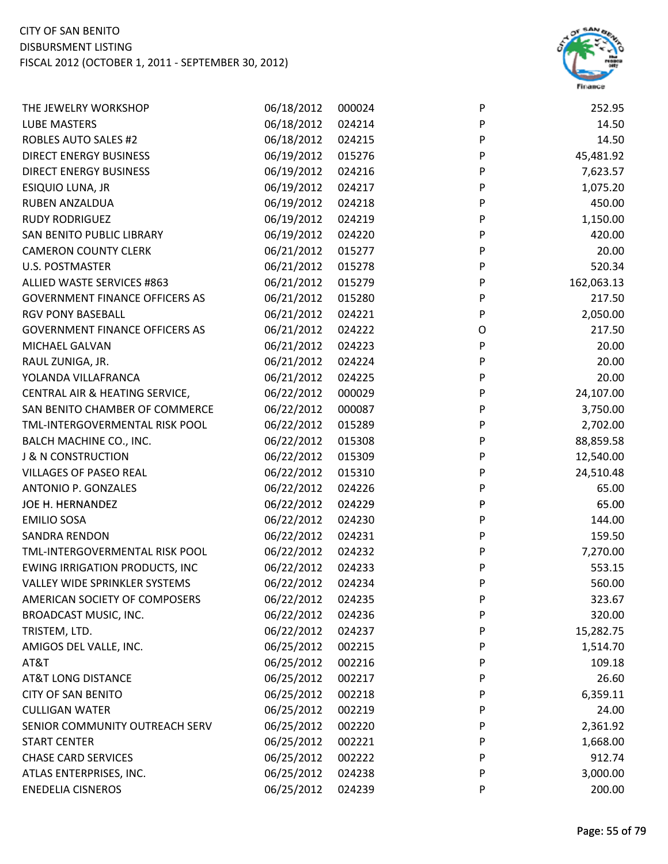

| THE JEWELRY WORKSHOP                  | 06/18/2012 | 000024 | P | 252.95     |
|---------------------------------------|------------|--------|---|------------|
| <b>LUBE MASTERS</b>                   | 06/18/2012 | 024214 | P | 14.50      |
| <b>ROBLES AUTO SALES #2</b>           | 06/18/2012 | 024215 | P | 14.50      |
| <b>DIRECT ENERGY BUSINESS</b>         | 06/19/2012 | 015276 | P | 45,481.92  |
| <b>DIRECT ENERGY BUSINESS</b>         | 06/19/2012 | 024216 | P | 7,623.57   |
| ESIQUIO LUNA, JR                      | 06/19/2012 | 024217 | P | 1,075.20   |
| RUBEN ANZALDUA                        | 06/19/2012 | 024218 | P | 450.00     |
| <b>RUDY RODRIGUEZ</b>                 | 06/19/2012 | 024219 | P | 1,150.00   |
| <b>SAN BENITO PUBLIC LIBRARY</b>      | 06/19/2012 | 024220 | P | 420.00     |
| <b>CAMERON COUNTY CLERK</b>           | 06/21/2012 | 015277 | P | 20.00      |
| <b>U.S. POSTMASTER</b>                | 06/21/2012 | 015278 | P | 520.34     |
| ALLIED WASTE SERVICES #863            | 06/21/2012 | 015279 | P | 162,063.13 |
| <b>GOVERNMENT FINANCE OFFICERS AS</b> | 06/21/2012 | 015280 | P | 217.50     |
| <b>RGV PONY BASEBALL</b>              | 06/21/2012 | 024221 | P | 2,050.00   |
| <b>GOVERNMENT FINANCE OFFICERS AS</b> | 06/21/2012 | 024222 | O | 217.50     |
| MICHAEL GALVAN                        | 06/21/2012 | 024223 | P | 20.00      |
| RAUL ZUNIGA, JR.                      | 06/21/2012 | 024224 | P | 20.00      |
| YOLANDA VILLAFRANCA                   | 06/21/2012 | 024225 | P | 20.00      |
| CENTRAL AIR & HEATING SERVICE,        | 06/22/2012 | 000029 | P | 24,107.00  |
| SAN BENITO CHAMBER OF COMMERCE        | 06/22/2012 | 000087 | P | 3,750.00   |
| TML-INTERGOVERMENTAL RISK POOL        | 06/22/2012 | 015289 | P | 2,702.00   |
| BALCH MACHINE CO., INC.               | 06/22/2012 | 015308 | P | 88,859.58  |
| <b>J &amp; N CONSTRUCTION</b>         | 06/22/2012 | 015309 | P | 12,540.00  |
| <b>VILLAGES OF PASEO REAL</b>         | 06/22/2012 | 015310 | P | 24,510.48  |
| ANTONIO P. GONZALES                   | 06/22/2012 | 024226 | P | 65.00      |
| JOE H. HERNANDEZ                      | 06/22/2012 | 024229 | P | 65.00      |
| <b>EMILIO SOSA</b>                    | 06/22/2012 | 024230 | P | 144.00     |
| <b>SANDRA RENDON</b>                  | 06/22/2012 | 024231 | P | 159.50     |
| TML-INTERGOVERMENTAL RISK POOL        | 06/22/2012 | 024232 | P | 7,270.00   |
| <b>EWING IRRIGATION PRODUCTS, INC</b> | 06/22/2012 | 024233 | P | 553.15     |
| <b>VALLEY WIDE SPRINKLER SYSTEMS</b>  | 06/22/2012 | 024234 | P | 560.00     |
| AMERICAN SOCIETY OF COMPOSERS         | 06/22/2012 | 024235 | P | 323.67     |
| BROADCAST MUSIC, INC.                 | 06/22/2012 | 024236 | P | 320.00     |
| TRISTEM, LTD.                         | 06/22/2012 | 024237 | P | 15,282.75  |
| AMIGOS DEL VALLE, INC.                | 06/25/2012 | 002215 | P | 1,514.70   |
| AT&T                                  | 06/25/2012 | 002216 | P | 109.18     |
| <b>AT&amp;T LONG DISTANCE</b>         | 06/25/2012 | 002217 | P | 26.60      |
| <b>CITY OF SAN BENITO</b>             | 06/25/2012 | 002218 | P | 6,359.11   |
| <b>CULLIGAN WATER</b>                 | 06/25/2012 | 002219 | P | 24.00      |
| SENIOR COMMUNITY OUTREACH SERV        | 06/25/2012 | 002220 | P | 2,361.92   |
| <b>START CENTER</b>                   | 06/25/2012 | 002221 | P | 1,668.00   |
| <b>CHASE CARD SERVICES</b>            | 06/25/2012 | 002222 | P | 912.74     |
| ATLAS ENTERPRISES, INC.               | 06/25/2012 | 024238 | P | 3,000.00   |
| <b>ENEDELIA CISNEROS</b>              | 06/25/2012 | 024239 | P | 200.00     |
|                                       |            |        |   |            |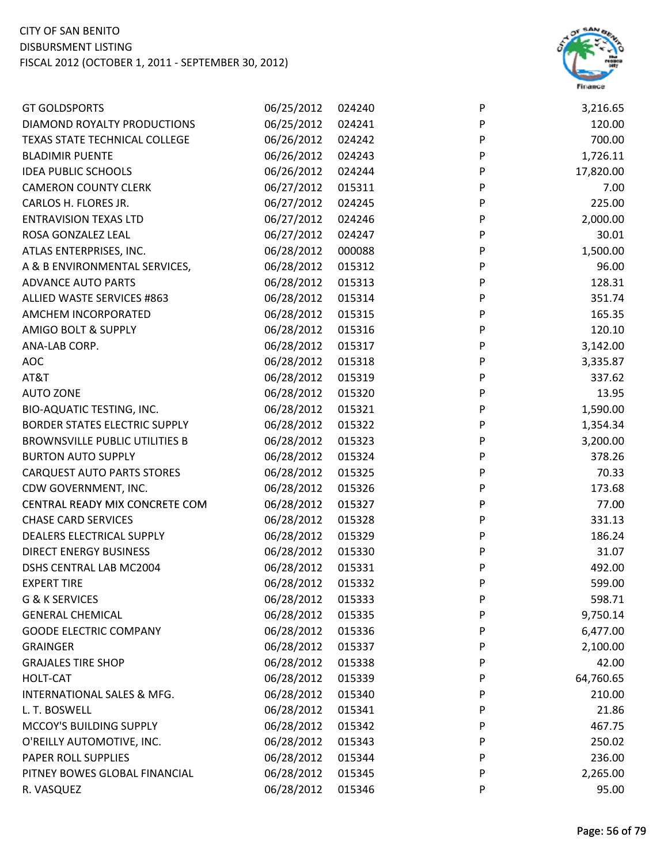

| <b>GT GOLDSPORTS</b>                  | 06/25/2012 | 024240 | P         | 3,216.65  |
|---------------------------------------|------------|--------|-----------|-----------|
| DIAMOND ROYALTY PRODUCTIONS           | 06/25/2012 | 024241 | P         | 120.00    |
| <b>TEXAS STATE TECHNICAL COLLEGE</b>  | 06/26/2012 | 024242 | P         | 700.00    |
| <b>BLADIMIR PUENTE</b>                | 06/26/2012 | 024243 | P         | 1,726.11  |
| <b>IDEA PUBLIC SCHOOLS</b>            | 06/26/2012 | 024244 | P         | 17,820.00 |
| <b>CAMERON COUNTY CLERK</b>           | 06/27/2012 | 015311 | ${\sf P}$ | 7.00      |
| CARLOS H. FLORES JR.                  | 06/27/2012 | 024245 | P         | 225.00    |
| <b>ENTRAVISION TEXAS LTD</b>          | 06/27/2012 | 024246 | P         | 2,000.00  |
| ROSA GONZALEZ LEAL                    | 06/27/2012 | 024247 | P         | 30.01     |
| ATLAS ENTERPRISES, INC.               | 06/28/2012 | 000088 | P         | 1,500.00  |
| A & B ENVIRONMENTAL SERVICES,         | 06/28/2012 | 015312 | ${\sf P}$ | 96.00     |
| <b>ADVANCE AUTO PARTS</b>             | 06/28/2012 | 015313 | ${\sf P}$ | 128.31    |
| ALLIED WASTE SERVICES #863            | 06/28/2012 | 015314 | P         | 351.74    |
| AMCHEM INCORPORATED                   | 06/28/2012 | 015315 | P         | 165.35    |
| AMIGO BOLT & SUPPLY                   | 06/28/2012 | 015316 | P         | 120.10    |
| ANA-LAB CORP.                         | 06/28/2012 | 015317 | P         | 3,142.00  |
| AOC                                   | 06/28/2012 | 015318 | P         | 3,335.87  |
| AT&T                                  | 06/28/2012 | 015319 | ${\sf P}$ | 337.62    |
| <b>AUTO ZONE</b>                      | 06/28/2012 | 015320 | P         | 13.95     |
| <b>BIO-AQUATIC TESTING, INC.</b>      | 06/28/2012 | 015321 | P         | 1,590.00  |
| <b>BORDER STATES ELECTRIC SUPPLY</b>  | 06/28/2012 | 015322 | P         | 1,354.34  |
| <b>BROWNSVILLE PUBLIC UTILITIES B</b> | 06/28/2012 | 015323 | P         | 3,200.00  |
| <b>BURTON AUTO SUPPLY</b>             | 06/28/2012 | 015324 | P         | 378.26    |
| <b>CARQUEST AUTO PARTS STORES</b>     | 06/28/2012 | 015325 | P         | 70.33     |
| CDW GOVERNMENT, INC.                  | 06/28/2012 | 015326 | ${\sf P}$ | 173.68    |
| CENTRAL READY MIX CONCRETE COM        | 06/28/2012 | 015327 | P         | 77.00     |
| <b>CHASE CARD SERVICES</b>            | 06/28/2012 | 015328 | P         | 331.13    |
| DEALERS ELECTRICAL SUPPLY             | 06/28/2012 | 015329 | P         | 186.24    |
| <b>DIRECT ENERGY BUSINESS</b>         | 06/28/2012 | 015330 | P         | 31.07     |
| DSHS CENTRAL LAB MC2004               | 06/28/2012 | 015331 | P         | 492.00    |
| <b>EXPERT TIRE</b>                    | 06/28/2012 | 015332 | P         | 599.00    |
| G & K SERVICES                        | 06/28/2012 | 015333 | P         | 598.71    |
| <b>GENERAL CHEMICAL</b>               | 06/28/2012 | 015335 | P         | 9,750.14  |
| <b>GOODE ELECTRIC COMPANY</b>         | 06/28/2012 | 015336 | P         | 6,477.00  |
| <b>GRAINGER</b>                       | 06/28/2012 | 015337 | P         | 2,100.00  |
| <b>GRAJALES TIRE SHOP</b>             | 06/28/2012 | 015338 | P         | 42.00     |
| HOLT-CAT                              | 06/28/2012 | 015339 | P         | 64,760.65 |
| INTERNATIONAL SALES & MFG.            | 06/28/2012 | 015340 | P         | 210.00    |
| L. T. BOSWELL                         | 06/28/2012 | 015341 | P         | 21.86     |
| MCCOY'S BUILDING SUPPLY               | 06/28/2012 | 015342 | P         | 467.75    |
| O'REILLY AUTOMOTIVE, INC.             | 06/28/2012 | 015343 | P         | 250.02    |
| PAPER ROLL SUPPLIES                   | 06/28/2012 | 015344 | P         | 236.00    |
| PITNEY BOWES GLOBAL FINANCIAL         | 06/28/2012 | 015345 | P         | 2,265.00  |
| R. VASQUEZ                            | 06/28/2012 | 015346 | P         | 95.00     |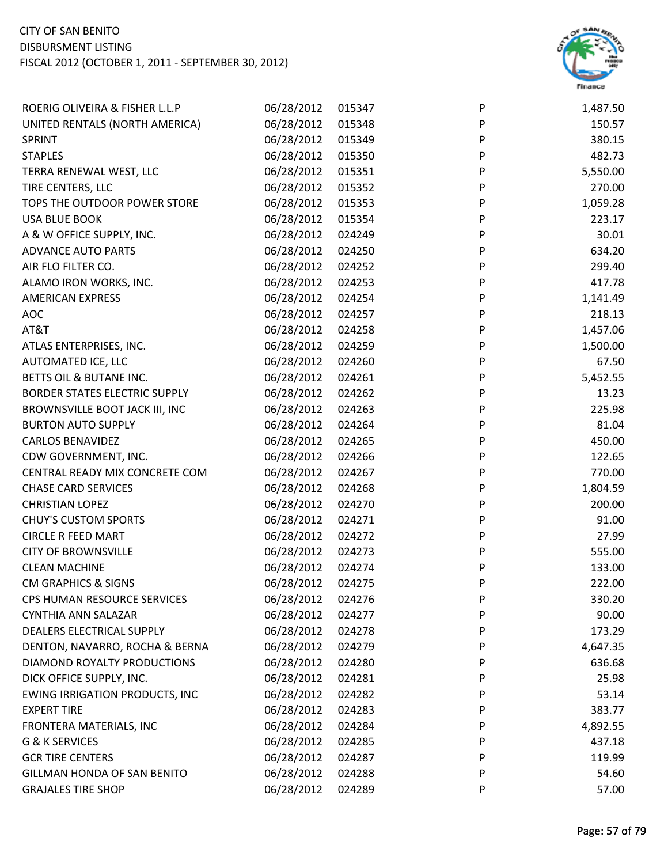

| ROERIG OLIVEIRA & FISHER L.L.P        | 06/28/2012 | 015347 | P | 1,487.50 |
|---------------------------------------|------------|--------|---|----------|
| UNITED RENTALS (NORTH AMERICA)        | 06/28/2012 | 015348 | P | 150.57   |
| <b>SPRINT</b>                         | 06/28/2012 | 015349 | P | 380.15   |
| <b>STAPLES</b>                        | 06/28/2012 | 015350 | P | 482.73   |
| TERRA RENEWAL WEST, LLC               | 06/28/2012 | 015351 | P | 5,550.00 |
| TIRE CENTERS, LLC                     | 06/28/2012 | 015352 | P | 270.00   |
| TOPS THE OUTDOOR POWER STORE          | 06/28/2012 | 015353 | P | 1,059.28 |
| <b>USA BLUE BOOK</b>                  | 06/28/2012 | 015354 | P | 223.17   |
| A & W OFFICE SUPPLY, INC.             | 06/28/2012 | 024249 | P | 30.01    |
| <b>ADVANCE AUTO PARTS</b>             | 06/28/2012 | 024250 | P | 634.20   |
| AIR FLO FILTER CO.                    | 06/28/2012 | 024252 | P | 299.40   |
| ALAMO IRON WORKS, INC.                | 06/28/2012 | 024253 | P | 417.78   |
| <b>AMERICAN EXPRESS</b>               | 06/28/2012 | 024254 | P | 1,141.49 |
| <b>AOC</b>                            | 06/28/2012 | 024257 | P | 218.13   |
| AT&T                                  | 06/28/2012 | 024258 | P | 1,457.06 |
| ATLAS ENTERPRISES, INC.               | 06/28/2012 | 024259 | P | 1,500.00 |
| AUTOMATED ICE, LLC                    | 06/28/2012 | 024260 | P | 67.50    |
| BETTS OIL & BUTANE INC.               | 06/28/2012 | 024261 | P | 5,452.55 |
| <b>BORDER STATES ELECTRIC SUPPLY</b>  | 06/28/2012 | 024262 | P | 13.23    |
| BROWNSVILLE BOOT JACK III, INC        | 06/28/2012 | 024263 | P | 225.98   |
| <b>BURTON AUTO SUPPLY</b>             | 06/28/2012 | 024264 | P | 81.04    |
| <b>CARLOS BENAVIDEZ</b>               | 06/28/2012 | 024265 | P | 450.00   |
| CDW GOVERNMENT, INC.                  | 06/28/2012 | 024266 | P | 122.65   |
| CENTRAL READY MIX CONCRETE COM        | 06/28/2012 | 024267 | P | 770.00   |
| <b>CHASE CARD SERVICES</b>            | 06/28/2012 | 024268 | P | 1,804.59 |
| <b>CHRISTIAN LOPEZ</b>                | 06/28/2012 | 024270 | P | 200.00   |
| <b>CHUY'S CUSTOM SPORTS</b>           | 06/28/2012 | 024271 | P | 91.00    |
| <b>CIRCLE R FEED MART</b>             | 06/28/2012 | 024272 | P | 27.99    |
| <b>CITY OF BROWNSVILLE</b>            | 06/28/2012 | 024273 | P | 555.00   |
| <b>CLEAN MACHINE</b>                  | 06/28/2012 | 024274 | P | 133.00   |
| <b>CM GRAPHICS &amp; SIGNS</b>        | 06/28/2012 | 024275 | P | 222.00   |
| CPS HUMAN RESOURCE SERVICES           | 06/28/2012 | 024276 | P | 330.20   |
| <b>CYNTHIA ANN SALAZAR</b>            | 06/28/2012 | 024277 | P | 90.00    |
| DEALERS ELECTRICAL SUPPLY             | 06/28/2012 | 024278 | P | 173.29   |
| DENTON, NAVARRO, ROCHA & BERNA        | 06/28/2012 | 024279 | P | 4,647.35 |
| DIAMOND ROYALTY PRODUCTIONS           | 06/28/2012 | 024280 | P | 636.68   |
| DICK OFFICE SUPPLY, INC.              | 06/28/2012 | 024281 | P | 25.98    |
| <b>EWING IRRIGATION PRODUCTS, INC</b> | 06/28/2012 | 024282 | P | 53.14    |
| <b>EXPERT TIRE</b>                    | 06/28/2012 | 024283 | P | 383.77   |
| FRONTERA MATERIALS, INC               | 06/28/2012 | 024284 | P | 4,892.55 |
| G & K SERVICES                        | 06/28/2012 | 024285 | P | 437.18   |
| <b>GCR TIRE CENTERS</b>               | 06/28/2012 | 024287 | P | 119.99   |
| GILLMAN HONDA OF SAN BENITO           | 06/28/2012 | 024288 | P | 54.60    |
| <b>GRAJALES TIRE SHOP</b>             | 06/28/2012 | 024289 | P | 57.00    |
|                                       |            |        |   |          |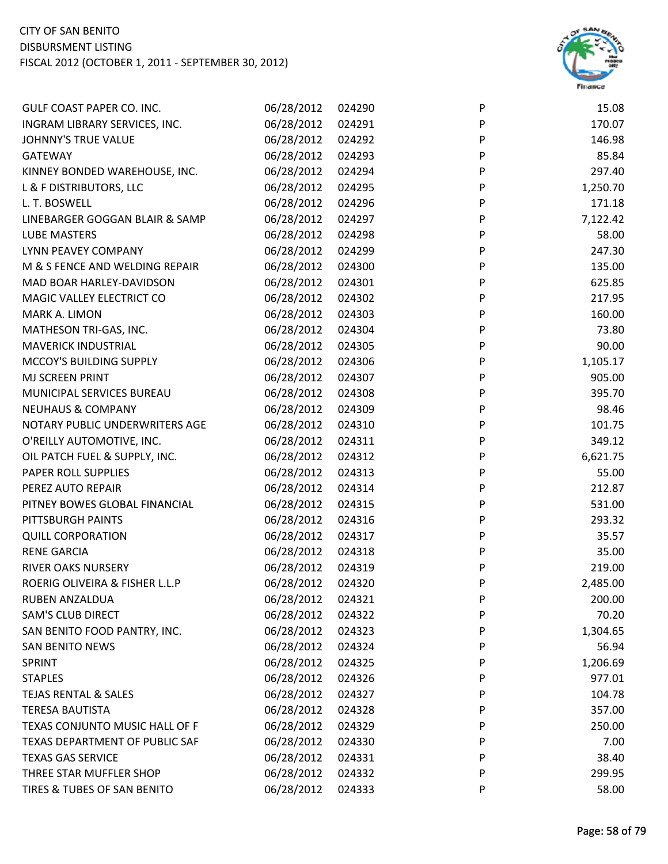

| GULF COAST PAPER CO. INC.       | 06/28/2012 | 024290 | P | 15.08    |
|---------------------------------|------------|--------|---|----------|
| INGRAM LIBRARY SERVICES, INC.   | 06/28/2012 | 024291 | P | 170.07   |
| <b>JOHNNY'S TRUE VALUE</b>      | 06/28/2012 | 024292 | P | 146.98   |
| <b>GATEWAY</b>                  | 06/28/2012 | 024293 | P | 85.84    |
| KINNEY BONDED WAREHOUSE, INC.   | 06/28/2012 | 024294 | P | 297.40   |
| L & F DISTRIBUTORS, LLC         | 06/28/2012 | 024295 | P | 1,250.70 |
| L. T. BOSWELL                   | 06/28/2012 | 024296 | P | 171.18   |
| LINEBARGER GOGGAN BLAIR & SAMP  | 06/28/2012 | 024297 | P | 7,122.42 |
| <b>LUBE MASTERS</b>             | 06/28/2012 | 024298 | P | 58.00    |
| LYNN PEAVEY COMPANY             | 06/28/2012 | 024299 | P | 247.30   |
| M & S FENCE AND WELDING REPAIR  | 06/28/2012 | 024300 | P | 135.00   |
| MAD BOAR HARLEY-DAVIDSON        | 06/28/2012 | 024301 | P | 625.85   |
| MAGIC VALLEY ELECTRICT CO       | 06/28/2012 | 024302 | P | 217.95   |
| MARK A. LIMON                   | 06/28/2012 | 024303 | P | 160.00   |
| MATHESON TRI-GAS, INC.          | 06/28/2012 | 024304 | P | 73.80    |
| <b>MAVERICK INDUSTRIAL</b>      | 06/28/2012 | 024305 | P | 90.00    |
| MCCOY'S BUILDING SUPPLY         | 06/28/2012 | 024306 | P | 1,105.17 |
| MJ SCREEN PRINT                 | 06/28/2012 | 024307 | P | 905.00   |
| MUNICIPAL SERVICES BUREAU       | 06/28/2012 | 024308 | P | 395.70   |
| <b>NEUHAUS &amp; COMPANY</b>    | 06/28/2012 | 024309 | P | 98.46    |
| NOTARY PUBLIC UNDERWRITERS AGE  | 06/28/2012 | 024310 | P | 101.75   |
| O'REILLY AUTOMOTIVE, INC.       | 06/28/2012 | 024311 | P | 349.12   |
| OIL PATCH FUEL & SUPPLY, INC.   | 06/28/2012 | 024312 | P | 6,621.75 |
| PAPER ROLL SUPPLIES             | 06/28/2012 | 024313 | P | 55.00    |
| PEREZ AUTO REPAIR               | 06/28/2012 | 024314 | P | 212.87   |
| PITNEY BOWES GLOBAL FINANCIAL   | 06/28/2012 | 024315 | P | 531.00   |
| PITTSBURGH PAINTS               | 06/28/2012 | 024316 | P | 293.32   |
| <b>QUILL CORPORATION</b>        | 06/28/2012 | 024317 | P | 35.57    |
| <b>RENE GARCIA</b>              | 06/28/2012 | 024318 | P | 35.00    |
| <b>RIVER OAKS NURSERY</b>       | 06/28/2012 | 024319 | P | 219.00   |
| ROERIG OLIVEIRA & FISHER L.L.P  | 06/28/2012 | 024320 | P | 2,485.00 |
| <b>RUBEN ANZALDUA</b>           | 06/28/2012 | 024321 | P | 200.00   |
| <b>SAM'S CLUB DIRECT</b>        | 06/28/2012 | 024322 | P | 70.20    |
| SAN BENITO FOOD PANTRY, INC.    | 06/28/2012 | 024323 | P | 1,304.65 |
| <b>SAN BENITO NEWS</b>          | 06/28/2012 | 024324 | P | 56.94    |
| SPRINT                          | 06/28/2012 | 024325 | P | 1,206.69 |
| <b>STAPLES</b>                  | 06/28/2012 | 024326 | P | 977.01   |
| <b>TEJAS RENTAL &amp; SALES</b> | 06/28/2012 | 024327 | P | 104.78   |
| <b>TERESA BAUTISTA</b>          | 06/28/2012 | 024328 | P | 357.00   |
| TEXAS CONJUNTO MUSIC HALL OF F  | 06/28/2012 | 024329 | P | 250.00   |
| TEXAS DEPARTMENT OF PUBLIC SAF  | 06/28/2012 | 024330 | P | 7.00     |
| <b>TEXAS GAS SERVICE</b>        | 06/28/2012 | 024331 | P | 38.40    |
| THREE STAR MUFFLER SHOP         | 06/28/2012 | 024332 | P | 299.95   |
| TIRES & TUBES OF SAN BENITO     | 06/28/2012 | 024333 | P | 58.00    |
|                                 |            |        |   |          |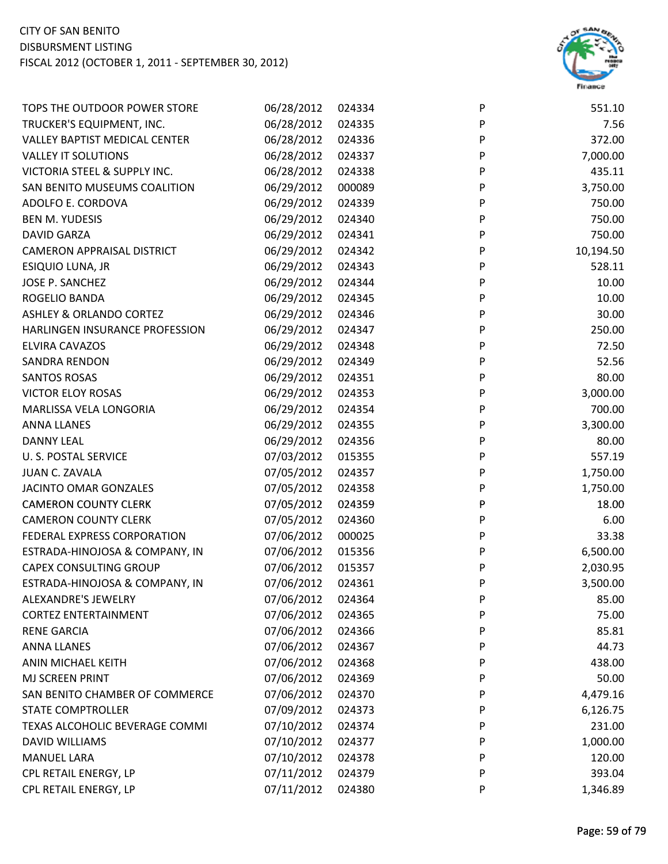

| TOPS THE OUTDOOR POWER STORE         | 06/28/2012 | 024334 | P | 551.10    |
|--------------------------------------|------------|--------|---|-----------|
| TRUCKER'S EQUIPMENT, INC.            | 06/28/2012 | 024335 | P | 7.56      |
| <b>VALLEY BAPTIST MEDICAL CENTER</b> | 06/28/2012 | 024336 | P | 372.00    |
| <b>VALLEY IT SOLUTIONS</b>           | 06/28/2012 | 024337 | P | 7,000.00  |
| VICTORIA STEEL & SUPPLY INC.         | 06/28/2012 | 024338 | P | 435.11    |
| SAN BENITO MUSEUMS COALITION         | 06/29/2012 | 000089 | P | 3,750.00  |
| ADOLFO E. CORDOVA                    | 06/29/2012 | 024339 | P | 750.00    |
| <b>BEN M. YUDESIS</b>                | 06/29/2012 | 024340 | P | 750.00    |
| <b>DAVID GARZA</b>                   | 06/29/2012 | 024341 | P | 750.00    |
| <b>CAMERON APPRAISAL DISTRICT</b>    | 06/29/2012 | 024342 | P | 10,194.50 |
| ESIQUIO LUNA, JR                     | 06/29/2012 | 024343 | P | 528.11    |
| JOSE P. SANCHEZ                      | 06/29/2012 | 024344 | P | 10.00     |
| ROGELIO BANDA                        | 06/29/2012 | 024345 | P | 10.00     |
| <b>ASHLEY &amp; ORLANDO CORTEZ</b>   | 06/29/2012 | 024346 | P | 30.00     |
| HARLINGEN INSURANCE PROFESSION       | 06/29/2012 | 024347 | P | 250.00    |
| <b>ELVIRA CAVAZOS</b>                | 06/29/2012 | 024348 | P | 72.50     |
| SANDRA RENDON                        | 06/29/2012 | 024349 | P | 52.56     |
| <b>SANTOS ROSAS</b>                  | 06/29/2012 | 024351 | P | 80.00     |
| <b>VICTOR ELOY ROSAS</b>             | 06/29/2012 | 024353 | P | 3,000.00  |
| MARLISSA VELA LONGORIA               | 06/29/2012 | 024354 | P | 700.00    |
| <b>ANNA LLANES</b>                   | 06/29/2012 | 024355 | P | 3,300.00  |
| <b>DANNY LEAL</b>                    | 06/29/2012 | 024356 | P | 80.00     |
| <b>U. S. POSTAL SERVICE</b>          | 07/03/2012 | 015355 | P | 557.19    |
| <b>JUAN C. ZAVALA</b>                | 07/05/2012 | 024357 | P | 1,750.00  |
| JACINTO OMAR GONZALES                | 07/05/2012 | 024358 | P | 1,750.00  |
| <b>CAMERON COUNTY CLERK</b>          | 07/05/2012 | 024359 | P | 18.00     |
| <b>CAMERON COUNTY CLERK</b>          | 07/05/2012 | 024360 | P | 6.00      |
| FEDERAL EXPRESS CORPORATION          | 07/06/2012 | 000025 | P | 33.38     |
| ESTRADA-HINOJOSA & COMPANY, IN       | 07/06/2012 | 015356 | P | 6,500.00  |
| <b>CAPEX CONSULTING GROUP</b>        | 07/06/2012 | 015357 | P | 2,030.95  |
| ESTRADA-HINOJOSA & COMPANY, IN       | 07/06/2012 | 024361 | P | 3,500.00  |
| <b>ALEXANDRE'S JEWELRY</b>           | 07/06/2012 | 024364 | P | 85.00     |
| <b>CORTEZ ENTERTAINMENT</b>          | 07/06/2012 | 024365 | P | 75.00     |
| <b>RENE GARCIA</b>                   | 07/06/2012 | 024366 | P | 85.81     |
| <b>ANNA LLANES</b>                   | 07/06/2012 | 024367 | P | 44.73     |
| ANIN MICHAEL KEITH                   | 07/06/2012 | 024368 | P | 438.00    |
| MJ SCREEN PRINT                      | 07/06/2012 | 024369 | P | 50.00     |
| SAN BENITO CHAMBER OF COMMERCE       | 07/06/2012 | 024370 | P | 4,479.16  |
| <b>STATE COMPTROLLER</b>             | 07/09/2012 | 024373 | P | 6,126.75  |
| TEXAS ALCOHOLIC BEVERAGE COMMI       | 07/10/2012 | 024374 | P | 231.00    |
| <b>DAVID WILLIAMS</b>                | 07/10/2012 | 024377 | P | 1,000.00  |
| <b>MANUEL LARA</b>                   | 07/10/2012 | 024378 | P | 120.00    |
| CPL RETAIL ENERGY, LP                | 07/11/2012 | 024379 | P | 393.04    |
| CPL RETAIL ENERGY, LP                | 07/11/2012 | 024380 | P | 1,346.89  |
|                                      |            |        |   |           |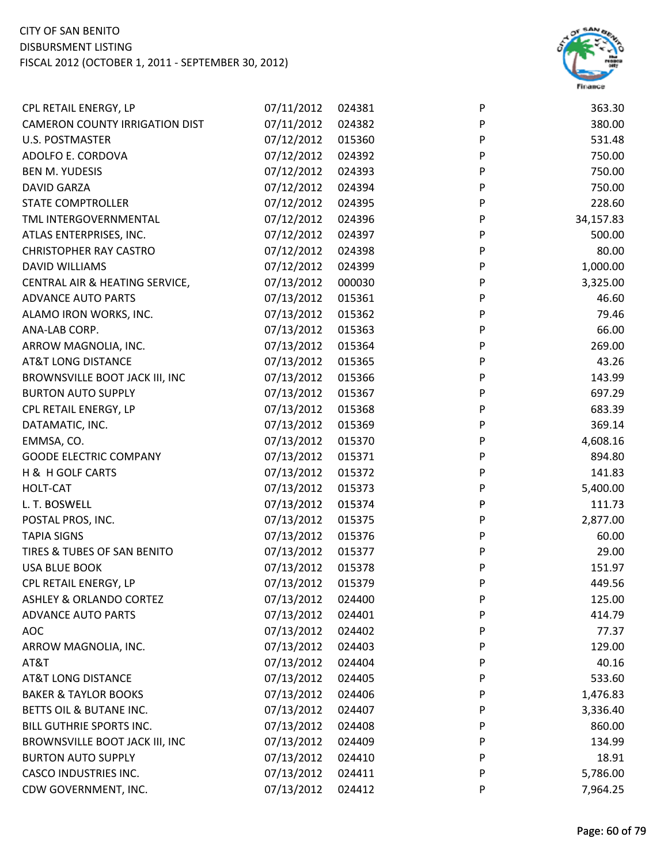

| CPL RETAIL ENERGY, LP                 | 07/11/2012 | 024381 | P | 363.30    |
|---------------------------------------|------------|--------|---|-----------|
| <b>CAMERON COUNTY IRRIGATION DIST</b> | 07/11/2012 | 024382 | P | 380.00    |
| <b>U.S. POSTMASTER</b>                | 07/12/2012 | 015360 | P | 531.48    |
| ADOLFO E. CORDOVA                     | 07/12/2012 | 024392 | P | 750.00    |
| <b>BEN M. YUDESIS</b>                 | 07/12/2012 | 024393 | P | 750.00    |
| <b>DAVID GARZA</b>                    | 07/12/2012 | 024394 | P | 750.00    |
| STATE COMPTROLLER                     | 07/12/2012 | 024395 | P | 228.60    |
| TML INTERGOVERNMENTAL                 | 07/12/2012 | 024396 | P | 34,157.83 |
| ATLAS ENTERPRISES, INC.               | 07/12/2012 | 024397 | P | 500.00    |
| <b>CHRISTOPHER RAY CASTRO</b>         | 07/12/2012 | 024398 | P | 80.00     |
| DAVID WILLIAMS                        | 07/12/2012 | 024399 | P | 1,000.00  |
| CENTRAL AIR & HEATING SERVICE,        | 07/13/2012 | 000030 | P | 3,325.00  |
| <b>ADVANCE AUTO PARTS</b>             | 07/13/2012 | 015361 | P | 46.60     |
| ALAMO IRON WORKS, INC.                | 07/13/2012 | 015362 | P | 79.46     |
| ANA-LAB CORP.                         | 07/13/2012 | 015363 | P | 66.00     |
| ARROW MAGNOLIA, INC.                  | 07/13/2012 | 015364 | P | 269.00    |
| <b>AT&amp;T LONG DISTANCE</b>         | 07/13/2012 | 015365 | P | 43.26     |
| BROWNSVILLE BOOT JACK III, INC        | 07/13/2012 | 015366 | P | 143.99    |
| <b>BURTON AUTO SUPPLY</b>             | 07/13/2012 | 015367 | P | 697.29    |
| CPL RETAIL ENERGY, LP                 | 07/13/2012 | 015368 | P | 683.39    |
| DATAMATIC, INC.                       | 07/13/2012 | 015369 | P | 369.14    |
| EMMSA, CO.                            | 07/13/2012 | 015370 | P | 4,608.16  |
| <b>GOODE ELECTRIC COMPANY</b>         | 07/13/2012 | 015371 | P | 894.80    |
| H & H GOLF CARTS                      | 07/13/2012 | 015372 | P | 141.83    |
| HOLT-CAT                              | 07/13/2012 | 015373 | P | 5,400.00  |
| L. T. BOSWELL                         | 07/13/2012 | 015374 | P | 111.73    |
| POSTAL PROS, INC.                     | 07/13/2012 | 015375 | P | 2,877.00  |
| <b>TAPIA SIGNS</b>                    | 07/13/2012 | 015376 | P | 60.00     |
| TIRES & TUBES OF SAN BENITO           | 07/13/2012 | 015377 | P | 29.00     |
| <b>USA BLUE BOOK</b>                  | 07/13/2012 | 015378 | P | 151.97    |
| CPL RETAIL ENERGY, LP                 | 07/13/2012 | 015379 | P | 449.56    |
| <b>ASHLEY &amp; ORLANDO CORTEZ</b>    | 07/13/2012 | 024400 | P | 125.00    |
| <b>ADVANCE AUTO PARTS</b>             | 07/13/2012 | 024401 | P | 414.79    |
| <b>AOC</b>                            | 07/13/2012 | 024402 | P | 77.37     |
| ARROW MAGNOLIA, INC.                  | 07/13/2012 | 024403 | P | 129.00    |
| AT&T                                  | 07/13/2012 | 024404 | P | 40.16     |
| <b>AT&amp;T LONG DISTANCE</b>         | 07/13/2012 | 024405 | P | 533.60    |
| <b>BAKER &amp; TAYLOR BOOKS</b>       | 07/13/2012 | 024406 | P | 1,476.83  |
| BETTS OIL & BUTANE INC.               | 07/13/2012 | 024407 | P | 3,336.40  |
| BILL GUTHRIE SPORTS INC.              | 07/13/2012 | 024408 | P | 860.00    |
| BROWNSVILLE BOOT JACK III, INC        | 07/13/2012 | 024409 | P | 134.99    |
| <b>BURTON AUTO SUPPLY</b>             | 07/13/2012 | 024410 | P | 18.91     |
| <b>CASCO INDUSTRIES INC.</b>          | 07/13/2012 | 024411 | P | 5,786.00  |
| CDW GOVERNMENT, INC.                  | 07/13/2012 | 024412 | P | 7,964.25  |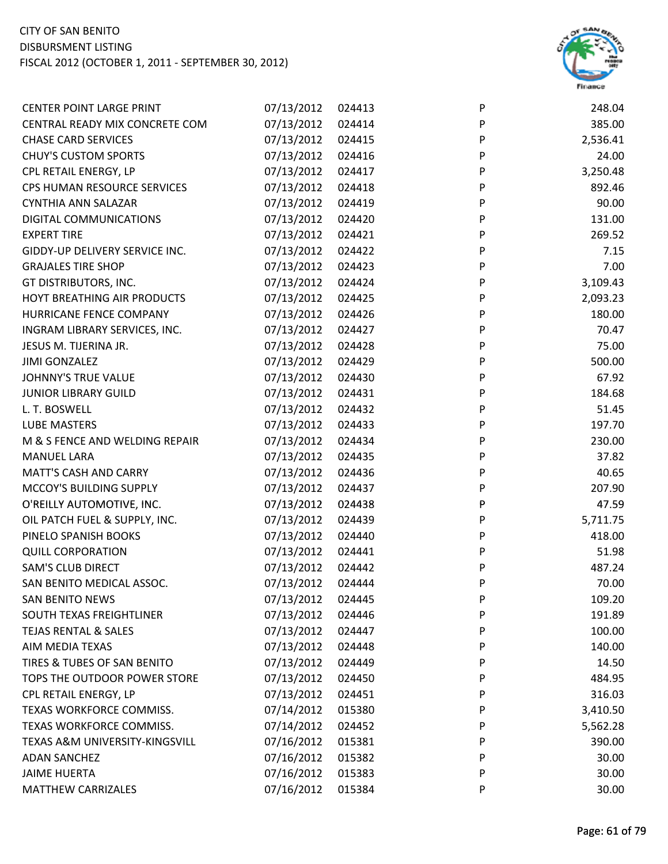

| <b>CENTER POINT LARGE PRINT</b> | 07/13/2012 | 024413 | P | 248.04   |
|---------------------------------|------------|--------|---|----------|
| CENTRAL READY MIX CONCRETE COM  | 07/13/2012 | 024414 | P | 385.00   |
| <b>CHASE CARD SERVICES</b>      | 07/13/2012 | 024415 | P | 2,536.41 |
| <b>CHUY'S CUSTOM SPORTS</b>     | 07/13/2012 | 024416 | P | 24.00    |
| CPL RETAIL ENERGY, LP           | 07/13/2012 | 024417 | P | 3,250.48 |
| CPS HUMAN RESOURCE SERVICES     | 07/13/2012 | 024418 | P | 892.46   |
| <b>CYNTHIA ANN SALAZAR</b>      | 07/13/2012 | 024419 | P | 90.00    |
| DIGITAL COMMUNICATIONS          | 07/13/2012 | 024420 | P | 131.00   |
| <b>EXPERT TIRE</b>              | 07/13/2012 | 024421 | P | 269.52   |
| GIDDY-UP DELIVERY SERVICE INC.  | 07/13/2012 | 024422 | P | 7.15     |
| <b>GRAJALES TIRE SHOP</b>       | 07/13/2012 | 024423 | P | 7.00     |
| GT DISTRIBUTORS, INC.           | 07/13/2012 | 024424 | P | 3,109.43 |
| HOYT BREATHING AIR PRODUCTS     | 07/13/2012 | 024425 | P | 2,093.23 |
| HURRICANE FENCE COMPANY         | 07/13/2012 | 024426 | P | 180.00   |
| INGRAM LIBRARY SERVICES, INC.   | 07/13/2012 | 024427 | P | 70.47    |
| JESUS M. TIJERINA JR.           | 07/13/2012 | 024428 | P | 75.00    |
| <b>JIMI GONZALEZ</b>            | 07/13/2012 | 024429 | P | 500.00   |
| <b>JOHNNY'S TRUE VALUE</b>      | 07/13/2012 | 024430 | P | 67.92    |
| <b>JUNIOR LIBRARY GUILD</b>     | 07/13/2012 | 024431 | P | 184.68   |
| L. T. BOSWELL                   | 07/13/2012 | 024432 | P | 51.45    |
| LUBE MASTERS                    | 07/13/2012 | 024433 | P | 197.70   |
| M & S FENCE AND WELDING REPAIR  | 07/13/2012 | 024434 | P | 230.00   |
| <b>MANUEL LARA</b>              | 07/13/2012 | 024435 | P | 37.82    |
| <b>MATT'S CASH AND CARRY</b>    | 07/13/2012 | 024436 | P | 40.65    |
| MCCOY'S BUILDING SUPPLY         | 07/13/2012 | 024437 | P | 207.90   |
| O'REILLY AUTOMOTIVE, INC.       | 07/13/2012 | 024438 | P | 47.59    |
| OIL PATCH FUEL & SUPPLY, INC.   | 07/13/2012 | 024439 | P | 5,711.75 |
| PINELO SPANISH BOOKS            | 07/13/2012 | 024440 | P | 418.00   |
| <b>QUILL CORPORATION</b>        | 07/13/2012 | 024441 | P | 51.98    |
| <b>SAM'S CLUB DIRECT</b>        | 07/13/2012 | 024442 | P | 487.24   |
| SAN BENITO MEDICAL ASSOC.       | 07/13/2012 | 024444 | P | 70.00    |
| <b>SAN BENITO NEWS</b>          | 07/13/2012 | 024445 | P | 109.20   |
| SOUTH TEXAS FREIGHTLINER        | 07/13/2012 | 024446 | P | 191.89   |
| <b>TEJAS RENTAL &amp; SALES</b> | 07/13/2012 | 024447 | P | 100.00   |
| AIM MEDIA TEXAS                 | 07/13/2012 | 024448 | P | 140.00   |
| TIRES & TUBES OF SAN BENITO     | 07/13/2012 | 024449 | P | 14.50    |
| TOPS THE OUTDOOR POWER STORE    | 07/13/2012 | 024450 | P | 484.95   |
| CPL RETAIL ENERGY, LP           | 07/13/2012 | 024451 | P | 316.03   |
| TEXAS WORKFORCE COMMISS.        | 07/14/2012 | 015380 | P | 3,410.50 |
| TEXAS WORKFORCE COMMISS.        | 07/14/2012 | 024452 | P | 5,562.28 |
| TEXAS A&M UNIVERSITY-KINGSVILL  | 07/16/2012 | 015381 | P | 390.00   |
| <b>ADAN SANCHEZ</b>             | 07/16/2012 | 015382 | P | 30.00    |
| <b>JAIME HUERTA</b>             | 07/16/2012 | 015383 | P | 30.00    |
| <b>MATTHEW CARRIZALES</b>       | 07/16/2012 | 015384 | P | 30.00    |
|                                 |            |        |   |          |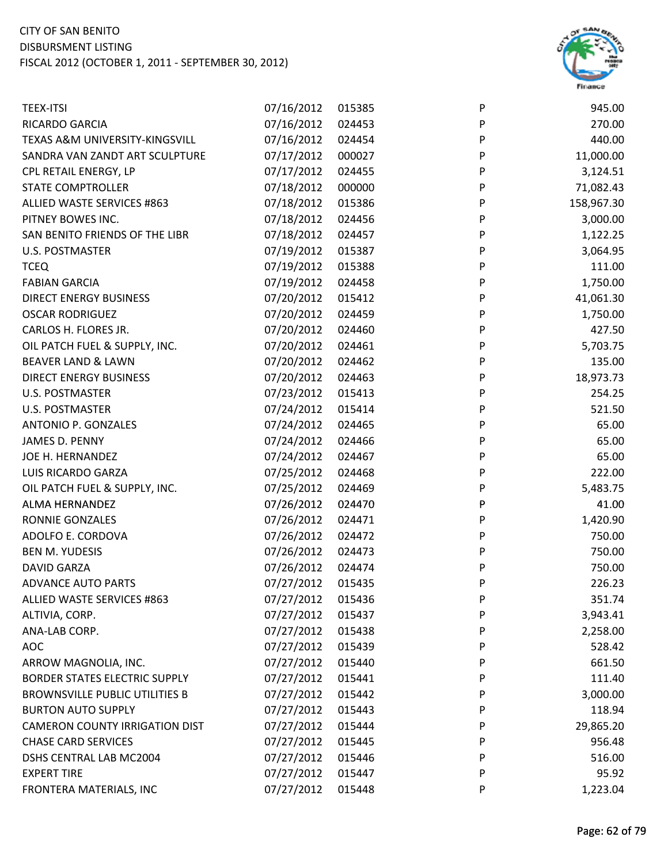

| <b>TEEX-ITSI</b>                      | 07/16/2012 | 015385 | P         | 945.00     |
|---------------------------------------|------------|--------|-----------|------------|
| RICARDO GARCIA                        | 07/16/2012 | 024453 | P         | 270.00     |
| TEXAS A&M UNIVERSITY-KINGSVILL        | 07/16/2012 | 024454 | P         | 440.00     |
| SANDRA VAN ZANDT ART SCULPTURE        | 07/17/2012 | 000027 | P         | 11,000.00  |
| CPL RETAIL ENERGY, LP                 | 07/17/2012 | 024455 | P         | 3,124.51   |
| <b>STATE COMPTROLLER</b>              | 07/18/2012 | 000000 | P         | 71,082.43  |
| ALLIED WASTE SERVICES #863            | 07/18/2012 | 015386 | P         | 158,967.30 |
| PITNEY BOWES INC.                     | 07/18/2012 | 024456 | P         | 3,000.00   |
| SAN BENITO FRIENDS OF THE LIBR        | 07/18/2012 | 024457 | P         | 1,122.25   |
| U.S. POSTMASTER                       | 07/19/2012 | 015387 | P         | 3,064.95   |
| <b>TCEQ</b>                           | 07/19/2012 | 015388 | P         | 111.00     |
| <b>FABIAN GARCIA</b>                  | 07/19/2012 | 024458 | P         | 1,750.00   |
| <b>DIRECT ENERGY BUSINESS</b>         | 07/20/2012 | 015412 | P         | 41,061.30  |
| <b>OSCAR RODRIGUEZ</b>                | 07/20/2012 | 024459 | P         | 1,750.00   |
| CARLOS H. FLORES JR.                  | 07/20/2012 | 024460 | ${\sf P}$ | 427.50     |
| OIL PATCH FUEL & SUPPLY, INC.         | 07/20/2012 | 024461 | P         | 5,703.75   |
| <b>BEAVER LAND &amp; LAWN</b>         | 07/20/2012 | 024462 | P         | 135.00     |
| <b>DIRECT ENERGY BUSINESS</b>         | 07/20/2012 | 024463 | P         | 18,973.73  |
| U.S. POSTMASTER                       | 07/23/2012 | 015413 | P         | 254.25     |
| <b>U.S. POSTMASTER</b>                | 07/24/2012 | 015414 | P         | 521.50     |
| <b>ANTONIO P. GONZALES</b>            | 07/24/2012 | 024465 | P         | 65.00      |
| JAMES D. PENNY                        | 07/24/2012 | 024466 | P         | 65.00      |
| JOE H. HERNANDEZ                      | 07/24/2012 | 024467 | P         | 65.00      |
| LUIS RICARDO GARZA                    | 07/25/2012 | 024468 | P         | 222.00     |
| OIL PATCH FUEL & SUPPLY, INC.         | 07/25/2012 | 024469 | P         | 5,483.75   |
| ALMA HERNANDEZ                        | 07/26/2012 | 024470 | P         | 41.00      |
| <b>RONNIE GONZALES</b>                | 07/26/2012 | 024471 | P         | 1,420.90   |
| ADOLFO E. CORDOVA                     | 07/26/2012 | 024472 | P         | 750.00     |
| <b>BEN M. YUDESIS</b>                 | 07/26/2012 | 024473 | P         | 750.00     |
| <b>DAVID GARZA</b>                    | 07/26/2012 | 024474 | P         | 750.00     |
| <b>ADVANCE AUTO PARTS</b>             | 07/27/2012 | 015435 | P         | 226.23     |
| ALLIED WASTE SERVICES #863            | 07/27/2012 | 015436 | P         | 351.74     |
| ALTIVIA, CORP.                        | 07/27/2012 | 015437 | P         | 3,943.41   |
| ANA-LAB CORP.                         | 07/27/2012 | 015438 | P         | 2,258.00   |
| <b>AOC</b>                            | 07/27/2012 | 015439 | P         | 528.42     |
| ARROW MAGNOLIA, INC.                  | 07/27/2012 | 015440 | P         | 661.50     |
| <b>BORDER STATES ELECTRIC SUPPLY</b>  | 07/27/2012 | 015441 | P         | 111.40     |
| <b>BROWNSVILLE PUBLIC UTILITIES B</b> | 07/27/2012 | 015442 | P         | 3,000.00   |
| <b>BURTON AUTO SUPPLY</b>             | 07/27/2012 | 015443 | P         | 118.94     |
| <b>CAMERON COUNTY IRRIGATION DIST</b> | 07/27/2012 | 015444 | P         | 29,865.20  |
| <b>CHASE CARD SERVICES</b>            | 07/27/2012 | 015445 | P         | 956.48     |
| DSHS CENTRAL LAB MC2004               | 07/27/2012 | 015446 | P         | 516.00     |
| <b>EXPERT TIRE</b>                    | 07/27/2012 | 015447 | P         | 95.92      |
| FRONTERA MATERIALS, INC               | 07/27/2012 | 015448 | P         | 1,223.04   |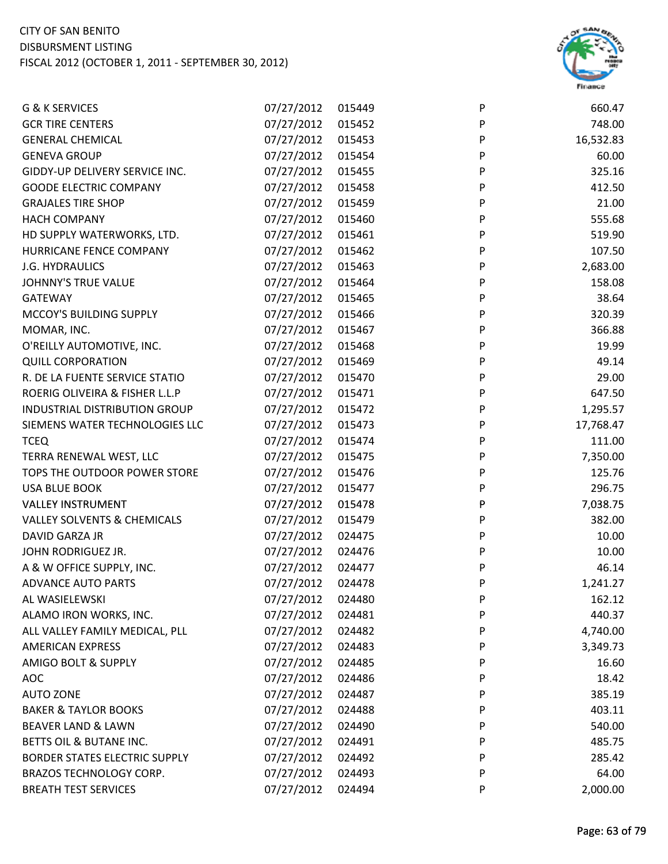

| G & K SERVICES                         | 07/27/2012 | 015449 | P         | 660.47    |
|----------------------------------------|------------|--------|-----------|-----------|
| <b>GCR TIRE CENTERS</b>                | 07/27/2012 | 015452 | P         | 748.00    |
| <b>GENERAL CHEMICAL</b>                | 07/27/2012 | 015453 | P         | 16,532.83 |
| <b>GENEVA GROUP</b>                    | 07/27/2012 | 015454 | P         | 60.00     |
| GIDDY-UP DELIVERY SERVICE INC.         | 07/27/2012 | 015455 | P         | 325.16    |
| <b>GOODE ELECTRIC COMPANY</b>          | 07/27/2012 | 015458 | P         | 412.50    |
| <b>GRAJALES TIRE SHOP</b>              | 07/27/2012 | 015459 | P         | 21.00     |
| <b>HACH COMPANY</b>                    | 07/27/2012 | 015460 | P         | 555.68    |
| HD SUPPLY WATERWORKS, LTD.             | 07/27/2012 | 015461 | P         | 519.90    |
| HURRICANE FENCE COMPANY                | 07/27/2012 | 015462 | $\sf P$   | 107.50    |
| J.G. HYDRAULICS                        | 07/27/2012 | 015463 | P         | 2,683.00  |
| JOHNNY'S TRUE VALUE                    | 07/27/2012 | 015464 | P         | 158.08    |
| <b>GATEWAY</b>                         | 07/27/2012 | 015465 | P         | 38.64     |
| MCCOY'S BUILDING SUPPLY                | 07/27/2012 | 015466 | P         | 320.39    |
| MOMAR, INC.                            | 07/27/2012 | 015467 | P         | 366.88    |
| O'REILLY AUTOMOTIVE, INC.              | 07/27/2012 | 015468 | ${\sf P}$ | 19.99     |
| <b>QUILL CORPORATION</b>               | 07/27/2012 | 015469 | P         | 49.14     |
| R. DE LA FUENTE SERVICE STATIO         | 07/27/2012 | 015470 | P         | 29.00     |
| ROERIG OLIVEIRA & FISHER L.L.P         | 07/27/2012 | 015471 | P         | 647.50    |
| INDUSTRIAL DISTRIBUTION GROUP          | 07/27/2012 | 015472 | P         | 1,295.57  |
| SIEMENS WATER TECHNOLOGIES LLC         | 07/27/2012 | 015473 | P         | 17,768.47 |
| <b>TCEQ</b>                            | 07/27/2012 | 015474 | ${\sf P}$ | 111.00    |
| TERRA RENEWAL WEST, LLC                | 07/27/2012 | 015475 | P         | 7,350.00  |
| TOPS THE OUTDOOR POWER STORE           | 07/27/2012 | 015476 | P         | 125.76    |
| <b>USA BLUE BOOK</b>                   | 07/27/2012 | 015477 | P         | 296.75    |
| <b>VALLEY INSTRUMENT</b>               | 07/27/2012 | 015478 | P         | 7,038.75  |
| <b>VALLEY SOLVENTS &amp; CHEMICALS</b> | 07/27/2012 | 015479 | P         | 382.00    |
| DAVID GARZA JR                         | 07/27/2012 | 024475 | P         | 10.00     |
| JOHN RODRIGUEZ JR.                     | 07/27/2012 | 024476 | P         | 10.00     |
| A & W OFFICE SUPPLY, INC.              | 07/27/2012 | 024477 | P         | 46.14     |
| <b>ADVANCE AUTO PARTS</b>              | 07/27/2012 | 024478 | P         | 1,241.27  |
| AL WASIELEWSKI                         | 07/27/2012 | 024480 | P         | 162.12    |
| ALAMO IRON WORKS, INC.                 | 07/27/2012 | 024481 | P         | 440.37    |
| ALL VALLEY FAMILY MEDICAL, PLL         | 07/27/2012 | 024482 | P         | 4,740.00  |
| <b>AMERICAN EXPRESS</b>                | 07/27/2012 | 024483 | P         | 3,349.73  |
| AMIGO BOLT & SUPPLY                    | 07/27/2012 | 024485 | P         | 16.60     |
| <b>AOC</b>                             | 07/27/2012 | 024486 | P         | 18.42     |
| <b>AUTO ZONE</b>                       | 07/27/2012 | 024487 | P         | 385.19    |
| <b>BAKER &amp; TAYLOR BOOKS</b>        | 07/27/2012 | 024488 | P         | 403.11    |
| <b>BEAVER LAND &amp; LAWN</b>          | 07/27/2012 | 024490 | P         | 540.00    |
| BETTS OIL & BUTANE INC.                | 07/27/2012 | 024491 | P         | 485.75    |
| <b>BORDER STATES ELECTRIC SUPPLY</b>   | 07/27/2012 | 024492 | P         | 285.42    |
| BRAZOS TECHNOLOGY CORP.                | 07/27/2012 | 024493 | P         | 64.00     |
| <b>BREATH TEST SERVICES</b>            | 07/27/2012 | 024494 | P         | 2,000.00  |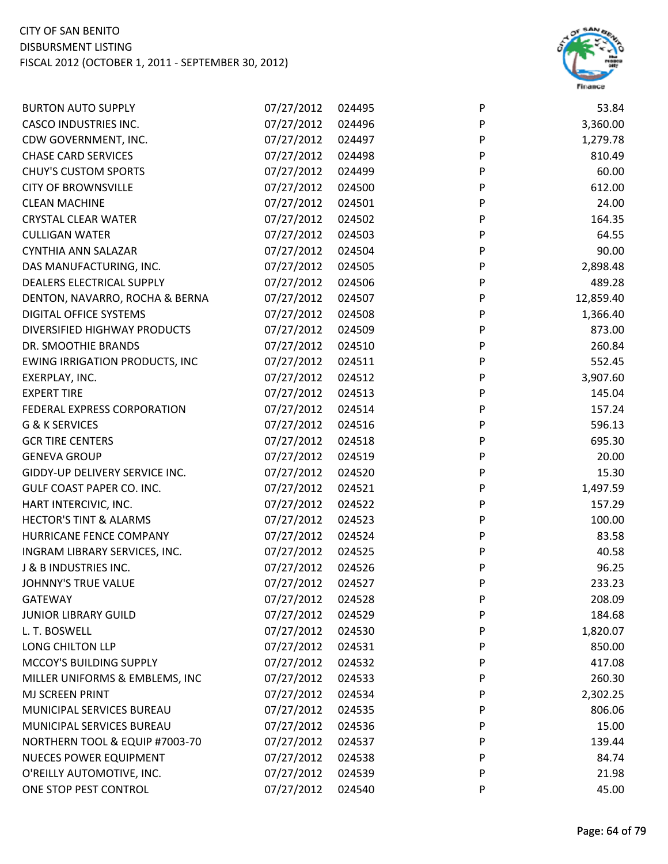

| <b>BURTON AUTO SUPPLY</b>             | 07/27/2012 | 024495 | P         | 53.84     |
|---------------------------------------|------------|--------|-----------|-----------|
| <b>CASCO INDUSTRIES INC.</b>          | 07/27/2012 | 024496 | P         | 3,360.00  |
| CDW GOVERNMENT, INC.                  | 07/27/2012 | 024497 | P         | 1,279.78  |
| <b>CHASE CARD SERVICES</b>            | 07/27/2012 | 024498 | P         | 810.49    |
| <b>CHUY'S CUSTOM SPORTS</b>           | 07/27/2012 | 024499 | P         | 60.00     |
| <b>CITY OF BROWNSVILLE</b>            | 07/27/2012 | 024500 | P         | 612.00    |
| <b>CLEAN MACHINE</b>                  | 07/27/2012 | 024501 | P         | 24.00     |
| <b>CRYSTAL CLEAR WATER</b>            | 07/27/2012 | 024502 | P         | 164.35    |
| <b>CULLIGAN WATER</b>                 | 07/27/2012 | 024503 | P         | 64.55     |
| CYNTHIA ANN SALAZAR                   | 07/27/2012 | 024504 | P         | 90.00     |
| DAS MANUFACTURING, INC.               | 07/27/2012 | 024505 | P         | 2,898.48  |
| DEALERS ELECTRICAL SUPPLY             | 07/27/2012 | 024506 | ${\sf P}$ | 489.28    |
| DENTON, NAVARRO, ROCHA & BERNA        | 07/27/2012 | 024507 | P         | 12,859.40 |
| <b>DIGITAL OFFICE SYSTEMS</b>         | 07/27/2012 | 024508 | P         | 1,366.40  |
| DIVERSIFIED HIGHWAY PRODUCTS          | 07/27/2012 | 024509 | P         | 873.00    |
| DR. SMOOTHIE BRANDS                   | 07/27/2012 | 024510 | P         | 260.84    |
| <b>EWING IRRIGATION PRODUCTS, INC</b> | 07/27/2012 | 024511 | P         | 552.45    |
| EXERPLAY, INC.                        | 07/27/2012 | 024512 | P         | 3,907.60  |
| <b>EXPERT TIRE</b>                    | 07/27/2012 | 024513 | P         | 145.04    |
| FEDERAL EXPRESS CORPORATION           | 07/27/2012 | 024514 | P         | 157.24    |
| G & K SERVICES                        | 07/27/2012 | 024516 | P         | 596.13    |
| <b>GCR TIRE CENTERS</b>               | 07/27/2012 | 024518 | P         | 695.30    |
| <b>GENEVA GROUP</b>                   | 07/27/2012 | 024519 | P         | 20.00     |
| GIDDY-UP DELIVERY SERVICE INC.        | 07/27/2012 | 024520 | P         | 15.30     |
| GULF COAST PAPER CO. INC.             | 07/27/2012 | 024521 | P         | 1,497.59  |
| HART INTERCIVIC, INC.                 | 07/27/2012 | 024522 | P         | 157.29    |
| <b>HECTOR'S TINT &amp; ALARMS</b>     | 07/27/2012 | 024523 | P         | 100.00    |
| HURRICANE FENCE COMPANY               | 07/27/2012 | 024524 | P         | 83.58     |
| INGRAM LIBRARY SERVICES, INC.         | 07/27/2012 | 024525 | P         | 40.58     |
| J & B INDUSTRIES INC.                 | 07/27/2012 | 024526 | P         | 96.25     |
| <b>JOHNNY'S TRUE VALUE</b>            | 07/27/2012 | 024527 | P         | 233.23    |
| <b>GATEWAY</b>                        | 07/27/2012 | 024528 | P         | 208.09    |
| <b>JUNIOR LIBRARY GUILD</b>           | 07/27/2012 | 024529 | P         | 184.68    |
| L. T. BOSWELL                         | 07/27/2012 | 024530 | P         | 1,820.07  |
| LONG CHILTON LLP                      | 07/27/2012 | 024531 | P         | 850.00    |
| MCCOY'S BUILDING SUPPLY               | 07/27/2012 | 024532 | P         | 417.08    |
| MILLER UNIFORMS & EMBLEMS, INC        | 07/27/2012 | 024533 | P         | 260.30    |
| <b>MJ SCREEN PRINT</b>                | 07/27/2012 | 024534 | P         | 2,302.25  |
| MUNICIPAL SERVICES BUREAU             | 07/27/2012 | 024535 | P         | 806.06    |
| MUNICIPAL SERVICES BUREAU             | 07/27/2012 | 024536 | P         | 15.00     |
| NORTHERN TOOL & EQUIP #7003-70        | 07/27/2012 | 024537 | P         | 139.44    |
| <b>NUECES POWER EQUIPMENT</b>         | 07/27/2012 | 024538 | P         | 84.74     |
| O'REILLY AUTOMOTIVE, INC.             | 07/27/2012 | 024539 | P         | 21.98     |
| ONE STOP PEST CONTROL                 | 07/27/2012 | 024540 | P         | 45.00     |
|                                       |            |        |           |           |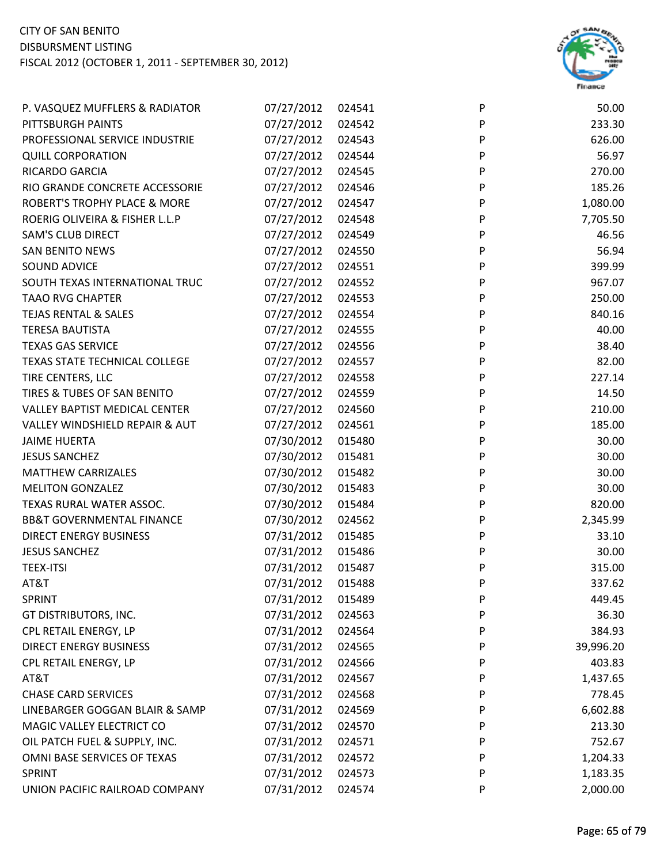

| P. VASQUEZ MUFFLERS & RADIATOR          | 07/27/2012        | 024541 | P | 50.00     |
|-----------------------------------------|-------------------|--------|---|-----------|
| PITTSBURGH PAINTS                       | 07/27/2012        | 024542 | P | 233.30    |
| PROFESSIONAL SERVICE INDUSTRIE          | 07/27/2012        | 024543 | P | 626.00    |
| <b>QUILL CORPORATION</b>                | 07/27/2012        | 024544 | P | 56.97     |
| <b>RICARDO GARCIA</b>                   | 07/27/2012        | 024545 | P | 270.00    |
| RIO GRANDE CONCRETE ACCESSORIE          | 07/27/2012        | 024546 | P | 185.26    |
| <b>ROBERT'S TROPHY PLACE &amp; MORE</b> | 07/27/2012        | 024547 | P | 1,080.00  |
| ROERIG OLIVEIRA & FISHER L.L.P          | 07/27/2012        | 024548 | P | 7,705.50  |
| <b>SAM'S CLUB DIRECT</b>                | 07/27/2012        | 024549 | P | 46.56     |
| <b>SAN BENITO NEWS</b>                  | 07/27/2012        | 024550 | P | 56.94     |
| SOUND ADVICE                            | 07/27/2012        | 024551 | P | 399.99    |
| SOUTH TEXAS INTERNATIONAL TRUC          | 07/27/2012 024552 |        | P | 967.07    |
| <b>TAAO RVG CHAPTER</b>                 | 07/27/2012        | 024553 | P | 250.00    |
| <b>TEJAS RENTAL &amp; SALES</b>         | 07/27/2012        | 024554 | P | 840.16    |
| <b>TERESA BAUTISTA</b>                  | 07/27/2012        | 024555 | P | 40.00     |
| <b>TEXAS GAS SERVICE</b>                | 07/27/2012 024556 |        | P | 38.40     |
| TEXAS STATE TECHNICAL COLLEGE           | 07/27/2012        | 024557 | P | 82.00     |
| TIRE CENTERS, LLC                       | 07/27/2012        | 024558 | P | 227.14    |
| TIRES & TUBES OF SAN BENITO             | 07/27/2012        | 024559 | P | 14.50     |
| <b>VALLEY BAPTIST MEDICAL CENTER</b>    | 07/27/2012        | 024560 | P | 210.00    |
| VALLEY WINDSHIELD REPAIR & AUT          | 07/27/2012        | 024561 | P | 185.00    |
| <b>JAIME HUERTA</b>                     | 07/30/2012        | 015480 | P | 30.00     |
| <b>JESUS SANCHEZ</b>                    | 07/30/2012        | 015481 | P | 30.00     |
| <b>MATTHEW CARRIZALES</b>               | 07/30/2012        | 015482 | P | 30.00     |
| <b>MELITON GONZALEZ</b>                 | 07/30/2012        | 015483 | P | 30.00     |
| TEXAS RURAL WATER ASSOC.                | 07/30/2012        | 015484 | P | 820.00    |
| <b>BB&amp;T GOVERNMENTAL FINANCE</b>    | 07/30/2012        | 024562 | P | 2,345.99  |
| <b>DIRECT ENERGY BUSINESS</b>           | 07/31/2012        | 015485 | P | 33.10     |
| <b>JESUS SANCHEZ</b>                    | 07/31/2012        | 015486 | P | 30.00     |
| <b>TEEX-ITSI</b>                        | 07/31/2012        | 015487 | P | 315.00    |
| AT&T                                    | 07/31/2012        | 015488 | P | 337.62    |
| <b>SPRINT</b>                           | 07/31/2012        | 015489 | P | 449.45    |
| GT DISTRIBUTORS, INC.                   | 07/31/2012        | 024563 | P | 36.30     |
| CPL RETAIL ENERGY, LP                   | 07/31/2012        | 024564 | P | 384.93    |
| <b>DIRECT ENERGY BUSINESS</b>           | 07/31/2012        | 024565 | P | 39,996.20 |
| CPL RETAIL ENERGY, LP                   | 07/31/2012        | 024566 | P | 403.83    |
| AT&T                                    | 07/31/2012        | 024567 | P | 1,437.65  |
| <b>CHASE CARD SERVICES</b>              | 07/31/2012        | 024568 | P | 778.45    |
| LINEBARGER GOGGAN BLAIR & SAMP          | 07/31/2012        | 024569 | P | 6,602.88  |
| MAGIC VALLEY ELECTRICT CO               | 07/31/2012        | 024570 | P | 213.30    |
| OIL PATCH FUEL & SUPPLY, INC.           | 07/31/2012        | 024571 | P | 752.67    |
| OMNI BASE SERVICES OF TEXAS             | 07/31/2012        | 024572 | P | 1,204.33  |
| SPRINT                                  | 07/31/2012        | 024573 | P | 1,183.35  |
| UNION PACIFIC RAILROAD COMPANY          | 07/31/2012        | 024574 | P | 2,000.00  |
|                                         |                   |        |   |           |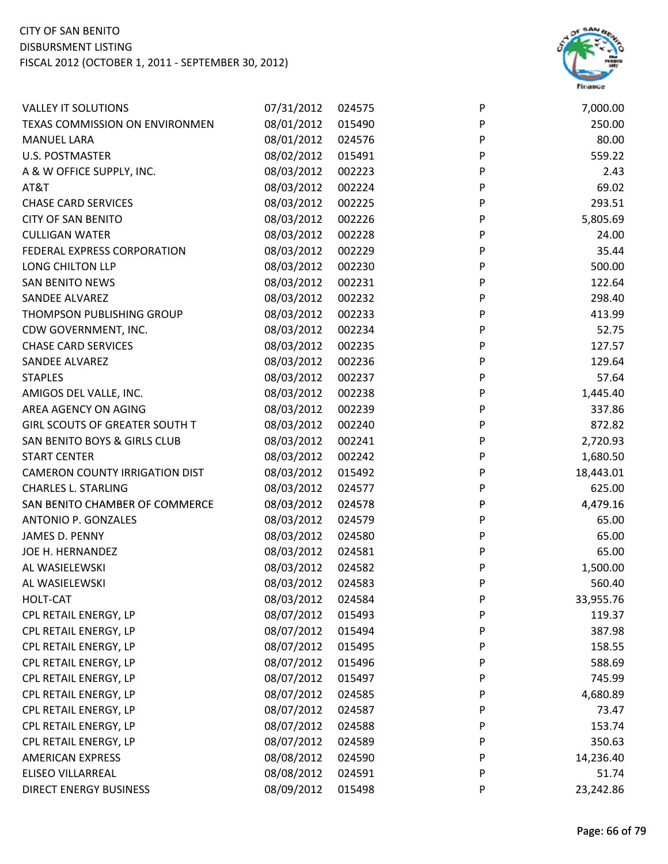

| <b>VALLEY IT SOLUTIONS</b>            | 07/31/2012 | 024575 | P | 7,000.00  |
|---------------------------------------|------------|--------|---|-----------|
| TEXAS COMMISSION ON ENVIRONMEN        | 08/01/2012 | 015490 | P | 250.00    |
| <b>MANUEL LARA</b>                    | 08/01/2012 | 024576 | P | 80.00     |
| <b>U.S. POSTMASTER</b>                | 08/02/2012 | 015491 | P | 559.22    |
| A & W OFFICE SUPPLY, INC.             | 08/03/2012 | 002223 | P | 2.43      |
| AT&T                                  | 08/03/2012 | 002224 | P | 69.02     |
| <b>CHASE CARD SERVICES</b>            | 08/03/2012 | 002225 | P | 293.51    |
| <b>CITY OF SAN BENITO</b>             | 08/03/2012 | 002226 | P | 5,805.69  |
| <b>CULLIGAN WATER</b>                 | 08/03/2012 | 002228 | P | 24.00     |
| FEDERAL EXPRESS CORPORATION           | 08/03/2012 | 002229 | P | 35.44     |
| LONG CHILTON LLP                      | 08/03/2012 | 002230 | P | 500.00    |
| <b>SAN BENITO NEWS</b>                | 08/03/2012 | 002231 | P | 122.64    |
| <b>SANDEE ALVAREZ</b>                 | 08/03/2012 | 002232 | P | 298.40    |
| THOMPSON PUBLISHING GROUP             | 08/03/2012 | 002233 | P | 413.99    |
| CDW GOVERNMENT, INC.                  | 08/03/2012 | 002234 | P | 52.75     |
| <b>CHASE CARD SERVICES</b>            | 08/03/2012 | 002235 | P | 127.57    |
| <b>SANDEE ALVAREZ</b>                 | 08/03/2012 | 002236 | P | 129.64    |
| <b>STAPLES</b>                        | 08/03/2012 | 002237 | P | 57.64     |
| AMIGOS DEL VALLE, INC.                | 08/03/2012 | 002238 | P | 1,445.40  |
| AREA AGENCY ON AGING                  | 08/03/2012 | 002239 | P | 337.86    |
| <b>GIRL SCOUTS OF GREATER SOUTH T</b> | 08/03/2012 | 002240 | P | 872.82    |
| SAN BENITO BOYS & GIRLS CLUB          | 08/03/2012 | 002241 | P | 2,720.93  |
| <b>START CENTER</b>                   | 08/03/2012 | 002242 | P | 1,680.50  |
| <b>CAMERON COUNTY IRRIGATION DIST</b> | 08/03/2012 | 015492 | P | 18,443.01 |
| <b>CHARLES L. STARLING</b>            | 08/03/2012 | 024577 | P | 625.00    |
| SAN BENITO CHAMBER OF COMMERCE        | 08/03/2012 | 024578 | P | 4,479.16  |
| ANTONIO P. GONZALES                   | 08/03/2012 | 024579 | P | 65.00     |
| JAMES D. PENNY                        | 08/03/2012 | 024580 | P | 65.00     |
| JOE H. HERNANDEZ                      | 08/03/2012 | 024581 | P | 65.00     |
| AL WASIELEWSKI                        | 08/03/2012 | 024582 | P | 1,500.00  |
| AL WASIELEWSKI                        | 08/03/2012 | 024583 | P | 560.40    |
| <b>HOLT-CAT</b>                       | 08/03/2012 | 024584 | P | 33,955.76 |
| CPL RETAIL ENERGY, LP                 | 08/07/2012 | 015493 | P | 119.37    |
| CPL RETAIL ENERGY, LP                 | 08/07/2012 | 015494 | P | 387.98    |
| CPL RETAIL ENERGY, LP                 | 08/07/2012 | 015495 | P | 158.55    |
| CPL RETAIL ENERGY, LP                 | 08/07/2012 | 015496 | P | 588.69    |
| CPL RETAIL ENERGY, LP                 | 08/07/2012 | 015497 | P | 745.99    |
| CPL RETAIL ENERGY, LP                 | 08/07/2012 | 024585 | P | 4,680.89  |
| CPL RETAIL ENERGY, LP                 | 08/07/2012 | 024587 | P | 73.47     |
| CPL RETAIL ENERGY, LP                 | 08/07/2012 | 024588 | P | 153.74    |
| CPL RETAIL ENERGY, LP                 | 08/07/2012 | 024589 | P | 350.63    |
| <b>AMERICAN EXPRESS</b>               | 08/08/2012 | 024590 | P | 14,236.40 |
| <b>ELISEO VILLARREAL</b>              | 08/08/2012 | 024591 | P | 51.74     |
| <b>DIRECT ENERGY BUSINESS</b>         | 08/09/2012 | 015498 | P | 23,242.86 |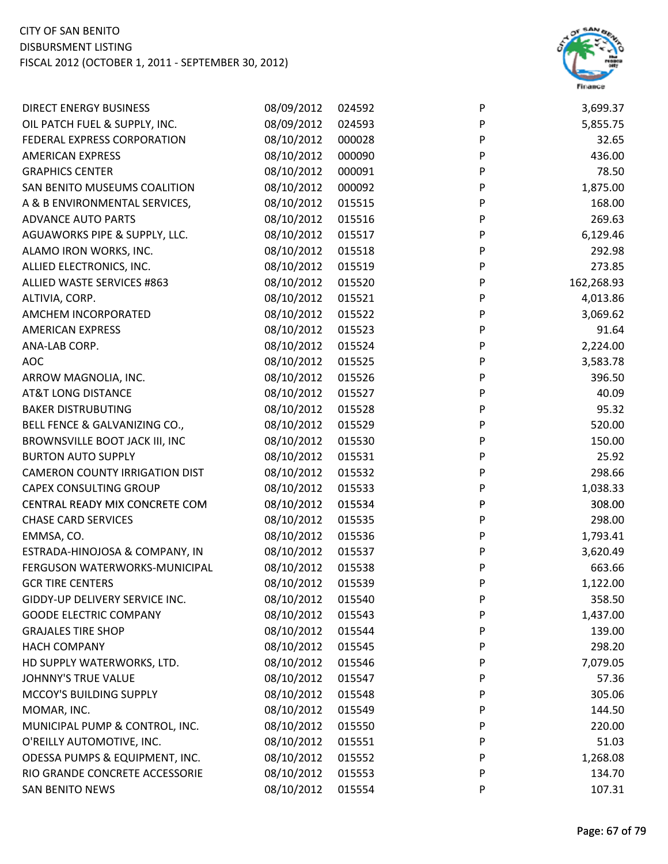

| OIL PATCH FUEL & SUPPLY, INC.<br>08/09/2012<br>P<br>024593<br>5,855.75<br>P<br>FEDERAL EXPRESS CORPORATION<br>08/10/2012<br>000028<br>32.65<br>08/10/2012<br>000090<br>P<br>436.00<br><b>AMERICAN EXPRESS</b><br>P<br>08/10/2012<br>78.50<br><b>GRAPHICS CENTER</b><br>000091<br>08/10/2012<br>000092<br>1,875.00<br>SAN BENITO MUSEUMS COALITION<br>P<br>08/10/2012<br>015515<br>P<br>168.00<br>A & B ENVIRONMENTAL SERVICES,<br>P<br>08/10/2012<br>269.63<br><b>ADVANCE AUTO PARTS</b><br>015516<br>AGUAWORKS PIPE & SUPPLY, LLC.<br>08/10/2012<br>P<br>6,129.46<br>015517<br>ALAMO IRON WORKS, INC.<br>08/10/2012<br>P<br>292.98<br>015518<br>ALLIED ELECTRONICS, INC.<br>08/10/2012<br>P<br>273.85<br>015519<br>08/10/2012<br>P<br>162,268.93<br>ALLIED WASTE SERVICES #863<br>015520<br>08/10/2012<br>015521<br>4,013.86<br>ALTIVIA, CORP.<br>P<br>AMCHEM INCORPORATED<br>08/10/2012<br>015522<br>P<br>3,069.62<br>08/10/2012<br>P<br>91.64<br><b>AMERICAN EXPRESS</b><br>015523<br>08/10/2012<br>ANA-LAB CORP.<br>015524<br>P<br>2,224.00<br>08/10/2012<br>P<br><b>AOC</b><br>015525<br>3,583.78<br>08/10/2012<br>396.50<br>ARROW MAGNOLIA, INC.<br>015526<br>P<br><b>AT&amp;T LONG DISTANCE</b><br>08/10/2012<br>P<br>40.09<br>015527<br><b>BAKER DISTRUBUTING</b><br>08/10/2012<br>P<br>95.32<br>015528<br>BELL FENCE & GALVANIZING CO.,<br>08/10/2012<br>015529<br>P<br>520.00<br>08/10/2012<br>P<br>150.00<br>BROWNSVILLE BOOT JACK III, INC<br>015530<br><b>BURTON AUTO SUPPLY</b><br>08/10/2012<br>25.92<br>015531<br>P<br>08/10/2012<br>P<br>298.66<br><b>CAMERON COUNTY IRRIGATION DIST</b><br>015532<br>08/10/2012<br><b>CAPEX CONSULTING GROUP</b><br>015533<br>1,038.33<br>P<br>08/10/2012<br>P<br>308.00<br>CENTRAL READY MIX CONCRETE COM<br>015534<br>08/10/2012<br>P<br>298.00<br><b>CHASE CARD SERVICES</b><br>015535<br>08/10/2012<br>EMMSA, CO.<br>015536<br>P<br>1,793.41<br>ESTRADA-HINOJOSA & COMPANY, IN<br>08/10/2012<br>P<br>015537<br>3,620.49<br>FERGUSON WATERWORKS-MUNICIPAL<br>08/10/2012<br>663.66<br>015538<br>P<br>08/10/2012<br>P<br>015539<br>1,122.00<br><b>GCR TIRE CENTERS</b><br>08/10/2012<br>GIDDY-UP DELIVERY SERVICE INC.<br>015540<br>P<br>358.50 |
|----------------------------------------------------------------------------------------------------------------------------------------------------------------------------------------------------------------------------------------------------------------------------------------------------------------------------------------------------------------------------------------------------------------------------------------------------------------------------------------------------------------------------------------------------------------------------------------------------------------------------------------------------------------------------------------------------------------------------------------------------------------------------------------------------------------------------------------------------------------------------------------------------------------------------------------------------------------------------------------------------------------------------------------------------------------------------------------------------------------------------------------------------------------------------------------------------------------------------------------------------------------------------------------------------------------------------------------------------------------------------------------------------------------------------------------------------------------------------------------------------------------------------------------------------------------------------------------------------------------------------------------------------------------------------------------------------------------------------------------------------------------------------------------------------------------------------------------------------------------------------------------------------------------------------------------------------------------------------------------------------------------------------------------------------------------------------------------------------------------------------------------------------------------------------------------------------|
|                                                                                                                                                                                                                                                                                                                                                                                                                                                                                                                                                                                                                                                                                                                                                                                                                                                                                                                                                                                                                                                                                                                                                                                                                                                                                                                                                                                                                                                                                                                                                                                                                                                                                                                                                                                                                                                                                                                                                                                                                                                                                                                                                                                                    |
|                                                                                                                                                                                                                                                                                                                                                                                                                                                                                                                                                                                                                                                                                                                                                                                                                                                                                                                                                                                                                                                                                                                                                                                                                                                                                                                                                                                                                                                                                                                                                                                                                                                                                                                                                                                                                                                                                                                                                                                                                                                                                                                                                                                                    |
|                                                                                                                                                                                                                                                                                                                                                                                                                                                                                                                                                                                                                                                                                                                                                                                                                                                                                                                                                                                                                                                                                                                                                                                                                                                                                                                                                                                                                                                                                                                                                                                                                                                                                                                                                                                                                                                                                                                                                                                                                                                                                                                                                                                                    |
|                                                                                                                                                                                                                                                                                                                                                                                                                                                                                                                                                                                                                                                                                                                                                                                                                                                                                                                                                                                                                                                                                                                                                                                                                                                                                                                                                                                                                                                                                                                                                                                                                                                                                                                                                                                                                                                                                                                                                                                                                                                                                                                                                                                                    |
|                                                                                                                                                                                                                                                                                                                                                                                                                                                                                                                                                                                                                                                                                                                                                                                                                                                                                                                                                                                                                                                                                                                                                                                                                                                                                                                                                                                                                                                                                                                                                                                                                                                                                                                                                                                                                                                                                                                                                                                                                                                                                                                                                                                                    |
|                                                                                                                                                                                                                                                                                                                                                                                                                                                                                                                                                                                                                                                                                                                                                                                                                                                                                                                                                                                                                                                                                                                                                                                                                                                                                                                                                                                                                                                                                                                                                                                                                                                                                                                                                                                                                                                                                                                                                                                                                                                                                                                                                                                                    |
|                                                                                                                                                                                                                                                                                                                                                                                                                                                                                                                                                                                                                                                                                                                                                                                                                                                                                                                                                                                                                                                                                                                                                                                                                                                                                                                                                                                                                                                                                                                                                                                                                                                                                                                                                                                                                                                                                                                                                                                                                                                                                                                                                                                                    |
|                                                                                                                                                                                                                                                                                                                                                                                                                                                                                                                                                                                                                                                                                                                                                                                                                                                                                                                                                                                                                                                                                                                                                                                                                                                                                                                                                                                                                                                                                                                                                                                                                                                                                                                                                                                                                                                                                                                                                                                                                                                                                                                                                                                                    |
|                                                                                                                                                                                                                                                                                                                                                                                                                                                                                                                                                                                                                                                                                                                                                                                                                                                                                                                                                                                                                                                                                                                                                                                                                                                                                                                                                                                                                                                                                                                                                                                                                                                                                                                                                                                                                                                                                                                                                                                                                                                                                                                                                                                                    |
|                                                                                                                                                                                                                                                                                                                                                                                                                                                                                                                                                                                                                                                                                                                                                                                                                                                                                                                                                                                                                                                                                                                                                                                                                                                                                                                                                                                                                                                                                                                                                                                                                                                                                                                                                                                                                                                                                                                                                                                                                                                                                                                                                                                                    |
|                                                                                                                                                                                                                                                                                                                                                                                                                                                                                                                                                                                                                                                                                                                                                                                                                                                                                                                                                                                                                                                                                                                                                                                                                                                                                                                                                                                                                                                                                                                                                                                                                                                                                                                                                                                                                                                                                                                                                                                                                                                                                                                                                                                                    |
|                                                                                                                                                                                                                                                                                                                                                                                                                                                                                                                                                                                                                                                                                                                                                                                                                                                                                                                                                                                                                                                                                                                                                                                                                                                                                                                                                                                                                                                                                                                                                                                                                                                                                                                                                                                                                                                                                                                                                                                                                                                                                                                                                                                                    |
|                                                                                                                                                                                                                                                                                                                                                                                                                                                                                                                                                                                                                                                                                                                                                                                                                                                                                                                                                                                                                                                                                                                                                                                                                                                                                                                                                                                                                                                                                                                                                                                                                                                                                                                                                                                                                                                                                                                                                                                                                                                                                                                                                                                                    |
|                                                                                                                                                                                                                                                                                                                                                                                                                                                                                                                                                                                                                                                                                                                                                                                                                                                                                                                                                                                                                                                                                                                                                                                                                                                                                                                                                                                                                                                                                                                                                                                                                                                                                                                                                                                                                                                                                                                                                                                                                                                                                                                                                                                                    |
|                                                                                                                                                                                                                                                                                                                                                                                                                                                                                                                                                                                                                                                                                                                                                                                                                                                                                                                                                                                                                                                                                                                                                                                                                                                                                                                                                                                                                                                                                                                                                                                                                                                                                                                                                                                                                                                                                                                                                                                                                                                                                                                                                                                                    |
|                                                                                                                                                                                                                                                                                                                                                                                                                                                                                                                                                                                                                                                                                                                                                                                                                                                                                                                                                                                                                                                                                                                                                                                                                                                                                                                                                                                                                                                                                                                                                                                                                                                                                                                                                                                                                                                                                                                                                                                                                                                                                                                                                                                                    |
|                                                                                                                                                                                                                                                                                                                                                                                                                                                                                                                                                                                                                                                                                                                                                                                                                                                                                                                                                                                                                                                                                                                                                                                                                                                                                                                                                                                                                                                                                                                                                                                                                                                                                                                                                                                                                                                                                                                                                                                                                                                                                                                                                                                                    |
|                                                                                                                                                                                                                                                                                                                                                                                                                                                                                                                                                                                                                                                                                                                                                                                                                                                                                                                                                                                                                                                                                                                                                                                                                                                                                                                                                                                                                                                                                                                                                                                                                                                                                                                                                                                                                                                                                                                                                                                                                                                                                                                                                                                                    |
|                                                                                                                                                                                                                                                                                                                                                                                                                                                                                                                                                                                                                                                                                                                                                                                                                                                                                                                                                                                                                                                                                                                                                                                                                                                                                                                                                                                                                                                                                                                                                                                                                                                                                                                                                                                                                                                                                                                                                                                                                                                                                                                                                                                                    |
|                                                                                                                                                                                                                                                                                                                                                                                                                                                                                                                                                                                                                                                                                                                                                                                                                                                                                                                                                                                                                                                                                                                                                                                                                                                                                                                                                                                                                                                                                                                                                                                                                                                                                                                                                                                                                                                                                                                                                                                                                                                                                                                                                                                                    |
|                                                                                                                                                                                                                                                                                                                                                                                                                                                                                                                                                                                                                                                                                                                                                                                                                                                                                                                                                                                                                                                                                                                                                                                                                                                                                                                                                                                                                                                                                                                                                                                                                                                                                                                                                                                                                                                                                                                                                                                                                                                                                                                                                                                                    |
|                                                                                                                                                                                                                                                                                                                                                                                                                                                                                                                                                                                                                                                                                                                                                                                                                                                                                                                                                                                                                                                                                                                                                                                                                                                                                                                                                                                                                                                                                                                                                                                                                                                                                                                                                                                                                                                                                                                                                                                                                                                                                                                                                                                                    |
|                                                                                                                                                                                                                                                                                                                                                                                                                                                                                                                                                                                                                                                                                                                                                                                                                                                                                                                                                                                                                                                                                                                                                                                                                                                                                                                                                                                                                                                                                                                                                                                                                                                                                                                                                                                                                                                                                                                                                                                                                                                                                                                                                                                                    |
|                                                                                                                                                                                                                                                                                                                                                                                                                                                                                                                                                                                                                                                                                                                                                                                                                                                                                                                                                                                                                                                                                                                                                                                                                                                                                                                                                                                                                                                                                                                                                                                                                                                                                                                                                                                                                                                                                                                                                                                                                                                                                                                                                                                                    |
|                                                                                                                                                                                                                                                                                                                                                                                                                                                                                                                                                                                                                                                                                                                                                                                                                                                                                                                                                                                                                                                                                                                                                                                                                                                                                                                                                                                                                                                                                                                                                                                                                                                                                                                                                                                                                                                                                                                                                                                                                                                                                                                                                                                                    |
|                                                                                                                                                                                                                                                                                                                                                                                                                                                                                                                                                                                                                                                                                                                                                                                                                                                                                                                                                                                                                                                                                                                                                                                                                                                                                                                                                                                                                                                                                                                                                                                                                                                                                                                                                                                                                                                                                                                                                                                                                                                                                                                                                                                                    |
|                                                                                                                                                                                                                                                                                                                                                                                                                                                                                                                                                                                                                                                                                                                                                                                                                                                                                                                                                                                                                                                                                                                                                                                                                                                                                                                                                                                                                                                                                                                                                                                                                                                                                                                                                                                                                                                                                                                                                                                                                                                                                                                                                                                                    |
|                                                                                                                                                                                                                                                                                                                                                                                                                                                                                                                                                                                                                                                                                                                                                                                                                                                                                                                                                                                                                                                                                                                                                                                                                                                                                                                                                                                                                                                                                                                                                                                                                                                                                                                                                                                                                                                                                                                                                                                                                                                                                                                                                                                                    |
|                                                                                                                                                                                                                                                                                                                                                                                                                                                                                                                                                                                                                                                                                                                                                                                                                                                                                                                                                                                                                                                                                                                                                                                                                                                                                                                                                                                                                                                                                                                                                                                                                                                                                                                                                                                                                                                                                                                                                                                                                                                                                                                                                                                                    |
|                                                                                                                                                                                                                                                                                                                                                                                                                                                                                                                                                                                                                                                                                                                                                                                                                                                                                                                                                                                                                                                                                                                                                                                                                                                                                                                                                                                                                                                                                                                                                                                                                                                                                                                                                                                                                                                                                                                                                                                                                                                                                                                                                                                                    |
|                                                                                                                                                                                                                                                                                                                                                                                                                                                                                                                                                                                                                                                                                                                                                                                                                                                                                                                                                                                                                                                                                                                                                                                                                                                                                                                                                                                                                                                                                                                                                                                                                                                                                                                                                                                                                                                                                                                                                                                                                                                                                                                                                                                                    |
| <b>GOODE ELECTRIC COMPANY</b><br>08/10/2012<br>1,437.00<br>015543<br>P                                                                                                                                                                                                                                                                                                                                                                                                                                                                                                                                                                                                                                                                                                                                                                                                                                                                                                                                                                                                                                                                                                                                                                                                                                                                                                                                                                                                                                                                                                                                                                                                                                                                                                                                                                                                                                                                                                                                                                                                                                                                                                                             |
| 08/10/2012<br><b>GRAJALES TIRE SHOP</b><br>015544<br>P<br>139.00                                                                                                                                                                                                                                                                                                                                                                                                                                                                                                                                                                                                                                                                                                                                                                                                                                                                                                                                                                                                                                                                                                                                                                                                                                                                                                                                                                                                                                                                                                                                                                                                                                                                                                                                                                                                                                                                                                                                                                                                                                                                                                                                   |
| 08/10/2012<br>298.20<br><b>HACH COMPANY</b><br>015545<br>P                                                                                                                                                                                                                                                                                                                                                                                                                                                                                                                                                                                                                                                                                                                                                                                                                                                                                                                                                                                                                                                                                                                                                                                                                                                                                                                                                                                                                                                                                                                                                                                                                                                                                                                                                                                                                                                                                                                                                                                                                                                                                                                                         |
| 08/10/2012<br>HD SUPPLY WATERWORKS, LTD.<br>015546<br>P<br>7,079.05                                                                                                                                                                                                                                                                                                                                                                                                                                                                                                                                                                                                                                                                                                                                                                                                                                                                                                                                                                                                                                                                                                                                                                                                                                                                                                                                                                                                                                                                                                                                                                                                                                                                                                                                                                                                                                                                                                                                                                                                                                                                                                                                |
| 08/10/2012<br>57.36<br>JOHNNY'S TRUE VALUE<br>015547<br>P                                                                                                                                                                                                                                                                                                                                                                                                                                                                                                                                                                                                                                                                                                                                                                                                                                                                                                                                                                                                                                                                                                                                                                                                                                                                                                                                                                                                                                                                                                                                                                                                                                                                                                                                                                                                                                                                                                                                                                                                                                                                                                                                          |
| MCCOY'S BUILDING SUPPLY<br>08/10/2012<br>305.06<br>015548<br>P                                                                                                                                                                                                                                                                                                                                                                                                                                                                                                                                                                                                                                                                                                                                                                                                                                                                                                                                                                                                                                                                                                                                                                                                                                                                                                                                                                                                                                                                                                                                                                                                                                                                                                                                                                                                                                                                                                                                                                                                                                                                                                                                     |
| 08/10/2012<br>MOMAR, INC.<br>015549<br>144.50<br>P                                                                                                                                                                                                                                                                                                                                                                                                                                                                                                                                                                                                                                                                                                                                                                                                                                                                                                                                                                                                                                                                                                                                                                                                                                                                                                                                                                                                                                                                                                                                                                                                                                                                                                                                                                                                                                                                                                                                                                                                                                                                                                                                                 |
|                                                                                                                                                                                                                                                                                                                                                                                                                                                                                                                                                                                                                                                                                                                                                                                                                                                                                                                                                                                                                                                                                                                                                                                                                                                                                                                                                                                                                                                                                                                                                                                                                                                                                                                                                                                                                                                                                                                                                                                                                                                                                                                                                                                                    |
| 08/10/2012<br>220.00<br>MUNICIPAL PUMP & CONTROL, INC.<br>015550<br>P                                                                                                                                                                                                                                                                                                                                                                                                                                                                                                                                                                                                                                                                                                                                                                                                                                                                                                                                                                                                                                                                                                                                                                                                                                                                                                                                                                                                                                                                                                                                                                                                                                                                                                                                                                                                                                                                                                                                                                                                                                                                                                                              |
| 08/10/2012<br>51.03<br>O'REILLY AUTOMOTIVE, INC.<br>P<br>015551                                                                                                                                                                                                                                                                                                                                                                                                                                                                                                                                                                                                                                                                                                                                                                                                                                                                                                                                                                                                                                                                                                                                                                                                                                                                                                                                                                                                                                                                                                                                                                                                                                                                                                                                                                                                                                                                                                                                                                                                                                                                                                                                    |
| 08/10/2012<br>ODESSA PUMPS & EQUIPMENT, INC.<br>015552<br>1,268.08<br>P                                                                                                                                                                                                                                                                                                                                                                                                                                                                                                                                                                                                                                                                                                                                                                                                                                                                                                                                                                                                                                                                                                                                                                                                                                                                                                                                                                                                                                                                                                                                                                                                                                                                                                                                                                                                                                                                                                                                                                                                                                                                                                                            |
| 08/10/2012<br>134.70<br>RIO GRANDE CONCRETE ACCESSORIE<br>015553<br>P                                                                                                                                                                                                                                                                                                                                                                                                                                                                                                                                                                                                                                                                                                                                                                                                                                                                                                                                                                                                                                                                                                                                                                                                                                                                                                                                                                                                                                                                                                                                                                                                                                                                                                                                                                                                                                                                                                                                                                                                                                                                                                                              |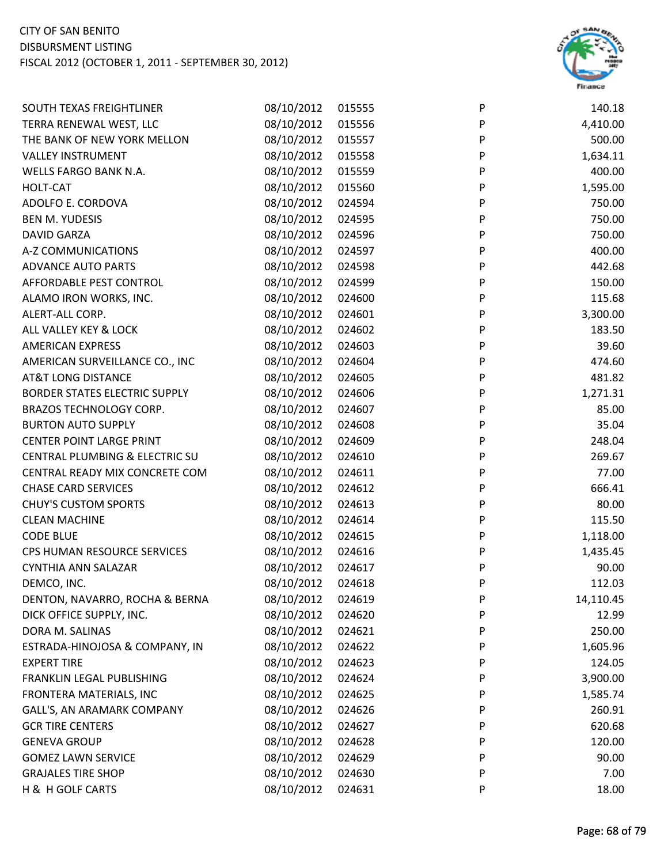

| SOUTH TEXAS FREIGHTLINER             | 08/10/2012 | 015555 | P | 140.18    |
|--------------------------------------|------------|--------|---|-----------|
| TERRA RENEWAL WEST, LLC              | 08/10/2012 | 015556 | P | 4,410.00  |
| THE BANK OF NEW YORK MELLON          | 08/10/2012 | 015557 | P | 500.00    |
| <b>VALLEY INSTRUMENT</b>             | 08/10/2012 | 015558 | P | 1,634.11  |
| WELLS FARGO BANK N.A.                | 08/10/2012 | 015559 | P | 400.00    |
| <b>HOLT-CAT</b>                      | 08/10/2012 | 015560 | P | 1,595.00  |
| ADOLFO E. CORDOVA                    | 08/10/2012 | 024594 | P | 750.00    |
| <b>BEN M. YUDESIS</b>                | 08/10/2012 | 024595 | P | 750.00    |
| <b>DAVID GARZA</b>                   | 08/10/2012 | 024596 | P | 750.00    |
| A-Z COMMUNICATIONS                   | 08/10/2012 | 024597 | P | 400.00    |
| <b>ADVANCE AUTO PARTS</b>            | 08/10/2012 | 024598 | P | 442.68    |
| AFFORDABLE PEST CONTROL              | 08/10/2012 | 024599 | P | 150.00    |
| ALAMO IRON WORKS, INC.               | 08/10/2012 | 024600 | P | 115.68    |
| ALERT-ALL CORP.                      | 08/10/2012 | 024601 | P | 3,300.00  |
| ALL VALLEY KEY & LOCK                | 08/10/2012 | 024602 | P | 183.50    |
| <b>AMERICAN EXPRESS</b>              | 08/10/2012 | 024603 | P | 39.60     |
| AMERICAN SURVEILLANCE CO., INC       | 08/10/2012 | 024604 | P | 474.60    |
| <b>AT&amp;T LONG DISTANCE</b>        | 08/10/2012 | 024605 | P | 481.82    |
| <b>BORDER STATES ELECTRIC SUPPLY</b> | 08/10/2012 | 024606 | P | 1,271.31  |
| <b>BRAZOS TECHNOLOGY CORP.</b>       | 08/10/2012 | 024607 | P | 85.00     |
| <b>BURTON AUTO SUPPLY</b>            | 08/10/2012 | 024608 | P | 35.04     |
| <b>CENTER POINT LARGE PRINT</b>      | 08/10/2012 | 024609 | P | 248.04    |
| CENTRAL PLUMBING & ELECTRIC SU       | 08/10/2012 | 024610 | P | 269.67    |
| CENTRAL READY MIX CONCRETE COM       | 08/10/2012 | 024611 | P | 77.00     |
| <b>CHASE CARD SERVICES</b>           | 08/10/2012 | 024612 | P | 666.41    |
| <b>CHUY'S CUSTOM SPORTS</b>          | 08/10/2012 | 024613 | P | 80.00     |
| <b>CLEAN MACHINE</b>                 | 08/10/2012 | 024614 | P | 115.50    |
| <b>CODE BLUE</b>                     | 08/10/2012 | 024615 | P | 1,118.00  |
| CPS HUMAN RESOURCE SERVICES          | 08/10/2012 | 024616 | P | 1,435.45  |
| <b>CYNTHIA ANN SALAZAR</b>           | 08/10/2012 | 024617 | P | 90.00     |
| DEMCO, INC.                          | 08/10/2012 | 024618 | P | 112.03    |
| DENTON, NAVARRO, ROCHA & BERNA       | 08/10/2012 | 024619 | P | 14,110.45 |
| DICK OFFICE SUPPLY, INC.             | 08/10/2012 | 024620 | P | 12.99     |
| DORA M. SALINAS                      | 08/10/2012 | 024621 | P | 250.00    |
| ESTRADA-HINOJOSA & COMPANY, IN       | 08/10/2012 | 024622 | P | 1,605.96  |
| <b>EXPERT TIRE</b>                   | 08/10/2012 | 024623 | P | 124.05    |
| FRANKLIN LEGAL PUBLISHING            | 08/10/2012 | 024624 | P | 3,900.00  |
| FRONTERA MATERIALS, INC              | 08/10/2012 | 024625 | P | 1,585.74  |
| GALL'S, AN ARAMARK COMPANY           | 08/10/2012 | 024626 | P | 260.91    |
| <b>GCR TIRE CENTERS</b>              | 08/10/2012 | 024627 | P | 620.68    |
| <b>GENEVA GROUP</b>                  | 08/10/2012 | 024628 | P | 120.00    |
| <b>GOMEZ LAWN SERVICE</b>            | 08/10/2012 | 024629 | P | 90.00     |
| <b>GRAJALES TIRE SHOP</b>            | 08/10/2012 | 024630 | P | 7.00      |
| H & H GOLF CARTS                     | 08/10/2012 | 024631 | P | 18.00     |
|                                      |            |        |   |           |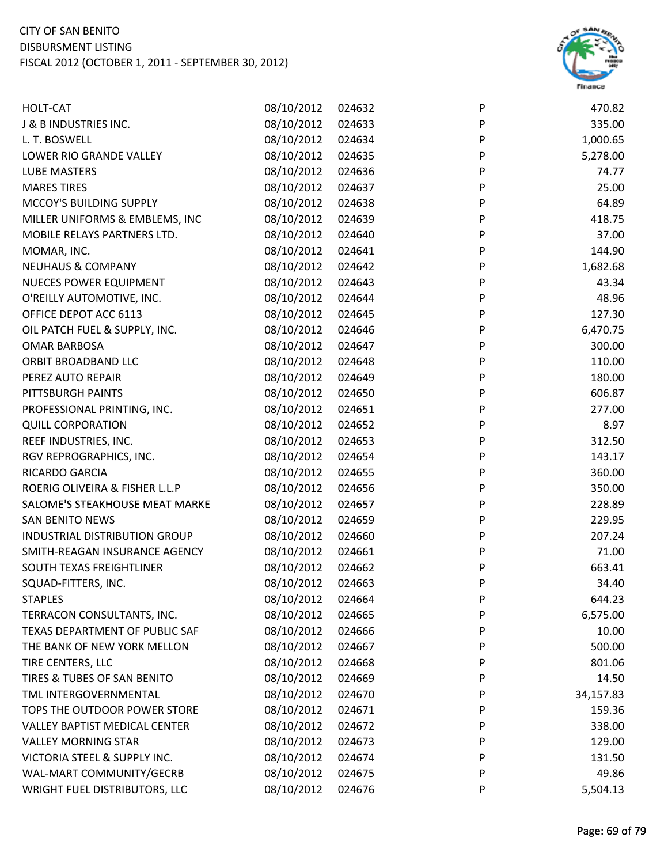

| HOLT-CAT                             | 08/10/2012 | 024632 | P       | 470.82    |
|--------------------------------------|------------|--------|---------|-----------|
| J & B INDUSTRIES INC.                | 08/10/2012 | 024633 | P       | 335.00    |
| L. T. BOSWELL                        | 08/10/2012 | 024634 | P       | 1,000.65  |
| LOWER RIO GRANDE VALLEY              | 08/10/2012 | 024635 | P       | 5,278.00  |
| <b>LUBE MASTERS</b>                  | 08/10/2012 | 024636 | P       | 74.77     |
| <b>MARES TIRES</b>                   | 08/10/2012 | 024637 | P       | 25.00     |
| MCCOY'S BUILDING SUPPLY              | 08/10/2012 | 024638 | P       | 64.89     |
| MILLER UNIFORMS & EMBLEMS, INC       | 08/10/2012 | 024639 | P       | 418.75    |
| MOBILE RELAYS PARTNERS LTD.          | 08/10/2012 | 024640 | P       | 37.00     |
| MOMAR, INC.                          | 08/10/2012 | 024641 | $\sf P$ | 144.90    |
| <b>NEUHAUS &amp; COMPANY</b>         | 08/10/2012 | 024642 | P       | 1,682.68  |
| <b>NUECES POWER EQUIPMENT</b>        | 08/10/2012 | 024643 | P       | 43.34     |
| O'REILLY AUTOMOTIVE, INC.            | 08/10/2012 | 024644 | P       | 48.96     |
| OFFICE DEPOT ACC 6113                | 08/10/2012 | 024645 | P       | 127.30    |
| OIL PATCH FUEL & SUPPLY, INC.        | 08/10/2012 | 024646 | $\sf P$ | 6,470.75  |
| <b>OMAR BARBOSA</b>                  | 08/10/2012 | 024647 | $\sf P$ | 300.00    |
| ORBIT BROADBAND LLC                  | 08/10/2012 | 024648 | P       | 110.00    |
| PEREZ AUTO REPAIR                    | 08/10/2012 | 024649 | P       | 180.00    |
| PITTSBURGH PAINTS                    | 08/10/2012 | 024650 | P       | 606.87    |
| PROFESSIONAL PRINTING, INC.          | 08/10/2012 | 024651 | P       | 277.00    |
| <b>QUILL CORPORATION</b>             | 08/10/2012 | 024652 | P       | 8.97      |
| REEF INDUSTRIES, INC.                | 08/10/2012 | 024653 | P       | 312.50    |
| RGV REPROGRAPHICS, INC.              | 08/10/2012 | 024654 | P       | 143.17    |
| RICARDO GARCIA                       | 08/10/2012 | 024655 | P       | 360.00    |
| ROERIG OLIVEIRA & FISHER L.L.P       | 08/10/2012 | 024656 | P       | 350.00    |
| SALOME'S STEAKHOUSE MEAT MARKE       | 08/10/2012 | 024657 | P       | 228.89    |
| <b>SAN BENITO NEWS</b>               | 08/10/2012 | 024659 | P       | 229.95    |
| INDUSTRIAL DISTRIBUTION GROUP        | 08/10/2012 | 024660 | P       | 207.24    |
| SMITH-REAGAN INSURANCE AGENCY        | 08/10/2012 | 024661 | P       | 71.00     |
| SOUTH TEXAS FREIGHTLINER             | 08/10/2012 | 024662 | P       | 663.41    |
| SQUAD-FITTERS, INC.                  | 08/10/2012 | 024663 | P       | 34.40     |
| <b>STAPLES</b>                       | 08/10/2012 | 024664 | P       | 644.23    |
| TERRACON CONSULTANTS, INC.           | 08/10/2012 | 024665 | P       | 6,575.00  |
| TEXAS DEPARTMENT OF PUBLIC SAF       | 08/10/2012 | 024666 | P       | 10.00     |
| THE BANK OF NEW YORK MELLON          | 08/10/2012 | 024667 | P       | 500.00    |
| TIRE CENTERS, LLC                    | 08/10/2012 | 024668 | P       | 801.06    |
| TIRES & TUBES OF SAN BENITO          | 08/10/2012 | 024669 | P       | 14.50     |
| TML INTERGOVERNMENTAL                | 08/10/2012 | 024670 | P       | 34,157.83 |
| TOPS THE OUTDOOR POWER STORE         | 08/10/2012 | 024671 | P       | 159.36    |
| <b>VALLEY BAPTIST MEDICAL CENTER</b> | 08/10/2012 | 024672 | P       | 338.00    |
| <b>VALLEY MORNING STAR</b>           | 08/10/2012 | 024673 | P       | 129.00    |
| VICTORIA STEEL & SUPPLY INC.         | 08/10/2012 | 024674 | P       | 131.50    |
| WAL-MART COMMUNITY/GECRB             | 08/10/2012 | 024675 | P       | 49.86     |
| <b>WRIGHT FUEL DISTRIBUTORS, LLC</b> | 08/10/2012 | 024676 | P       | 5,504.13  |
|                                      |            |        |         |           |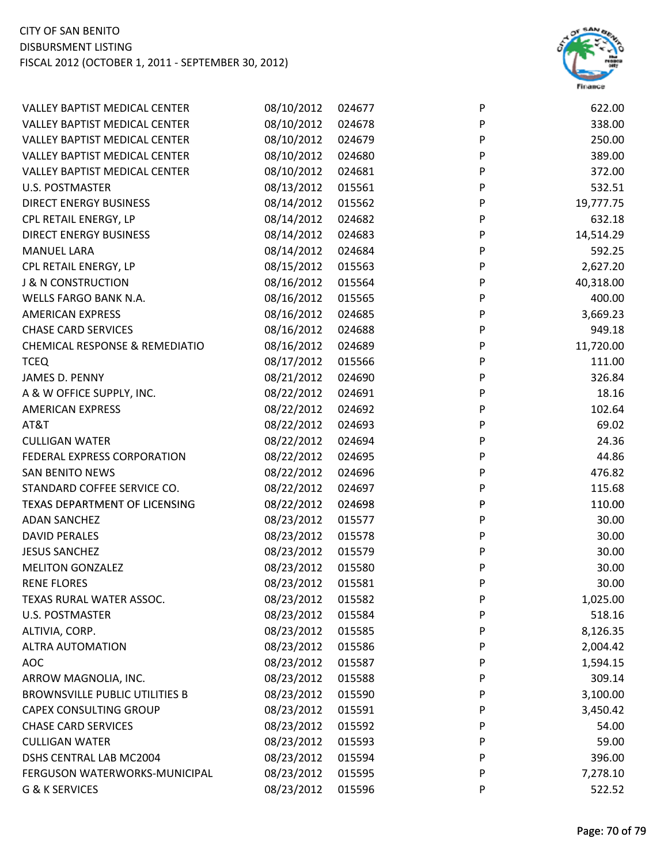

| <b>VALLEY BAPTIST MEDICAL CENTER</b>      | 08/10/2012 | 024677 | P | 622.00    |
|-------------------------------------------|------------|--------|---|-----------|
| <b>VALLEY BAPTIST MEDICAL CENTER</b>      | 08/10/2012 | 024678 | P | 338.00    |
| <b>VALLEY BAPTIST MEDICAL CENTER</b>      | 08/10/2012 | 024679 | P | 250.00    |
| <b>VALLEY BAPTIST MEDICAL CENTER</b>      | 08/10/2012 | 024680 | P | 389.00    |
| <b>VALLEY BAPTIST MEDICAL CENTER</b>      | 08/10/2012 | 024681 | P | 372.00    |
| <b>U.S. POSTMASTER</b>                    | 08/13/2012 | 015561 | P | 532.51    |
| <b>DIRECT ENERGY BUSINESS</b>             | 08/14/2012 | 015562 | P | 19,777.75 |
| CPL RETAIL ENERGY, LP                     | 08/14/2012 | 024682 | P | 632.18    |
| <b>DIRECT ENERGY BUSINESS</b>             | 08/14/2012 | 024683 | P | 14,514.29 |
| <b>MANUEL LARA</b>                        | 08/14/2012 | 024684 | P | 592.25    |
| CPL RETAIL ENERGY, LP                     | 08/15/2012 | 015563 | P | 2,627.20  |
| <b>J &amp; N CONSTRUCTION</b>             | 08/16/2012 | 015564 | P | 40,318.00 |
| <b>WELLS FARGO BANK N.A.</b>              | 08/16/2012 | 015565 | P | 400.00    |
| <b>AMERICAN EXPRESS</b>                   | 08/16/2012 | 024685 | P | 3,669.23  |
| <b>CHASE CARD SERVICES</b>                | 08/16/2012 | 024688 | P | 949.18    |
| <b>CHEMICAL RESPONSE &amp; REMEDIATIO</b> | 08/16/2012 | 024689 | P | 11,720.00 |
| <b>TCEQ</b>                               | 08/17/2012 | 015566 | P | 111.00    |
| JAMES D. PENNY                            | 08/21/2012 | 024690 | P | 326.84    |
| A & W OFFICE SUPPLY, INC.                 | 08/22/2012 | 024691 | P | 18.16     |
| <b>AMERICAN EXPRESS</b>                   | 08/22/2012 | 024692 | P | 102.64    |
| AT&T                                      | 08/22/2012 | 024693 | P | 69.02     |
| <b>CULLIGAN WATER</b>                     | 08/22/2012 | 024694 | P | 24.36     |
| FEDERAL EXPRESS CORPORATION               | 08/22/2012 | 024695 | P | 44.86     |
| <b>SAN BENITO NEWS</b>                    | 08/22/2012 | 024696 | P | 476.82    |
| STANDARD COFFEE SERVICE CO.               | 08/22/2012 | 024697 | P | 115.68    |
| TEXAS DEPARTMENT OF LICENSING             | 08/22/2012 | 024698 | P | 110.00    |
| <b>ADAN SANCHEZ</b>                       | 08/23/2012 | 015577 | P | 30.00     |
| <b>DAVID PERALES</b>                      | 08/23/2012 | 015578 | P | 30.00     |
| <b>JESUS SANCHEZ</b>                      | 08/23/2012 | 015579 | P | 30.00     |
| <b>MELITON GONZALEZ</b>                   | 08/23/2012 | 015580 | P | 30.00     |
| <b>RENE FLORES</b>                        | 08/23/2012 | 015581 | P | 30.00     |
| TEXAS RURAL WATER ASSOC.                  | 08/23/2012 | 015582 | P | 1,025.00  |
| <b>U.S. POSTMASTER</b>                    | 08/23/2012 | 015584 | P | 518.16    |
| ALTIVIA, CORP.                            | 08/23/2012 | 015585 | P | 8,126.35  |
| <b>ALTRA AUTOMATION</b>                   | 08/23/2012 | 015586 | P | 2,004.42  |
| <b>AOC</b>                                | 08/23/2012 | 015587 | P | 1,594.15  |
| ARROW MAGNOLIA, INC.                      | 08/23/2012 | 015588 | P | 309.14    |
| <b>BROWNSVILLE PUBLIC UTILITIES B</b>     | 08/23/2012 | 015590 | P | 3,100.00  |
| <b>CAPEX CONSULTING GROUP</b>             | 08/23/2012 | 015591 | P | 3,450.42  |
| <b>CHASE CARD SERVICES</b>                | 08/23/2012 | 015592 | P | 54.00     |
| <b>CULLIGAN WATER</b>                     | 08/23/2012 | 015593 | P | 59.00     |
| DSHS CENTRAL LAB MC2004                   | 08/23/2012 | 015594 | P | 396.00    |
| FERGUSON WATERWORKS-MUNICIPAL             | 08/23/2012 | 015595 | P | 7,278.10  |
| G & K SERVICES                            | 08/23/2012 | 015596 | P | 522.52    |
|                                           |            |        |   |           |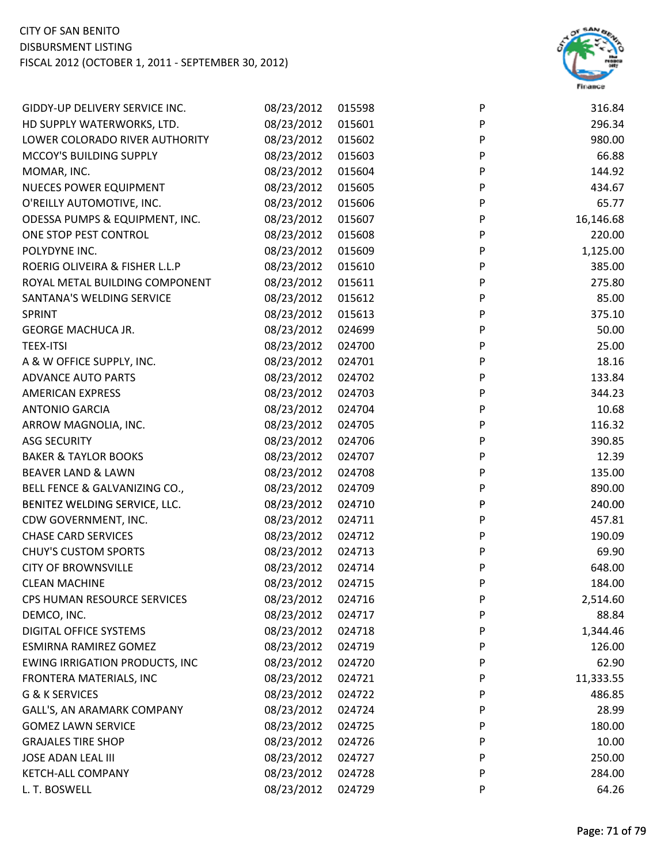

| GIDDY-UP DELIVERY SERVICE INC.        | 08/23/2012 | 015598 | P | 316.84    |
|---------------------------------------|------------|--------|---|-----------|
| HD SUPPLY WATERWORKS, LTD.            | 08/23/2012 | 015601 | P | 296.34    |
| LOWER COLORADO RIVER AUTHORITY        | 08/23/2012 | 015602 | P | 980.00    |
| MCCOY'S BUILDING SUPPLY               | 08/23/2012 | 015603 | P | 66.88     |
| MOMAR, INC.                           | 08/23/2012 | 015604 | P | 144.92    |
| <b>NUECES POWER EQUIPMENT</b>         | 08/23/2012 | 015605 | P | 434.67    |
| O'REILLY AUTOMOTIVE, INC.             | 08/23/2012 | 015606 | P | 65.77     |
| ODESSA PUMPS & EQUIPMENT, INC.        | 08/23/2012 | 015607 | P | 16,146.68 |
| ONE STOP PEST CONTROL                 | 08/23/2012 | 015608 | P | 220.00    |
| POLYDYNE INC.                         | 08/23/2012 | 015609 | P | 1,125.00  |
| ROERIG OLIVEIRA & FISHER L.L.P        | 08/23/2012 | 015610 | P | 385.00    |
| ROYAL METAL BUILDING COMPONENT        | 08/23/2012 | 015611 | P | 275.80    |
| SANTANA'S WELDING SERVICE             | 08/23/2012 | 015612 | P | 85.00     |
| SPRINT                                | 08/23/2012 | 015613 | P | 375.10    |
| <b>GEORGE MACHUCA JR.</b>             | 08/23/2012 | 024699 | P | 50.00     |
| <b>TEEX-ITSI</b>                      | 08/23/2012 | 024700 | P | 25.00     |
| A & W OFFICE SUPPLY, INC.             | 08/23/2012 | 024701 | P | 18.16     |
| <b>ADVANCE AUTO PARTS</b>             | 08/23/2012 | 024702 | P | 133.84    |
| <b>AMERICAN EXPRESS</b>               | 08/23/2012 | 024703 | P | 344.23    |
| <b>ANTONIO GARCIA</b>                 | 08/23/2012 | 024704 | P | 10.68     |
| ARROW MAGNOLIA, INC.                  | 08/23/2012 | 024705 | P | 116.32    |
| <b>ASG SECURITY</b>                   | 08/23/2012 | 024706 | P | 390.85    |
| <b>BAKER &amp; TAYLOR BOOKS</b>       | 08/23/2012 | 024707 | P | 12.39     |
| BEAVER LAND & LAWN                    | 08/23/2012 | 024708 | P | 135.00    |
| BELL FENCE & GALVANIZING CO.,         | 08/23/2012 | 024709 | P | 890.00    |
| BENITEZ WELDING SERVICE, LLC.         | 08/23/2012 | 024710 | P | 240.00    |
| CDW GOVERNMENT, INC.                  | 08/23/2012 | 024711 | P | 457.81    |
| <b>CHASE CARD SERVICES</b>            | 08/23/2012 | 024712 | P | 190.09    |
| <b>CHUY'S CUSTOM SPORTS</b>           | 08/23/2012 | 024713 | P | 69.90     |
| <b>CITY OF BROWNSVILLE</b>            | 08/23/2012 | 024714 | P | 648.00    |
| <b>CLEAN MACHINE</b>                  | 08/23/2012 | 024715 | P | 184.00    |
| CPS HUMAN RESOURCE SERVICES           | 08/23/2012 | 024716 | P | 2,514.60  |
| DEMCO, INC.                           | 08/23/2012 | 024717 | P | 88.84     |
| DIGITAL OFFICE SYSTEMS                | 08/23/2012 | 024718 | P | 1,344.46  |
| ESMIRNA RAMIREZ GOMEZ                 | 08/23/2012 | 024719 | P | 126.00    |
| <b>EWING IRRIGATION PRODUCTS, INC</b> | 08/23/2012 | 024720 | P | 62.90     |
| FRONTERA MATERIALS, INC               | 08/23/2012 | 024721 | P | 11,333.55 |
| G & K SERVICES                        | 08/23/2012 | 024722 | P | 486.85    |
| GALL'S, AN ARAMARK COMPANY            | 08/23/2012 | 024724 | P | 28.99     |
| <b>GOMEZ LAWN SERVICE</b>             | 08/23/2012 | 024725 | P | 180.00    |
| <b>GRAJALES TIRE SHOP</b>             | 08/23/2012 | 024726 | P | 10.00     |
| <b>JOSE ADAN LEAL III</b>             | 08/23/2012 | 024727 | P | 250.00    |
| KETCH-ALL COMPANY                     | 08/23/2012 | 024728 | P | 284.00    |
| L. T. BOSWELL                         | 08/23/2012 | 024729 | P | 64.26     |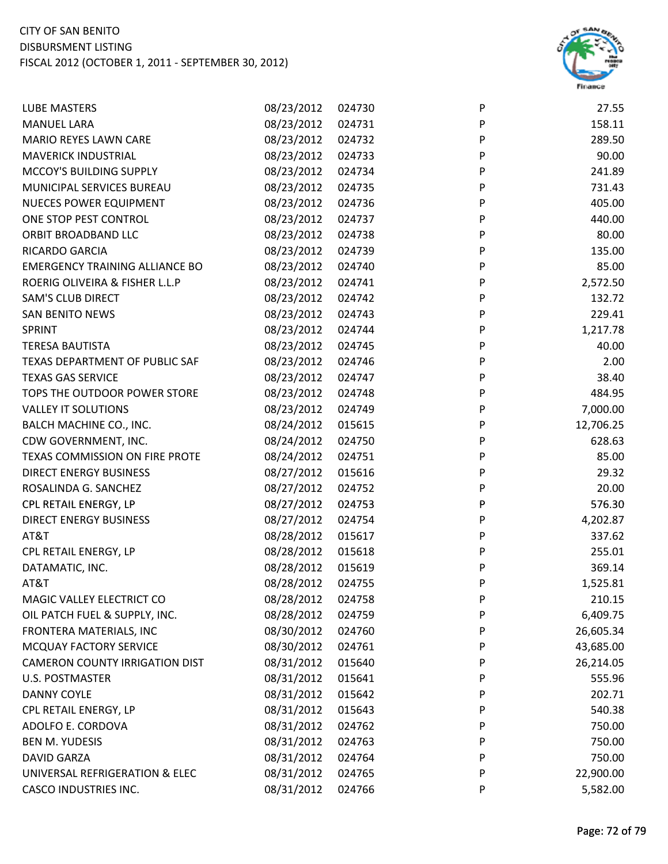

| <b>LUBE MASTERS</b>                   | 08/23/2012 | 024730 | P | 27.55     |
|---------------------------------------|------------|--------|---|-----------|
| <b>MANUEL LARA</b>                    | 08/23/2012 | 024731 | P | 158.11    |
| <b>MARIO REYES LAWN CARE</b>          | 08/23/2012 | 024732 | P | 289.50    |
| <b>MAVERICK INDUSTRIAL</b>            | 08/23/2012 | 024733 | P | 90.00     |
| MCCOY'S BUILDING SUPPLY               | 08/23/2012 | 024734 | P | 241.89    |
| MUNICIPAL SERVICES BUREAU             | 08/23/2012 | 024735 | P | 731.43    |
| <b>NUECES POWER EQUIPMENT</b>         | 08/23/2012 | 024736 | P | 405.00    |
| ONE STOP PEST CONTROL                 | 08/23/2012 | 024737 | P | 440.00    |
| ORBIT BROADBAND LLC                   | 08/23/2012 | 024738 | P | 80.00     |
| RICARDO GARCIA                        | 08/23/2012 | 024739 | P | 135.00    |
| <b>EMERGENCY TRAINING ALLIANCE BO</b> | 08/23/2012 | 024740 | P | 85.00     |
| ROERIG OLIVEIRA & FISHER L.L.P        | 08/23/2012 | 024741 | P | 2,572.50  |
| SAM'S CLUB DIRECT                     | 08/23/2012 | 024742 | P | 132.72    |
| <b>SAN BENITO NEWS</b>                | 08/23/2012 | 024743 | P | 229.41    |
| <b>SPRINT</b>                         | 08/23/2012 | 024744 | P | 1,217.78  |
| <b>TERESA BAUTISTA</b>                | 08/23/2012 | 024745 | P | 40.00     |
| TEXAS DEPARTMENT OF PUBLIC SAF        | 08/23/2012 | 024746 | P | 2.00      |
| <b>TEXAS GAS SERVICE</b>              | 08/23/2012 | 024747 | P | 38.40     |
| TOPS THE OUTDOOR POWER STORE          | 08/23/2012 | 024748 | P | 484.95    |
| <b>VALLEY IT SOLUTIONS</b>            | 08/23/2012 | 024749 | P | 7,000.00  |
| BALCH MACHINE CO., INC.               | 08/24/2012 | 015615 | P | 12,706.25 |
| CDW GOVERNMENT, INC.                  | 08/24/2012 | 024750 | P | 628.63    |
| TEXAS COMMISSION ON FIRE PROTE        | 08/24/2012 | 024751 | P | 85.00     |
| <b>DIRECT ENERGY BUSINESS</b>         | 08/27/2012 | 015616 | P | 29.32     |
| ROSALINDA G. SANCHEZ                  | 08/27/2012 | 024752 | P | 20.00     |
| CPL RETAIL ENERGY, LP                 | 08/27/2012 | 024753 | P | 576.30    |
| <b>DIRECT ENERGY BUSINESS</b>         | 08/27/2012 | 024754 | P | 4,202.87  |
| AT&T                                  | 08/28/2012 | 015617 | P | 337.62    |
| CPL RETAIL ENERGY, LP                 | 08/28/2012 | 015618 | P | 255.01    |
| DATAMATIC, INC.                       | 08/28/2012 | 015619 | P | 369.14    |
| AT&T                                  | 08/28/2012 | 024755 | P | 1,525.81  |
| MAGIC VALLEY ELECTRICT CO             | 08/28/2012 | 024758 | P | 210.15    |
| OIL PATCH FUEL & SUPPLY, INC.         | 08/28/2012 | 024759 | P | 6,409.75  |
| FRONTERA MATERIALS, INC               | 08/30/2012 | 024760 | P | 26,605.34 |
| MCQUAY FACTORY SERVICE                | 08/30/2012 | 024761 | P | 43,685.00 |
| <b>CAMERON COUNTY IRRIGATION DIST</b> | 08/31/2012 | 015640 | P | 26,214.05 |
| <b>U.S. POSTMASTER</b>                | 08/31/2012 | 015641 | P | 555.96    |
| <b>DANNY COYLE</b>                    | 08/31/2012 | 015642 | P | 202.71    |
| CPL RETAIL ENERGY, LP                 | 08/31/2012 | 015643 | P | 540.38    |
| ADOLFO E. CORDOVA                     | 08/31/2012 | 024762 | P | 750.00    |
| <b>BEN M. YUDESIS</b>                 | 08/31/2012 | 024763 | P | 750.00    |
| <b>DAVID GARZA</b>                    | 08/31/2012 | 024764 | P | 750.00    |
| UNIVERSAL REFRIGERATION & ELEC        | 08/31/2012 | 024765 | P | 22,900.00 |
| <b>CASCO INDUSTRIES INC.</b>          | 08/31/2012 | 024766 | P | 5,582.00  |
|                                       |            |        |   |           |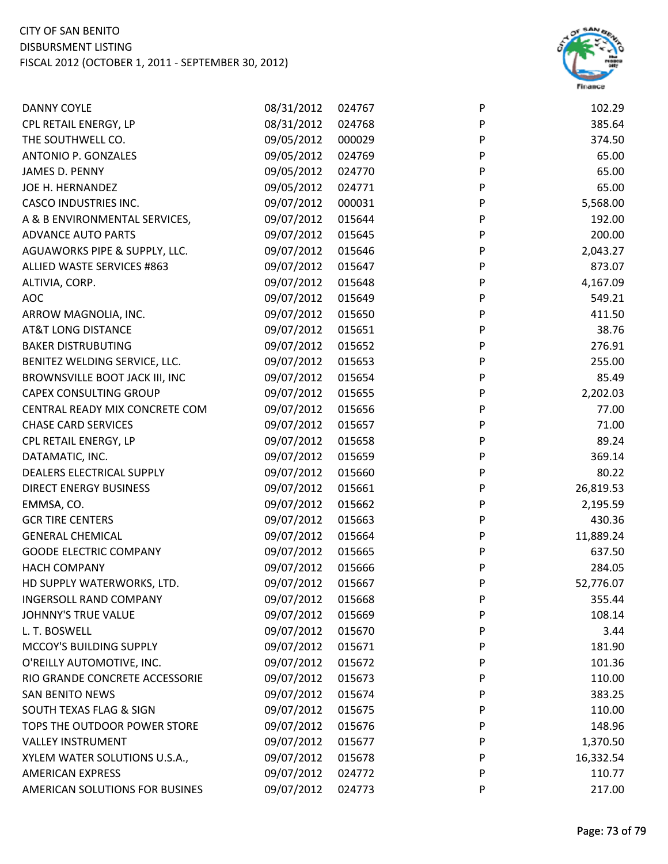

| <b>DANNY COYLE</b>             | 08/31/2012 | 024767 | P | 102.29    |
|--------------------------------|------------|--------|---|-----------|
| CPL RETAIL ENERGY, LP          | 08/31/2012 | 024768 | P | 385.64    |
| THE SOUTHWELL CO.              | 09/05/2012 | 000029 | P | 374.50    |
| ANTONIO P. GONZALES            | 09/05/2012 | 024769 | P | 65.00     |
| JAMES D. PENNY                 | 09/05/2012 | 024770 | P | 65.00     |
| JOE H. HERNANDEZ               | 09/05/2012 | 024771 | P | 65.00     |
| <b>CASCO INDUSTRIES INC.</b>   | 09/07/2012 | 000031 | P | 5,568.00  |
| A & B ENVIRONMENTAL SERVICES,  | 09/07/2012 | 015644 | P | 192.00    |
| <b>ADVANCE AUTO PARTS</b>      | 09/07/2012 | 015645 | P | 200.00    |
| AGUAWORKS PIPE & SUPPLY, LLC.  | 09/07/2012 | 015646 | P | 2,043.27  |
| ALLIED WASTE SERVICES #863     | 09/07/2012 | 015647 | P | 873.07    |
| ALTIVIA, CORP.                 | 09/07/2012 | 015648 | P | 4,167.09  |
| <b>AOC</b>                     | 09/07/2012 | 015649 | P | 549.21    |
| ARROW MAGNOLIA, INC.           | 09/07/2012 | 015650 | P | 411.50    |
| <b>AT&amp;T LONG DISTANCE</b>  | 09/07/2012 | 015651 | P | 38.76     |
| <b>BAKER DISTRUBUTING</b>      | 09/07/2012 | 015652 | P | 276.91    |
| BENITEZ WELDING SERVICE, LLC.  | 09/07/2012 | 015653 | P | 255.00    |
| BROWNSVILLE BOOT JACK III, INC | 09/07/2012 | 015654 | P | 85.49     |
| <b>CAPEX CONSULTING GROUP</b>  | 09/07/2012 | 015655 | P | 2,202.03  |
| CENTRAL READY MIX CONCRETE COM | 09/07/2012 | 015656 | P | 77.00     |
| <b>CHASE CARD SERVICES</b>     | 09/07/2012 | 015657 | P | 71.00     |
| CPL RETAIL ENERGY, LP          | 09/07/2012 | 015658 | P | 89.24     |
| DATAMATIC, INC.                | 09/07/2012 | 015659 | P | 369.14    |
| DEALERS ELECTRICAL SUPPLY      | 09/07/2012 | 015660 | P | 80.22     |
| <b>DIRECT ENERGY BUSINESS</b>  | 09/07/2012 | 015661 | P | 26,819.53 |
| EMMSA, CO.                     | 09/07/2012 | 015662 | P | 2,195.59  |
| <b>GCR TIRE CENTERS</b>        | 09/07/2012 | 015663 | P | 430.36    |
| <b>GENERAL CHEMICAL</b>        | 09/07/2012 | 015664 | P | 11,889.24 |
| <b>GOODE ELECTRIC COMPANY</b>  | 09/07/2012 | 015665 | P | 637.50    |
| <b>HACH COMPANY</b>            | 09/07/2012 | 015666 | P | 284.05    |
| HD SUPPLY WATERWORKS, LTD.     | 09/07/2012 | 015667 | P | 52,776.07 |
| <b>INGERSOLL RAND COMPANY</b>  | 09/07/2012 | 015668 | P | 355.44    |
| <b>JOHNNY'S TRUE VALUE</b>     | 09/07/2012 | 015669 | P | 108.14    |
| L. T. BOSWELL                  | 09/07/2012 | 015670 | P | 3.44      |
| MCCOY'S BUILDING SUPPLY        | 09/07/2012 | 015671 | P | 181.90    |
| O'REILLY AUTOMOTIVE, INC.      | 09/07/2012 | 015672 | P | 101.36    |
| RIO GRANDE CONCRETE ACCESSORIE | 09/07/2012 | 015673 | P | 110.00    |
| <b>SAN BENITO NEWS</b>         | 09/07/2012 | 015674 | P | 383.25    |
| SOUTH TEXAS FLAG & SIGN        | 09/07/2012 | 015675 | P | 110.00    |
| TOPS THE OUTDOOR POWER STORE   | 09/07/2012 | 015676 | P | 148.96    |
| <b>VALLEY INSTRUMENT</b>       | 09/07/2012 | 015677 | P | 1,370.50  |
| XYLEM WATER SOLUTIONS U.S.A.,  | 09/07/2012 | 015678 | P | 16,332.54 |
| <b>AMERICAN EXPRESS</b>        | 09/07/2012 | 024772 | P | 110.77    |
| AMERICAN SOLUTIONS FOR BUSINES | 09/07/2012 | 024773 | P | 217.00    |
|                                |            |        |   |           |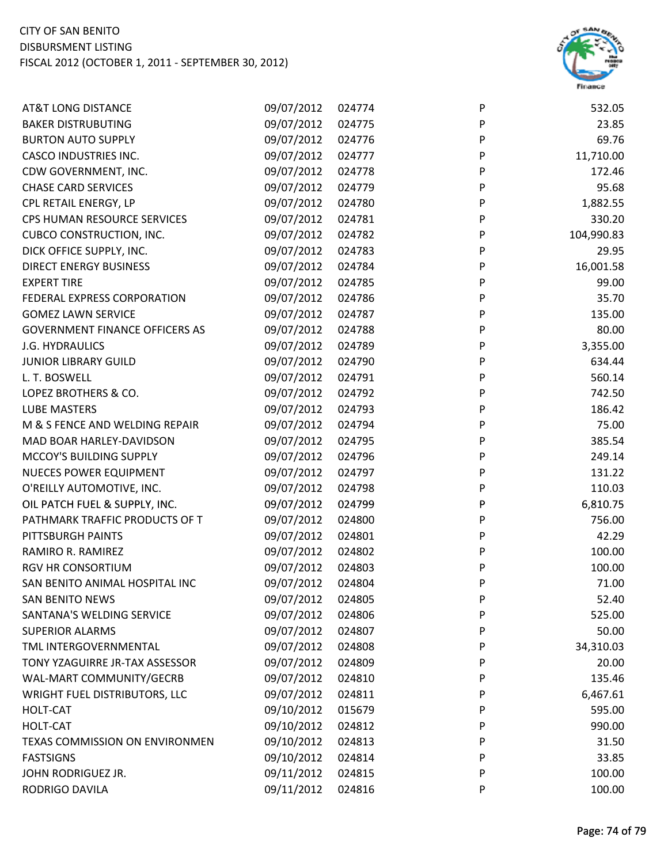

| <b>AT&amp;T LONG DISTANCE</b>         | 09/07/2012 | 024774 | P | 532.05     |
|---------------------------------------|------------|--------|---|------------|
| <b>BAKER DISTRUBUTING</b>             | 09/07/2012 | 024775 | P | 23.85      |
| <b>BURTON AUTO SUPPLY</b>             | 09/07/2012 | 024776 | P | 69.76      |
| <b>CASCO INDUSTRIES INC.</b>          | 09/07/2012 | 024777 | P | 11,710.00  |
| CDW GOVERNMENT, INC.                  | 09/07/2012 | 024778 | P | 172.46     |
| <b>CHASE CARD SERVICES</b>            | 09/07/2012 | 024779 | P | 95.68      |
| CPL RETAIL ENERGY, LP                 | 09/07/2012 | 024780 | P | 1,882.55   |
| CPS HUMAN RESOURCE SERVICES           | 09/07/2012 | 024781 | P | 330.20     |
| <b>CUBCO CONSTRUCTION, INC.</b>       | 09/07/2012 | 024782 | P | 104,990.83 |
| DICK OFFICE SUPPLY, INC.              | 09/07/2012 | 024783 | P | 29.95      |
| <b>DIRECT ENERGY BUSINESS</b>         | 09/07/2012 | 024784 | P | 16,001.58  |
| <b>EXPERT TIRE</b>                    | 09/07/2012 | 024785 | P | 99.00      |
| FEDERAL EXPRESS CORPORATION           | 09/07/2012 | 024786 | P | 35.70      |
| <b>GOMEZ LAWN SERVICE</b>             | 09/07/2012 | 024787 | P | 135.00     |
| <b>GOVERNMENT FINANCE OFFICERS AS</b> | 09/07/2012 | 024788 | P | 80.00      |
| <b>J.G. HYDRAULICS</b>                | 09/07/2012 | 024789 | P | 3,355.00   |
| <b>JUNIOR LIBRARY GUILD</b>           | 09/07/2012 | 024790 | P | 634.44     |
| L. T. BOSWELL                         | 09/07/2012 | 024791 | P | 560.14     |
| LOPEZ BROTHERS & CO.                  | 09/07/2012 | 024792 | P | 742.50     |
| <b>LUBE MASTERS</b>                   | 09/07/2012 | 024793 | P | 186.42     |
| M & S FENCE AND WELDING REPAIR        | 09/07/2012 | 024794 | P | 75.00      |
| MAD BOAR HARLEY-DAVIDSON              | 09/07/2012 | 024795 | P | 385.54     |
| MCCOY'S BUILDING SUPPLY               | 09/07/2012 | 024796 | P | 249.14     |
| <b>NUECES POWER EQUIPMENT</b>         | 09/07/2012 | 024797 | P | 131.22     |
| O'REILLY AUTOMOTIVE, INC.             | 09/07/2012 | 024798 | P | 110.03     |
| OIL PATCH FUEL & SUPPLY, INC.         | 09/07/2012 | 024799 | P | 6,810.75   |
| PATHMARK TRAFFIC PRODUCTS OF T        | 09/07/2012 | 024800 | P | 756.00     |
| PITTSBURGH PAINTS                     | 09/07/2012 | 024801 | P | 42.29      |
| RAMIRO R. RAMIREZ                     | 09/07/2012 | 024802 | P | 100.00     |
| RGV HR CONSORTIUM                     | 09/07/2012 | 024803 | P | 100.00     |
| SAN BENITO ANIMAL HOSPITAL INC        | 09/07/2012 | 024804 | P | 71.00      |
| <b>SAN BENITO NEWS</b>                | 09/07/2012 | 024805 | P | 52.40      |
| SANTANA'S WELDING SERVICE             | 09/07/2012 | 024806 | P | 525.00     |
| <b>SUPERIOR ALARMS</b>                | 09/07/2012 | 024807 | P | 50.00      |
| TML INTERGOVERNMENTAL                 | 09/07/2012 | 024808 | P | 34,310.03  |
| TONY YZAGUIRRE JR-TAX ASSESSOR        | 09/07/2012 | 024809 | P | 20.00      |
| WAL-MART COMMUNITY/GECRB              | 09/07/2012 | 024810 | P | 135.46     |
| <b>WRIGHT FUEL DISTRIBUTORS, LLC</b>  | 09/07/2012 | 024811 | P | 6,467.61   |
| HOLT-CAT                              | 09/10/2012 | 015679 | P | 595.00     |
| HOLT-CAT                              | 09/10/2012 | 024812 | P | 990.00     |
| TEXAS COMMISSION ON ENVIRONMEN        | 09/10/2012 | 024813 | P | 31.50      |
| <b>FASTSIGNS</b>                      | 09/10/2012 | 024814 | P | 33.85      |
| JOHN RODRIGUEZ JR.                    | 09/11/2012 | 024815 | P | 100.00     |
| RODRIGO DAVILA                        | 09/11/2012 | 024816 | P | 100.00     |
|                                       |            |        |   |            |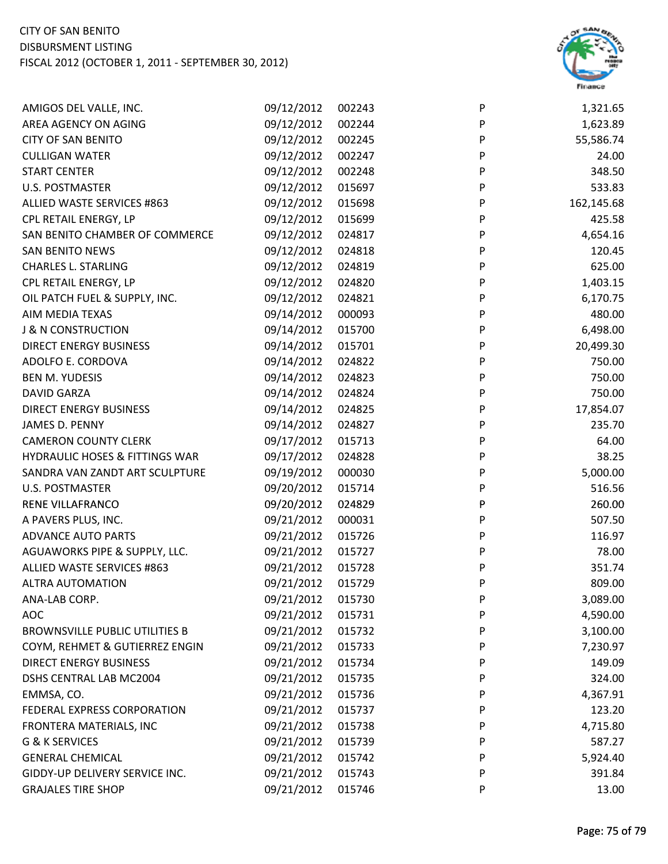

| AMIGOS DEL VALLE, INC.                | 09/12/2012 | 002243 | P | 1,321.65   |
|---------------------------------------|------------|--------|---|------------|
| AREA AGENCY ON AGING                  | 09/12/2012 | 002244 | P | 1,623.89   |
| <b>CITY OF SAN BENITO</b>             | 09/12/2012 | 002245 | P | 55,586.74  |
| <b>CULLIGAN WATER</b>                 | 09/12/2012 | 002247 | P | 24.00      |
| <b>START CENTER</b>                   | 09/12/2012 | 002248 | P | 348.50     |
| <b>U.S. POSTMASTER</b>                | 09/12/2012 | 015697 | P | 533.83     |
| ALLIED WASTE SERVICES #863            | 09/12/2012 | 015698 | P | 162,145.68 |
| CPL RETAIL ENERGY, LP                 | 09/12/2012 | 015699 | P | 425.58     |
| SAN BENITO CHAMBER OF COMMERCE        | 09/12/2012 | 024817 | P | 4,654.16   |
| <b>SAN BENITO NEWS</b>                | 09/12/2012 | 024818 | P | 120.45     |
| <b>CHARLES L. STARLING</b>            | 09/12/2012 | 024819 | P | 625.00     |
| CPL RETAIL ENERGY, LP                 | 09/12/2012 | 024820 | P | 1,403.15   |
| OIL PATCH FUEL & SUPPLY, INC.         | 09/12/2012 | 024821 | P | 6,170.75   |
| AIM MEDIA TEXAS                       | 09/14/2012 | 000093 | P | 480.00     |
| <b>J &amp; N CONSTRUCTION</b>         | 09/14/2012 | 015700 | P | 6,498.00   |
| <b>DIRECT ENERGY BUSINESS</b>         | 09/14/2012 | 015701 | P | 20,499.30  |
| ADOLFO E. CORDOVA                     | 09/14/2012 | 024822 | P | 750.00     |
| <b>BEN M. YUDESIS</b>                 | 09/14/2012 | 024823 | P | 750.00     |
| <b>DAVID GARZA</b>                    | 09/14/2012 | 024824 | P | 750.00     |
| <b>DIRECT ENERGY BUSINESS</b>         | 09/14/2012 | 024825 | P | 17,854.07  |
| JAMES D. PENNY                        | 09/14/2012 | 024827 | P | 235.70     |
| <b>CAMERON COUNTY CLERK</b>           | 09/17/2012 | 015713 | P | 64.00      |
| HYDRAULIC HOSES & FITTINGS WAR        | 09/17/2012 | 024828 | P | 38.25      |
| SANDRA VAN ZANDT ART SCULPTURE        | 09/19/2012 | 000030 | P | 5,000.00   |
| <b>U.S. POSTMASTER</b>                | 09/20/2012 | 015714 | P | 516.56     |
| RENE VILLAFRANCO                      | 09/20/2012 | 024829 | P | 260.00     |
| A PAVERS PLUS, INC.                   | 09/21/2012 | 000031 | P | 507.50     |
| <b>ADVANCE AUTO PARTS</b>             | 09/21/2012 | 015726 | P | 116.97     |
| AGUAWORKS PIPE & SUPPLY, LLC.         | 09/21/2012 | 015727 | P | 78.00      |
| ALLIED WASTE SERVICES #863            | 09/21/2012 | 015728 | P | 351.74     |
| <b>ALTRA AUTOMATION</b>               | 09/21/2012 | 015729 | P | 809.00     |
| ANA-LAB CORP.                         | 09/21/2012 | 015730 | P | 3,089.00   |
| <b>AOC</b>                            | 09/21/2012 | 015731 | P | 4,590.00   |
| <b>BROWNSVILLE PUBLIC UTILITIES B</b> | 09/21/2012 | 015732 | P | 3,100.00   |
| COYM, REHMET & GUTIERREZ ENGIN        | 09/21/2012 | 015733 | P | 7,230.97   |
| <b>DIRECT ENERGY BUSINESS</b>         | 09/21/2012 | 015734 | P | 149.09     |
| DSHS CENTRAL LAB MC2004               | 09/21/2012 | 015735 | P | 324.00     |
| EMMSA, CO.                            | 09/21/2012 | 015736 | P | 4,367.91   |
| FEDERAL EXPRESS CORPORATION           | 09/21/2012 | 015737 | P | 123.20     |
| FRONTERA MATERIALS, INC               | 09/21/2012 | 015738 | P | 4,715.80   |
| G & K SERVICES                        | 09/21/2012 | 015739 | P | 587.27     |
| <b>GENERAL CHEMICAL</b>               | 09/21/2012 | 015742 | P | 5,924.40   |
| GIDDY-UP DELIVERY SERVICE INC.        | 09/21/2012 | 015743 | P | 391.84     |
| <b>GRAJALES TIRE SHOP</b>             | 09/21/2012 | 015746 | P | 13.00      |
|                                       |            |        |   |            |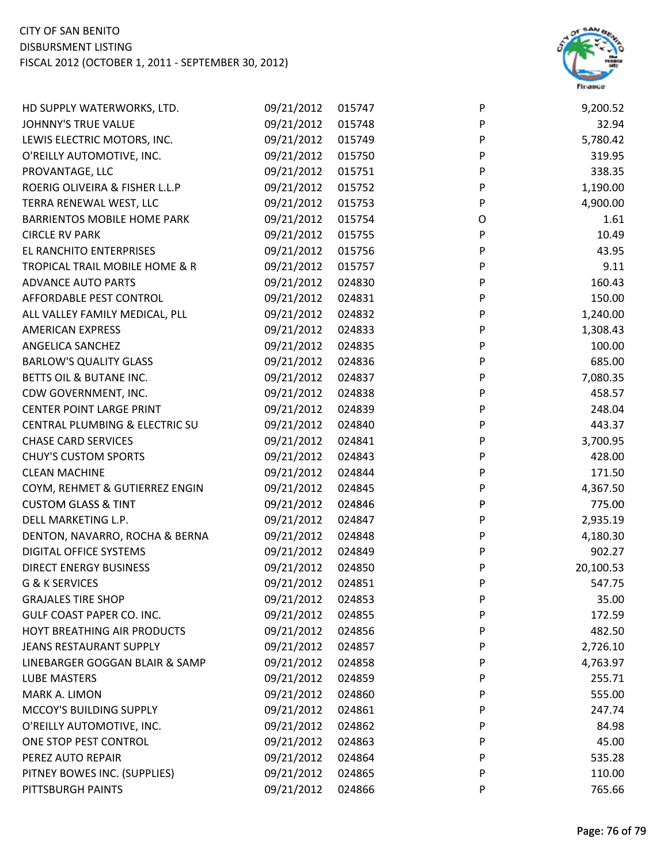

| HD SUPPLY WATERWORKS, LTD.         | 09/21/2012 | 015747 | P         | 9,200.52  |
|------------------------------------|------------|--------|-----------|-----------|
| JOHNNY'S TRUE VALUE                | 09/21/2012 | 015748 | P         | 32.94     |
| LEWIS ELECTRIC MOTORS, INC.        | 09/21/2012 | 015749 | P         | 5,780.42  |
| O'REILLY AUTOMOTIVE, INC.          | 09/21/2012 | 015750 | P         | 319.95    |
| PROVANTAGE, LLC                    | 09/21/2012 | 015751 | P         | 338.35    |
| ROERIG OLIVEIRA & FISHER L.L.P     | 09/21/2012 | 015752 | P         | 1,190.00  |
| TERRA RENEWAL WEST, LLC            | 09/21/2012 | 015753 | P         | 4,900.00  |
| <b>BARRIENTOS MOBILE HOME PARK</b> | 09/21/2012 | 015754 | O         | 1.61      |
| <b>CIRCLE RV PARK</b>              | 09/21/2012 | 015755 | P         | 10.49     |
| EL RANCHITO ENTERPRISES            | 09/21/2012 | 015756 | P         | 43.95     |
| TROPICAL TRAIL MOBILE HOME & R     | 09/21/2012 | 015757 | P         | 9.11      |
| <b>ADVANCE AUTO PARTS</b>          | 09/21/2012 | 024830 | P         | 160.43    |
| AFFORDABLE PEST CONTROL            | 09/21/2012 | 024831 | P         | 150.00    |
| ALL VALLEY FAMILY MEDICAL, PLL     | 09/21/2012 | 024832 | P         | 1,240.00  |
| <b>AMERICAN EXPRESS</b>            | 09/21/2012 | 024833 | P         | 1,308.43  |
| ANGELICA SANCHEZ                   | 09/21/2012 | 024835 | P         | 100.00    |
| <b>BARLOW'S QUALITY GLASS</b>      | 09/21/2012 | 024836 | P         | 685.00    |
| BETTS OIL & BUTANE INC.            | 09/21/2012 | 024837 | P         | 7,080.35  |
| CDW GOVERNMENT, INC.               | 09/21/2012 | 024838 | P         | 458.57    |
| <b>CENTER POINT LARGE PRINT</b>    | 09/21/2012 | 024839 | P         | 248.04    |
| CENTRAL PLUMBING & ELECTRIC SU     | 09/21/2012 | 024840 | ${\sf P}$ | 443.37    |
| <b>CHASE CARD SERVICES</b>         | 09/21/2012 | 024841 | P         | 3,700.95  |
| <b>CHUY'S CUSTOM SPORTS</b>        | 09/21/2012 | 024843 | P         | 428.00    |
| <b>CLEAN MACHINE</b>               | 09/21/2012 | 024844 | P         | 171.50    |
| COYM, REHMET & GUTIERREZ ENGIN     | 09/21/2012 | 024845 | P         | 4,367.50  |
| <b>CUSTOM GLASS &amp; TINT</b>     | 09/21/2012 | 024846 | P         | 775.00    |
| DELL MARKETING L.P.                | 09/21/2012 | 024847 | P         | 2,935.19  |
| DENTON, NAVARRO, ROCHA & BERNA     | 09/21/2012 | 024848 | P         | 4,180.30  |
| DIGITAL OFFICE SYSTEMS             | 09/21/2012 | 024849 | P         | 902.27    |
| <b>DIRECT ENERGY BUSINESS</b>      | 09/21/2012 | 024850 | P         | 20,100.53 |
| G & K SERVICES                     | 09/21/2012 | 024851 | P         | 547.75    |
| <b>GRAJALES TIRE SHOP</b>          | 09/21/2012 | 024853 | P         | 35.00     |
| GULF COAST PAPER CO. INC.          | 09/21/2012 | 024855 | P         | 172.59    |
| HOYT BREATHING AIR PRODUCTS        | 09/21/2012 | 024856 | P         | 482.50    |
| <b>JEANS RESTAURANT SUPPLY</b>     | 09/21/2012 | 024857 | P         | 2,726.10  |
| LINEBARGER GOGGAN BLAIR & SAMP     | 09/21/2012 | 024858 | P         | 4,763.97  |
| <b>LUBE MASTERS</b>                | 09/21/2012 | 024859 | P         | 255.71    |
| MARK A. LIMON                      | 09/21/2012 | 024860 | P         | 555.00    |
| MCCOY'S BUILDING SUPPLY            | 09/21/2012 | 024861 | P         | 247.74    |
| O'REILLY AUTOMOTIVE, INC.          | 09/21/2012 | 024862 | P         | 84.98     |
| ONE STOP PEST CONTROL              | 09/21/2012 | 024863 | P         | 45.00     |
| PEREZ AUTO REPAIR                  | 09/21/2012 | 024864 | P         | 535.28    |
| PITNEY BOWES INC. (SUPPLIES)       | 09/21/2012 | 024865 | P         | 110.00    |
| PITTSBURGH PAINTS                  | 09/21/2012 | 024866 | P         | 765.66    |
|                                    |            |        |           |           |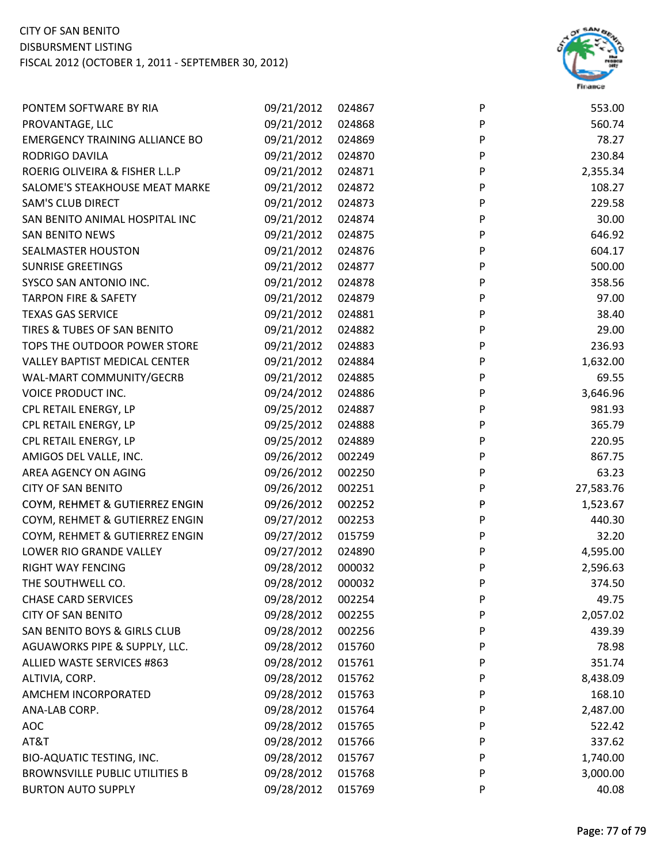

| PONTEM SOFTWARE BY RIA                | 09/21/2012 | 024867 | $\mathsf{P}$ | 553.00    |
|---------------------------------------|------------|--------|--------------|-----------|
| PROVANTAGE, LLC                       | 09/21/2012 | 024868 | P            | 560.74    |
| <b>EMERGENCY TRAINING ALLIANCE BO</b> | 09/21/2012 | 024869 | P            | 78.27     |
| <b>RODRIGO DAVILA</b>                 | 09/21/2012 | 024870 | P            | 230.84    |
| ROERIG OLIVEIRA & FISHER L.L.P        | 09/21/2012 | 024871 | P            | 2,355.34  |
| SALOME'S STEAKHOUSE MEAT MARKE        | 09/21/2012 | 024872 | P            | 108.27    |
| <b>SAM'S CLUB DIRECT</b>              | 09/21/2012 | 024873 | P            | 229.58    |
| SAN BENITO ANIMAL HOSPITAL INC        | 09/21/2012 | 024874 | P            | 30.00     |
| <b>SAN BENITO NEWS</b>                | 09/21/2012 | 024875 | P            | 646.92    |
| <b>SEALMASTER HOUSTON</b>             | 09/21/2012 | 024876 | P            | 604.17    |
| <b>SUNRISE GREETINGS</b>              | 09/21/2012 | 024877 | $\mathsf{P}$ | 500.00    |
| SYSCO SAN ANTONIO INC.                | 09/21/2012 | 024878 | P            | 358.56    |
| <b>TARPON FIRE &amp; SAFETY</b>       | 09/21/2012 | 024879 | P            | 97.00     |
| <b>TEXAS GAS SERVICE</b>              | 09/21/2012 | 024881 | P            | 38.40     |
| TIRES & TUBES OF SAN BENITO           | 09/21/2012 | 024882 | P            | 29.00     |
| TOPS THE OUTDOOR POWER STORE          | 09/21/2012 | 024883 | P            | 236.93    |
| <b>VALLEY BAPTIST MEDICAL CENTER</b>  | 09/21/2012 | 024884 | P            | 1,632.00  |
| WAL-MART COMMUNITY/GECRB              | 09/21/2012 | 024885 | P            | 69.55     |
| VOICE PRODUCT INC.                    | 09/24/2012 | 024886 | P            | 3,646.96  |
| CPL RETAIL ENERGY, LP                 | 09/25/2012 | 024887 | ${\sf P}$    | 981.93    |
| CPL RETAIL ENERGY, LP                 | 09/25/2012 | 024888 | P            | 365.79    |
| CPL RETAIL ENERGY, LP                 | 09/25/2012 | 024889 | P            | 220.95    |
| AMIGOS DEL VALLE, INC.                | 09/26/2012 | 002249 | P            | 867.75    |
| AREA AGENCY ON AGING                  | 09/26/2012 | 002250 | P            | 63.23     |
| <b>CITY OF SAN BENITO</b>             | 09/26/2012 | 002251 | P            | 27,583.76 |
| COYM, REHMET & GUTIERREZ ENGIN        | 09/26/2012 | 002252 | P            | 1,523.67  |
| COYM, REHMET & GUTIERREZ ENGIN        | 09/27/2012 | 002253 | P            | 440.30    |
| COYM, REHMET & GUTIERREZ ENGIN        | 09/27/2012 | 015759 | P            | 32.20     |
| LOWER RIO GRANDE VALLEY               | 09/27/2012 | 024890 | P            | 4,595.00  |
| RIGHT WAY FENCING                     | 09/28/2012 | 000032 | P            | 2,596.63  |
| THE SOUTHWELL CO.                     | 09/28/2012 | 000032 | P            | 374.50    |
| <b>CHASE CARD SERVICES</b>            | 09/28/2012 | 002254 | P            | 49.75     |
| <b>CITY OF SAN BENITO</b>             | 09/28/2012 | 002255 | P            | 2,057.02  |
| SAN BENITO BOYS & GIRLS CLUB          | 09/28/2012 | 002256 | P            | 439.39    |
| AGUAWORKS PIPE & SUPPLY, LLC.         | 09/28/2012 | 015760 | P            | 78.98     |
| ALLIED WASTE SERVICES #863            | 09/28/2012 | 015761 | P            | 351.74    |
| ALTIVIA, CORP.                        | 09/28/2012 | 015762 | P            | 8,438.09  |
| AMCHEM INCORPORATED                   | 09/28/2012 | 015763 | P            | 168.10    |
| ANA-LAB CORP.                         | 09/28/2012 | 015764 | P            | 2,487.00  |
| <b>AOC</b>                            | 09/28/2012 | 015765 | P            | 522.42    |
| AT&T                                  | 09/28/2012 | 015766 | P            | 337.62    |
| <b>BIO-AQUATIC TESTING, INC.</b>      | 09/28/2012 | 015767 | P            | 1,740.00  |
| <b>BROWNSVILLE PUBLIC UTILITIES B</b> | 09/28/2012 | 015768 | P            | 3,000.00  |
| <b>BURTON AUTO SUPPLY</b>             | 09/28/2012 | 015769 | P            | 40.08     |
|                                       |            |        |              |           |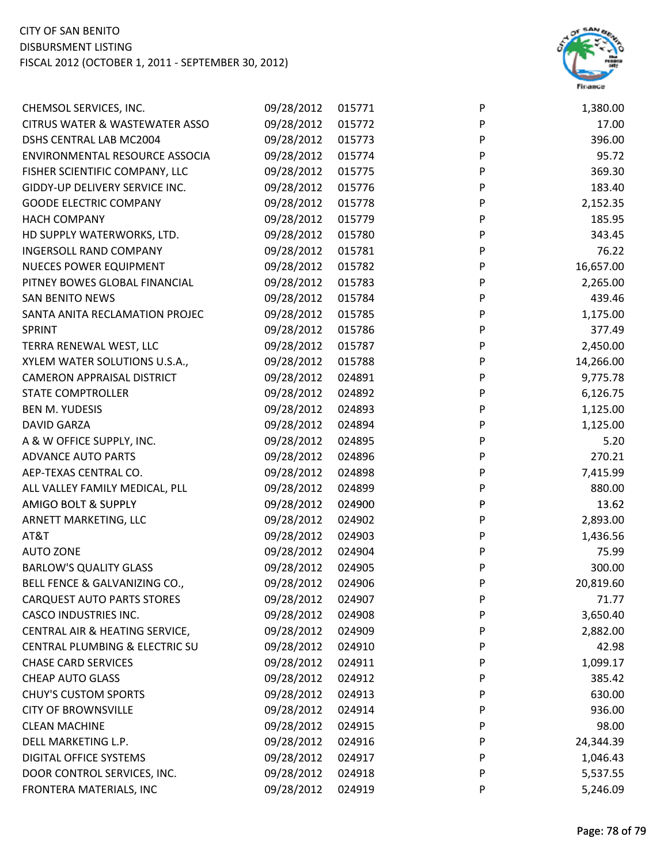

| CHEMSOL SERVICES, INC.                    | 09/28/2012 | 015771 | P | 1,380.00  |
|-------------------------------------------|------------|--------|---|-----------|
| <b>CITRUS WATER &amp; WASTEWATER ASSO</b> | 09/28/2012 | 015772 | P | 17.00     |
| DSHS CENTRAL LAB MC2004                   | 09/28/2012 | 015773 | P | 396.00    |
| ENVIRONMENTAL RESOURCE ASSOCIA            | 09/28/2012 | 015774 | P | 95.72     |
| FISHER SCIENTIFIC COMPANY, LLC            | 09/28/2012 | 015775 | P | 369.30    |
| GIDDY-UP DELIVERY SERVICE INC.            | 09/28/2012 | 015776 | P | 183.40    |
| <b>GOODE ELECTRIC COMPANY</b>             | 09/28/2012 | 015778 | P | 2,152.35  |
| <b>HACH COMPANY</b>                       | 09/28/2012 | 015779 | P | 185.95    |
| HD SUPPLY WATERWORKS, LTD.                | 09/28/2012 | 015780 | P | 343.45    |
| <b>INGERSOLL RAND COMPANY</b>             | 09/28/2012 | 015781 | P | 76.22     |
| <b>NUECES POWER EQUIPMENT</b>             | 09/28/2012 | 015782 | P | 16,657.00 |
| PITNEY BOWES GLOBAL FINANCIAL             | 09/28/2012 | 015783 | P | 2,265.00  |
| <b>SAN BENITO NEWS</b>                    | 09/28/2012 | 015784 | P | 439.46    |
| SANTA ANITA RECLAMATION PROJEC            | 09/28/2012 | 015785 | P | 1,175.00  |
| SPRINT                                    | 09/28/2012 | 015786 | P | 377.49    |
| TERRA RENEWAL WEST, LLC                   | 09/28/2012 | 015787 | P | 2,450.00  |
| XYLEM WATER SOLUTIONS U.S.A.,             | 09/28/2012 | 015788 | P | 14,266.00 |
| <b>CAMERON APPRAISAL DISTRICT</b>         | 09/28/2012 | 024891 | P | 9,775.78  |
| <b>STATE COMPTROLLER</b>                  | 09/28/2012 | 024892 | P | 6,126.75  |
| <b>BEN M. YUDESIS</b>                     | 09/28/2012 | 024893 | P | 1,125.00  |
| <b>DAVID GARZA</b>                        | 09/28/2012 | 024894 | P | 1,125.00  |
| A & W OFFICE SUPPLY, INC.                 | 09/28/2012 | 024895 | P | 5.20      |
| <b>ADVANCE AUTO PARTS</b>                 | 09/28/2012 | 024896 | P | 270.21    |
| AEP-TEXAS CENTRAL CO.                     | 09/28/2012 | 024898 | P | 7,415.99  |
| ALL VALLEY FAMILY MEDICAL, PLL            | 09/28/2012 | 024899 | P | 880.00    |
| AMIGO BOLT & SUPPLY                       | 09/28/2012 | 024900 | P | 13.62     |
| ARNETT MARKETING, LLC                     | 09/28/2012 | 024902 | P | 2,893.00  |
| AT&T                                      | 09/28/2012 | 024903 | P | 1,436.56  |
| <b>AUTO ZONE</b>                          | 09/28/2012 | 024904 | P | 75.99     |
| <b>BARLOW'S QUALITY GLASS</b>             | 09/28/2012 | 024905 | P | 300.00    |
| BELL FENCE & GALVANIZING CO.,             | 09/28/2012 | 024906 | P | 20,819.60 |
| <b>CARQUEST AUTO PARTS STORES</b>         | 09/28/2012 | 024907 | P | 71.77     |
| <b>CASCO INDUSTRIES INC.</b>              | 09/28/2012 | 024908 | P | 3,650.40  |
| CENTRAL AIR & HEATING SERVICE,            | 09/28/2012 | 024909 | P | 2,882.00  |
| CENTRAL PLUMBING & ELECTRIC SU            | 09/28/2012 | 024910 | P | 42.98     |
| <b>CHASE CARD SERVICES</b>                | 09/28/2012 | 024911 | P | 1,099.17  |
| CHEAP AUTO GLASS                          | 09/28/2012 | 024912 | P | 385.42    |
| <b>CHUY'S CUSTOM SPORTS</b>               | 09/28/2012 | 024913 | P | 630.00    |
| <b>CITY OF BROWNSVILLE</b>                | 09/28/2012 | 024914 | P | 936.00    |
| <b>CLEAN MACHINE</b>                      | 09/28/2012 | 024915 | P | 98.00     |
| DELL MARKETING L.P.                       | 09/28/2012 | 024916 | P | 24,344.39 |
| <b>DIGITAL OFFICE SYSTEMS</b>             | 09/28/2012 | 024917 | P | 1,046.43  |
| DOOR CONTROL SERVICES, INC.               | 09/28/2012 | 024918 | P | 5,537.55  |
| FRONTERA MATERIALS, INC                   | 09/28/2012 | 024919 | P | 5,246.09  |